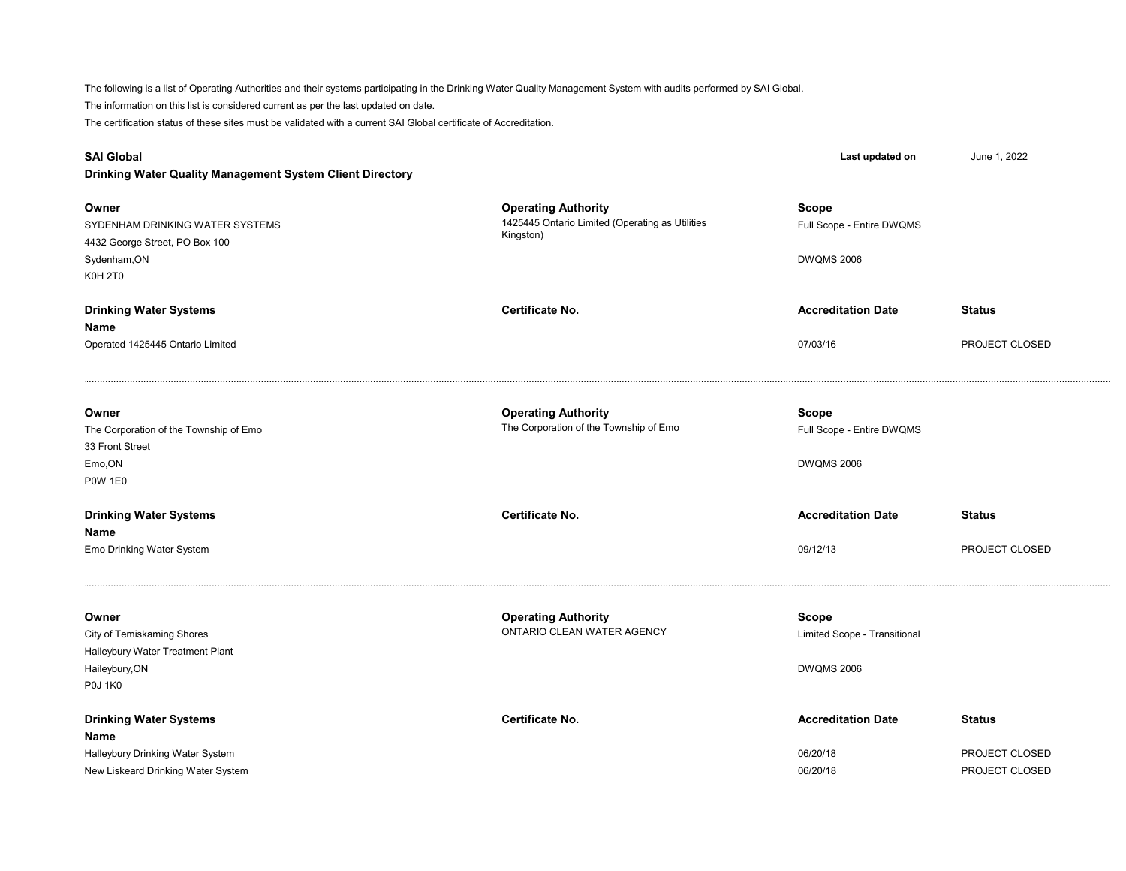The following is a list of Operating Authorities and their systems participating in the Drinking Water Quality Management System with audits performed by SAI Global. The certification status of these sites must be validated with a current SAI Global certificate of Accreditation. The information on this list is considered current as per the last updated on date.

| <b>SAI Global</b><br>Drinking Water Quality Management System Client Directory                                  |                                                                                            | Last updated on                                                | June 1, 2022                                      |
|-----------------------------------------------------------------------------------------------------------------|--------------------------------------------------------------------------------------------|----------------------------------------------------------------|---------------------------------------------------|
| Owner<br>SYDENHAM DRINKING WATER SYSTEMS<br>4432 George Street, PO Box 100<br>Sydenham, ON<br><b>K0H 2T0</b>    | <b>Operating Authority</b><br>1425445 Ontario Limited (Operating as Utilities<br>Kingston) | <b>Scope</b><br>Full Scope - Entire DWQMS<br><b>DWQMS 2006</b> |                                                   |
| <b>Drinking Water Systems</b><br>Name<br>Operated 1425445 Ontario Limited                                       | Certificate No.                                                                            | <b>Accreditation Date</b><br>07/03/16                          | <b>Status</b><br>PROJECT CLOSED                   |
| Owner<br>The Corporation of the Township of Emo<br>33 Front Street<br>Emo, ON<br><b>P0W 1E0</b>                 | <b>Operating Authority</b><br>The Corporation of the Township of Emo                       | <b>Scope</b><br>Full Scope - Entire DWQMS<br><b>DWQMS 2006</b> |                                                   |
| <b>Drinking Water Systems</b><br>Name<br>Emo Drinking Water System                                              | <b>Certificate No.</b>                                                                     | <b>Accreditation Date</b><br>09/12/13                          | <b>Status</b><br>PROJECT CLOSED                   |
| Owner<br>City of Temiskaming Shores<br>Haileybury Water Treatment Plant<br>Haileybury, ON<br><b>P0J 1K0</b>     | <b>Operating Authority</b><br>ONTARIO CLEAN WATER AGENCY                                   | Scope<br>Limited Scope - Transitional<br><b>DWQMS 2006</b>     |                                                   |
| <b>Drinking Water Systems</b><br>Name<br>Halleybury Drinking Water System<br>New Liskeard Drinking Water System | Certificate No.                                                                            | <b>Accreditation Date</b><br>06/20/18<br>06/20/18              | <b>Status</b><br>PROJECT CLOSED<br>PROJECT CLOSED |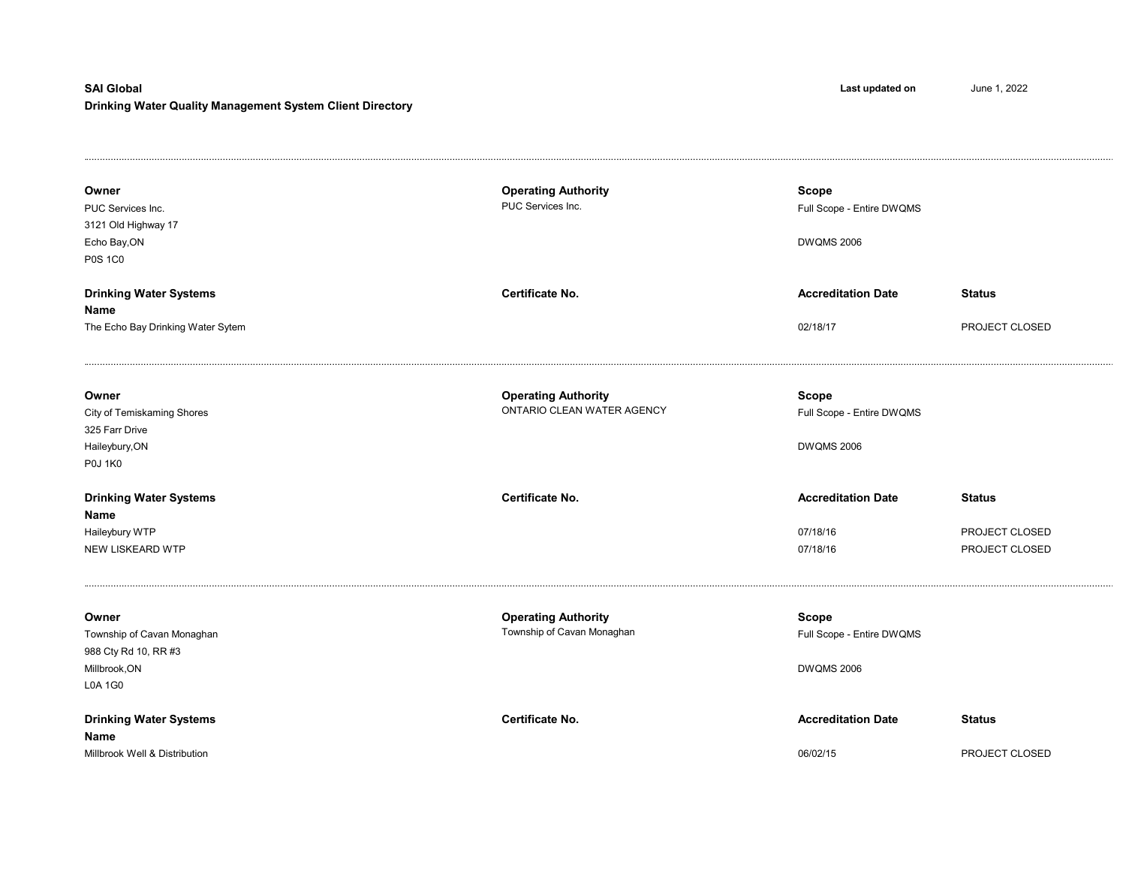## Drinking Water Quality Management System Client Directory SAI Global Last updated on June 1, 2022

| Owner<br>PUC Services Inc.<br>3121 Old Highway 17<br>Echo Bay, ON<br><b>P0S 1C0</b>            | <b>Operating Authority</b><br>PUC Services Inc.          | <b>Scope</b><br>Full Scope - Entire DWQMS<br><b>DWQMS 2006</b> |                                                   |
|------------------------------------------------------------------------------------------------|----------------------------------------------------------|----------------------------------------------------------------|---------------------------------------------------|
| <b>Drinking Water Systems</b><br>Name<br>The Echo Bay Drinking Water Sytem                     | Certificate No.                                          | <b>Accreditation Date</b><br>02/18/17                          | <b>Status</b><br>PROJECT CLOSED                   |
| Owner<br>City of Temiskaming Shores<br>325 Farr Drive<br>Haileybury, ON<br><b>P0J 1K0</b>      | <b>Operating Authority</b><br>ONTARIO CLEAN WATER AGENCY | Scope<br>Full Scope - Entire DWQMS<br><b>DWQMS 2006</b>        |                                                   |
| <b>Drinking Water Systems</b><br>Name<br>Haileybury WTP<br>NEW LISKEARD WTP                    | <b>Certificate No.</b>                                   | <b>Accreditation Date</b><br>07/18/16<br>07/18/16              | <b>Status</b><br>PROJECT CLOSED<br>PROJECT CLOSED |
| Owner<br>Township of Cavan Monaghan<br>988 Cty Rd 10, RR #3<br>Millbrook, ON<br><b>L0A 1G0</b> | <b>Operating Authority</b><br>Township of Cavan Monaghan | <b>Scope</b><br>Full Scope - Entire DWQMS<br><b>DWQMS 2006</b> |                                                   |
| <b>Drinking Water Systems</b><br>Name<br>Millbrook Well & Distribution                         | Certificate No.                                          | <b>Accreditation Date</b><br>06/02/15                          | <b>Status</b><br>PROJECT CLOSED                   |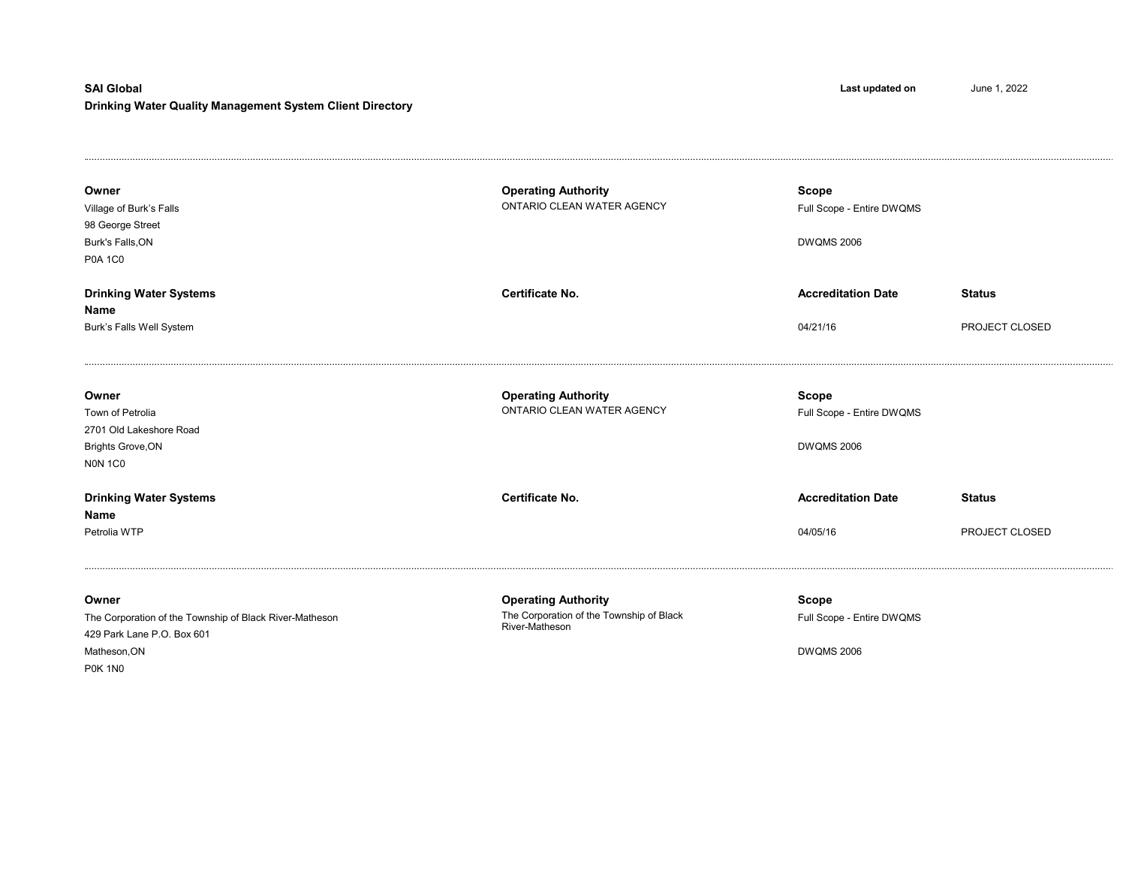## Drinking Water Quality Management System Client Directory SAI Global Last updated on June 1, 2022

| Owner<br>Village of Burk's Falls<br>98 George Street<br>Burk's Falls, ON<br><b>P0A 1C0</b>                                       | <b>Operating Authority</b><br>ONTARIO CLEAN WATER AGENCY                                 | <b>Scope</b><br>Full Scope - Entire DWQMS<br><b>DWQMS 2006</b> |                                 |
|----------------------------------------------------------------------------------------------------------------------------------|------------------------------------------------------------------------------------------|----------------------------------------------------------------|---------------------------------|
| <b>Drinking Water Systems</b><br>Name<br>Burk's Falls Well System                                                                | <b>Certificate No.</b>                                                                   | <b>Accreditation Date</b><br>04/21/16                          | <b>Status</b><br>PROJECT CLOSED |
| Owner<br>Town of Petrolia<br>2701 Old Lakeshore Road<br><b>Brights Grove, ON</b><br><b>NON 1CO</b>                               | <b>Operating Authority</b><br>ONTARIO CLEAN WATER AGENCY                                 | <b>Scope</b><br>Full Scope - Entire DWQMS<br><b>DWQMS 2006</b> |                                 |
| <b>Drinking Water Systems</b><br>Name<br>Petrolia WTP                                                                            | <b>Certificate No.</b>                                                                   | <b>Accreditation Date</b><br>04/05/16                          | <b>Status</b><br>PROJECT CLOSED |
| Owner<br>The Corporation of the Township of Black River-Matheson<br>429 Park Lane P.O. Box 601<br>Matheson, ON<br><b>P0K 1N0</b> | <b>Operating Authority</b><br>The Corporation of the Township of Black<br>River-Matheson | Scope<br>Full Scope - Entire DWQMS<br><b>DWQMS 2006</b>        |                                 |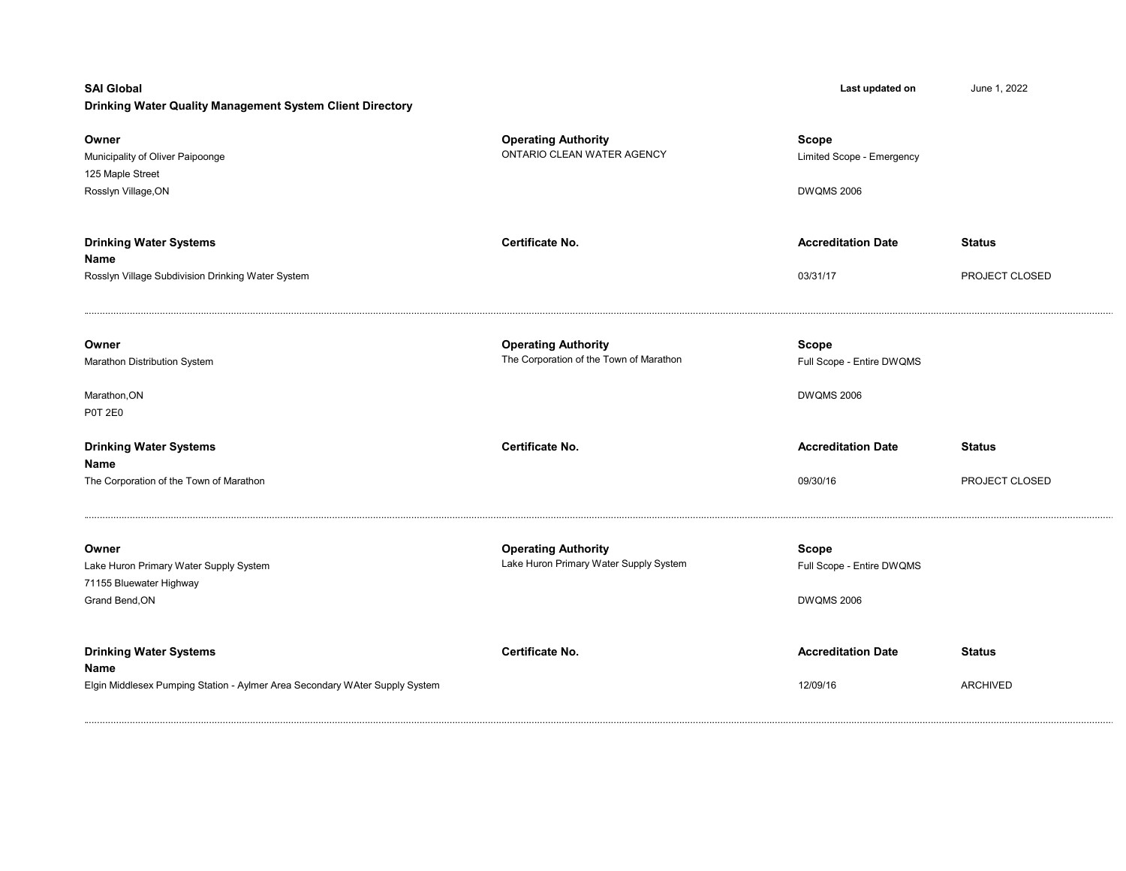## Drinking Water Quality Management System Client Directory

| Owner<br>Municipality of Oliver Paipoonge<br>125 Maple Street<br>Rosslyn Village, ON                                 | <b>Operating Authority</b><br>ONTARIO CLEAN WATER AGENCY              | Scope<br>Limited Scope - Emergency<br><b>DWQMS 2006</b>        |                                  |
|----------------------------------------------------------------------------------------------------------------------|-----------------------------------------------------------------------|----------------------------------------------------------------|----------------------------------|
| <b>Drinking Water Systems</b><br>Name<br>Rosslyn Village Subdivision Drinking Water System                           | Certificate No.                                                       | <b>Accreditation Date</b><br>03/31/17                          | <b>Status</b><br>PROJECT CLOSED  |
| Owner<br>Marathon Distribution System<br>Marathon, ON<br><b>P0T 2E0</b>                                              | <b>Operating Authority</b><br>The Corporation of the Town of Marathon | <b>Scope</b><br>Full Scope - Entire DWQMS<br><b>DWQMS 2006</b> |                                  |
| <b>Drinking Water Systems</b><br>Name<br>The Corporation of the Town of Marathon                                     | Certificate No.                                                       | <b>Accreditation Date</b><br>09/30/16                          | <b>Status</b><br>PROJECT CLOSED  |
| Owner<br>Lake Huron Primary Water Supply System<br>71155 Bluewater Highway<br>Grand Bend, ON                         | <b>Operating Authority</b><br>Lake Huron Primary Water Supply System  | <b>Scope</b><br>Full Scope - Entire DWQMS<br><b>DWQMS 2006</b> |                                  |
| <b>Drinking Water Systems</b><br>Name<br>Elgin Middlesex Pumping Station - Aylmer Area Secondary WAter Supply System | <b>Certificate No.</b>                                                | <b>Accreditation Date</b><br>12/09/16                          | <b>Status</b><br><b>ARCHIVED</b> |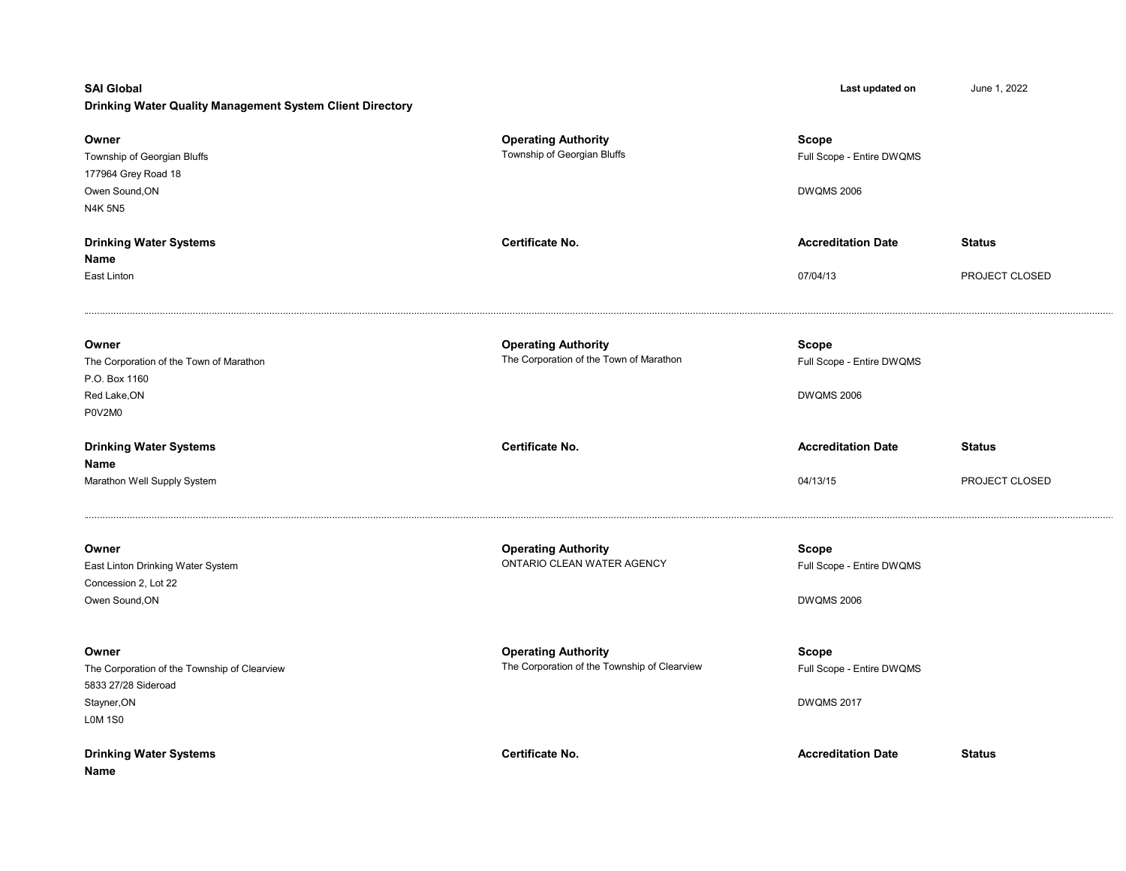## Drinking Water Quality Management System Client Directory

| Owner<br>Township of Georgian Bluffs<br>177964 Grey Road 18<br>Owen Sound, ON<br><b>N4K 5N5</b> | <b>Operating Authority</b><br>Township of Georgian Bluffs                  | <b>Scope</b><br>Full Scope - Entire DWQMS<br><b>DWQMS 2006</b> |                |
|-------------------------------------------------------------------------------------------------|----------------------------------------------------------------------------|----------------------------------------------------------------|----------------|
| <b>Drinking Water Systems</b><br>Name                                                           | Certificate No.                                                            | <b>Accreditation Date</b>                                      | <b>Status</b>  |
| East Linton                                                                                     |                                                                            | 07/04/13                                                       | PROJECT CLOSED |
| Owner<br>The Corporation of the Town of Marathon<br>P.O. Box 1160<br>Red Lake, ON<br>P0V2M0     | <b>Operating Authority</b><br>The Corporation of the Town of Marathon      | <b>Scope</b><br>Full Scope - Entire DWQMS<br><b>DWQMS 2006</b> |                |
| <b>Drinking Water Systems</b>                                                                   | Certificate No.                                                            | <b>Accreditation Date</b>                                      | <b>Status</b>  |
| Name<br>Marathon Well Supply System                                                             |                                                                            | 04/13/15                                                       | PROJECT CLOSED |
| Owner<br>East Linton Drinking Water System<br>Concession 2, Lot 22<br>Owen Sound, ON            | <b>Operating Authority</b><br>ONTARIO CLEAN WATER AGENCY                   | <b>Scope</b><br>Full Scope - Entire DWQMS<br><b>DWQMS 2006</b> |                |
| Owner<br>The Corporation of the Township of Clearview                                           | <b>Operating Authority</b><br>The Corporation of the Township of Clearview | <b>Scope</b><br>Full Scope - Entire DWQMS                      |                |
| 5833 27/28 Sideroad<br>Stayner, ON<br><b>LOM 1S0</b>                                            |                                                                            | <b>DWQMS 2017</b>                                              |                |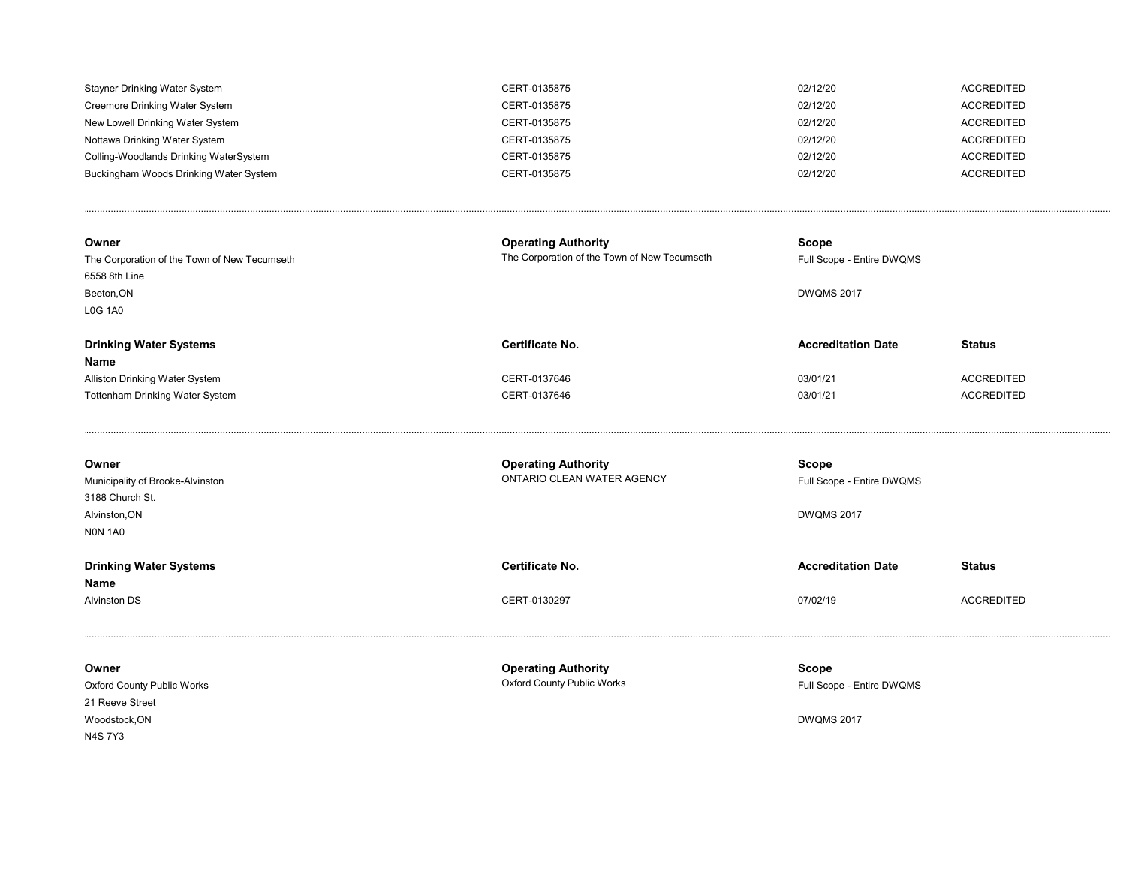| Stayner Drinking Water System          | CERT-0135875 | 02/12/20 | ACCREDITED |
|----------------------------------------|--------------|----------|------------|
| Creemore Drinking Water System         | CERT-0135875 | 02/12/20 | ACCREDITED |
| New Lowell Drinking Water System       | CERT-0135875 | 02/12/20 | ACCREDITED |
| Nottawa Drinking Water System          | CERT-0135875 | 02/12/20 | ACCREDITED |
| Colling-Woodlands Drinking WaterSystem | CERT-0135875 | 02/12/20 | ACCREDITED |
| Buckingham Woods Drinking Water System | CERT-0135875 | 02/12/20 | ACCREDITED |
|                                        |              |          |            |

| Owner<br>The Corporation of the Town of New Tecumseth<br>6558 8th Line<br>Beeton, ON | <b>Operating Authority</b><br>The Corporation of the Town of New Tecumseth | Scope<br>Full Scope - Entire DWQMS<br><b>DWQMS 2017</b> |                   |
|--------------------------------------------------------------------------------------|----------------------------------------------------------------------------|---------------------------------------------------------|-------------------|
| <b>L0G 1A0</b>                                                                       |                                                                            |                                                         |                   |
| <b>Drinking Water Systems</b><br>Name                                                | Certificate No.                                                            | <b>Accreditation Date</b>                               | <b>Status</b>     |
| Alliston Drinking Water System                                                       | CERT-0137646                                                               | 03/01/21                                                | <b>ACCREDITED</b> |
| Tottenham Drinking Water System                                                      | CERT-0137646                                                               | 03/01/21                                                | <b>ACCREDITED</b> |
|                                                                                      |                                                                            |                                                         |                   |
| Owner                                                                                | <b>Operating Authority</b>                                                 | Scope                                                   |                   |
| Municipality of Brooke-Alvinston                                                     | ONTARIO CLEAN WATER AGENCY                                                 | Full Scope - Entire DWQMS                               |                   |
| 3188 Church St.                                                                      |                                                                            |                                                         |                   |
| Alvinston, ON                                                                        |                                                                            | <b>DWQMS 2017</b>                                       |                   |

| <b>Drinking Water Systems</b> | Certificate No. | <b>Accreditation Date</b> | <b>Status</b>     |
|-------------------------------|-----------------|---------------------------|-------------------|
| <b>Name</b>                   |                 |                           |                   |
| <b>Alvinston DS</b>           | CERT-0130297    | 07/02/19                  | <b>ACCREDITED</b> |

N0N 1A0

| Owner                             | <b>Operating Authority</b>        | Scope                     |
|-----------------------------------|-----------------------------------|---------------------------|
| <b>Oxford County Public Works</b> | <b>Oxford County Public Works</b> | Full Scope - Entire DWQMS |
| 21 Reeve Street                   |                                   |                           |
| Woodstock, ON                     |                                   | <b>DWQMS 2017</b>         |
| N4S 7Y3                           |                                   |                           |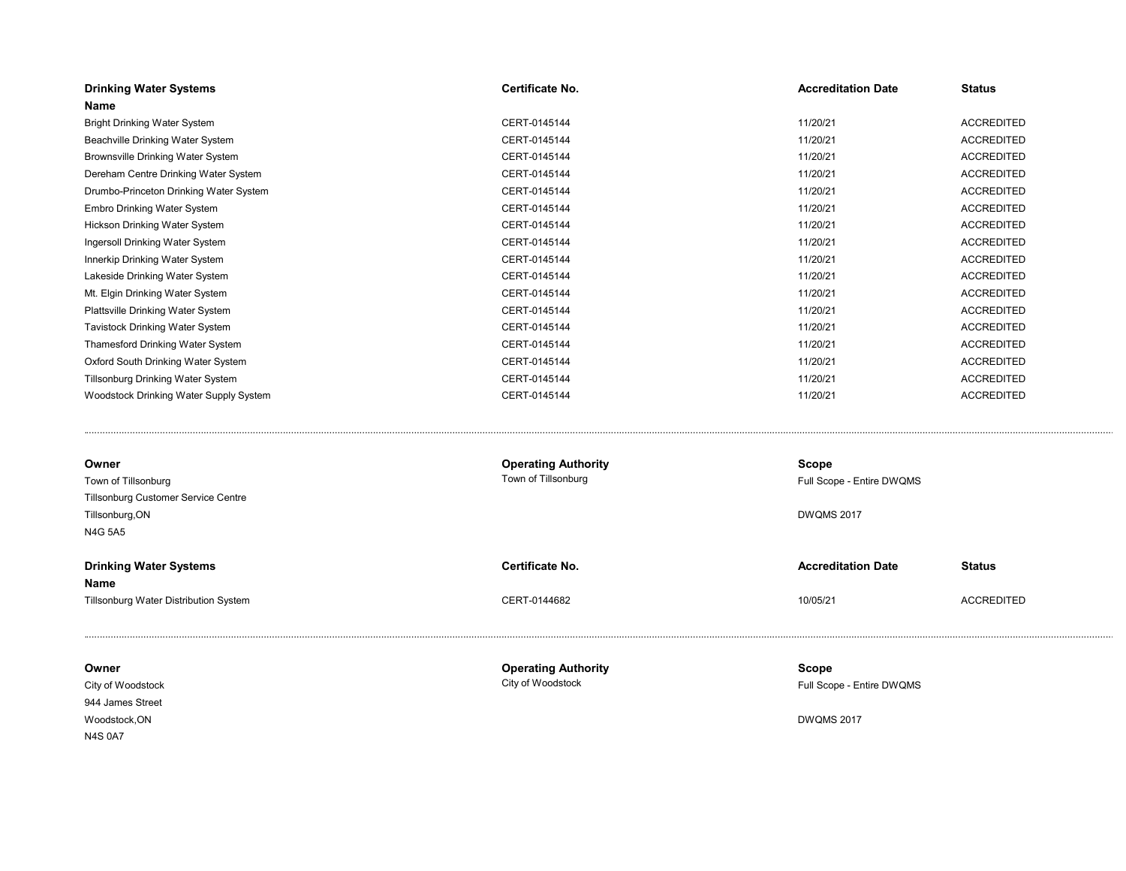| <b>Drinking Water Systems</b>          | Certificate No.            | <b>Accreditation Date</b> | <b>Status</b>     |
|----------------------------------------|----------------------------|---------------------------|-------------------|
| Name                                   |                            |                           |                   |
| <b>Bright Drinking Water System</b>    | CERT-0145144               | 11/20/21                  | <b>ACCREDITED</b> |
| Beachville Drinking Water System       | CERT-0145144               | 11/20/21                  | <b>ACCREDITED</b> |
| Brownsville Drinking Water System      | CERT-0145144               | 11/20/21                  | <b>ACCREDITED</b> |
| Dereham Centre Drinking Water System   | CERT-0145144               | 11/20/21                  | <b>ACCREDITED</b> |
| Drumbo-Princeton Drinking Water System | CERT-0145144               | 11/20/21                  | <b>ACCREDITED</b> |
| Embro Drinking Water System            | CERT-0145144               | 11/20/21                  | <b>ACCREDITED</b> |
| Hickson Drinking Water System          | CERT-0145144               | 11/20/21                  | <b>ACCREDITED</b> |
| Ingersoll Drinking Water System        | CERT-0145144               | 11/20/21                  | <b>ACCREDITED</b> |
| Innerkip Drinking Water System         | CERT-0145144               | 11/20/21                  | <b>ACCREDITED</b> |
| Lakeside Drinking Water System         | CERT-0145144               | 11/20/21                  | <b>ACCREDITED</b> |
| Mt. Elgin Drinking Water System        | CERT-0145144               | 11/20/21                  | <b>ACCREDITED</b> |
| Plattsville Drinking Water System      | CERT-0145144               | 11/20/21                  | <b>ACCREDITED</b> |
| Tavistock Drinking Water System        | CERT-0145144               | 11/20/21                  | <b>ACCREDITED</b> |
| Thamesford Drinking Water System       | CERT-0145144               | 11/20/21                  | <b>ACCREDITED</b> |
| Oxford South Drinking Water System     | CERT-0145144               | 11/20/21                  | <b>ACCREDITED</b> |
| Tillsonburg Drinking Water System      | CERT-0145144               | 11/20/21                  | <b>ACCREDITED</b> |
| Woodstock Drinking Water Supply System | CERT-0145144               | 11/20/21                  | <b>ACCREDITED</b> |
|                                        |                            |                           |                   |
| Owner                                  | <b>Operating Authority</b> | Scope                     |                   |
| Town of Tillsonburg                    | Town of Tillsonburg        | Full Scope - Entire DWQMS |                   |
| Tillsonburg Customer Service Centre    |                            |                           |                   |
| Tillsonburg, ON                        |                            | <b>DWQMS 2017</b>         |                   |
| N4G 5A5                                |                            |                           |                   |
| <b>Drinking Water Systems</b><br>Name  | Certificate No.            | <b>Accreditation Date</b> | <b>Status</b>     |
| Tillsonburg Water Distribution System  | CERT-0144682               | 10/05/21                  | <b>ACCREDITED</b> |
| Owner                                  | <b>Operating Authority</b> | <b>Scope</b>              |                   |
| City of Woodstock                      | City of Woodstock          | Full Scope - Entire DWQMS |                   |
| 944 James Street                       |                            |                           |                   |
| Woodstock, ON                          |                            | <b>DWQMS 2017</b>         |                   |

N4S 0A7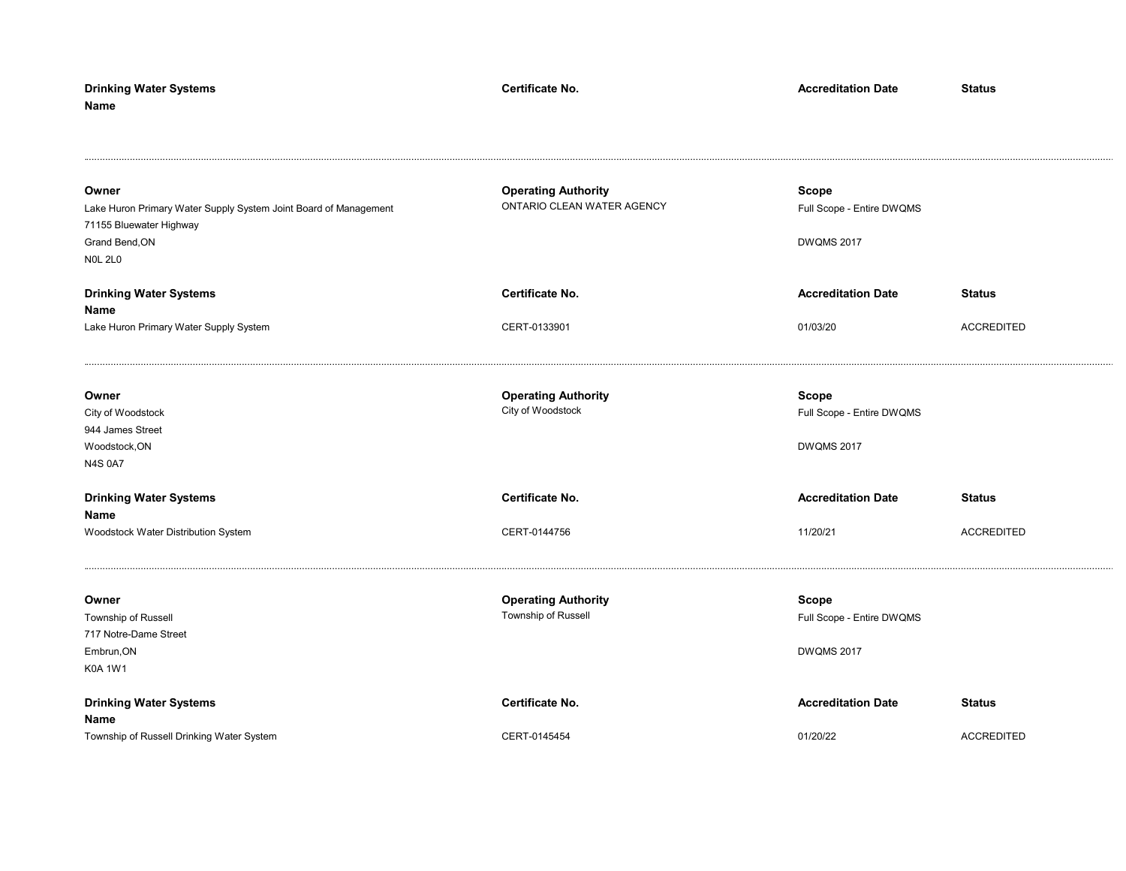| <b>Drinking Water Systems</b><br>Name                                                                                                    | Certificate No.                                          | <b>Accreditation Date</b>                                      | <b>Status</b>     |
|------------------------------------------------------------------------------------------------------------------------------------------|----------------------------------------------------------|----------------------------------------------------------------|-------------------|
| Owner<br>Lake Huron Primary Water Supply System Joint Board of Management<br>71155 Bluewater Highway<br>Grand Bend, ON<br><b>NOL 2L0</b> | <b>Operating Authority</b><br>ONTARIO CLEAN WATER AGENCY | Scope<br>Full Scope - Entire DWQMS<br><b>DWQMS 2017</b>        |                   |
| <b>Drinking Water Systems</b>                                                                                                            | Certificate No.                                          | <b>Accreditation Date</b>                                      | <b>Status</b>     |
| Name<br>Lake Huron Primary Water Supply System                                                                                           | CERT-0133901                                             | 01/03/20                                                       | <b>ACCREDITED</b> |
| Owner<br>City of Woodstock<br>944 James Street<br>Woodstock, ON<br><b>N4S 0A7</b>                                                        | <b>Operating Authority</b><br>City of Woodstock          | <b>Scope</b><br>Full Scope - Entire DWQMS<br><b>DWQMS 2017</b> |                   |
| <b>Drinking Water Systems</b>                                                                                                            | Certificate No.                                          | <b>Accreditation Date</b>                                      | <b>Status</b>     |
| Name<br>Woodstock Water Distribution System                                                                                              | CERT-0144756                                             | 11/20/21                                                       | <b>ACCREDITED</b> |
| Owner<br>Township of Russell<br>717 Notre-Dame Street<br>Embrun, ON<br><b>K0A 1W1</b>                                                    | <b>Operating Authority</b><br>Township of Russell        | Scope<br>Full Scope - Entire DWQMS<br><b>DWQMS 2017</b>        |                   |
| <b>Drinking Water Systems</b><br>Name                                                                                                    | Certificate No.                                          | <b>Accreditation Date</b>                                      | <b>Status</b>     |
| Township of Russell Drinking Water System                                                                                                | CERT-0145454                                             | 01/20/22                                                       | <b>ACCREDITED</b> |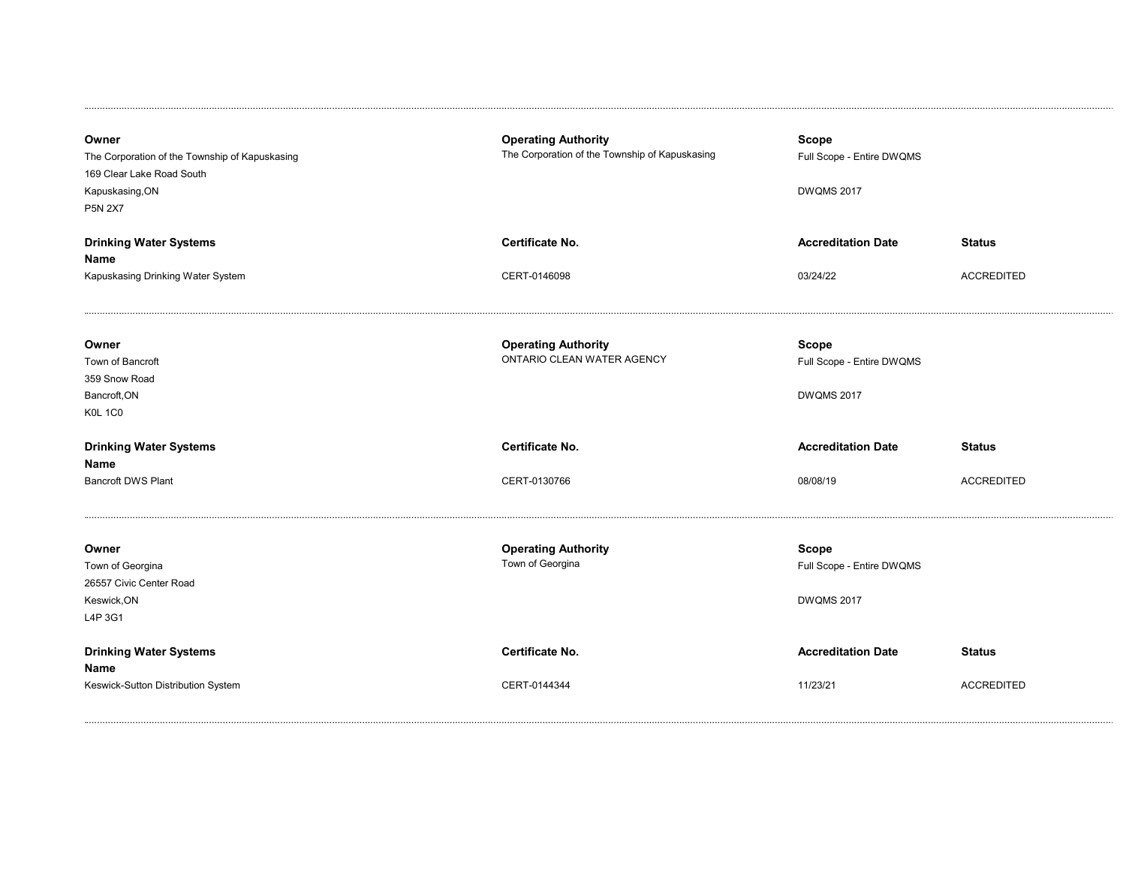| Owner<br>The Corporation of the Township of Kapuskasing<br>169 Clear Lake Road South<br>Kapuskasing, ON<br><b>P5N 2X7</b> | <b>Operating Authority</b><br>The Corporation of the Township of Kapuskasing | Scope<br>Full Scope - Entire DWQMS<br><b>DWQMS 2017</b>        |                   |
|---------------------------------------------------------------------------------------------------------------------------|------------------------------------------------------------------------------|----------------------------------------------------------------|-------------------|
| <b>Drinking Water Systems</b>                                                                                             | Certificate No.                                                              | <b>Accreditation Date</b>                                      | <b>Status</b>     |
| Name<br>Kapuskasing Drinking Water System                                                                                 | CERT-0146098                                                                 | 03/24/22                                                       | <b>ACCREDITED</b> |
| Owner<br>Town of Bancroft<br>359 Snow Road<br>Bancroft, ON<br><b>K0L 1C0</b>                                              | <b>Operating Authority</b><br>ONTARIO CLEAN WATER AGENCY                     | <b>Scope</b><br>Full Scope - Entire DWQMS<br><b>DWQMS 2017</b> |                   |
| <b>Drinking Water Systems</b>                                                                                             | Certificate No.                                                              | <b>Accreditation Date</b>                                      | <b>Status</b>     |
| Name<br><b>Bancroft DWS Plant</b>                                                                                         | CERT-0130766                                                                 | 08/08/19                                                       | <b>ACCREDITED</b> |
| Owner<br>Town of Georgina<br>26557 Civic Center Road<br>Keswick, ON<br>L4P 3G1                                            | <b>Operating Authority</b><br>Town of Georgina                               | <b>Scope</b><br>Full Scope - Entire DWQMS<br><b>DWQMS 2017</b> |                   |
| <b>Drinking Water Systems</b>                                                                                             | <b>Certificate No.</b>                                                       | <b>Accreditation Date</b>                                      | <b>Status</b>     |
| Name<br>Keswick-Sutton Distribution System                                                                                | CERT-0144344                                                                 | 11/23/21                                                       | <b>ACCREDITED</b> |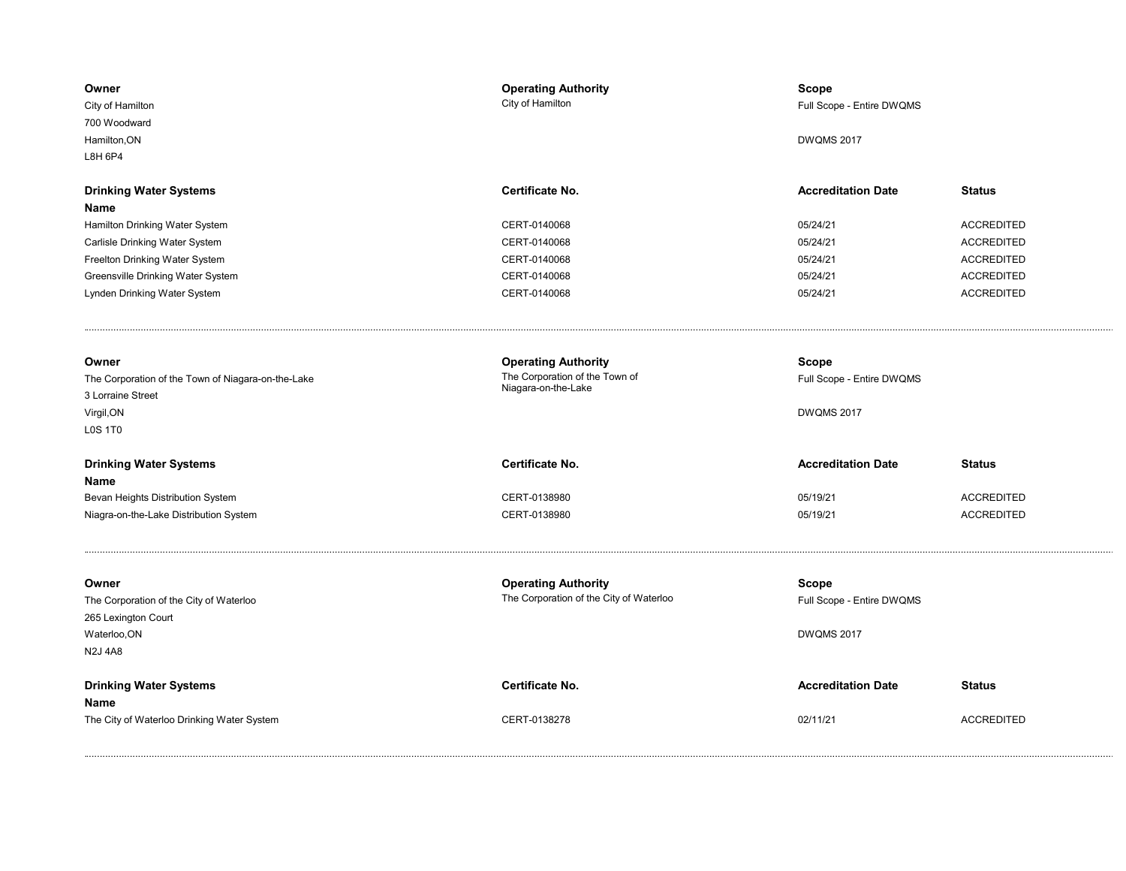| Owner<br>City of Hamilton<br>700 Woodward<br>Hamilton, ON<br>L8H 6P4                                             | <b>Operating Authority</b><br>City of Hamilton                                      | <b>Scope</b><br>Full Scope - Entire DWQMS<br><b>DWQMS 2017</b> |                   |
|------------------------------------------------------------------------------------------------------------------|-------------------------------------------------------------------------------------|----------------------------------------------------------------|-------------------|
| <b>Drinking Water Systems</b>                                                                                    | Certificate No.                                                                     | <b>Accreditation Date</b>                                      | <b>Status</b>     |
| Name                                                                                                             |                                                                                     |                                                                |                   |
| Hamilton Drinking Water System                                                                                   | CERT-0140068                                                                        | 05/24/21                                                       | <b>ACCREDITED</b> |
| Carlisle Drinking Water System                                                                                   | CERT-0140068                                                                        | 05/24/21                                                       | <b>ACCREDITED</b> |
| Freelton Drinking Water System                                                                                   | CERT-0140068                                                                        | 05/24/21                                                       | <b>ACCREDITED</b> |
| Greensville Drinking Water System                                                                                | CERT-0140068                                                                        | 05/24/21                                                       | <b>ACCREDITED</b> |
| Lynden Drinking Water System                                                                                     | CERT-0140068                                                                        | 05/24/21                                                       | <b>ACCREDITED</b> |
| Owner<br>The Corporation of the Town of Niagara-on-the-Lake<br>3 Lorraine Street<br>Virgil, ON<br><b>LOS 1T0</b> | <b>Operating Authority</b><br>The Corporation of the Town of<br>Niagara-on-the-Lake | Scope<br>Full Scope - Entire DWQMS<br><b>DWQMS 2017</b>        |                   |
| <b>Drinking Water Systems</b>                                                                                    | Certificate No.                                                                     | <b>Accreditation Date</b>                                      | <b>Status</b>     |
| Name                                                                                                             |                                                                                     |                                                                |                   |
| Bevan Heights Distribution System                                                                                | CERT-0138980                                                                        | 05/19/21                                                       | <b>ACCREDITED</b> |
| Niagra-on-the-Lake Distribution System                                                                           | CERT-0138980                                                                        | 05/19/21                                                       | <b>ACCREDITED</b> |
| Owner<br>The Corporation of the City of Waterloo<br>265 Lexington Court<br>Waterloo, ON<br><b>N2J 4A8</b>        | <b>Operating Authority</b><br>The Corporation of the City of Waterloo               | <b>Scope</b><br>Full Scope - Entire DWQMS<br><b>DWQMS 2017</b> |                   |
| <b>Drinking Water Systems</b><br>Name                                                                            | Certificate No.                                                                     | <b>Accreditation Date</b>                                      | <b>Status</b>     |
| The City of Waterloo Drinking Water System                                                                       | CERT-0138278                                                                        | 02/11/21                                                       | <b>ACCREDITED</b> |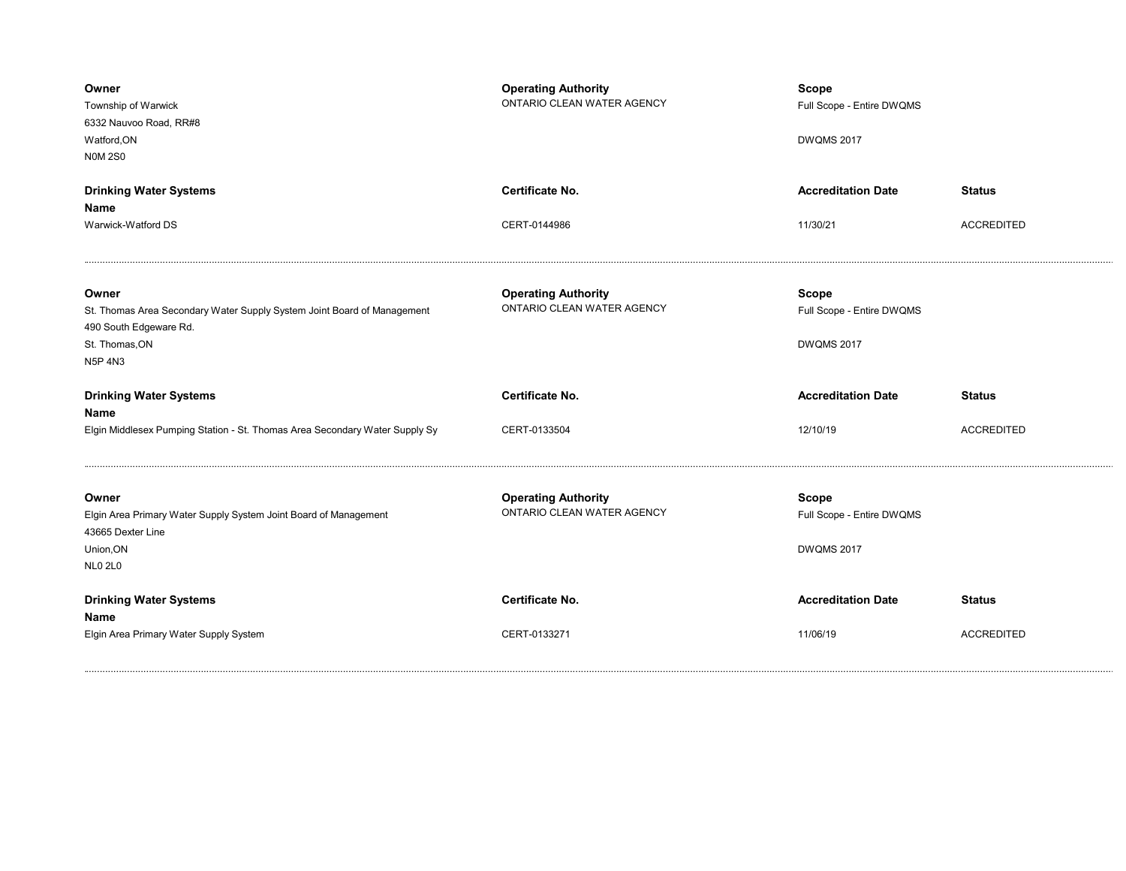| Owner<br>Township of Warwick<br>6332 Nauvoo Road, RR#8<br>Watford, ON<br><b>N0M2S0</b>                                                  | <b>Operating Authority</b><br>ONTARIO CLEAN WATER AGENCY | <b>Scope</b><br>Full Scope - Entire DWQMS<br><b>DWQMS 2017</b> |                   |
|-----------------------------------------------------------------------------------------------------------------------------------------|----------------------------------------------------------|----------------------------------------------------------------|-------------------|
| <b>Drinking Water Systems</b>                                                                                                           | <b>Certificate No.</b>                                   | <b>Accreditation Date</b>                                      | <b>Status</b>     |
| Name<br>Warwick-Watford DS                                                                                                              | CERT-0144986                                             | 11/30/21                                                       | <b>ACCREDITED</b> |
| Owner<br>St. Thomas Area Secondary Water Supply System Joint Board of Management<br>490 South Edgeware Rd.<br>St. Thomas, ON<br>N5P 4N3 | <b>Operating Authority</b><br>ONTARIO CLEAN WATER AGENCY | Scope<br>Full Scope - Entire DWQMS<br><b>DWQMS 2017</b>        |                   |
|                                                                                                                                         |                                                          |                                                                |                   |
| <b>Drinking Water Systems</b>                                                                                                           | Certificate No.                                          | <b>Accreditation Date</b>                                      | <b>Status</b>     |
| Name<br>Elgin Middlesex Pumping Station - St. Thomas Area Secondary Water Supply Sy                                                     | CERT-0133504                                             | 12/10/19                                                       | <b>ACCREDITED</b> |
| Owner<br>Elgin Area Primary Water Supply System Joint Board of Management<br>43665 Dexter Line<br>Union, ON<br><b>NLO 2LO</b>           | <b>Operating Authority</b><br>ONTARIO CLEAN WATER AGENCY | <b>Scope</b><br>Full Scope - Entire DWQMS<br><b>DWQMS 2017</b> |                   |
| <b>Drinking Water Systems</b><br>Name                                                                                                   | Certificate No.                                          | <b>Accreditation Date</b>                                      | <b>Status</b>     |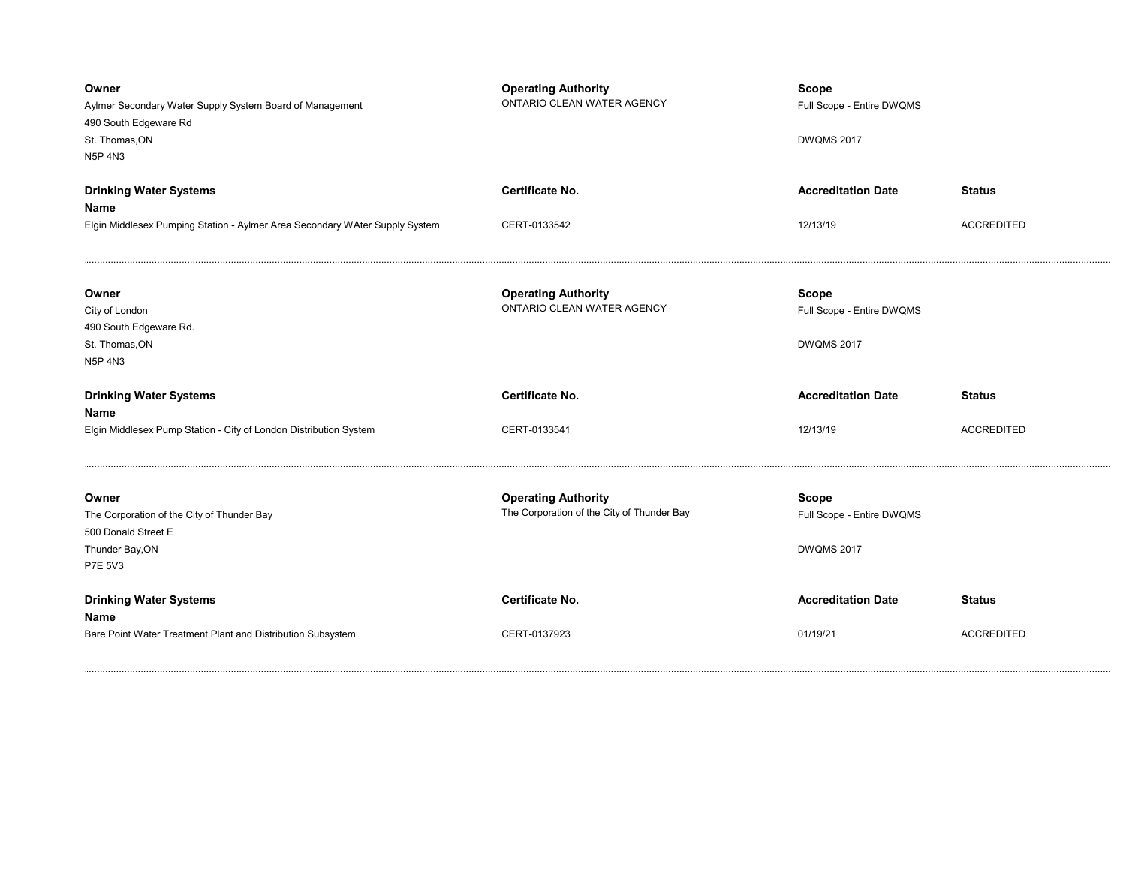| Owner<br>Aylmer Secondary Water Supply System Board of Management<br>490 South Edgeware Rd<br>St. Thomas, ON<br><b>N5P 4N3</b> | <b>Operating Authority</b><br>ONTARIO CLEAN WATER AGENCY                 | <b>Scope</b><br>Full Scope - Entire DWQMS<br><b>DWQMS 2017</b> |                   |
|--------------------------------------------------------------------------------------------------------------------------------|--------------------------------------------------------------------------|----------------------------------------------------------------|-------------------|
| <b>Drinking Water Systems</b>                                                                                                  | Certificate No.                                                          | <b>Accreditation Date</b>                                      | <b>Status</b>     |
| Name<br>Elgin Middlesex Pumping Station - Aylmer Area Secondary WAter Supply System                                            | CERT-0133542                                                             | 12/13/19                                                       | <b>ACCREDITED</b> |
| Owner<br>City of London<br>490 South Edgeware Rd.<br>St. Thomas, ON<br><b>N5P 4N3</b>                                          | <b>Operating Authority</b><br>ONTARIO CLEAN WATER AGENCY                 | Scope<br>Full Scope - Entire DWQMS<br><b>DWQMS 2017</b>        |                   |
| <b>Drinking Water Systems</b><br>Name                                                                                          | Certificate No.                                                          | <b>Accreditation Date</b>                                      | <b>Status</b>     |
| Elgin Middlesex Pump Station - City of London Distribution System                                                              | CERT-0133541                                                             | 12/13/19                                                       | <b>ACCREDITED</b> |
| Owner<br>The Corporation of the City of Thunder Bay                                                                            | <b>Operating Authority</b><br>The Corporation of the City of Thunder Bay | Scope                                                          |                   |
| 500 Donald Street E<br>Thunder Bay, ON<br><b>P7E 5V3</b>                                                                       |                                                                          | Full Scope - Entire DWQMS<br><b>DWQMS 2017</b>                 |                   |
| <b>Drinking Water Systems</b><br>Name                                                                                          | Certificate No.                                                          | <b>Accreditation Date</b>                                      | <b>Status</b>     |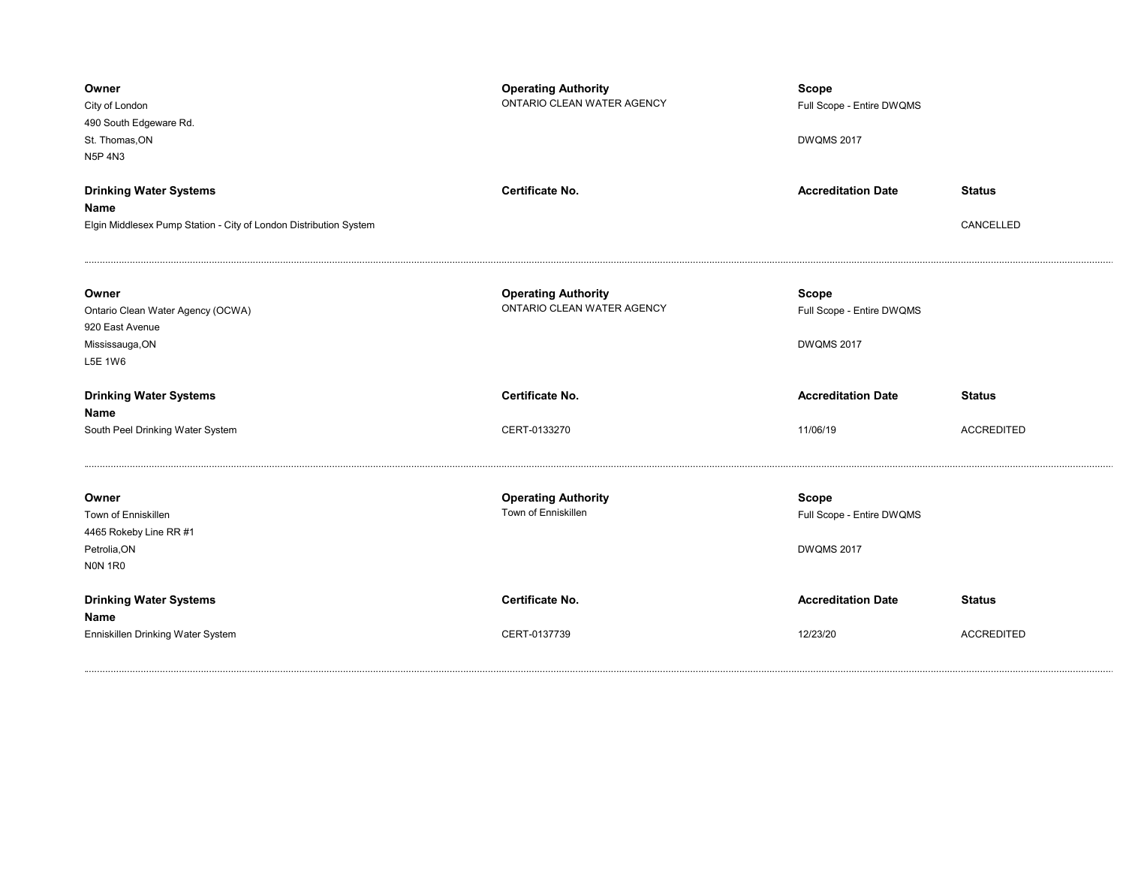| Owner<br>City of London<br>490 South Edgeware Rd.<br>St. Thomas, ON<br>N5P 4N3              | <b>Operating Authority</b><br>ONTARIO CLEAN WATER AGENCY | <b>Scope</b><br>Full Scope - Entire DWQMS<br><b>DWQMS 2017</b> |                   |
|---------------------------------------------------------------------------------------------|----------------------------------------------------------|----------------------------------------------------------------|-------------------|
| <b>Drinking Water Systems</b>                                                               | <b>Certificate No.</b>                                   | <b>Accreditation Date</b>                                      | <b>Status</b>     |
| Name                                                                                        |                                                          |                                                                |                   |
| Elgin Middlesex Pump Station - City of London Distribution System                           |                                                          |                                                                | CANCELLED         |
| Owner<br>Ontario Clean Water Agency (OCWA)<br>920 East Avenue<br>Mississauga, ON<br>L5E 1W6 | <b>Operating Authority</b><br>ONTARIO CLEAN WATER AGENCY | <b>Scope</b><br>Full Scope - Entire DWQMS<br><b>DWQMS 2017</b> |                   |
| <b>Drinking Water Systems</b><br>Name                                                       | Certificate No.                                          | <b>Accreditation Date</b>                                      | <b>Status</b>     |
|                                                                                             |                                                          |                                                                |                   |
| South Peel Drinking Water System                                                            | CERT-0133270                                             | 11/06/19                                                       | <b>ACCREDITED</b> |
| Owner<br>Town of Enniskillen<br>4465 Rokeby Line RR #1<br>Petrolia, ON<br>NON 1R0           | <b>Operating Authority</b><br>Town of Enniskillen        | <b>Scope</b><br>Full Scope - Entire DWQMS<br><b>DWQMS 2017</b> |                   |
| <b>Drinking Water Systems</b><br>Name                                                       | Certificate No.                                          | <b>Accreditation Date</b>                                      | <b>Status</b>     |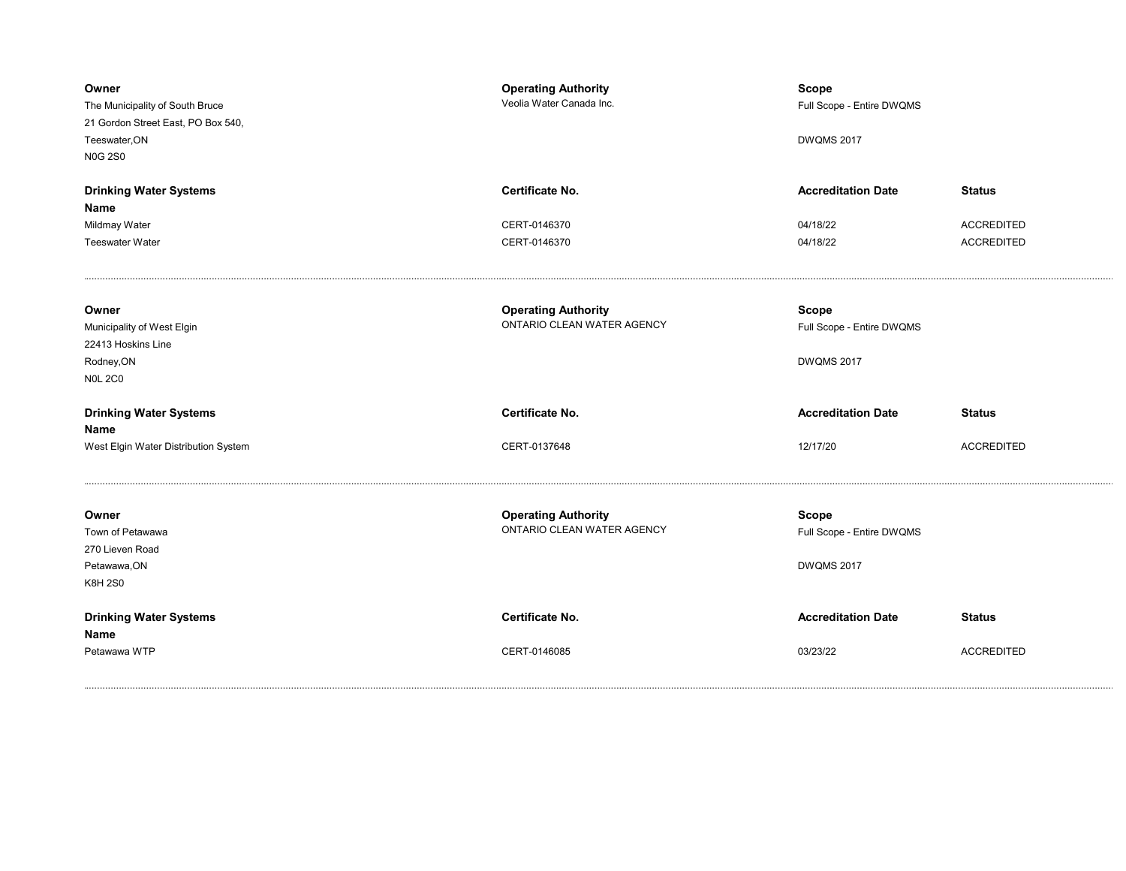| Owner<br>The Municipality of South Bruce<br>21 Gordon Street East, PO Box 540,<br>Teeswater, ON<br><b>N0G 2S0</b> | <b>Operating Authority</b><br>Veolia Water Canada Inc.   | <b>Scope</b><br>Full Scope - Entire DWQMS<br><b>DWQMS 2017</b> |                                        |
|-------------------------------------------------------------------------------------------------------------------|----------------------------------------------------------|----------------------------------------------------------------|----------------------------------------|
| <b>Drinking Water Systems</b><br>Name                                                                             | <b>Certificate No.</b>                                   | <b>Accreditation Date</b>                                      | <b>Status</b>                          |
| Mildmay Water<br><b>Teeswater Water</b>                                                                           | CERT-0146370<br>CERT-0146370                             | 04/18/22<br>04/18/22                                           | <b>ACCREDITED</b><br><b>ACCREDITED</b> |
| Owner<br>Municipality of West Elgin<br>22413 Hoskins Line<br>Rodney, ON<br><b>N0L 2C0</b>                         | <b>Operating Authority</b><br>ONTARIO CLEAN WATER AGENCY | Scope<br>Full Scope - Entire DWQMS<br><b>DWQMS 2017</b>        |                                        |
| <b>Drinking Water Systems</b><br>Name                                                                             | <b>Certificate No.</b>                                   | <b>Accreditation Date</b>                                      | <b>Status</b>                          |
| West Elgin Water Distribution System                                                                              | CERT-0137648                                             | 12/17/20                                                       | <b>ACCREDITED</b>                      |
| Owner<br>Town of Petawawa<br>270 Lieven Road<br>Petawawa, ON<br><b>K8H 2S0</b>                                    | <b>Operating Authority</b><br>ONTARIO CLEAN WATER AGENCY | <b>Scope</b><br>Full Scope - Entire DWQMS<br><b>DWQMS 2017</b> |                                        |
| <b>Drinking Water Systems</b><br>Name<br>Petawawa WTP                                                             | Certificate No.<br>CERT-0146085                          | <b>Accreditation Date</b><br>03/23/22                          | <b>Status</b><br><b>ACCREDITED</b>     |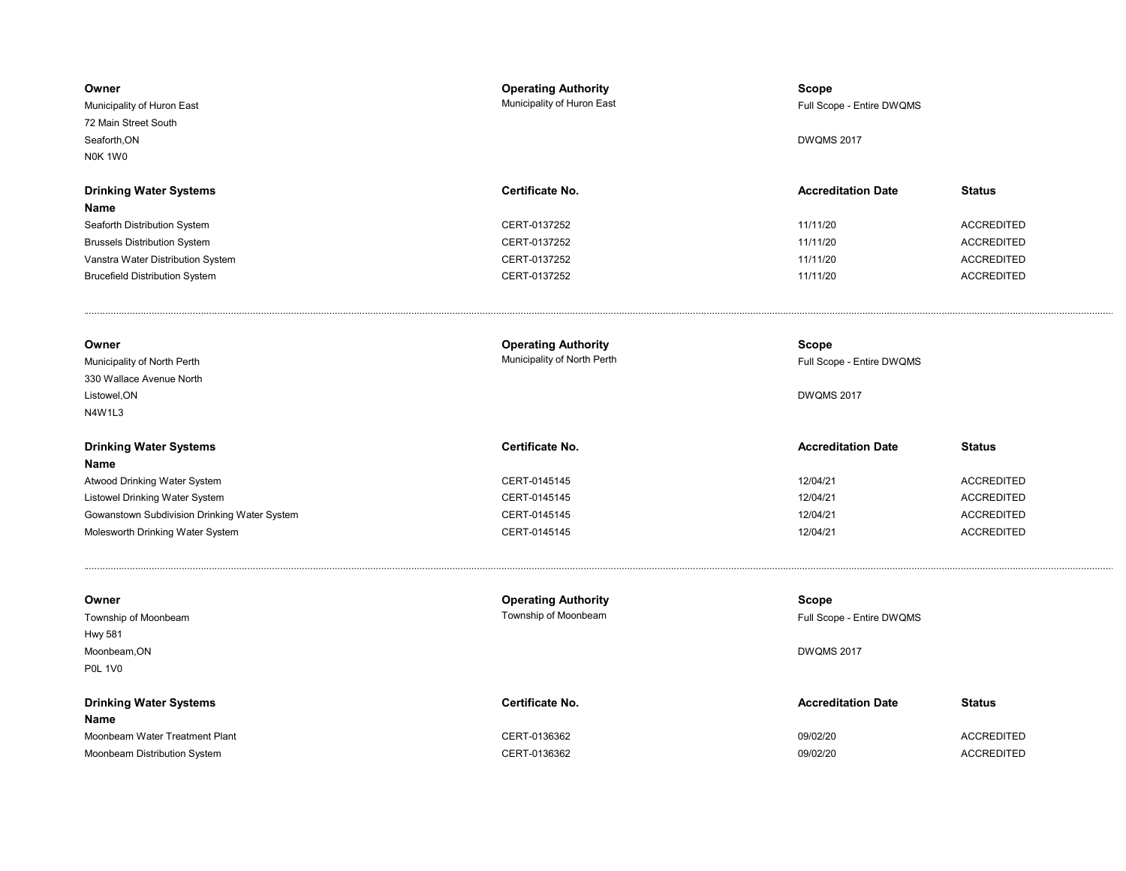| Owner<br>Municipality of Huron East<br>72 Main Street South<br>Seaforth.ON<br>NOK 1W0 | <b>Operating Authority</b><br>Municipality of Huron East | <b>Scope</b><br>Full Scope - Entire DWQMS<br><b>DWQMS 2017</b> |                   |
|---------------------------------------------------------------------------------------|----------------------------------------------------------|----------------------------------------------------------------|-------------------|
| <b>Drinking Water Systems</b>                                                         | Certificate No.                                          | <b>Accreditation Date</b>                                      | <b>Status</b>     |
| Name                                                                                  |                                                          |                                                                |                   |
| Seaforth Distribution System                                                          | CERT-0137252                                             | 11/11/20                                                       | <b>ACCREDITED</b> |
| <b>Brussels Distribution System</b>                                                   | CERT-0137252                                             | 11/11/20                                                       | <b>ACCREDITED</b> |
| Vanstra Water Distribution System                                                     | CERT-0137252                                             | 11/11/20                                                       | <b>ACCREDITED</b> |
| <b>Brucefield Distribution System</b>                                                 | CERT-0137252                                             | 11/11/20                                                       | <b>ACCREDITED</b> |
| Owner                                                                                 | <b>Operating Authority</b>                               | Scope                                                          |                   |
| Municipality of North Perth                                                           | Municipality of North Perth                              | Full Scope - Entire DWQMS                                      |                   |
| 330 Wallace Avenue North                                                              |                                                          |                                                                |                   |
| Listowel, ON                                                                          |                                                          | <b>DWQMS 2017</b>                                              |                   |
| N4W1L3                                                                                |                                                          |                                                                |                   |
| <b>Drinking Water Systems</b>                                                         | Certificate No.                                          | <b>Accreditation Date</b>                                      | <b>Status</b>     |
| Name                                                                                  |                                                          |                                                                |                   |
|                                                                                       | CERT-0145145                                             | 12/04/21                                                       | <b>ACCREDITED</b> |
| Atwood Drinking Water System                                                          |                                                          |                                                                |                   |
| Listowel Drinking Water System                                                        | CERT-0145145                                             | 12/04/21                                                       | <b>ACCREDITED</b> |
| Gowanstown Subdivision Drinking Water System                                          | CERT-0145145                                             | 12/04/21                                                       | <b>ACCREDITED</b> |
| Molesworth Drinking Water System                                                      | CERT-0145145                                             | 12/04/21                                                       | <b>ACCREDITED</b> |
|                                                                                       |                                                          |                                                                |                   |
| Owner                                                                                 | <b>Operating Authority</b>                               | <b>Scope</b>                                                   |                   |
| Township of Moonbeam                                                                  | Township of Moonbeam                                     | Full Scope - Entire DWQMS                                      |                   |
| <b>Hwy 581</b>                                                                        |                                                          |                                                                |                   |
| Moonbeam, ON<br><b>P0L 1V0</b>                                                        |                                                          | <b>DWQMS 2017</b>                                              |                   |
| <b>Drinking Water Systems</b>                                                         | Certificate No.                                          | <b>Accreditation Date</b>                                      | <b>Status</b>     |
| Name                                                                                  |                                                          |                                                                |                   |
| Moonbeam Water Treatment Plant                                                        | CERT-0136362                                             | 09/02/20                                                       | <b>ACCREDITED</b> |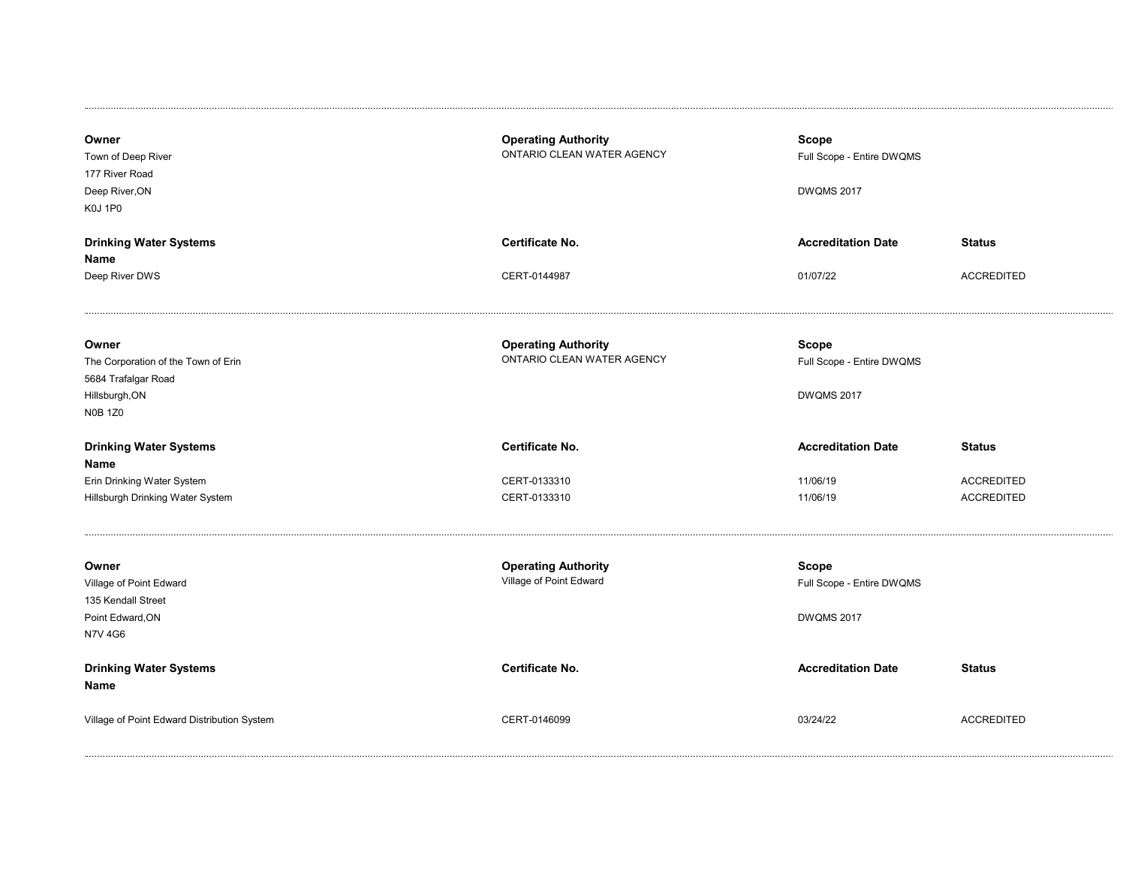| Owner<br>Town of Deep River<br>177 River Road<br>Deep River, ON<br><b>K0J 1P0</b>                       | <b>Operating Authority</b><br>ONTARIO CLEAN WATER AGENCY | <b>Scope</b><br>Full Scope - Entire DWQMS<br><b>DWQMS 2017</b> |                   |
|---------------------------------------------------------------------------------------------------------|----------------------------------------------------------|----------------------------------------------------------------|-------------------|
| <b>Drinking Water Systems</b>                                                                           | Certificate No.                                          | <b>Accreditation Date</b>                                      | <b>Status</b>     |
| Name                                                                                                    |                                                          |                                                                |                   |
| Deep River DWS                                                                                          | CERT-0144987                                             | 01/07/22                                                       | <b>ACCREDITED</b> |
| Owner<br>The Corporation of the Town of Erin<br>5684 Trafalgar Road<br>Hillsburgh, ON<br><b>N0B 1Z0</b> | <b>Operating Authority</b><br>ONTARIO CLEAN WATER AGENCY | <b>Scope</b><br>Full Scope - Entire DWQMS<br><b>DWQMS 2017</b> |                   |
| <b>Drinking Water Systems</b><br>Name                                                                   | <b>Certificate No.</b>                                   | <b>Accreditation Date</b>                                      | <b>Status</b>     |
| Erin Drinking Water System                                                                              | CERT-0133310                                             | 11/06/19                                                       | <b>ACCREDITED</b> |
| Hillsburgh Drinking Water System                                                                        | CERT-0133310                                             | 11/06/19                                                       | <b>ACCREDITED</b> |
| Owner<br>Village of Point Edward<br>135 Kendall Street<br>Point Edward, ON<br><b>N7V 4G6</b>            | <b>Operating Authority</b><br>Village of Point Edward    | <b>Scope</b><br>Full Scope - Entire DWQMS<br><b>DWQMS 2017</b> |                   |
| <b>Drinking Water Systems</b><br>Name                                                                   | Certificate No.                                          | <b>Accreditation Date</b>                                      | <b>Status</b>     |
| Village of Point Edward Distribution System                                                             | CERT-0146099                                             | 03/24/22                                                       | <b>ACCREDITED</b> |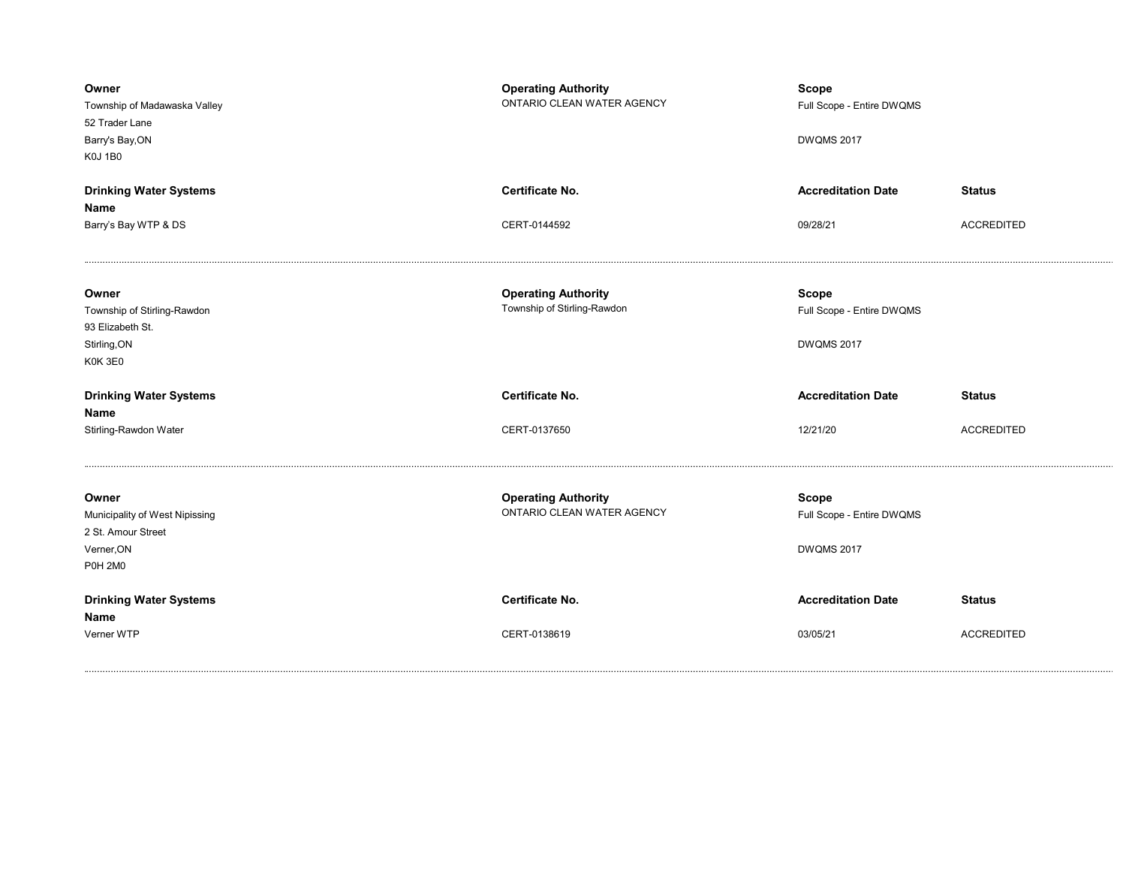| Owner<br>Township of Madawaska Valley<br>52 Trader Lane<br>Barry's Bay, ON<br><b>K0J 1B0</b> | <b>Operating Authority</b><br>ONTARIO CLEAN WATER AGENCY  | <b>Scope</b><br>Full Scope - Entire DWQMS<br><b>DWQMS 2017</b> |                   |
|----------------------------------------------------------------------------------------------|-----------------------------------------------------------|----------------------------------------------------------------|-------------------|
| <b>Drinking Water Systems</b>                                                                | <b>Certificate No.</b>                                    | <b>Accreditation Date</b>                                      | <b>Status</b>     |
| Name                                                                                         |                                                           |                                                                |                   |
| Barry's Bay WTP & DS                                                                         | CERT-0144592                                              | 09/28/21                                                       | <b>ACCREDITED</b> |
| Owner<br>Township of Stirling-Rawdon                                                         | <b>Operating Authority</b><br>Township of Stirling-Rawdon | <b>Scope</b><br>Full Scope - Entire DWQMS                      |                   |
| 93 Elizabeth St.                                                                             |                                                           |                                                                |                   |
| Stirling, ON                                                                                 |                                                           | <b>DWQMS 2017</b>                                              |                   |
| K0K 3E0                                                                                      |                                                           |                                                                |                   |
| <b>Drinking Water Systems</b><br>Name                                                        | <b>Certificate No.</b>                                    | <b>Accreditation Date</b>                                      | <b>Status</b>     |
| Stirling-Rawdon Water                                                                        | CERT-0137650                                              | 12/21/20                                                       | <b>ACCREDITED</b> |
| Owner<br>Municipality of West Nipissing<br>2 St. Amour Street                                | <b>Operating Authority</b><br>ONTARIO CLEAN WATER AGENCY  | <b>Scope</b><br>Full Scope - Entire DWQMS                      |                   |
| Verner, ON<br><b>P0H 2M0</b>                                                                 |                                                           | <b>DWQMS 2017</b>                                              |                   |
|                                                                                              |                                                           |                                                                |                   |
| <b>Drinking Water Systems</b><br>Name                                                        | <b>Certificate No.</b>                                    | <b>Accreditation Date</b>                                      | <b>Status</b>     |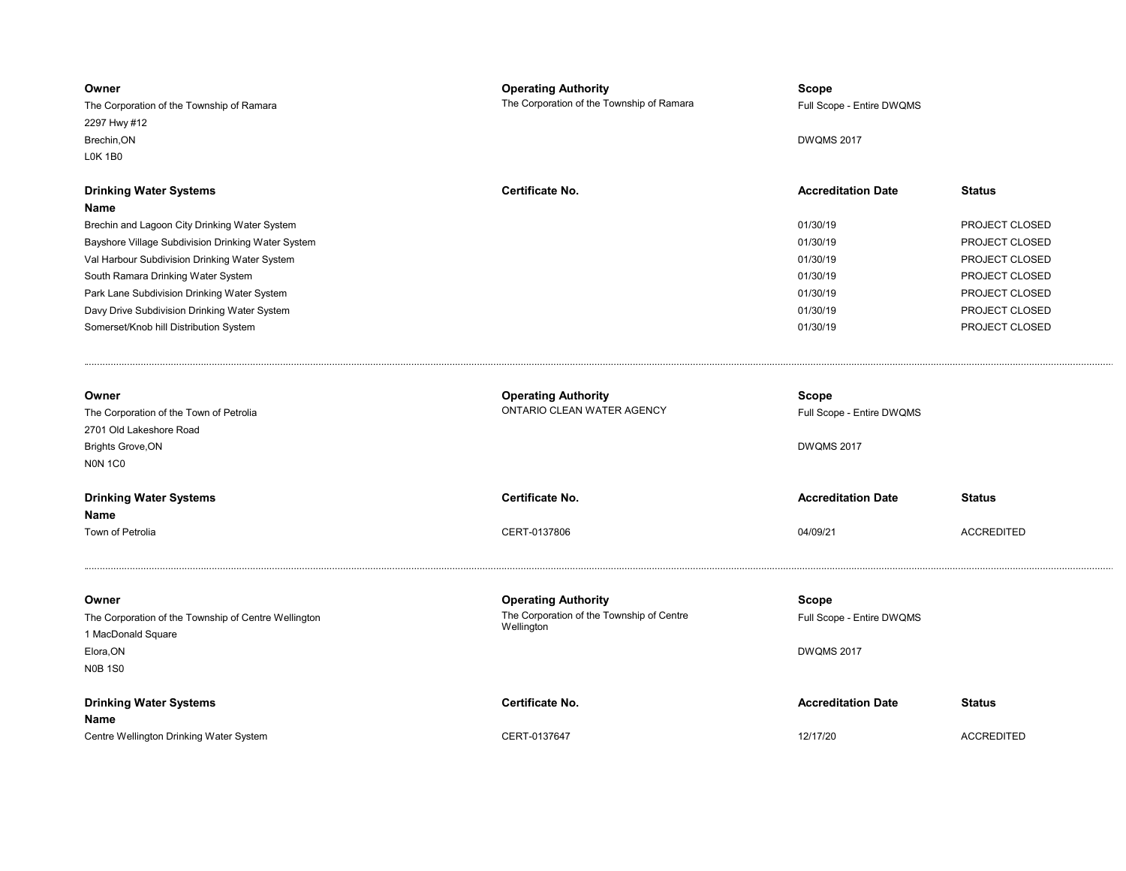| Owner<br>The Corporation of the Township of Ramara<br>2297 Hwy #12<br>Brechin, ON<br><b>LOK 1B0</b> | <b>Operating Authority</b><br>The Corporation of the Township of Ramara | <b>Scope</b><br>Full Scope - Entire DWQMS<br><b>DWQMS 2017</b> |                   |
|-----------------------------------------------------------------------------------------------------|-------------------------------------------------------------------------|----------------------------------------------------------------|-------------------|
| <b>Drinking Water Systems</b>                                                                       | <b>Certificate No.</b>                                                  | <b>Accreditation Date</b>                                      | <b>Status</b>     |
| Name                                                                                                |                                                                         |                                                                |                   |
| Brechin and Lagoon City Drinking Water System                                                       |                                                                         | 01/30/19                                                       | PROJECT CLOSED    |
| Bayshore Village Subdivision Drinking Water System                                                  |                                                                         | 01/30/19                                                       | PROJECT CLOSED    |
| Val Harbour Subdivision Drinking Water System                                                       |                                                                         | 01/30/19                                                       | PROJECT CLOSED    |
| South Ramara Drinking Water System                                                                  |                                                                         | 01/30/19                                                       | PROJECT CLOSED    |
| Park Lane Subdivision Drinking Water System                                                         |                                                                         | 01/30/19                                                       | PROJECT CLOSED    |
| Davy Drive Subdivision Drinking Water System                                                        |                                                                         | 01/30/19                                                       | PROJECT CLOSED    |
| Somerset/Knob hill Distribution System                                                              |                                                                         | 01/30/19                                                       | PROJECT CLOSED    |
| Owner                                                                                               | <b>Operating Authority</b>                                              | Scope                                                          |                   |
| The Corporation of the Town of Petrolia                                                             | ONTARIO CLEAN WATER AGENCY                                              | Full Scope - Entire DWQMS                                      |                   |
| 2701 Old Lakeshore Road                                                                             |                                                                         |                                                                |                   |
| <b>Brights Grove, ON</b>                                                                            |                                                                         | <b>DWQMS 2017</b>                                              |                   |
| <b>NON 1C0</b>                                                                                      |                                                                         |                                                                |                   |
| <b>Drinking Water Systems</b>                                                                       | Certificate No.                                                         | <b>Accreditation Date</b>                                      | <b>Status</b>     |
| Name<br>Town of Petrolia                                                                            | CERT-0137806                                                            | 04/09/21                                                       | <b>ACCREDITED</b> |
|                                                                                                     |                                                                         |                                                                |                   |
| Owner                                                                                               | <b>Operating Authority</b>                                              | Scope                                                          |                   |
| The Corporation of the Township of Centre Wellington                                                | The Corporation of the Township of Centre                               | Full Scope - Entire DWQMS                                      |                   |
| 1 MacDonald Square                                                                                  | Wellington                                                              |                                                                |                   |
| Elora, ON                                                                                           |                                                                         | <b>DWQMS 2017</b>                                              |                   |
| <b>N0B 1S0</b>                                                                                      |                                                                         |                                                                |                   |
| <b>Drinking Water Systems</b>                                                                       | Certificate No.                                                         | <b>Accreditation Date</b>                                      | <b>Status</b>     |
| Name                                                                                                |                                                                         |                                                                |                   |
| Centre Wellington Drinking Water System                                                             | CERT-0137647                                                            | 12/17/20                                                       | <b>ACCREDITED</b> |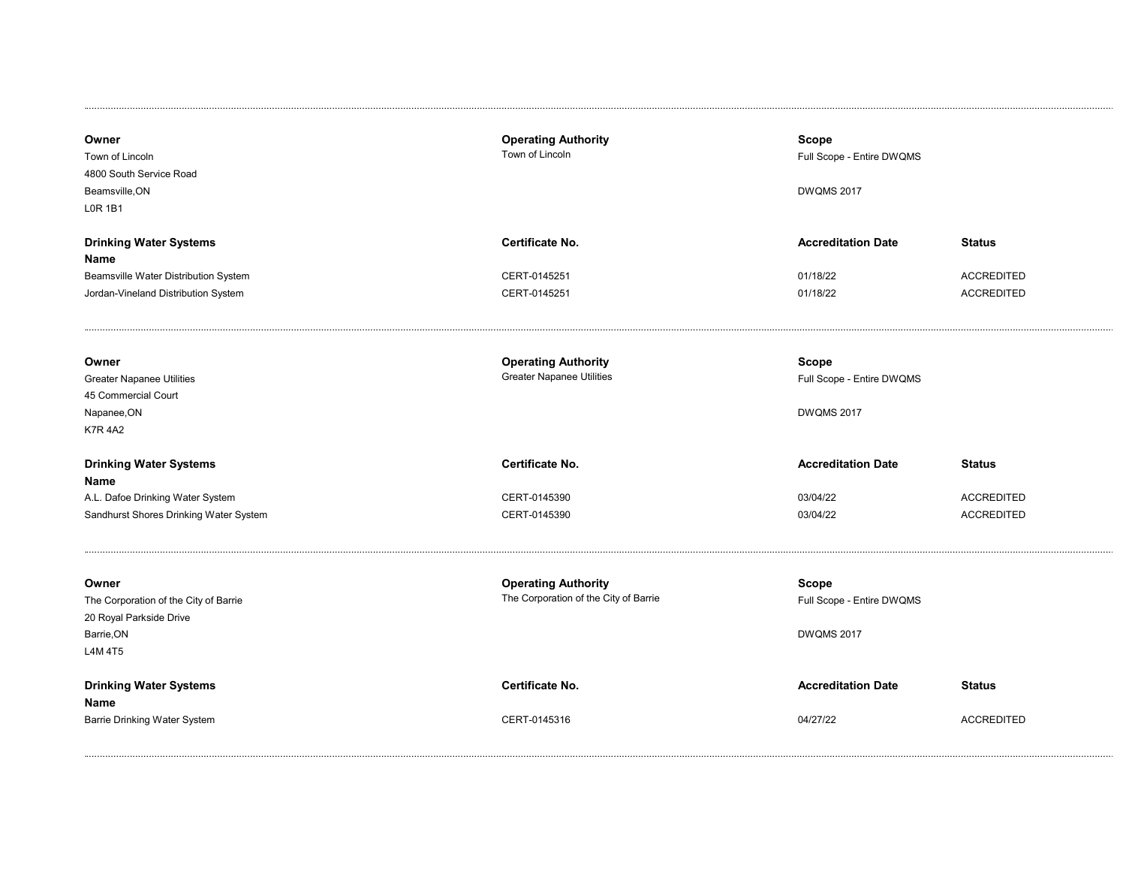| Owner<br>Town of Lincoln<br>4800 South Service Road<br>Beamsville, ON<br><b>LOR 1B1</b>                              | <b>Operating Authority</b><br>Town of Lincoln                       | <b>Scope</b><br>Full Scope - Entire DWQMS<br><b>DWQMS 2017</b> |                                                         |
|----------------------------------------------------------------------------------------------------------------------|---------------------------------------------------------------------|----------------------------------------------------------------|---------------------------------------------------------|
| <b>Drinking Water Systems</b><br>Name<br>Beamsville Water Distribution System<br>Jordan-Vineland Distribution System | Certificate No.<br>CERT-0145251<br>CERT-0145251                     | <b>Accreditation Date</b><br>01/18/22<br>01/18/22              | <b>Status</b><br><b>ACCREDITED</b><br><b>ACCREDITED</b> |
| Owner<br><b>Greater Napanee Utilities</b><br>45 Commercial Court<br>Napanee, ON<br><b>K7R 4A2</b>                    | <b>Operating Authority</b><br><b>Greater Napanee Utilities</b>      | Scope<br>Full Scope - Entire DWQMS<br><b>DWQMS 2017</b>        |                                                         |
| <b>Drinking Water Systems</b><br>Name<br>A.L. Dafoe Drinking Water System<br>Sandhurst Shores Drinking Water System  | Certificate No.<br>CERT-0145390<br>CERT-0145390                     | <b>Accreditation Date</b><br>03/04/22<br>03/04/22              | <b>Status</b><br><b>ACCREDITED</b><br><b>ACCREDITED</b> |
| Owner<br>The Corporation of the City of Barrie<br>20 Royal Parkside Drive<br>Barrie, ON<br>L4M 4T5                   | <b>Operating Authority</b><br>The Corporation of the City of Barrie | <b>Scope</b><br>Full Scope - Entire DWQMS<br><b>DWQMS 2017</b> |                                                         |
| <b>Drinking Water Systems</b><br>Name<br>Barrie Drinking Water System                                                | Certificate No.<br>CERT-0145316                                     | <b>Accreditation Date</b><br>04/27/22                          | <b>Status</b><br><b>ACCREDITED</b>                      |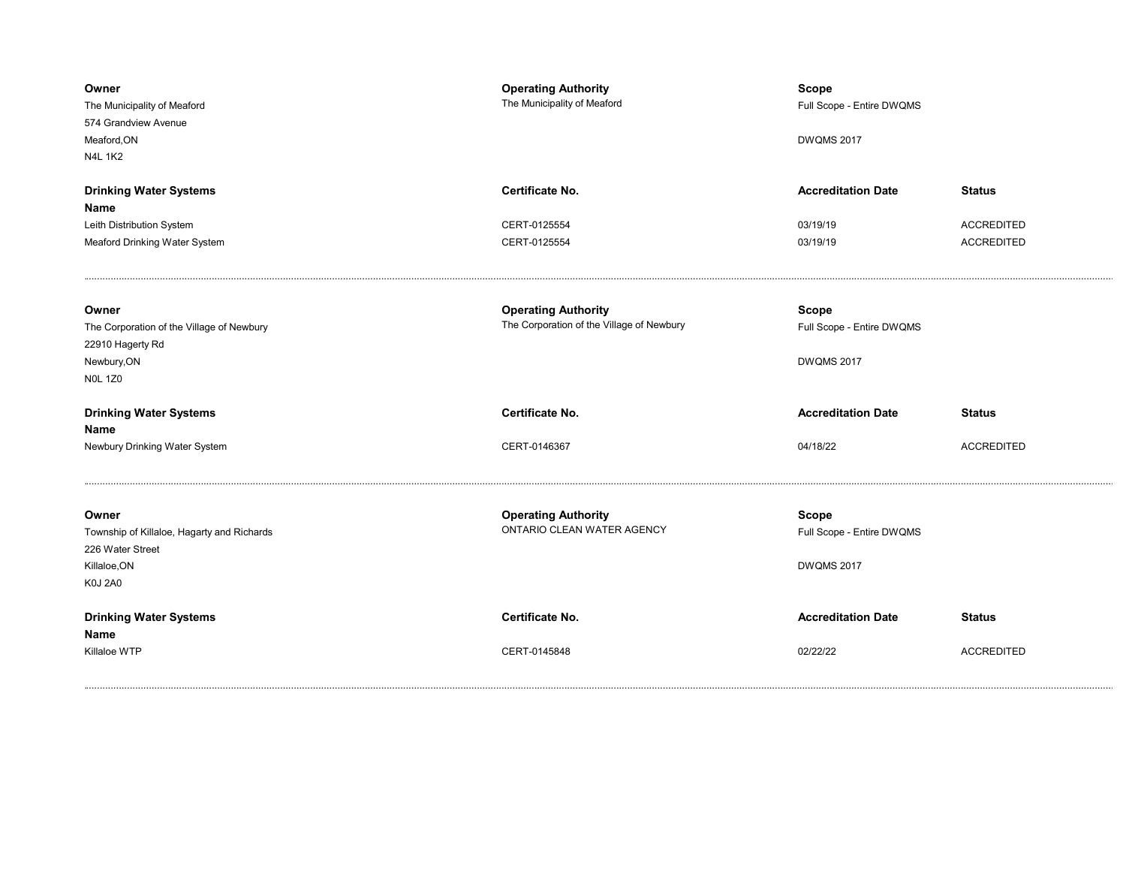| Owner<br>The Municipality of Meaford<br>574 Grandview Avenue<br>Meaford, ON<br><b>N4L 1K2</b>             | <b>Operating Authority</b><br>The Municipality of Meaford               | <b>Scope</b><br>Full Scope - Entire DWQMS<br><b>DWQMS 2017</b> |                                    |
|-----------------------------------------------------------------------------------------------------------|-------------------------------------------------------------------------|----------------------------------------------------------------|------------------------------------|
| <b>Drinking Water Systems</b><br>Name<br>Leith Distribution System                                        | <b>Certificate No.</b><br>CERT-0125554                                  | <b>Accreditation Date</b><br>03/19/19                          | <b>Status</b><br><b>ACCREDITED</b> |
| Meaford Drinking Water System                                                                             | CERT-0125554                                                            | 03/19/19                                                       | <b>ACCREDITED</b>                  |
| Owner<br>The Corporation of the Village of Newbury<br>22910 Hagerty Rd<br>Newbury, ON<br><b>NOL 1Z0</b>   | <b>Operating Authority</b><br>The Corporation of the Village of Newbury | <b>Scope</b><br>Full Scope - Entire DWQMS<br><b>DWQMS 2017</b> |                                    |
|                                                                                                           |                                                                         |                                                                |                                    |
| <b>Drinking Water Systems</b><br>Name                                                                     | <b>Certificate No.</b>                                                  | <b>Accreditation Date</b>                                      | <b>Status</b>                      |
| Newbury Drinking Water System                                                                             | CERT-0146367                                                            | 04/18/22                                                       | <b>ACCREDITED</b>                  |
| Owner<br>Township of Killaloe, Hagarty and Richards<br>226 Water Street<br>Killaloe, ON<br><b>K0J 2A0</b> | <b>Operating Authority</b><br>ONTARIO CLEAN WATER AGENCY                | <b>Scope</b><br>Full Scope - Entire DWQMS<br><b>DWQMS 2017</b> |                                    |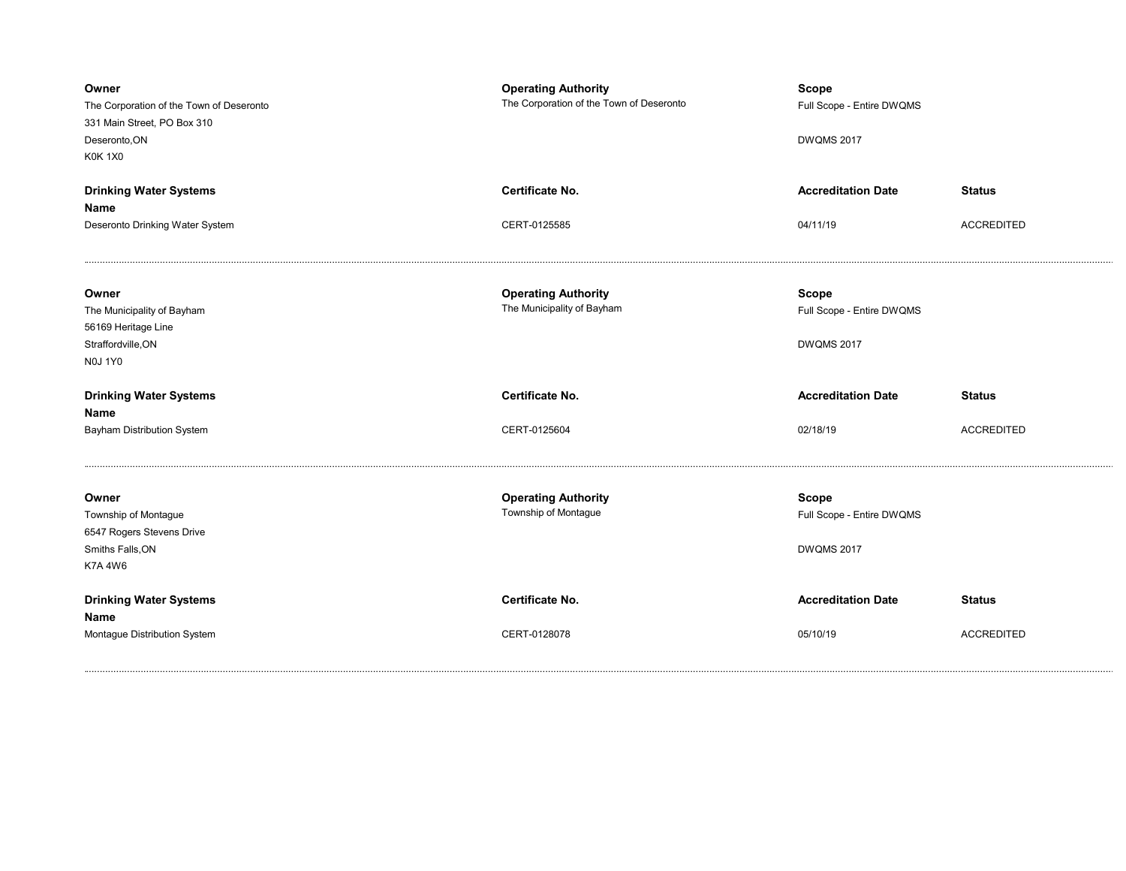| Owner<br>The Corporation of the Town of Deseronto<br>331 Main Street, PO Box 310<br>Deseronto, ON<br><b>K0K 1X0</b> | <b>Operating Authority</b><br>The Corporation of the Town of Deseronto | <b>Scope</b><br>Full Scope - Entire DWQMS<br><b>DWQMS 2017</b> |                   |
|---------------------------------------------------------------------------------------------------------------------|------------------------------------------------------------------------|----------------------------------------------------------------|-------------------|
| <b>Drinking Water Systems</b>                                                                                       | Certificate No.                                                        | <b>Accreditation Date</b>                                      | <b>Status</b>     |
| Name<br>Deseronto Drinking Water System                                                                             | CERT-0125585                                                           | 04/11/19                                                       | <b>ACCREDITED</b> |
| Owner<br>The Municipality of Bayham<br>56169 Heritage Line<br>Straffordville, ON<br><b>N0J 1Y0</b>                  | <b>Operating Authority</b><br>The Municipality of Bayham               | <b>Scope</b><br>Full Scope - Entire DWQMS<br><b>DWQMS 2017</b> |                   |
| <b>Drinking Water Systems</b><br>Name                                                                               | Certificate No.                                                        | <b>Accreditation Date</b>                                      | <b>Status</b>     |
| Bayham Distribution System                                                                                          | CERT-0125604                                                           | 02/18/19                                                       | <b>ACCREDITED</b> |
| Owner<br>Township of Montague<br>6547 Rogers Stevens Drive<br>Smiths Falls, ON<br><b>K7A 4W6</b>                    | <b>Operating Authority</b><br>Township of Montague                     | <b>Scope</b><br>Full Scope - Entire DWQMS<br><b>DWQMS 2017</b> |                   |
| <b>Drinking Water Systems</b><br>Name                                                                               | <b>Certificate No.</b>                                                 | <b>Accreditation Date</b>                                      | <b>Status</b>     |
| Montague Distribution System                                                                                        | CERT-0128078                                                           | 05/10/19                                                       | <b>ACCREDITED</b> |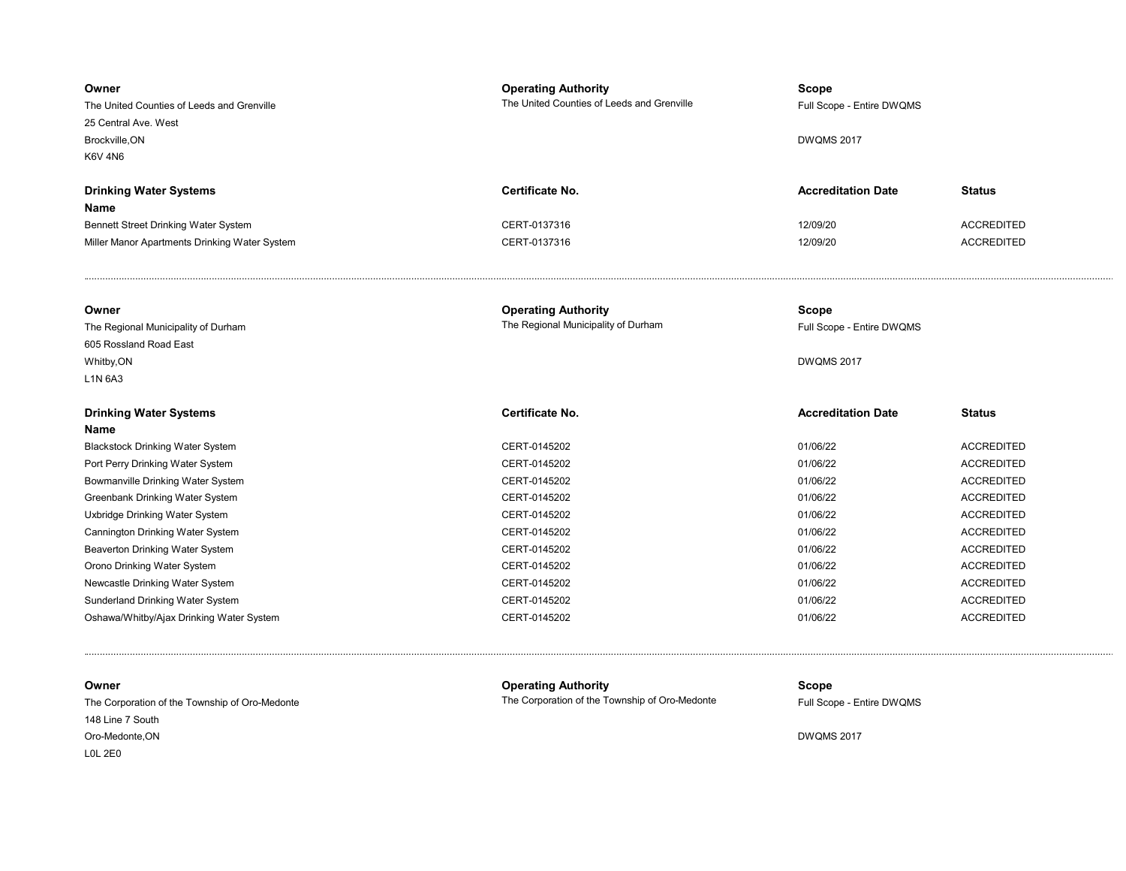| Owner<br>The United Counties of Leeds and Grenville<br>25 Central Ave. West<br>Brockville, ON<br><b>K6V 4N6</b> | <b>Operating Authority</b><br>The United Counties of Leeds and Grenville | Scope<br>Full Scope - Entire DWQMS<br><b>DWQMS 2017</b>        |                   |
|-----------------------------------------------------------------------------------------------------------------|--------------------------------------------------------------------------|----------------------------------------------------------------|-------------------|
| <b>Drinking Water Systems</b><br>Name                                                                           | <b>Certificate No.</b>                                                   | <b>Accreditation Date</b>                                      | <b>Status</b>     |
| Bennett Street Drinking Water System                                                                            | CERT-0137316                                                             | 12/09/20                                                       | <b>ACCREDITED</b> |
| Miller Manor Apartments Drinking Water System                                                                   | CERT-0137316                                                             | 12/09/20                                                       | <b>ACCREDITED</b> |
|                                                                                                                 |                                                                          |                                                                |                   |
| Owner<br>The Regional Municipality of Durham<br>605 Rossland Road East<br>Whitby, ON                            | <b>Operating Authority</b><br>The Regional Municipality of Durham        | <b>Scope</b><br>Full Scope - Entire DWQMS<br><b>DWQMS 2017</b> |                   |
| L1N 6A3                                                                                                         |                                                                          |                                                                |                   |
|                                                                                                                 |                                                                          |                                                                |                   |
| <b>Drinking Water Systems</b><br>Name                                                                           | Certificate No.                                                          | <b>Accreditation Date</b>                                      | <b>Status</b>     |
| <b>Blackstock Drinking Water System</b>                                                                         | CERT-0145202                                                             | 01/06/22                                                       | <b>ACCREDITED</b> |
| Port Perry Drinking Water System                                                                                | CERT-0145202                                                             | 01/06/22                                                       | <b>ACCREDITED</b> |
| Bowmanville Drinking Water System                                                                               | CERT-0145202                                                             | 01/06/22                                                       | <b>ACCREDITED</b> |
| Greenbank Drinking Water System                                                                                 | CERT-0145202                                                             | 01/06/22                                                       | <b>ACCREDITED</b> |
| Uxbridge Drinking Water System                                                                                  | CERT-0145202                                                             | 01/06/22                                                       | <b>ACCREDITED</b> |
| Cannington Drinking Water System                                                                                | CERT-0145202                                                             | 01/06/22                                                       | <b>ACCREDITED</b> |
| Beaverton Drinking Water System                                                                                 | CERT-0145202                                                             | 01/06/22                                                       | <b>ACCREDITED</b> |
| Orono Drinking Water System                                                                                     | CERT-0145202                                                             | 01/06/22                                                       | <b>ACCREDITED</b> |
| Newcastle Drinking Water System                                                                                 | CERT-0145202                                                             | 01/06/22                                                       | <b>ACCREDITED</b> |
| Sunderland Drinking Water System                                                                                | CERT-0145202                                                             | 01/06/22                                                       | <b>ACCREDITED</b> |

L0L 2E0 Oro-Medonte,ON 148 Line 7 South The Corporation of the Township of Oro-Medonte **Full Scope - Entire DWQMS** The Corporation of the Township of Oro-Medonte

Owner **Operating Authority** Community Scope Community

........................................................................................................................................................................................................................................................................................................................................................................................... .

DWQMS 2017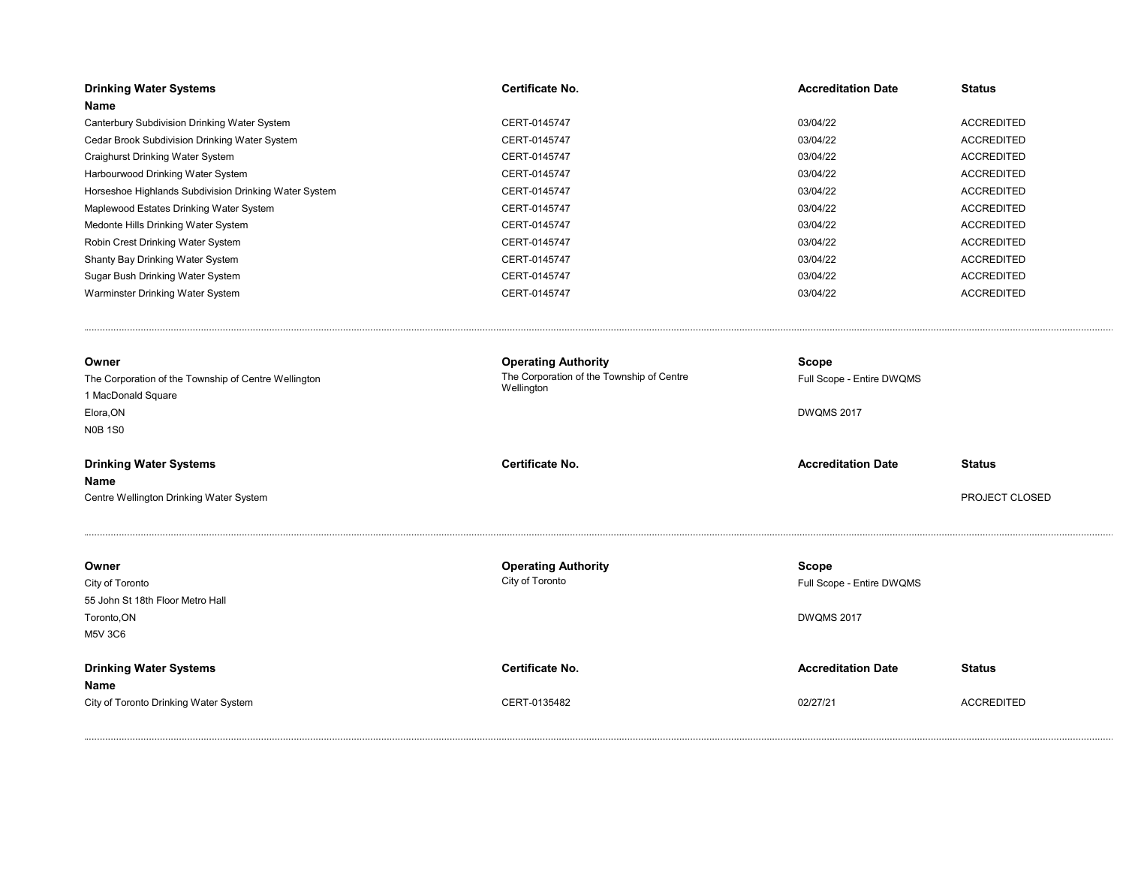| <b>Drinking Water Systems</b><br>Name                                                                                                                       | Certificate No.                                                                                          | <b>Accreditation Date</b>                                                                   | <b>Status</b>     |
|-------------------------------------------------------------------------------------------------------------------------------------------------------------|----------------------------------------------------------------------------------------------------------|---------------------------------------------------------------------------------------------|-------------------|
| Canterbury Subdivision Drinking Water System                                                                                                                | CERT-0145747                                                                                             | 03/04/22                                                                                    | <b>ACCREDITED</b> |
| Cedar Brook Subdivision Drinking Water System                                                                                                               | CERT-0145747                                                                                             | 03/04/22                                                                                    | <b>ACCREDITED</b> |
| Craighurst Drinking Water System                                                                                                                            | CERT-0145747                                                                                             | 03/04/22                                                                                    | <b>ACCREDITED</b> |
| Harbourwood Drinking Water System                                                                                                                           | CERT-0145747                                                                                             | 03/04/22                                                                                    | <b>ACCREDITED</b> |
| Horseshoe Highlands Subdivision Drinking Water System                                                                                                       | CERT-0145747                                                                                             | 03/04/22                                                                                    | <b>ACCREDITED</b> |
| Maplewood Estates Drinking Water System                                                                                                                     | CERT-0145747                                                                                             | 03/04/22                                                                                    | <b>ACCREDITED</b> |
| Medonte Hills Drinking Water System                                                                                                                         | CERT-0145747                                                                                             | 03/04/22                                                                                    | <b>ACCREDITED</b> |
| Robin Crest Drinking Water System                                                                                                                           | CERT-0145747                                                                                             | 03/04/22                                                                                    | <b>ACCREDITED</b> |
| Shanty Bay Drinking Water System                                                                                                                            | CERT-0145747                                                                                             | 03/04/22                                                                                    | <b>ACCREDITED</b> |
| Sugar Bush Drinking Water System                                                                                                                            | CERT-0145747                                                                                             | 03/04/22                                                                                    | <b>ACCREDITED</b> |
| Warminster Drinking Water System                                                                                                                            | CERT-0145747                                                                                             | 03/04/22                                                                                    | <b>ACCREDITED</b> |
| Owner<br>The Corporation of the Township of Centre Wellington<br>1 MacDonald Square<br>Elora, ON<br><b>N0B 1S0</b><br><b>Drinking Water Systems</b><br>Name | <b>Operating Authority</b><br>The Corporation of the Township of Centre<br>Wellington<br>Certificate No. | <b>Scope</b><br>Full Scope - Entire DWQMS<br><b>DWQMS 2017</b><br><b>Accreditation Date</b> | <b>Status</b>     |
| Centre Wellington Drinking Water System                                                                                                                     |                                                                                                          |                                                                                             | PROJECT CLOSED    |
| Owner<br>City of Toronto<br>55 John St 18th Floor Metro Hall<br>Toronto, ON<br><b>M5V 3C6</b>                                                               | <b>Operating Authority</b><br>City of Toronto                                                            | <b>Scope</b><br>Full Scope - Entire DWQMS<br><b>DWQMS 2017</b>                              |                   |
| <b>Drinking Water Systems</b><br>Name                                                                                                                       | Certificate No.                                                                                          | <b>Accreditation Date</b>                                                                   | <b>Status</b>     |
| City of Toronto Drinking Water System                                                                                                                       | CERT-0135482                                                                                             | 02/27/21                                                                                    | <b>ACCREDITED</b> |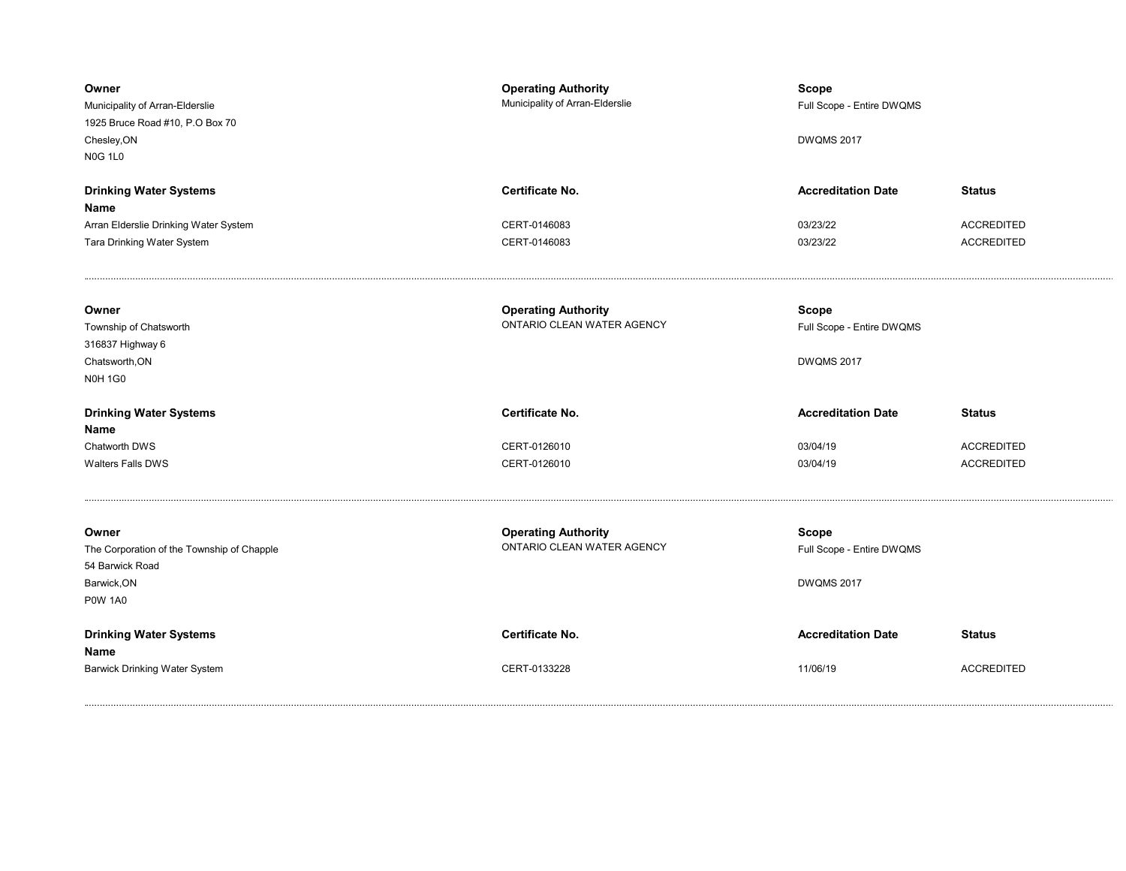| Owner<br>Municipality of Arran-Elderslie<br>1925 Bruce Road #10, P.O Box 70<br>Chesley, ON<br><b>N0G 1L0</b> | <b>Operating Authority</b><br>Municipality of Arran-Elderslie | <b>Scope</b><br>Full Scope - Entire DWQMS<br><b>DWQMS 2017</b> |                                        |
|--------------------------------------------------------------------------------------------------------------|---------------------------------------------------------------|----------------------------------------------------------------|----------------------------------------|
| <b>Drinking Water Systems</b><br>Name                                                                        | Certificate No.                                               | <b>Accreditation Date</b>                                      | <b>Status</b>                          |
| Arran Elderslie Drinking Water System<br>Tara Drinking Water System                                          | CERT-0146083<br>CERT-0146083                                  | 03/23/22<br>03/23/22                                           | <b>ACCREDITED</b><br><b>ACCREDITED</b> |
| Owner<br>Township of Chatsworth<br>316837 Highway 6<br>Chatsworth, ON<br><b>N0H 1G0</b>                      | <b>Operating Authority</b><br>ONTARIO CLEAN WATER AGENCY      | <b>Scope</b><br>Full Scope - Entire DWQMS<br><b>DWQMS 2017</b> |                                        |
| <b>Drinking Water Systems</b>                                                                                | Certificate No.                                               | <b>Accreditation Date</b>                                      | <b>Status</b>                          |
| Name<br>Chatworth DWS                                                                                        | CERT-0126010                                                  | 03/04/19                                                       | <b>ACCREDITED</b>                      |
| Walters Falls DWS                                                                                            | CERT-0126010                                                  | 03/04/19                                                       | <b>ACCREDITED</b>                      |
| Owner<br>The Corporation of the Township of Chapple<br>54 Barwick Road                                       | <b>Operating Authority</b><br>ONTARIO CLEAN WATER AGENCY      | <b>Scope</b><br>Full Scope - Entire DWQMS                      |                                        |
| Barwick, ON<br><b>P0W 1A0</b>                                                                                |                                                               | <b>DWQMS 2017</b>                                              |                                        |
| <b>Drinking Water Systems</b><br>Name                                                                        | Certificate No.                                               | <b>Accreditation Date</b>                                      | <b>Status</b>                          |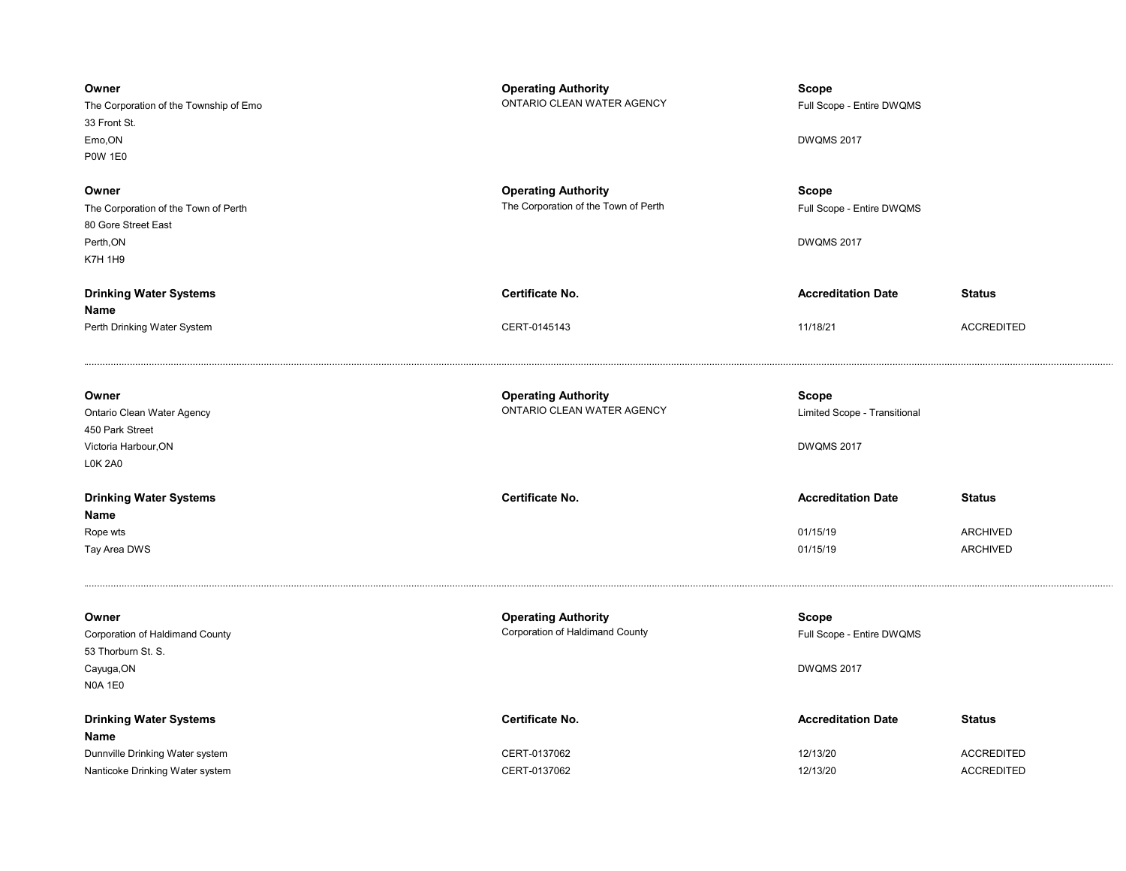| Owner<br>The Corporation of the Township of Emo<br>33 Front St.<br>Emo, ON<br><b>P0W 1E0</b><br>Owner<br>The Corporation of the Town of Perth<br>80 Gore Street East<br>Perth, ON | <b>Operating Authority</b><br>ONTARIO CLEAN WATER AGENCY<br><b>Operating Authority</b><br>The Corporation of the Town of Perth | Scope<br>Full Scope - Entire DWQMS<br><b>DWQMS 2017</b><br><b>Scope</b><br>Full Scope - Entire DWQMS<br><b>DWQMS 2017</b> |                                        |
|-----------------------------------------------------------------------------------------------------------------------------------------------------------------------------------|--------------------------------------------------------------------------------------------------------------------------------|---------------------------------------------------------------------------------------------------------------------------|----------------------------------------|
| <b>K7H 1H9</b>                                                                                                                                                                    |                                                                                                                                |                                                                                                                           |                                        |
| <b>Drinking Water Systems</b>                                                                                                                                                     | Certificate No.                                                                                                                | <b>Accreditation Date</b>                                                                                                 | <b>Status</b>                          |
| Name<br>Perth Drinking Water System                                                                                                                                               | CERT-0145143                                                                                                                   | 11/18/21                                                                                                                  | <b>ACCREDITED</b>                      |
| Owner<br>Ontario Clean Water Agency<br>450 Park Street<br>Victoria Harbour, ON<br><b>L0K 2A0</b>                                                                                  | <b>Operating Authority</b><br>ONTARIO CLEAN WATER AGENCY                                                                       | <b>Scope</b><br>Limited Scope - Transitional<br><b>DWQMS 2017</b>                                                         |                                        |
| <b>Drinking Water Systems</b>                                                                                                                                                     | Certificate No.                                                                                                                | <b>Accreditation Date</b>                                                                                                 | <b>Status</b>                          |
| Name<br>Rope wts<br>Tay Area DWS                                                                                                                                                  |                                                                                                                                | 01/15/19<br>01/15/19                                                                                                      | ARCHIVED<br>ARCHIVED                   |
| Owner<br>Corporation of Haldimand County<br>53 Thorburn St. S.<br>Cayuga, ON<br><b>N0A 1E0</b>                                                                                    | <b>Operating Authority</b><br>Corporation of Haldimand County                                                                  | <b>Scope</b><br>Full Scope - Entire DWQMS<br><b>DWQMS 2017</b>                                                            |                                        |
| <b>Drinking Water Systems</b><br>Name                                                                                                                                             | Certificate No.                                                                                                                | <b>Accreditation Date</b>                                                                                                 | <b>Status</b>                          |
| Dunnville Drinking Water system<br>Nanticoke Drinking Water system                                                                                                                | CERT-0137062<br>CERT-0137062                                                                                                   | 12/13/20<br>12/13/20                                                                                                      | <b>ACCREDITED</b><br><b>ACCREDITED</b> |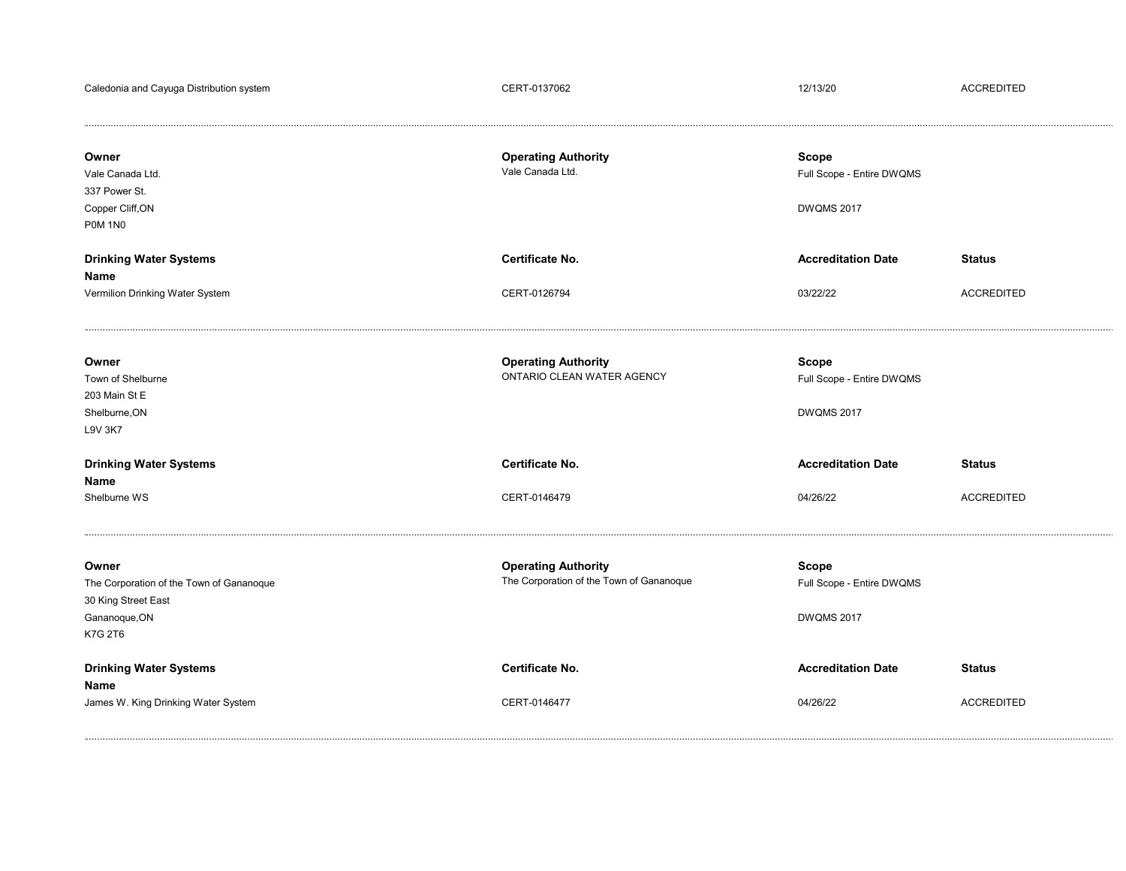| Caledonia and Cayuga Distribution system                                                             | CERT-0137062                                                           | 12/13/20                                                       | <b>ACCREDITED</b>                  |
|------------------------------------------------------------------------------------------------------|------------------------------------------------------------------------|----------------------------------------------------------------|------------------------------------|
| Owner<br>Vale Canada Ltd.<br>337 Power St.<br>Copper Cliff, ON<br><b>P0M 1N0</b>                     | <b>Operating Authority</b><br>Vale Canada Ltd.                         | <b>Scope</b><br>Full Scope - Entire DWQMS<br><b>DWQMS 2017</b> |                                    |
| <b>Drinking Water Systems</b><br>Name<br>Vermilion Drinking Water System                             | Certificate No.<br>CERT-0126794                                        | <b>Accreditation Date</b><br>03/22/22                          | <b>Status</b><br><b>ACCREDITED</b> |
| Owner<br>Town of Shelburne<br>203 Main St E<br>Shelburne, ON<br><b>L9V 3K7</b>                       | <b>Operating Authority</b><br>ONTARIO CLEAN WATER AGENCY               | <b>Scope</b><br>Full Scope - Entire DWQMS<br><b>DWQMS 2017</b> |                                    |
| <b>Drinking Water Systems</b><br>Name<br>Shelburne WS                                                | Certificate No.<br>CERT-0146479                                        | <b>Accreditation Date</b><br>04/26/22                          | <b>Status</b><br><b>ACCREDITED</b> |
| Owner<br>The Corporation of the Town of Gananoque<br>30 King Street East<br>Gananoque, ON<br>K7G 2T6 | <b>Operating Authority</b><br>The Corporation of the Town of Gananoque | <b>Scope</b><br>Full Scope - Entire DWQMS<br><b>DWQMS 2017</b> |                                    |
| <b>Drinking Water Systems</b><br>Name<br>James W. King Drinking Water System                         | Certificate No.<br>CERT-0146477                                        | <b>Accreditation Date</b><br>04/26/22                          | <b>Status</b><br><b>ACCREDITED</b> |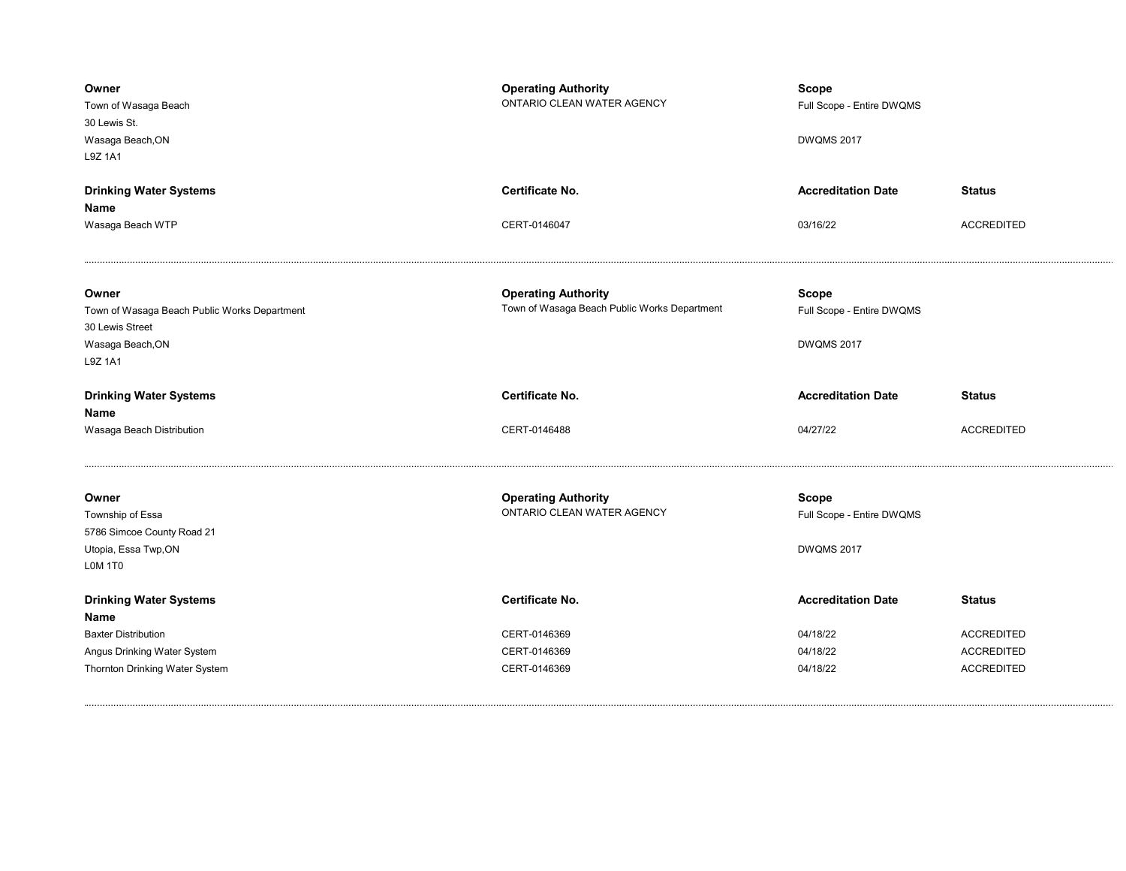| Owner<br>Town of Wasaga Beach<br>30 Lewis St.<br>Wasaga Beach, ON<br>L9Z 1A1                            | <b>Operating Authority</b><br>ONTARIO CLEAN WATER AGENCY                   | Scope<br>Full Scope - Entire DWQMS<br><b>DWQMS 2017</b>        |                                    |
|---------------------------------------------------------------------------------------------------------|----------------------------------------------------------------------------|----------------------------------------------------------------|------------------------------------|
| <b>Drinking Water Systems</b><br>Name<br>Wasaga Beach WTP                                               | Certificate No.<br>CERT-0146047                                            | <b>Accreditation Date</b><br>03/16/22                          | <b>Status</b><br><b>ACCREDITED</b> |
| Owner<br>Town of Wasaga Beach Public Works Department<br>30 Lewis Street<br>Wasaga Beach, ON<br>L9Z 1A1 | <b>Operating Authority</b><br>Town of Wasaga Beach Public Works Department | <b>Scope</b><br>Full Scope - Entire DWQMS<br><b>DWQMS 2017</b> |                                    |
|                                                                                                         |                                                                            |                                                                |                                    |
| <b>Drinking Water Systems</b>                                                                           | Certificate No.                                                            | <b>Accreditation Date</b>                                      | <b>Status</b>                      |
| Name<br>Wasaga Beach Distribution                                                                       | CERT-0146488                                                               | 04/27/22                                                       | <b>ACCREDITED</b>                  |
| Owner<br>Township of Essa<br>5786 Simcoe County Road 21<br>Utopia, Essa Twp,ON<br>LOM 1T0               | <b>Operating Authority</b><br>ONTARIO CLEAN WATER AGENCY                   | <b>Scope</b><br>Full Scope - Entire DWQMS<br><b>DWQMS 2017</b> |                                    |
| <b>Drinking Water Systems</b><br>Name                                                                   | <b>Certificate No.</b>                                                     | <b>Accreditation Date</b>                                      | <b>Status</b>                      |
| <b>Baxter Distribution</b>                                                                              | CERT-0146369                                                               | 04/18/22                                                       | <b>ACCREDITED</b>                  |
| Angus Drinking Water System                                                                             | CERT-0146369                                                               | 04/18/22                                                       | <b>ACCREDITED</b>                  |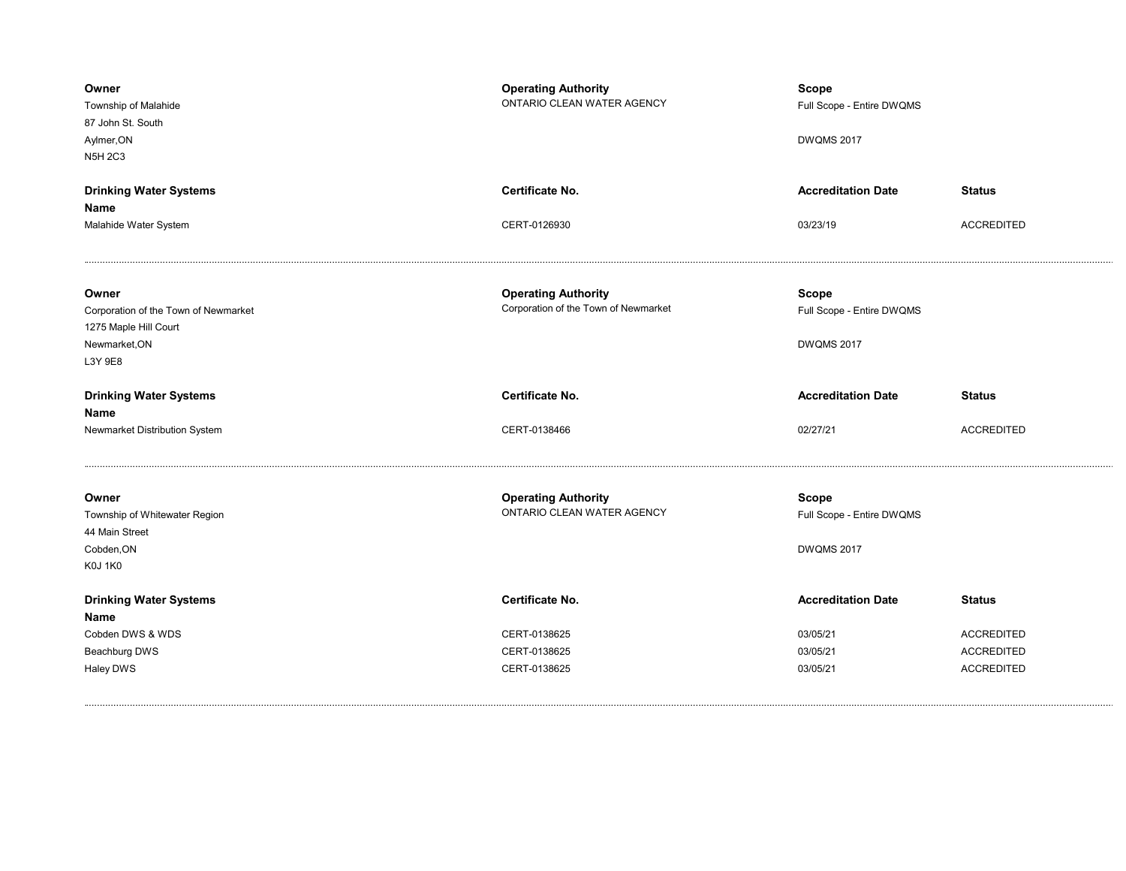| Owner<br>Township of Malahide<br>87 John St. South<br>Aylmer, ON<br><b>N5H 2C3</b>                 | <b>Operating Authority</b><br>ONTARIO CLEAN WATER AGENCY           | <b>Scope</b><br>Full Scope - Entire DWQMS<br><b>DWQMS 2017</b> |                   |
|----------------------------------------------------------------------------------------------------|--------------------------------------------------------------------|----------------------------------------------------------------|-------------------|
| <b>Drinking Water Systems</b><br>Name                                                              | <b>Certificate No.</b>                                             | <b>Accreditation Date</b>                                      | <b>Status</b>     |
| Malahide Water System                                                                              | CERT-0126930                                                       | 03/23/19                                                       | <b>ACCREDITED</b> |
| Owner<br>Corporation of the Town of Newmarket<br>1275 Maple Hill Court<br>Newmarket, ON<br>L3Y 9E8 | <b>Operating Authority</b><br>Corporation of the Town of Newmarket | <b>Scope</b><br>Full Scope - Entire DWQMS<br><b>DWQMS 2017</b> |                   |
|                                                                                                    |                                                                    |                                                                |                   |
| <b>Drinking Water Systems</b>                                                                      | Certificate No.                                                    | <b>Accreditation Date</b>                                      | <b>Status</b>     |
| Name<br>Newmarket Distribution System                                                              | CERT-0138466                                                       | 02/27/21                                                       | <b>ACCREDITED</b> |
| Owner<br>Township of Whitewater Region<br>44 Main Street<br>Cobden, ON<br><b>K0J 1K0</b>           | <b>Operating Authority</b><br>ONTARIO CLEAN WATER AGENCY           | <b>Scope</b><br>Full Scope - Entire DWQMS<br><b>DWQMS 2017</b> |                   |
| <b>Drinking Water Systems</b><br>Name                                                              | Certificate No.                                                    | <b>Accreditation Date</b>                                      | <b>Status</b>     |
| Cobden DWS & WDS                                                                                   | CERT-0138625                                                       | 03/05/21                                                       | <b>ACCREDITED</b> |
| Beachburg DWS                                                                                      | CERT-0138625                                                       | 03/05/21                                                       | <b>ACCREDITED</b> |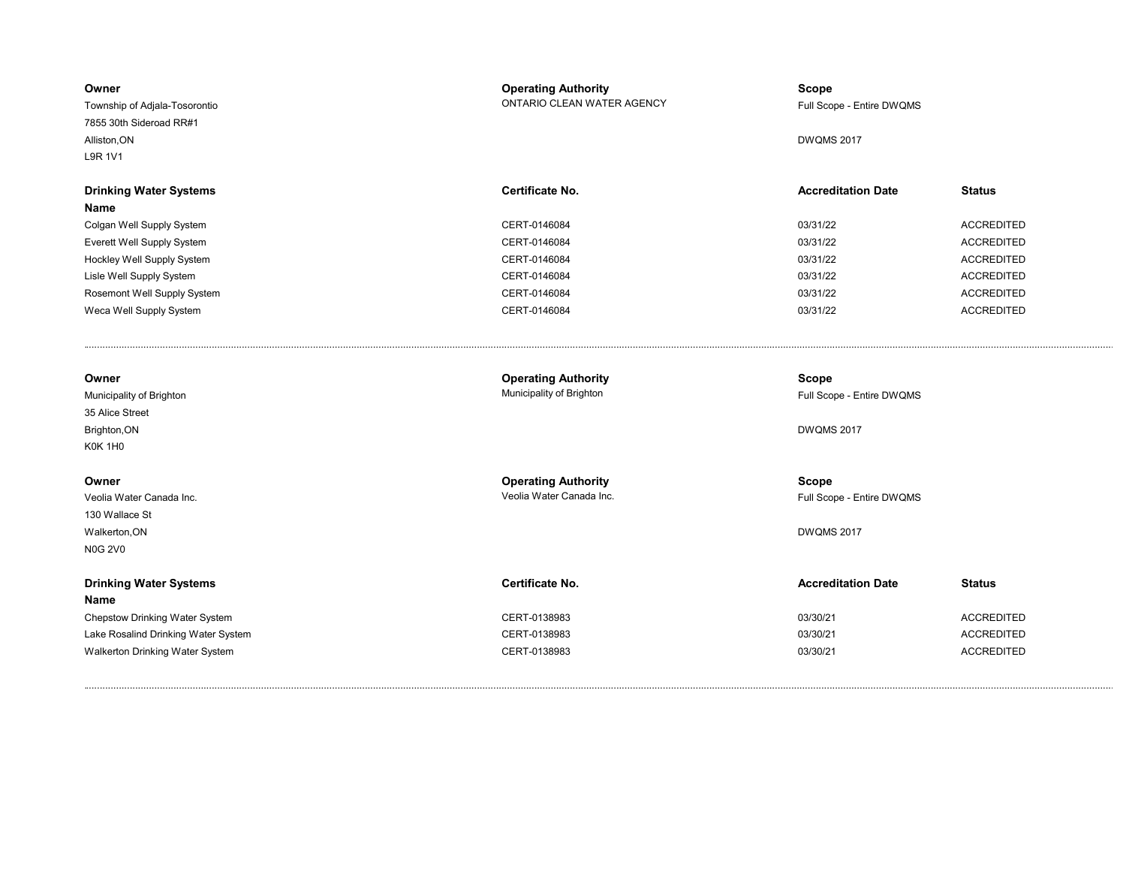| Owner<br>Township of Adjala-Tosorontio<br>7855 30th Sideroad RR#1<br>Alliston, ON      | <b>Operating Authority</b><br>ONTARIO CLEAN WATER AGENCY | <b>Scope</b><br>Full Scope - Entire DWQMS<br><b>DWQMS 2017</b> |                   |
|----------------------------------------------------------------------------------------|----------------------------------------------------------|----------------------------------------------------------------|-------------------|
| L9R 1V1                                                                                |                                                          |                                                                |                   |
| <b>Drinking Water Systems</b><br>Name                                                  | <b>Certificate No.</b>                                   | <b>Accreditation Date</b>                                      | <b>Status</b>     |
| Colgan Well Supply System                                                              | CERT-0146084                                             | 03/31/22                                                       | <b>ACCREDITED</b> |
| Everett Well Supply System                                                             | CERT-0146084                                             | 03/31/22                                                       | <b>ACCREDITED</b> |
| Hockley Well Supply System                                                             | CERT-0146084                                             | 03/31/22                                                       | <b>ACCREDITED</b> |
| Lisle Well Supply System                                                               | CERT-0146084                                             | 03/31/22                                                       | <b>ACCREDITED</b> |
| Rosemont Well Supply System                                                            | CERT-0146084                                             | 03/31/22                                                       | <b>ACCREDITED</b> |
| Weca Well Supply System                                                                | CERT-0146084                                             | 03/31/22                                                       | <b>ACCREDITED</b> |
| Owner<br>Municipality of Brighton<br>35 Alice Street<br>Brighton, ON<br>K0K 1H0        | <b>Operating Authority</b><br>Municipality of Brighton   | <b>Scope</b><br>Full Scope - Entire DWQMS<br><b>DWQMS 2017</b> |                   |
| Owner<br>Veolia Water Canada Inc.<br>130 Wallace St<br>Walkerton, ON<br><b>N0G 2V0</b> | <b>Operating Authority</b><br>Veolia Water Canada Inc.   | Scope<br>Full Scope - Entire DWQMS<br><b>DWQMS 2017</b>        |                   |
| <b>Drinking Water Systems</b><br><b>Name</b>                                           | <b>Certificate No.</b>                                   | <b>Accreditation Date</b>                                      | <b>Status</b>     |
| Chepstow Drinking Water System                                                         | CERT-0138983                                             | 03/30/21                                                       | <b>ACCREDITED</b> |
| Lake Rosalind Drinking Water System                                                    | CERT-0138983                                             | 03/30/21                                                       | <b>ACCREDITED</b> |
| Walkerton Drinking Water System                                                        | CERT-0138983                                             | 03/30/21                                                       | <b>ACCREDITED</b> |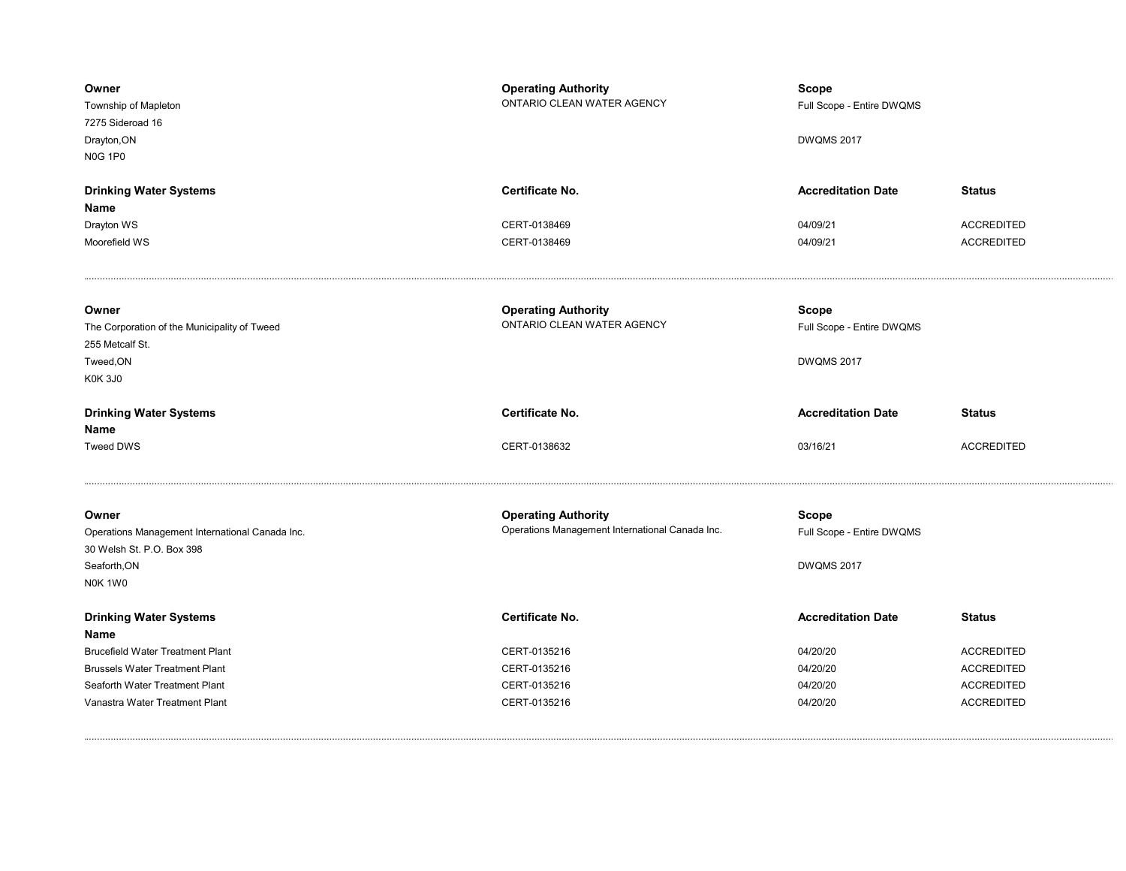| Owner<br>Township of Mapleton<br>7275 Sideroad 16<br>Drayton, ON<br><b>N0G 1P0</b>                               | <b>Operating Authority</b><br>ONTARIO CLEAN WATER AGENCY                      | Scope<br>Full Scope - Entire DWQMS<br><b>DWQMS 2017</b> |                                    |
|------------------------------------------------------------------------------------------------------------------|-------------------------------------------------------------------------------|---------------------------------------------------------|------------------------------------|
| <b>Drinking Water Systems</b><br>Name<br>Drayton WS                                                              | Certificate No.<br>CERT-0138469                                               | <b>Accreditation Date</b><br>04/09/21                   | <b>Status</b><br><b>ACCREDITED</b> |
| Moorefield WS                                                                                                    | CERT-0138469                                                                  | 04/09/21                                                | <b>ACCREDITED</b>                  |
| Owner<br>The Corporation of the Municipality of Tweed<br>255 Metcalf St.<br>Tweed, ON<br><b>K0K 3J0</b>          | <b>Operating Authority</b><br>ONTARIO CLEAN WATER AGENCY                      | Scope<br>Full Scope - Entire DWQMS<br><b>DWQMS 2017</b> |                                    |
| <b>Drinking Water Systems</b>                                                                                    | Certificate No.                                                               | <b>Accreditation Date</b>                               | <b>Status</b>                      |
| Name<br><b>Tweed DWS</b>                                                                                         | CERT-0138632                                                                  | 03/16/21                                                | <b>ACCREDITED</b>                  |
|                                                                                                                  |                                                                               |                                                         |                                    |
| Owner<br>Operations Management International Canada Inc.<br>30 Welsh St. P.O. Box 398<br>Seaforth, ON<br>NOK 1W0 | <b>Operating Authority</b><br>Operations Management International Canada Inc. | <b>Scope</b><br>Full Scope - Entire DWQMS<br>DWQMS 2017 |                                    |
| <b>Drinking Water Systems</b><br>Name                                                                            | Certificate No.                                                               | <b>Accreditation Date</b>                               | <b>Status</b>                      |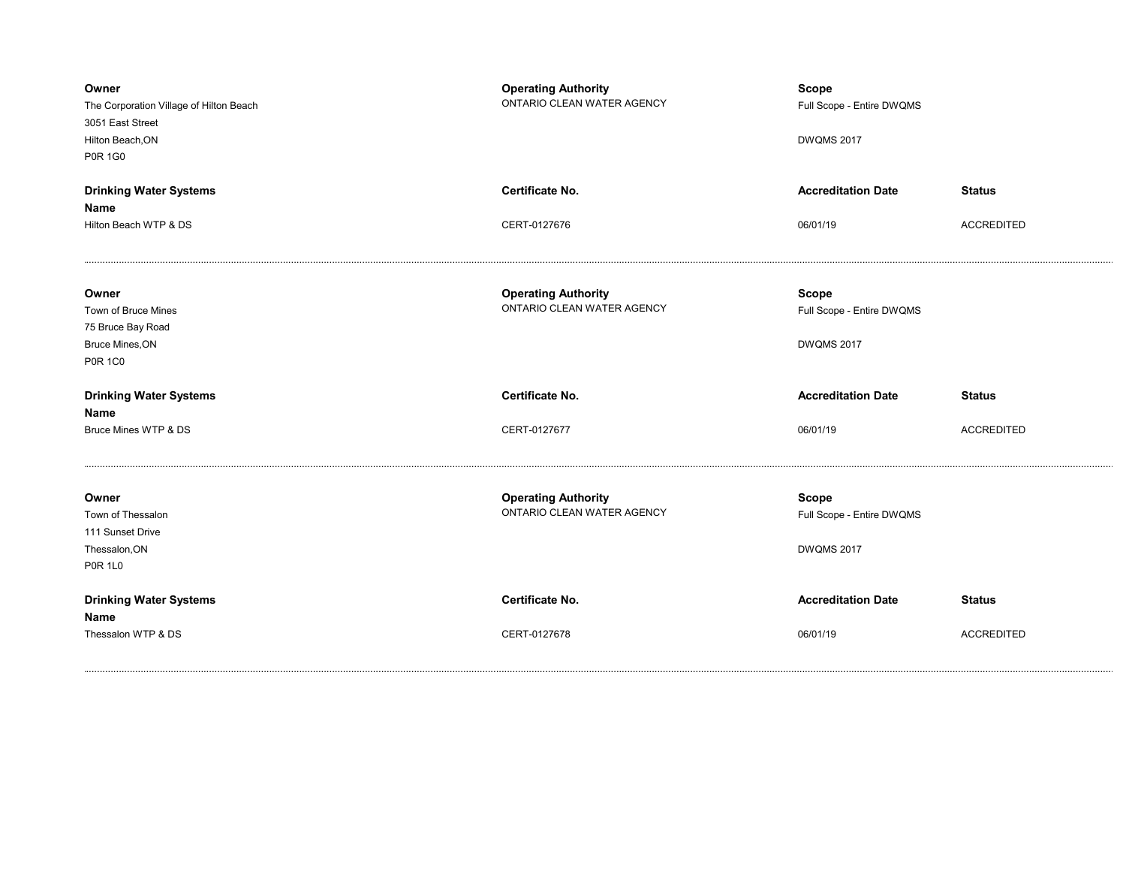| Owner<br>The Corporation Village of Hilton Beach<br>3051 East Street<br>Hilton Beach, ON<br><b>P0R 1G0</b> | <b>Operating Authority</b><br>ONTARIO CLEAN WATER AGENCY | <b>Scope</b><br>Full Scope - Entire DWQMS<br><b>DWQMS 2017</b> |                   |
|------------------------------------------------------------------------------------------------------------|----------------------------------------------------------|----------------------------------------------------------------|-------------------|
| <b>Drinking Water Systems</b>                                                                              | <b>Certificate No.</b>                                   | <b>Accreditation Date</b>                                      | <b>Status</b>     |
| Name                                                                                                       |                                                          |                                                                |                   |
| Hilton Beach WTP & DS                                                                                      | CERT-0127676                                             | 06/01/19                                                       | <b>ACCREDITED</b> |
| Owner<br>Town of Bruce Mines                                                                               | <b>Operating Authority</b><br>ONTARIO CLEAN WATER AGENCY | <b>Scope</b><br>Full Scope - Entire DWQMS                      |                   |
| 75 Bruce Bay Road                                                                                          |                                                          |                                                                |                   |
| Bruce Mines, ON                                                                                            |                                                          | <b>DWQMS 2017</b>                                              |                   |
| <b>P0R 1C0</b>                                                                                             |                                                          |                                                                |                   |
| <b>Drinking Water Systems</b><br>Name                                                                      | <b>Certificate No.</b>                                   | <b>Accreditation Date</b>                                      | <b>Status</b>     |
| Bruce Mines WTP & DS                                                                                       | CERT-0127677                                             | 06/01/19                                                       | <b>ACCREDITED</b> |
|                                                                                                            |                                                          |                                                                |                   |
| Owner<br>Town of Thessalon<br>111 Sunset Drive<br>Thessalon, ON<br><b>P0R 1L0</b>                          | <b>Operating Authority</b><br>ONTARIO CLEAN WATER AGENCY | <b>Scope</b><br>Full Scope - Entire DWQMS<br><b>DWQMS 2017</b> |                   |
| <b>Drinking Water Systems</b><br>Name                                                                      | <b>Certificate No.</b>                                   | <b>Accreditation Date</b>                                      | <b>Status</b>     |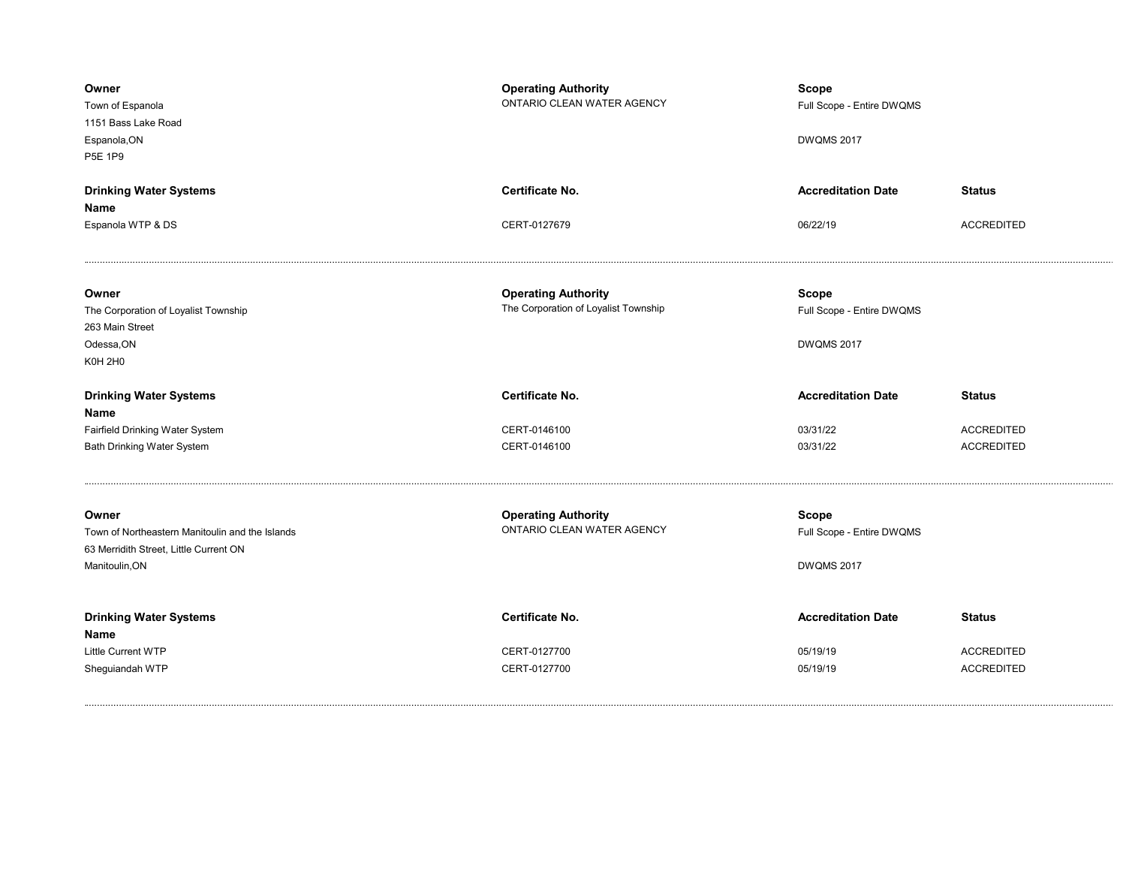| Owner<br>Town of Espanola<br>1151 Bass Lake Road<br>Espanola, ON<br>P5E 1P9                                          | <b>Operating Authority</b><br>ONTARIO CLEAN WATER AGENCY           | Scope<br>Full Scope - Entire DWQMS<br><b>DWQMS 2017</b>        |                                        |
|----------------------------------------------------------------------------------------------------------------------|--------------------------------------------------------------------|----------------------------------------------------------------|----------------------------------------|
| <b>Drinking Water Systems</b><br>Name                                                                                | <b>Certificate No.</b>                                             | <b>Accreditation Date</b>                                      | <b>Status</b>                          |
| Espanola WTP & DS                                                                                                    | CERT-0127679                                                       | 06/22/19                                                       | <b>ACCREDITED</b>                      |
| Owner<br>The Corporation of Loyalist Township<br>263 Main Street<br>Odessa, ON<br><b>K0H 2H0</b>                     | <b>Operating Authority</b><br>The Corporation of Loyalist Township | <b>Scope</b><br>Full Scope - Entire DWQMS<br><b>DWQMS 2017</b> |                                        |
|                                                                                                                      | <b>Certificate No.</b>                                             | <b>Accreditation Date</b>                                      | <b>Status</b>                          |
| <b>Drinking Water Systems</b>                                                                                        |                                                                    |                                                                |                                        |
| Name                                                                                                                 |                                                                    |                                                                |                                        |
| Fairfield Drinking Water System<br><b>Bath Drinking Water System</b>                                                 | CERT-0146100<br>CERT-0146100                                       | 03/31/22<br>03/31/22                                           | <b>ACCREDITED</b><br><b>ACCREDITED</b> |
| Owner<br>Town of Northeastern Manitoulin and the Islands<br>63 Merridith Street, Little Current ON<br>Manitoulin, ON | <b>Operating Authority</b><br>ONTARIO CLEAN WATER AGENCY           | <b>Scope</b><br>Full Scope - Entire DWQMS<br><b>DWQMS 2017</b> |                                        |
| <b>Drinking Water Systems</b>                                                                                        | Certificate No.                                                    | <b>Accreditation Date</b>                                      | <b>Status</b>                          |
| Name<br><b>Little Current WTP</b>                                                                                    | CERT-0127700                                                       | 05/19/19                                                       | <b>ACCREDITED</b>                      |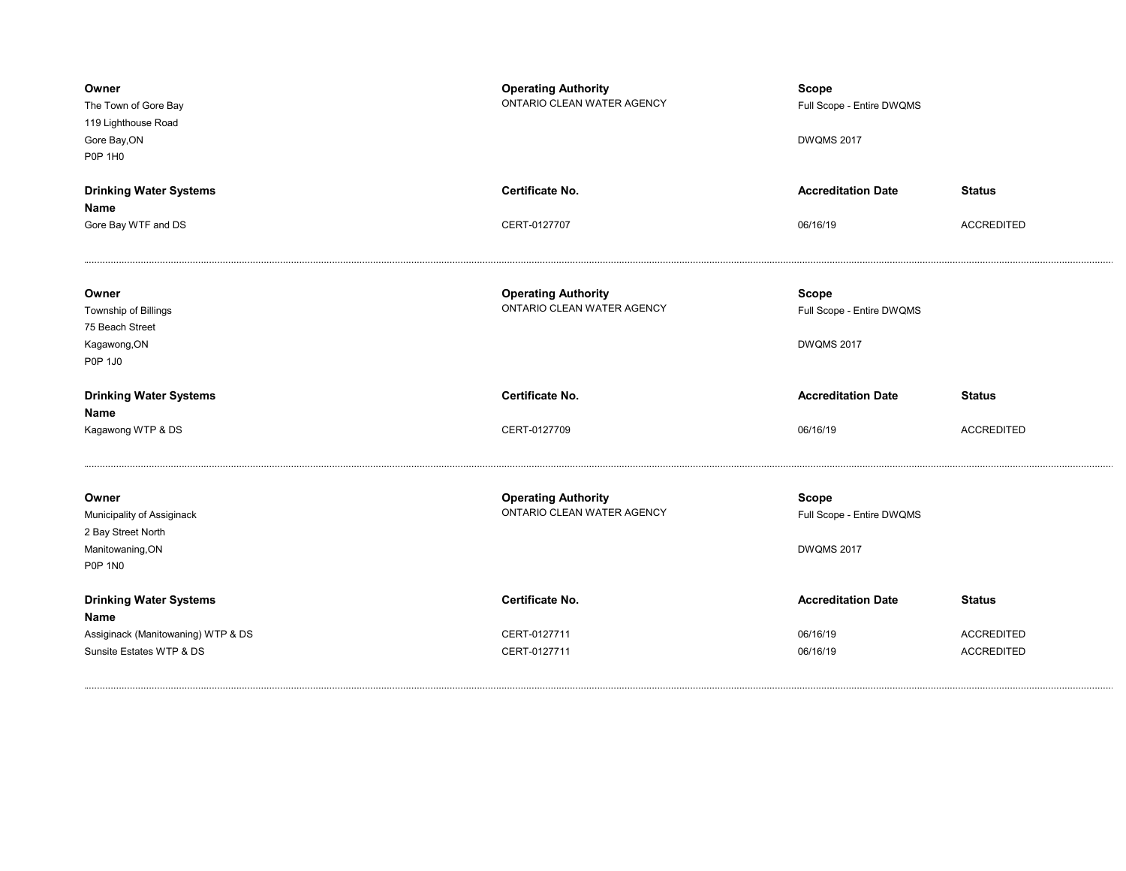| Owner<br>The Town of Gore Bay<br>119 Lighthouse Road<br>Gore Bay, ON<br><b>P0P 1H0</b>          | <b>Operating Authority</b><br>ONTARIO CLEAN WATER AGENCY | <b>Scope</b><br>Full Scope - Entire DWQMS<br><b>DWQMS 2017</b> |                   |
|-------------------------------------------------------------------------------------------------|----------------------------------------------------------|----------------------------------------------------------------|-------------------|
| <b>Drinking Water Systems</b><br>Name                                                           | Certificate No.                                          | <b>Accreditation Date</b>                                      | <b>Status</b>     |
| Gore Bay WTF and DS                                                                             | CERT-0127707                                             | 06/16/19                                                       | <b>ACCREDITED</b> |
| Owner<br>Township of Billings<br>75 Beach Street<br>Kagawong, ON<br>P0P 1J0                     | <b>Operating Authority</b><br>ONTARIO CLEAN WATER AGENCY | <b>Scope</b><br>Full Scope - Entire DWQMS<br><b>DWQMS 2017</b> |                   |
|                                                                                                 |                                                          |                                                                |                   |
| <b>Drinking Water Systems</b>                                                                   | <b>Certificate No.</b>                                   | <b>Accreditation Date</b>                                      | <b>Status</b>     |
| Name<br>Kagawong WTP & DS                                                                       | CERT-0127709                                             | 06/16/19                                                       | <b>ACCREDITED</b> |
| Owner<br>Municipality of Assiginack<br>2 Bay Street North<br>Manitowaning, ON<br><b>P0P 1N0</b> | <b>Operating Authority</b><br>ONTARIO CLEAN WATER AGENCY | <b>Scope</b><br>Full Scope - Entire DWQMS<br><b>DWQMS 2017</b> |                   |
| <b>Drinking Water Systems</b>                                                                   | <b>Certificate No.</b>                                   | <b>Accreditation Date</b>                                      | <b>Status</b>     |
| <b>Name</b><br>Assiginack (Manitowaning) WTP & DS                                               | CERT-0127711                                             | 06/16/19                                                       | <b>ACCREDITED</b> |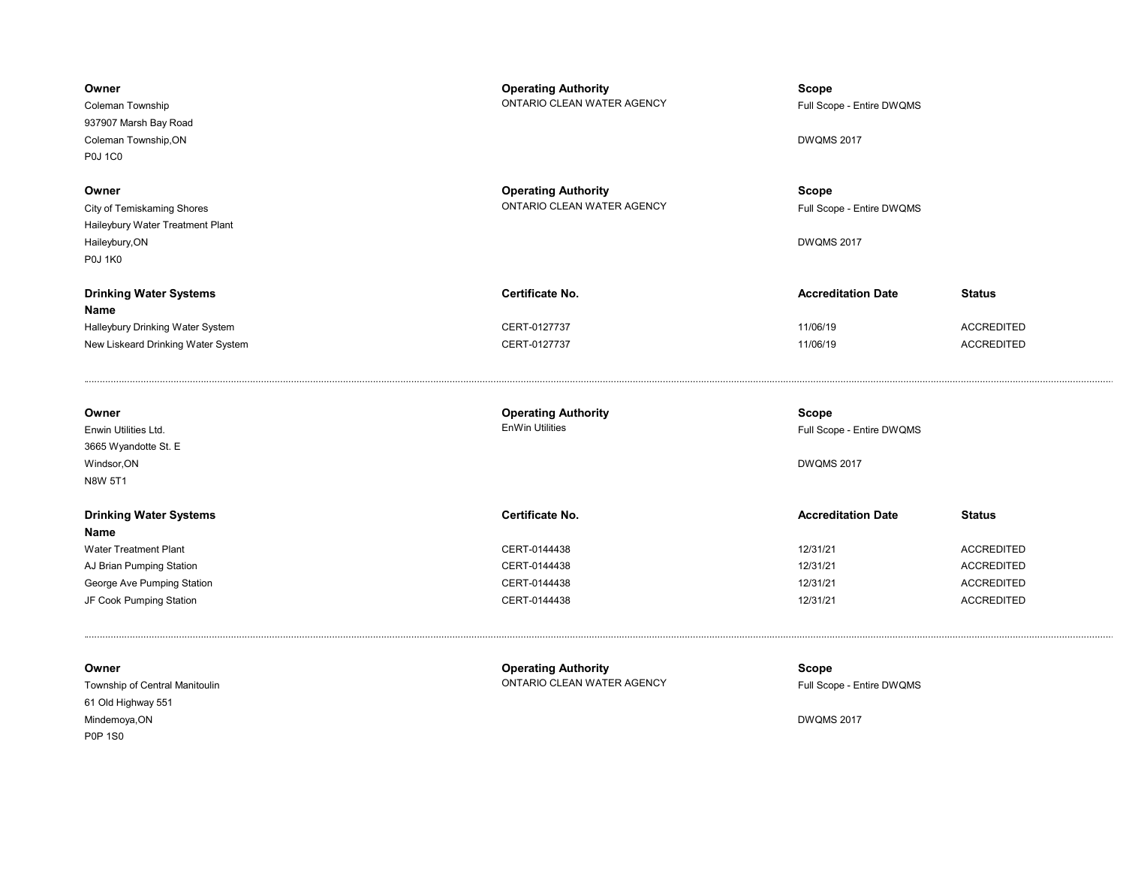| Owner<br>Coleman Township<br>937907 Marsh Bay Road<br>Coleman Township, ON<br><b>P0J 1C0</b>                    | <b>Operating Authority</b><br>ONTARIO CLEAN WATER AGENCY | Scope<br>Full Scope - Entire DWQMS<br><b>DWQMS 2017</b> |                                                         |
|-----------------------------------------------------------------------------------------------------------------|----------------------------------------------------------|---------------------------------------------------------|---------------------------------------------------------|
| Owner<br>City of Temiskaming Shores<br>Haileybury Water Treatment Plant<br>Haileybury, ON<br><b>P0J 1K0</b>     | <b>Operating Authority</b><br>ONTARIO CLEAN WATER AGENCY | Scope<br>Full Scope - Entire DWQMS<br><b>DWQMS 2017</b> |                                                         |
| <b>Drinking Water Systems</b><br>Name<br>Halleybury Drinking Water System<br>New Liskeard Drinking Water System | Certificate No.<br>CERT-0127737<br>CERT-0127737          | <b>Accreditation Date</b><br>11/06/19<br>11/06/19       | <b>Status</b><br><b>ACCREDITED</b><br><b>ACCREDITED</b> |

| Owner                         | <b>Operating Authority</b> | Scope                     |                   |
|-------------------------------|----------------------------|---------------------------|-------------------|
| Enwin Utilities Ltd.          | <b>EnWin Utilities</b>     | Full Scope - Entire DWQMS |                   |
| 3665 Wyandotte St. E          |                            |                           |                   |
| Windsor, ON                   |                            | <b>DWQMS 2017</b>         |                   |
| N8W 5T1                       |                            |                           |                   |
|                               |                            |                           |                   |
| <b>Drinking Water Systems</b> | Certificate No.            | <b>Accreditation Date</b> | <b>Status</b>     |
| Name                          |                            |                           |                   |
| <b>Water Treatment Plant</b>  | CERT-0144438               | 12/31/21                  | <b>ACCREDITED</b> |
| AJ Brian Pumping Station      | CERT-0144438               | 12/31/21                  | <b>ACCREDITED</b> |
| George Ave Pumping Station    | CERT-0144438               | 12/31/21                  | <b>ACCREDITED</b> |
| JF Cook Pumping Station       | CERT-0144438               | 12/31/21                  | <b>ACCREDITED</b> |
|                               |                            |                           |                   |

| Owner                          | <b>Operating Authority</b> | <b>Scope</b>              |
|--------------------------------|----------------------------|---------------------------|
| Township of Central Manitoulin | ONTARIO CLEAN WATER AGENCY | Full Scope - Entire DWQMS |
| 61 Old Highway 551             |                            |                           |
| Mindemoya,ON                   |                            | <b>DWQMS 2017</b>         |
| <b>P0P 1S0</b>                 |                            |                           |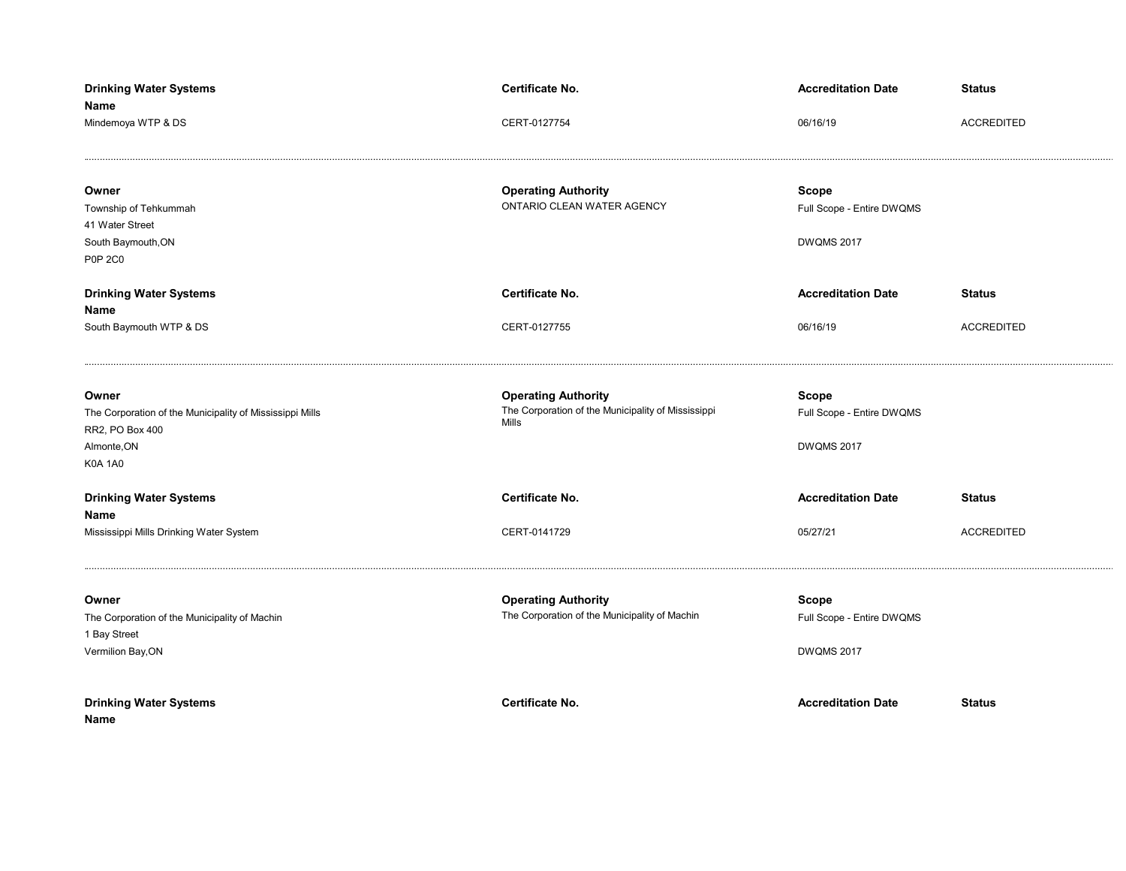| <b>Drinking Water Systems</b><br>Name                                                                                 | Certificate No.                                                                           | <b>Accreditation Date</b>                                      | <b>Status</b>     |
|-----------------------------------------------------------------------------------------------------------------------|-------------------------------------------------------------------------------------------|----------------------------------------------------------------|-------------------|
| Mindemoya WTP & DS                                                                                                    | CERT-0127754                                                                              | 06/16/19                                                       | <b>ACCREDITED</b> |
| Owner<br>Township of Tehkummah<br>41 Water Street<br>South Baymouth, ON<br><b>P0P 2C0</b>                             | <b>Operating Authority</b><br>ONTARIO CLEAN WATER AGENCY                                  | <b>Scope</b><br>Full Scope - Entire DWQMS<br><b>DWQMS 2017</b> |                   |
| <b>Drinking Water Systems</b>                                                                                         | Certificate No.                                                                           | <b>Accreditation Date</b>                                      | <b>Status</b>     |
| Name<br>South Baymouth WTP & DS                                                                                       | CERT-0127755                                                                              | 06/16/19                                                       | <b>ACCREDITED</b> |
| Owner<br>The Corporation of the Municipality of Mississippi Mills<br>RR2, PO Box 400<br>Almonte, ON<br><b>K0A 1A0</b> | <b>Operating Authority</b><br>The Corporation of the Municipality of Mississippi<br>Mills | <b>Scope</b><br>Full Scope - Entire DWQMS<br><b>DWQMS 2017</b> |                   |
| <b>Drinking Water Systems</b>                                                                                         | <b>Certificate No.</b>                                                                    | <b>Accreditation Date</b>                                      | <b>Status</b>     |
| Name<br>Mississippi Mills Drinking Water System                                                                       | CERT-0141729                                                                              | 05/27/21                                                       | <b>ACCREDITED</b> |
| Owner<br>The Corporation of the Municipality of Machin<br>1 Bay Street<br>Vermilion Bay, ON                           | <b>Operating Authority</b><br>The Corporation of the Municipality of Machin               | <b>Scope</b><br>Full Scope - Entire DWQMS<br><b>DWQMS 2017</b> |                   |
| <b>Drinking Water Systems</b><br>Name                                                                                 | Certificate No.                                                                           | <b>Accreditation Date</b>                                      | <b>Status</b>     |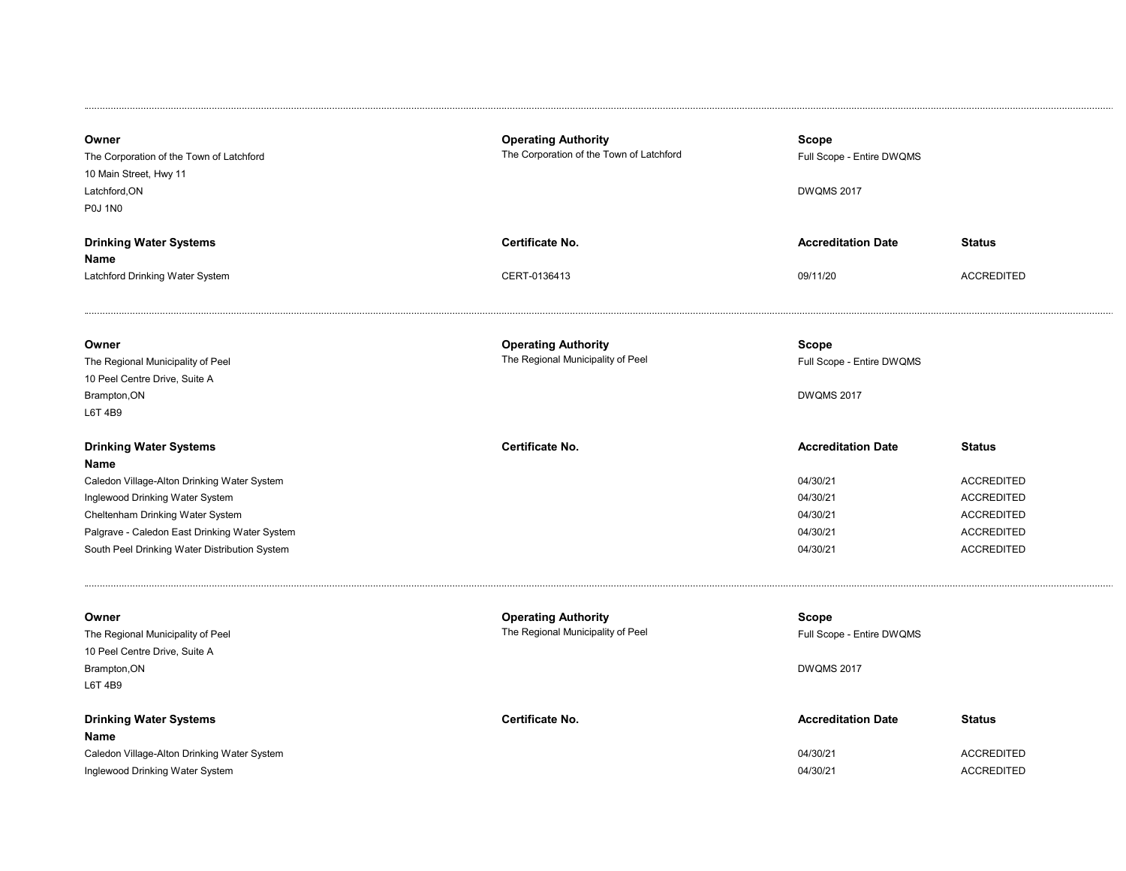| Owner<br>The Corporation of the Town of Latchford<br>10 Main Street, Hwy 11<br>Latchford, ON<br><b>P0J 1N0</b>                                                                                                                                                | <b>Operating Authority</b><br>The Corporation of the Town of Latchford | <b>Scope</b><br>Full Scope - Entire DWQMS<br><b>DWQMS 2017</b>                        |                                                                                                                        |
|---------------------------------------------------------------------------------------------------------------------------------------------------------------------------------------------------------------------------------------------------------------|------------------------------------------------------------------------|---------------------------------------------------------------------------------------|------------------------------------------------------------------------------------------------------------------------|
| <b>Drinking Water Systems</b><br>Name                                                                                                                                                                                                                         | Certificate No.                                                        | <b>Accreditation Date</b>                                                             | <b>Status</b>                                                                                                          |
| Latchford Drinking Water System                                                                                                                                                                                                                               | CERT-0136413                                                           | 09/11/20                                                                              | <b>ACCREDITED</b>                                                                                                      |
| Owner<br>The Regional Municipality of Peel<br>10 Peel Centre Drive, Suite A<br>Brampton, ON<br>L6T 4B9                                                                                                                                                        | <b>Operating Authority</b><br>The Regional Municipality of Peel        | <b>Scope</b><br>Full Scope - Entire DWQMS<br><b>DWQMS 2017</b>                        |                                                                                                                        |
| <b>Drinking Water Systems</b><br>Name<br>Caledon Village-Alton Drinking Water System<br>Inglewood Drinking Water System<br>Cheltenham Drinking Water System<br>Palgrave - Caledon East Drinking Water System<br>South Peel Drinking Water Distribution System | Certificate No.                                                        | <b>Accreditation Date</b><br>04/30/21<br>04/30/21<br>04/30/21<br>04/30/21<br>04/30/21 | <b>Status</b><br><b>ACCREDITED</b><br><b>ACCREDITED</b><br><b>ACCREDITED</b><br><b>ACCREDITED</b><br><b>ACCREDITED</b> |
| Owner<br>The Regional Municipality of Peel<br>10 Peel Centre Drive, Suite A<br>Brampton, ON<br>L6T 4B9                                                                                                                                                        | <b>Operating Authority</b><br>The Regional Municipality of Peel        | <b>Scope</b><br>Full Scope - Entire DWQMS<br><b>DWQMS 2017</b>                        |                                                                                                                        |
| <b>Drinking Water Systems</b><br>Name<br>Caledon Village-Alton Drinking Water System<br>Inglewood Drinking Water System                                                                                                                                       | Certificate No.                                                        | <b>Accreditation Date</b><br>04/30/21<br>04/30/21                                     | <b>Status</b><br><b>ACCREDITED</b><br><b>ACCREDITED</b>                                                                |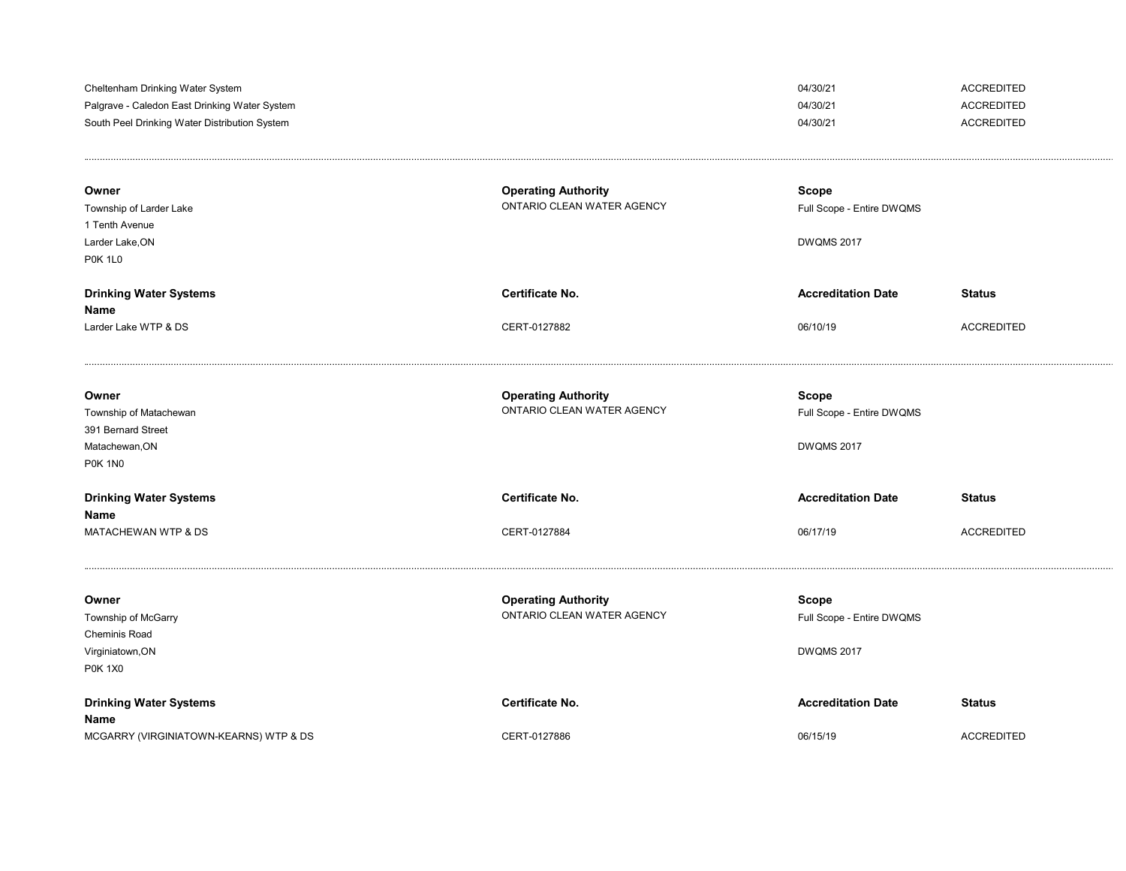| Cheltenham Drinking Water System<br>Palgrave - Caledon East Drinking Water System<br>South Peel Drinking Water Distribution System |                                                          | 04/30/21<br>04/30/21<br>04/30/21                               | <b>ACCREDITED</b><br><b>ACCREDITED</b><br><b>ACCREDITED</b> |
|------------------------------------------------------------------------------------------------------------------------------------|----------------------------------------------------------|----------------------------------------------------------------|-------------------------------------------------------------|
| Owner<br>Township of Larder Lake<br>1 Tenth Avenue<br>Larder Lake.ON<br><b>P0K 1L0</b>                                             | <b>Operating Authority</b><br>ONTARIO CLEAN WATER AGENCY | <b>Scope</b><br>Full Scope - Entire DWQMS<br><b>DWQMS 2017</b> |                                                             |
| <b>Drinking Water Systems</b>                                                                                                      | <b>Certificate No.</b>                                   | <b>Accreditation Date</b>                                      | <b>Status</b>                                               |
| Name<br>Larder Lake WTP & DS                                                                                                       | CERT-0127882                                             | 06/10/19                                                       | <b>ACCREDITED</b>                                           |
| Owner<br>Township of Matachewan<br>391 Bernard Street<br>Matachewan, ON<br><b>P0K 1N0</b>                                          | <b>Operating Authority</b><br>ONTARIO CLEAN WATER AGENCY | <b>Scope</b><br>Full Scope - Entire DWQMS<br><b>DWQMS 2017</b> |                                                             |
| <b>Drinking Water Systems</b>                                                                                                      | Certificate No.                                          | <b>Accreditation Date</b>                                      | <b>Status</b>                                               |
| <b>Name</b><br>MATACHEWAN WTP & DS                                                                                                 | CERT-0127884                                             | 06/17/19                                                       | <b>ACCREDITED</b>                                           |
| Owner<br>Township of McGarry<br><b>Cheminis Road</b><br>Virginiatown, ON<br><b>P0K 1X0</b>                                         | <b>Operating Authority</b><br>ONTARIO CLEAN WATER AGENCY | <b>Scope</b><br>Full Scope - Entire DWQMS<br><b>DWQMS 2017</b> |                                                             |
| <b>Drinking Water Systems</b>                                                                                                      | <b>Certificate No.</b>                                   | <b>Accreditation Date</b>                                      | <b>Status</b>                                               |
| Name<br>MCGARRY (VIRGINIATOWN-KEARNS) WTP & DS                                                                                     | CERT-0127886                                             | 06/15/19                                                       | <b>ACCREDITED</b>                                           |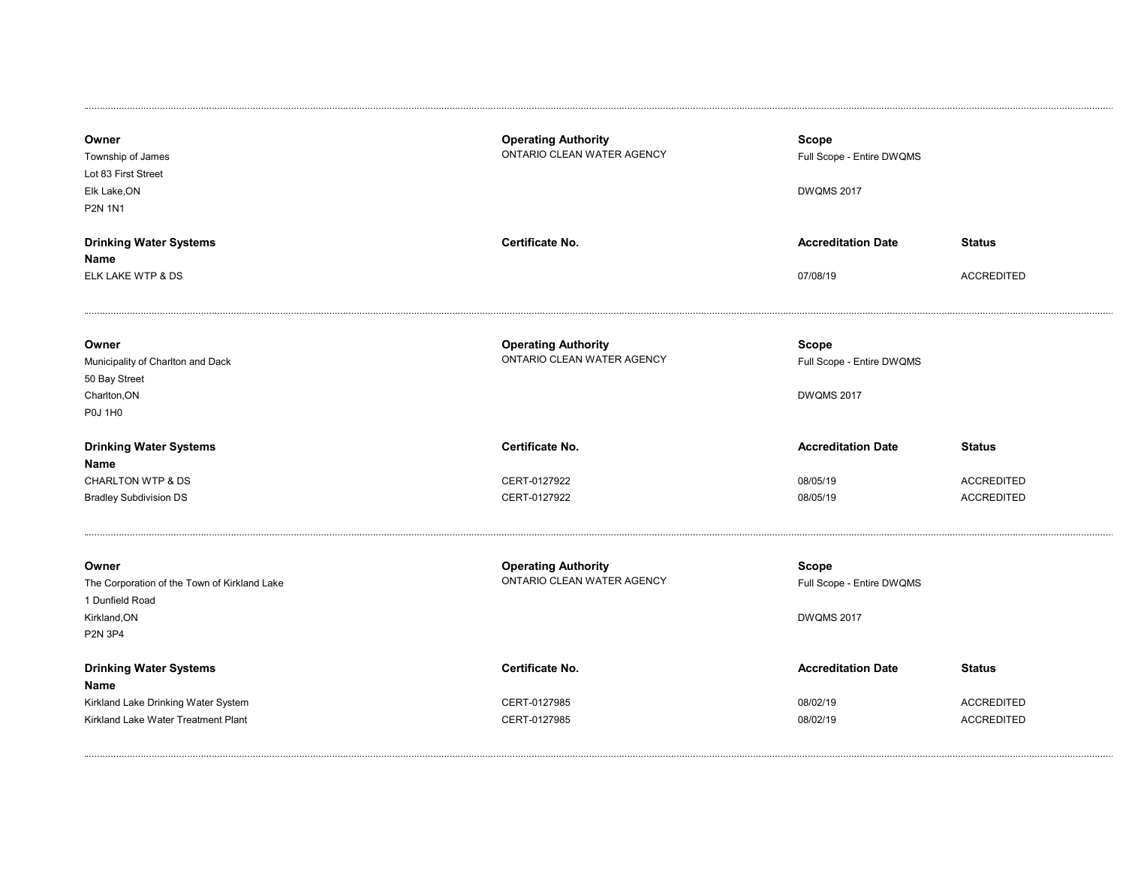| Owner<br>Township of James<br>Lot 83 First Street<br>Elk Lake, ON<br><b>P2N 1N1</b> | <b>Operating Authority</b><br>ONTARIO CLEAN WATER AGENCY | <b>Scope</b><br>Full Scope - Entire DWQMS<br><b>DWQMS 2017</b> |                   |
|-------------------------------------------------------------------------------------|----------------------------------------------------------|----------------------------------------------------------------|-------------------|
| <b>Drinking Water Systems</b>                                                       | Certificate No.                                          | <b>Accreditation Date</b>                                      | <b>Status</b>     |
| Name                                                                                |                                                          |                                                                |                   |
| ELK LAKE WTP & DS                                                                   |                                                          | 07/08/19                                                       | <b>ACCREDITED</b> |
| Owner<br>Municipality of Charlton and Dack<br>50 Bay Street                         | <b>Operating Authority</b><br>ONTARIO CLEAN WATER AGENCY | <b>Scope</b><br>Full Scope - Entire DWQMS                      |                   |
| Charlton, ON                                                                        |                                                          | <b>DWQMS 2017</b>                                              |                   |
| <b>P0J 1H0</b>                                                                      |                                                          |                                                                |                   |
| <b>Drinking Water Systems</b><br>Name                                               | <b>Certificate No.</b>                                   | <b>Accreditation Date</b>                                      | <b>Status</b>     |
| <b>CHARLTON WTP &amp; DS</b>                                                        | CERT-0127922                                             | 08/05/19                                                       | <b>ACCREDITED</b> |
| <b>Bradley Subdivision DS</b>                                                       | CERT-0127922                                             | 08/05/19                                                       | <b>ACCREDITED</b> |
| Owner<br>The Corporation of the Town of Kirkland Lake                               | <b>Operating Authority</b><br>ONTARIO CLEAN WATER AGENCY | <b>Scope</b><br>Full Scope - Entire DWQMS                      |                   |
| 1 Dunfield Road                                                                     |                                                          |                                                                |                   |
| Kirkland, ON                                                                        |                                                          | <b>DWQMS 2017</b>                                              |                   |
| <b>P2N 3P4</b>                                                                      |                                                          |                                                                |                   |
| <b>Drinking Water Systems</b><br>Name                                               | <b>Certificate No.</b>                                   | <b>Accreditation Date</b>                                      | <b>Status</b>     |
| Kirkland Lake Drinking Water System                                                 | CERT-0127985                                             | 08/02/19                                                       | <b>ACCREDITED</b> |
| Kirkland Lake Water Treatment Plant                                                 | CERT-0127985                                             | 08/02/19                                                       | <b>ACCREDITED</b> |
|                                                                                     |                                                          |                                                                |                   |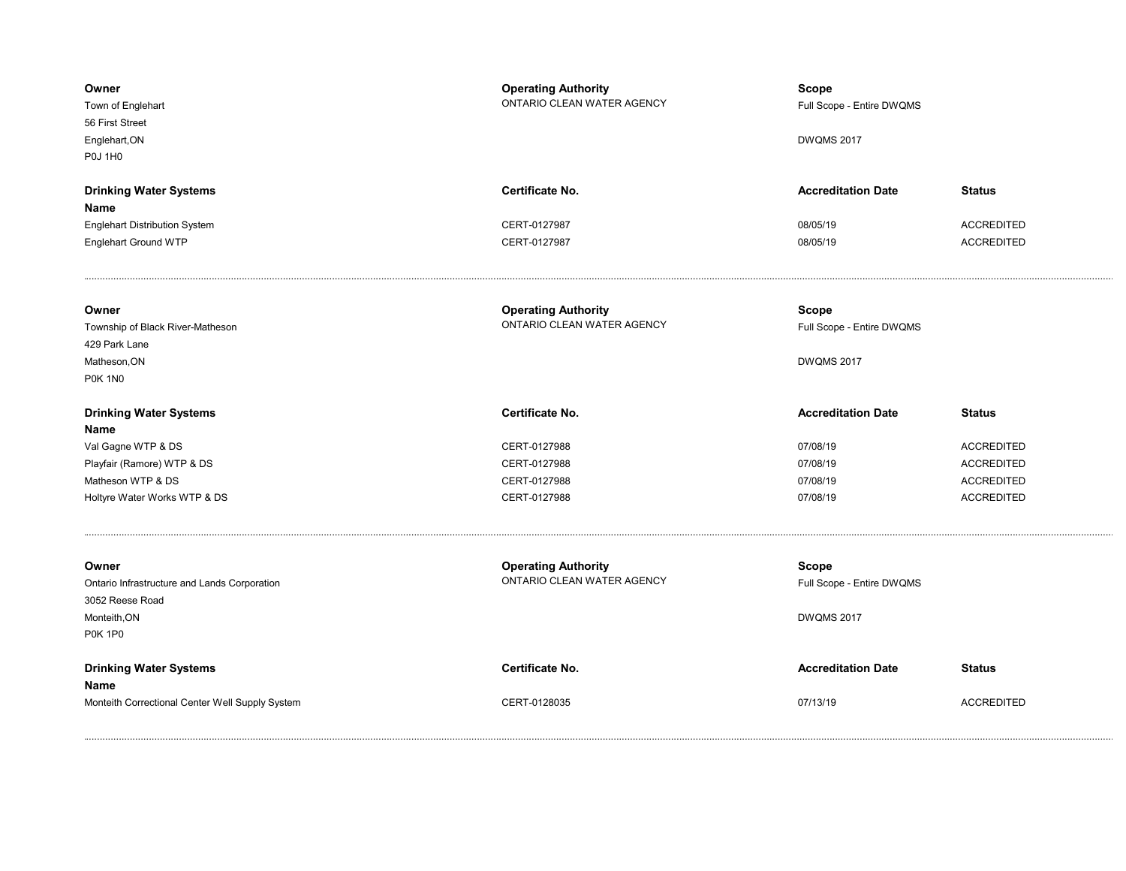| Owner<br>Town of Englehart<br>56 First Street<br>Englehart, ON<br><b>P0J 1H0</b> | <b>Operating Authority</b><br>ONTARIO CLEAN WATER AGENCY | <b>Scope</b><br>Full Scope - Entire DWQMS<br><b>DWQMS 2017</b> |                   |
|----------------------------------------------------------------------------------|----------------------------------------------------------|----------------------------------------------------------------|-------------------|
| <b>Drinking Water Systems</b>                                                    | Certificate No.                                          | <b>Accreditation Date</b>                                      | <b>Status</b>     |
| Name                                                                             |                                                          |                                                                |                   |
| <b>Englehart Distribution System</b>                                             | CERT-0127987                                             | 08/05/19                                                       | <b>ACCREDITED</b> |
| Englehart Ground WTP                                                             | CERT-0127987                                             | 08/05/19                                                       | <b>ACCREDITED</b> |
| Owner                                                                            | <b>Operating Authority</b><br>ONTARIO CLEAN WATER AGENCY | <b>Scope</b>                                                   |                   |
| Township of Black River-Matheson<br>429 Park Lane                                |                                                          | Full Scope - Entire DWQMS                                      |                   |
| Matheson, ON                                                                     |                                                          | <b>DWQMS 2017</b>                                              |                   |
| <b>P0K 1N0</b>                                                                   |                                                          |                                                                |                   |
| <b>Drinking Water Systems</b>                                                    | Certificate No.                                          | <b>Accreditation Date</b>                                      | <b>Status</b>     |
| Name                                                                             |                                                          |                                                                |                   |
| Val Gagne WTP & DS                                                               | CERT-0127988                                             | 07/08/19                                                       | <b>ACCREDITED</b> |
| Playfair (Ramore) WTP & DS                                                       | CERT-0127988                                             | 07/08/19                                                       | <b>ACCREDITED</b> |
| Matheson WTP & DS                                                                | CERT-0127988                                             | 07/08/19                                                       | <b>ACCREDITED</b> |
| Holtyre Water Works WTP & DS                                                     | CERT-0127988                                             | 07/08/19                                                       | <b>ACCREDITED</b> |
| Owner                                                                            | <b>Operating Authority</b>                               | <b>Scope</b>                                                   |                   |
| Ontario Infrastructure and Lands Corporation                                     | ONTARIO CLEAN WATER AGENCY                               | Full Scope - Entire DWQMS                                      |                   |
| 3052 Reese Road                                                                  |                                                          |                                                                |                   |
| Monteith, ON                                                                     |                                                          | <b>DWQMS 2017</b>                                              |                   |
| <b>P0K 1P0</b>                                                                   |                                                          |                                                                |                   |
| <b>Drinking Water Systems</b>                                                    | Certificate No.                                          | <b>Accreditation Date</b>                                      | <b>Status</b>     |
| Name                                                                             |                                                          |                                                                |                   |
| Monteith Correctional Center Well Supply System                                  | CERT-0128035                                             | 07/13/19                                                       | <b>ACCREDITED</b> |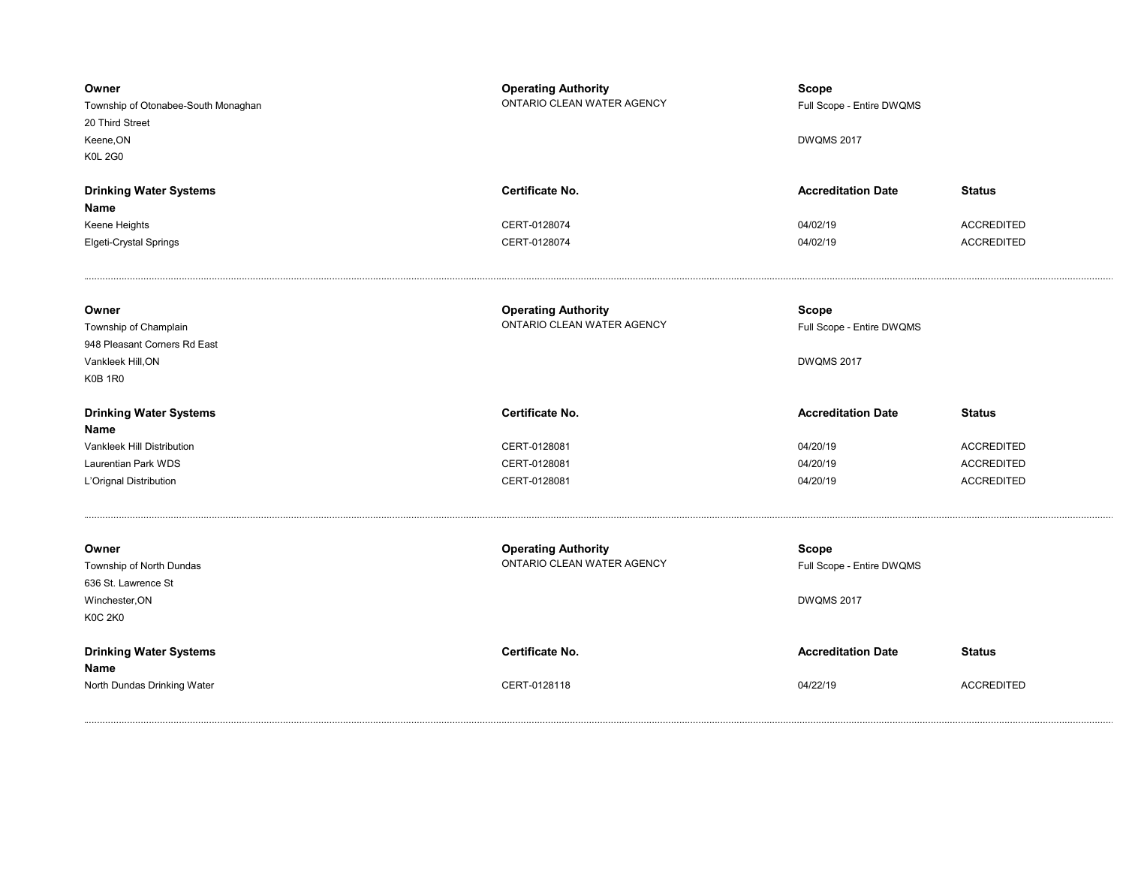| Owner<br>Township of Otonabee-South Monaghan<br>20 Third Street<br>Keene, ON<br><b>K0L 2G0</b> | <b>Operating Authority</b><br>ONTARIO CLEAN WATER AGENCY | <b>Scope</b><br>Full Scope - Entire DWQMS<br><b>DWQMS 2017</b> |                                        |
|------------------------------------------------------------------------------------------------|----------------------------------------------------------|----------------------------------------------------------------|----------------------------------------|
| <b>Drinking Water Systems</b>                                                                  | <b>Certificate No.</b>                                   | <b>Accreditation Date</b>                                      | <b>Status</b>                          |
| Name                                                                                           |                                                          |                                                                |                                        |
| Keene Heights                                                                                  | CERT-0128074                                             | 04/02/19                                                       | <b>ACCREDITED</b><br><b>ACCREDITED</b> |
| Elgeti-Crystal Springs                                                                         | CERT-0128074                                             | 04/02/19                                                       |                                        |
| Owner                                                                                          | <b>Operating Authority</b><br>ONTARIO CLEAN WATER AGENCY | <b>Scope</b>                                                   |                                        |
| Township of Champlain<br>948 Pleasant Corners Rd East                                          |                                                          | Full Scope - Entire DWQMS                                      |                                        |
| Vankleek Hill, ON                                                                              |                                                          | <b>DWQMS 2017</b>                                              |                                        |
| <b>K0B 1R0</b>                                                                                 |                                                          |                                                                |                                        |
|                                                                                                |                                                          |                                                                |                                        |
| <b>Drinking Water Systems</b>                                                                  | <b>Certificate No.</b>                                   | <b>Accreditation Date</b>                                      | <b>Status</b>                          |
| Name                                                                                           |                                                          |                                                                |                                        |
| Vankleek Hill Distribution                                                                     | CERT-0128081                                             | 04/20/19                                                       | <b>ACCREDITED</b>                      |
| Laurentian Park WDS                                                                            | CERT-0128081                                             | 04/20/19                                                       | <b>ACCREDITED</b>                      |
| L'Orignal Distribution                                                                         | CERT-0128081                                             | 04/20/19                                                       | <b>ACCREDITED</b>                      |
|                                                                                                |                                                          |                                                                |                                        |
| Owner                                                                                          | <b>Operating Authority</b><br>ONTARIO CLEAN WATER AGENCY | <b>Scope</b>                                                   |                                        |
| Township of North Dundas<br>636 St. Lawrence St                                                |                                                          | Full Scope - Entire DWQMS                                      |                                        |
| Winchester, ON                                                                                 |                                                          |                                                                |                                        |
|                                                                                                |                                                          |                                                                |                                        |
|                                                                                                |                                                          | <b>DWQMS 2017</b>                                              |                                        |
| <b>K0C 2K0</b>                                                                                 |                                                          |                                                                |                                        |
| <b>Drinking Water Systems</b>                                                                  | Certificate No.                                          | <b>Accreditation Date</b>                                      | <b>Status</b>                          |
| Name<br>North Dundas Drinking Water                                                            | CERT-0128118                                             | 04/22/19                                                       | <b>ACCREDITED</b>                      |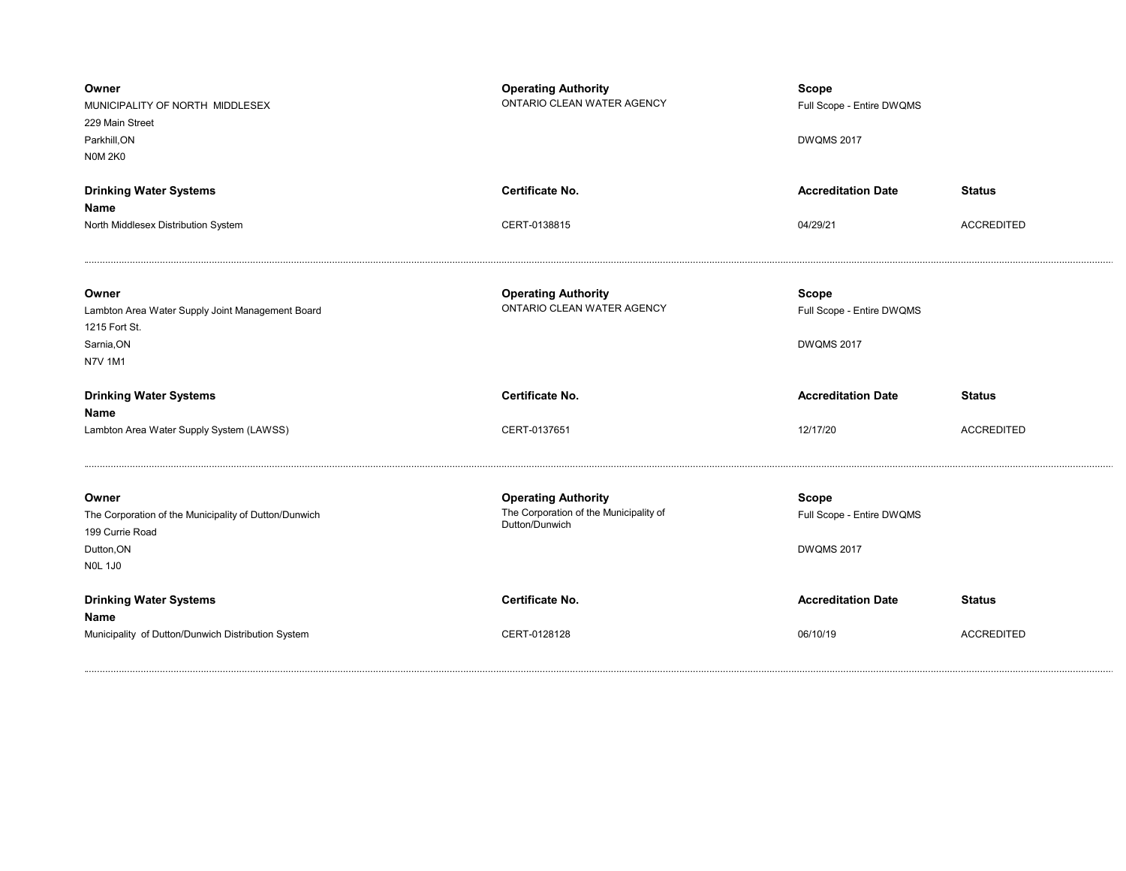| Owner<br>MUNICIPALITY OF NORTH MIDDLESEX<br>229 Main Street<br>Parkhill, ON<br><b>N0M 2K0</b>                     | <b>Operating Authority</b><br>ONTARIO CLEAN WATER AGENCY                               | <b>Scope</b><br>Full Scope - Entire DWQMS<br><b>DWQMS 2017</b> |                   |
|-------------------------------------------------------------------------------------------------------------------|----------------------------------------------------------------------------------------|----------------------------------------------------------------|-------------------|
| <b>Drinking Water Systems</b>                                                                                     | <b>Certificate No.</b>                                                                 | <b>Accreditation Date</b>                                      | <b>Status</b>     |
| Name                                                                                                              |                                                                                        |                                                                |                   |
| North Middlesex Distribution System                                                                               | CERT-0138815                                                                           | 04/29/21                                                       | <b>ACCREDITED</b> |
| Owner<br>Lambton Area Water Supply Joint Management Board<br>1215 Fort St.<br>Sarnia, ON<br><b>N7V 1M1</b>        | <b>Operating Authority</b><br>ONTARIO CLEAN WATER AGENCY                               | <b>Scope</b><br>Full Scope - Entire DWQMS<br><b>DWQMS 2017</b> |                   |
|                                                                                                                   |                                                                                        |                                                                |                   |
| <b>Drinking Water Systems</b><br>Name                                                                             | <b>Certificate No.</b>                                                                 | <b>Accreditation Date</b>                                      | <b>Status</b>     |
| Lambton Area Water Supply System (LAWSS)                                                                          | CERT-0137651                                                                           | 12/17/20                                                       | <b>ACCREDITED</b> |
| Owner<br>The Corporation of the Municipality of Dutton/Dunwich<br>199 Currie Road<br>Dutton, ON<br><b>NOL 1J0</b> | <b>Operating Authority</b><br>The Corporation of the Municipality of<br>Dutton/Dunwich | Scope<br>Full Scope - Entire DWQMS<br><b>DWQMS 2017</b>        |                   |
| <b>Drinking Water Systems</b><br>Name                                                                             | <b>Certificate No.</b>                                                                 | <b>Accreditation Date</b>                                      | <b>Status</b>     |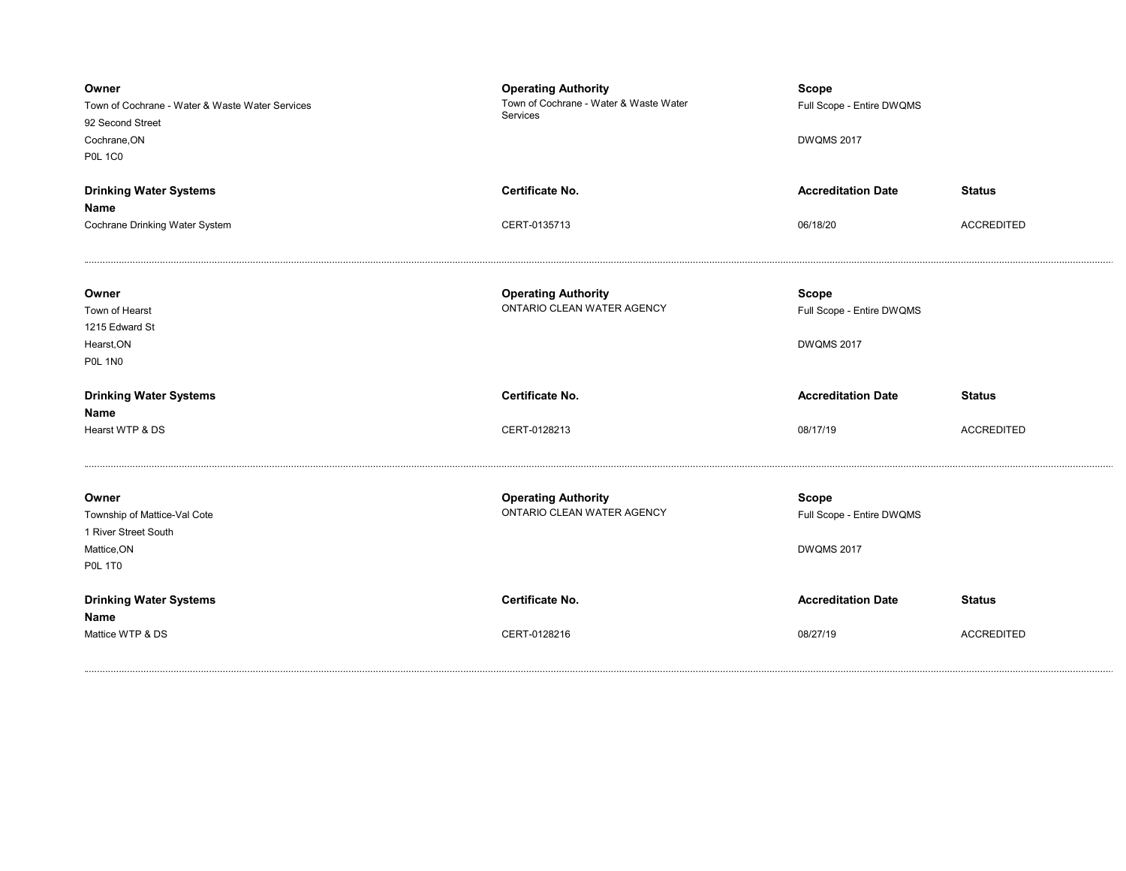| Owner<br>Town of Cochrane - Water & Waste Water Services<br>92 Second Street<br>Cochrane, ON<br><b>P0L 1C0</b> | <b>Operating Authority</b><br>Town of Cochrane - Water & Waste Water<br>Services | <b>Scope</b><br>Full Scope - Entire DWQMS<br><b>DWQMS 2017</b> |                                    |
|----------------------------------------------------------------------------------------------------------------|----------------------------------------------------------------------------------|----------------------------------------------------------------|------------------------------------|
| <b>Drinking Water Systems</b><br>Name<br>Cochrane Drinking Water System                                        | Certificate No.<br>CERT-0135713                                                  | <b>Accreditation Date</b><br>06/18/20                          | <b>Status</b><br><b>ACCREDITED</b> |
| Owner<br>Town of Hearst<br>1215 Edward St<br>Hearst, ON<br><b>P0L 1N0</b>                                      | <b>Operating Authority</b><br>ONTARIO CLEAN WATER AGENCY                         | <b>Scope</b><br>Full Scope - Entire DWQMS<br><b>DWQMS 2017</b> |                                    |
| <b>Drinking Water Systems</b>                                                                                  | <b>Certificate No.</b>                                                           | <b>Accreditation Date</b>                                      | <b>Status</b>                      |
| Name<br>Hearst WTP & DS                                                                                        | CERT-0128213                                                                     | 08/17/19                                                       | <b>ACCREDITED</b>                  |
| Owner<br>Township of Mattice-Val Cote<br>1 River Street South<br>Mattice, ON<br><b>P0L 1T0</b>                 | <b>Operating Authority</b><br>ONTARIO CLEAN WATER AGENCY                         | <b>Scope</b><br>Full Scope - Entire DWQMS<br><b>DWQMS 2017</b> |                                    |
| <b>Drinking Water Systems</b>                                                                                  | <b>Certificate No.</b>                                                           | <b>Accreditation Date</b>                                      | <b>Status</b>                      |
| Name                                                                                                           |                                                                                  |                                                                |                                    |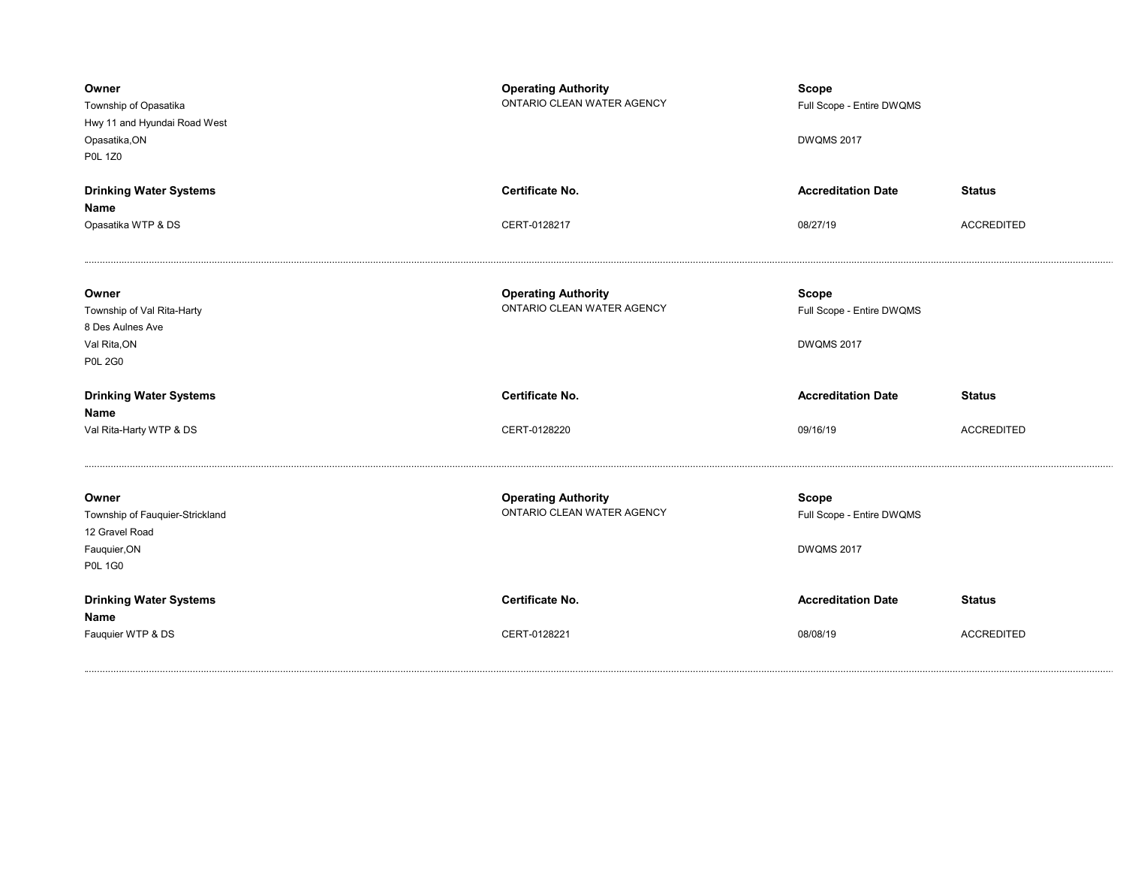| Owner<br>Township of Opasatika<br>Hwy 11 and Hyundai Road West<br>Opasatika, ON<br><b>P0L 1Z0</b> | <b>Operating Authority</b><br>ONTARIO CLEAN WATER AGENCY | <b>Scope</b><br>Full Scope - Entire DWQMS<br><b>DWQMS 2017</b> |                   |
|---------------------------------------------------------------------------------------------------|----------------------------------------------------------|----------------------------------------------------------------|-------------------|
| <b>Drinking Water Systems</b>                                                                     | <b>Certificate No.</b>                                   | <b>Accreditation Date</b>                                      | <b>Status</b>     |
| Name<br>Opasatika WTP & DS                                                                        | CERT-0128217                                             | 08/27/19                                                       | <b>ACCREDITED</b> |
| Owner<br>Township of Val Rita-Harty<br>8 Des Aulnes Ave<br>Val Rita, ON<br><b>P0L 2G0</b>         | <b>Operating Authority</b><br>ONTARIO CLEAN WATER AGENCY | <b>Scope</b><br>Full Scope - Entire DWQMS<br><b>DWQMS 2017</b> |                   |
|                                                                                                   |                                                          |                                                                |                   |
| <b>Drinking Water Systems</b>                                                                     | Certificate No.                                          | <b>Accreditation Date</b>                                      | <b>Status</b>     |
| Name<br>Val Rita-Harty WTP & DS                                                                   | CERT-0128220                                             | 09/16/19                                                       | <b>ACCREDITED</b> |
| Owner<br>Township of Fauquier-Strickland<br>12 Gravel Road<br>Fauquier, ON<br><b>P0L 1G0</b>      | <b>Operating Authority</b><br>ONTARIO CLEAN WATER AGENCY | <b>Scope</b><br>Full Scope - Entire DWQMS<br><b>DWQMS 2017</b> |                   |
| <b>Drinking Water Systems</b><br>Name                                                             | Certificate No.                                          | <b>Accreditation Date</b>                                      | <b>Status</b>     |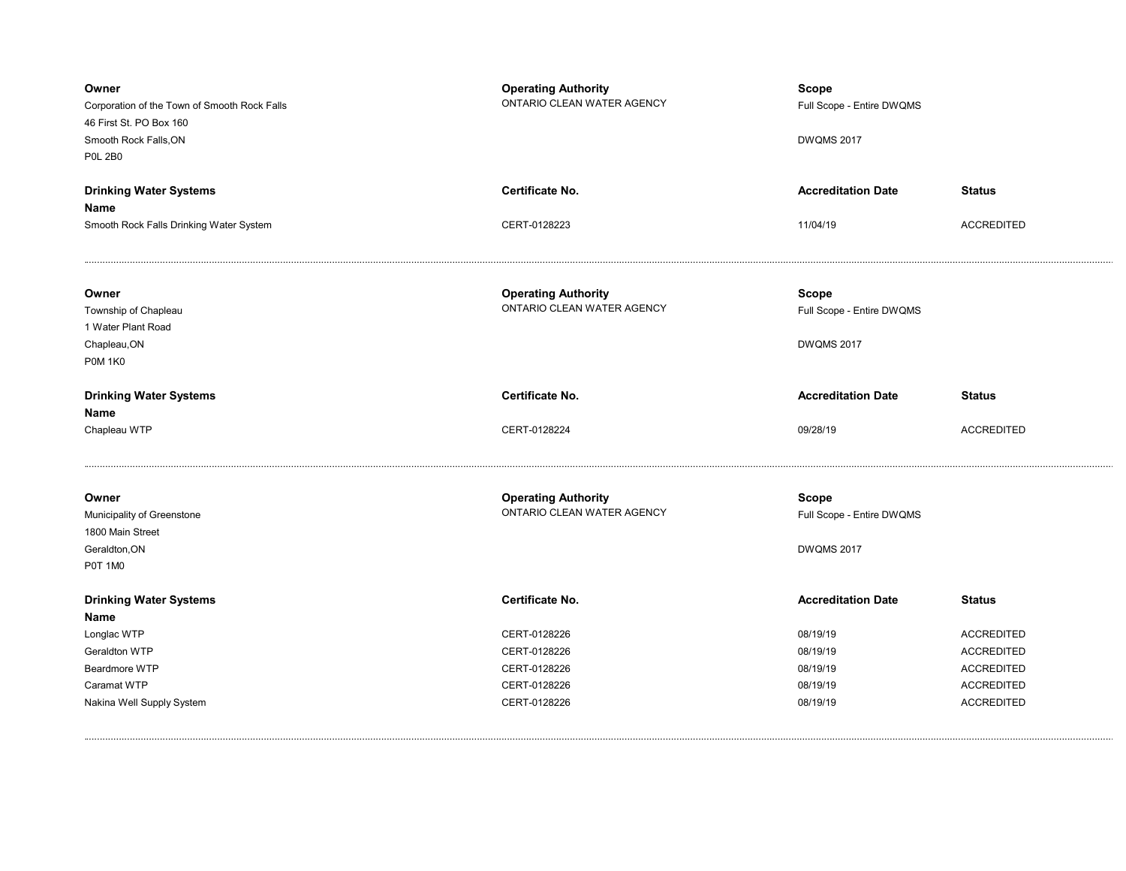| Owner<br>Corporation of the Town of Smooth Rock Falls<br>46 First St. PO Box 160<br>Smooth Rock Falls, ON<br><b>P0L 2B0</b> | <b>Operating Authority</b><br>ONTARIO CLEAN WATER AGENCY | <b>Scope</b><br>Full Scope - Entire DWQMS<br><b>DWQMS 2017</b> |                   |
|-----------------------------------------------------------------------------------------------------------------------------|----------------------------------------------------------|----------------------------------------------------------------|-------------------|
| <b>Drinking Water Systems</b>                                                                                               | Certificate No.                                          | <b>Accreditation Date</b>                                      | <b>Status</b>     |
| Name                                                                                                                        |                                                          |                                                                |                   |
| Smooth Rock Falls Drinking Water System                                                                                     | CERT-0128223                                             | 11/04/19                                                       | <b>ACCREDITED</b> |
| Owner                                                                                                                       | <b>Operating Authority</b>                               | Scope                                                          |                   |
| Township of Chapleau                                                                                                        | ONTARIO CLEAN WATER AGENCY                               | Full Scope - Entire DWQMS                                      |                   |
| 1 Water Plant Road                                                                                                          |                                                          |                                                                |                   |
| Chapleau, ON                                                                                                                |                                                          | <b>DWQMS 2017</b>                                              |                   |
| <b>P0M 1K0</b>                                                                                                              |                                                          |                                                                |                   |
| <b>Drinking Water Systems</b>                                                                                               | Certificate No.                                          | <b>Accreditation Date</b>                                      | <b>Status</b>     |
| Name                                                                                                                        |                                                          |                                                                |                   |
| Chapleau WTP                                                                                                                | CERT-0128224                                             | 09/28/19                                                       | <b>ACCREDITED</b> |
| Owner                                                                                                                       | <b>Operating Authority</b>                               | <b>Scope</b>                                                   |                   |
| Municipality of Greenstone                                                                                                  | ONTARIO CLEAN WATER AGENCY                               | Full Scope - Entire DWQMS                                      |                   |
| 1800 Main Street                                                                                                            |                                                          |                                                                |                   |
| Geraldton, ON                                                                                                               |                                                          | <b>DWQMS 2017</b>                                              |                   |
| P0T 1M0                                                                                                                     |                                                          |                                                                |                   |
| <b>Drinking Water Systems</b>                                                                                               | Certificate No.                                          | <b>Accreditation Date</b>                                      | <b>Status</b>     |
| Name                                                                                                                        |                                                          |                                                                |                   |
| Longlac WTP                                                                                                                 | CERT-0128226                                             | 08/19/19                                                       | <b>ACCREDITED</b> |
| Geraldton WTP                                                                                                               | CERT-0128226                                             | 08/19/19                                                       | <b>ACCREDITED</b> |
| Beardmore WTP                                                                                                               | CERT-0128226                                             | 08/19/19                                                       | <b>ACCREDITED</b> |
| Caramat WTP                                                                                                                 | CERT-0128226                                             | 08/19/19                                                       | <b>ACCREDITED</b> |
|                                                                                                                             |                                                          |                                                                |                   |
| Nakina Well Supply System                                                                                                   | CERT-0128226                                             | 08/19/19                                                       | <b>ACCREDITED</b> |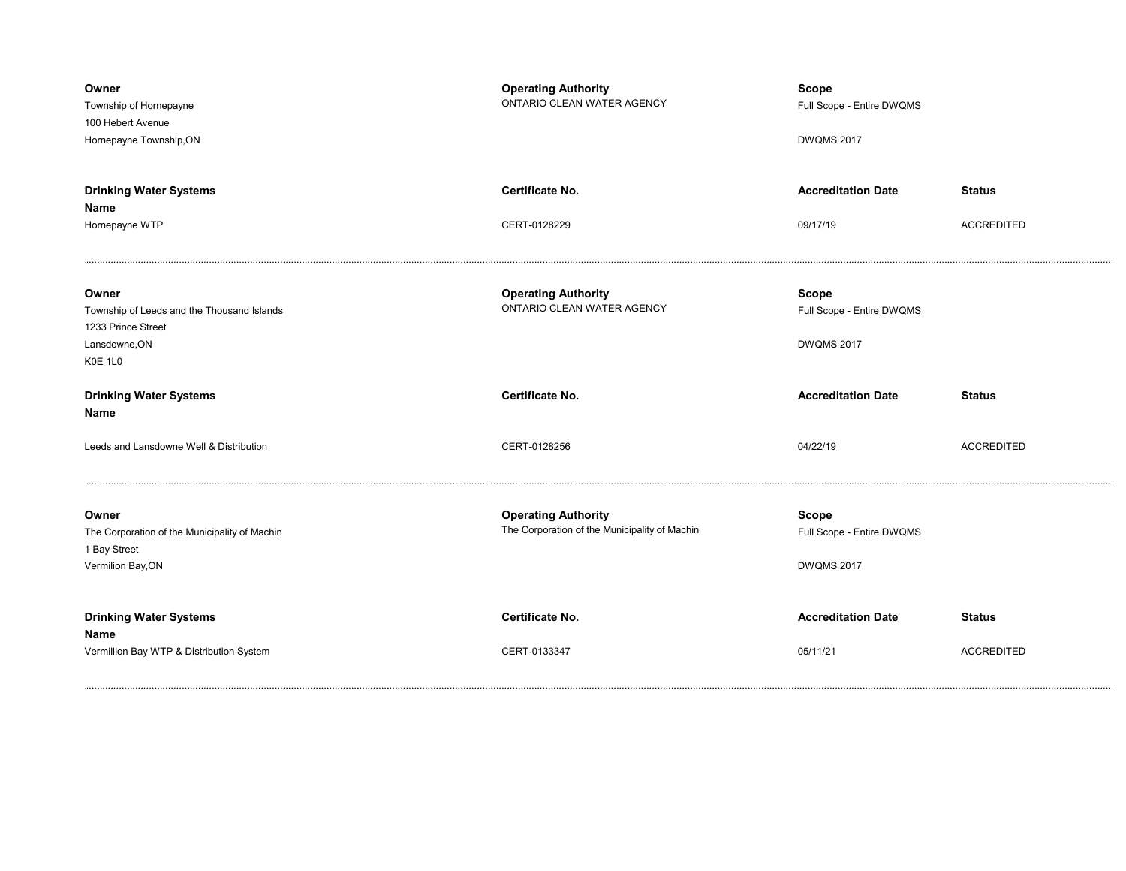| Owner<br>Township of Hornepayne<br>100 Hebert Avenue<br>Hornepayne Township, ON                       | <b>Operating Authority</b><br>ONTARIO CLEAN WATER AGENCY                    | <b>Scope</b><br>Full Scope - Entire DWQMS<br><b>DWQMS 2017</b> |                                    |
|-------------------------------------------------------------------------------------------------------|-----------------------------------------------------------------------------|----------------------------------------------------------------|------------------------------------|
| <b>Drinking Water Systems</b><br>Name<br>Hornepayne WTP                                               | <b>Certificate No.</b><br>CERT-0128229                                      | <b>Accreditation Date</b><br>09/17/19                          | <b>Status</b><br><b>ACCREDITED</b> |
| Owner<br>Township of Leeds and the Thousand Islands<br>1233 Prince Street<br>Lansdowne, ON<br>K0E 1L0 | <b>Operating Authority</b><br>ONTARIO CLEAN WATER AGENCY                    | <b>Scope</b><br>Full Scope - Entire DWQMS<br><b>DWQMS 2017</b> |                                    |
| <b>Drinking Water Systems</b><br>Name                                                                 | <b>Certificate No.</b>                                                      | <b>Accreditation Date</b>                                      | <b>Status</b>                      |
| Leeds and Lansdowne Well & Distribution                                                               | CERT-0128256                                                                | 04/22/19                                                       | <b>ACCREDITED</b>                  |
| Owner<br>The Corporation of the Municipality of Machin<br>1 Bay Street<br>Vermilion Bay, ON           | <b>Operating Authority</b><br>The Corporation of the Municipality of Machin | <b>Scope</b><br>Full Scope - Entire DWQMS<br><b>DWQMS 2017</b> |                                    |
| <b>Drinking Water Systems</b><br>Name<br>Vermillion Bay WTP & Distribution System                     | <b>Certificate No.</b><br>CERT-0133347                                      | <b>Accreditation Date</b><br>05/11/21                          | <b>Status</b><br><b>ACCREDITED</b> |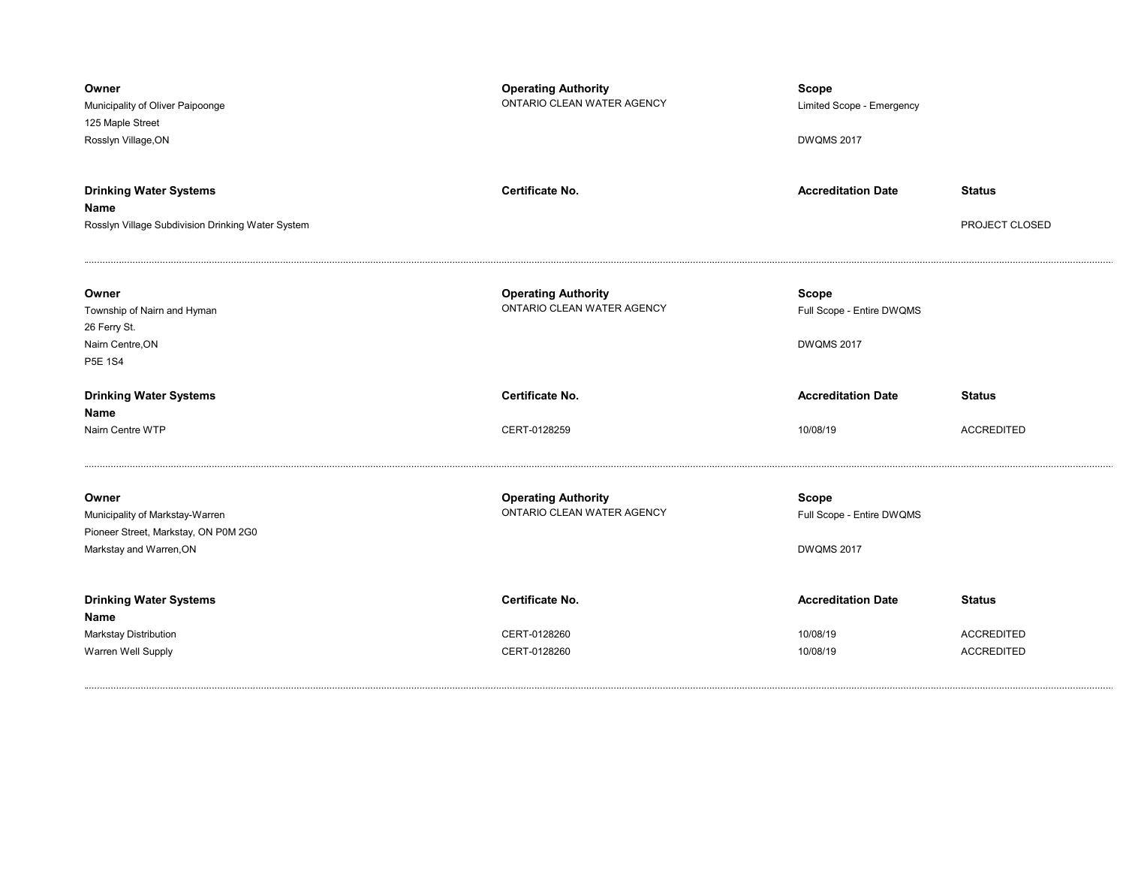| Owner<br>Municipality of Oliver Paipoonge<br>125 Maple Street<br>Rosslyn Village, ON                        | <b>Operating Authority</b><br>ONTARIO CLEAN WATER AGENCY | Scope<br>Limited Scope - Emergency<br><b>DWQMS 2017</b>        |                                 |
|-------------------------------------------------------------------------------------------------------------|----------------------------------------------------------|----------------------------------------------------------------|---------------------------------|
| <b>Drinking Water Systems</b><br>Name<br>Rosslyn Village Subdivision Drinking Water System                  | <b>Certificate No.</b>                                   | <b>Accreditation Date</b>                                      | <b>Status</b><br>PROJECT CLOSED |
| Owner<br>Township of Nairn and Hyman<br>26 Ferry St.<br>Nairn Centre, ON<br><b>P5E 1S4</b>                  | <b>Operating Authority</b><br>ONTARIO CLEAN WATER AGENCY | <b>Scope</b><br>Full Scope - Entire DWQMS<br><b>DWQMS 2017</b> |                                 |
|                                                                                                             |                                                          |                                                                |                                 |
| <b>Drinking Water Systems</b>                                                                               | <b>Certificate No.</b>                                   | <b>Accreditation Date</b>                                      | <b>Status</b>                   |
| Name<br>Nairn Centre WTP                                                                                    | CERT-0128259                                             | 10/08/19                                                       | <b>ACCREDITED</b>               |
| Owner<br>Municipality of Markstay-Warren<br>Pioneer Street, Markstay, ON P0M 2G0<br>Markstay and Warren, ON | <b>Operating Authority</b><br>ONTARIO CLEAN WATER AGENCY | <b>Scope</b><br>Full Scope - Entire DWQMS<br><b>DWQMS 2017</b> |                                 |
| <b>Drinking Water Systems</b>                                                                               | <b>Certificate No.</b>                                   | <b>Accreditation Date</b>                                      | <b>Status</b>                   |
| Name<br>Markstay Distribution                                                                               | CERT-0128260                                             | 10/08/19                                                       | <b>ACCREDITED</b>               |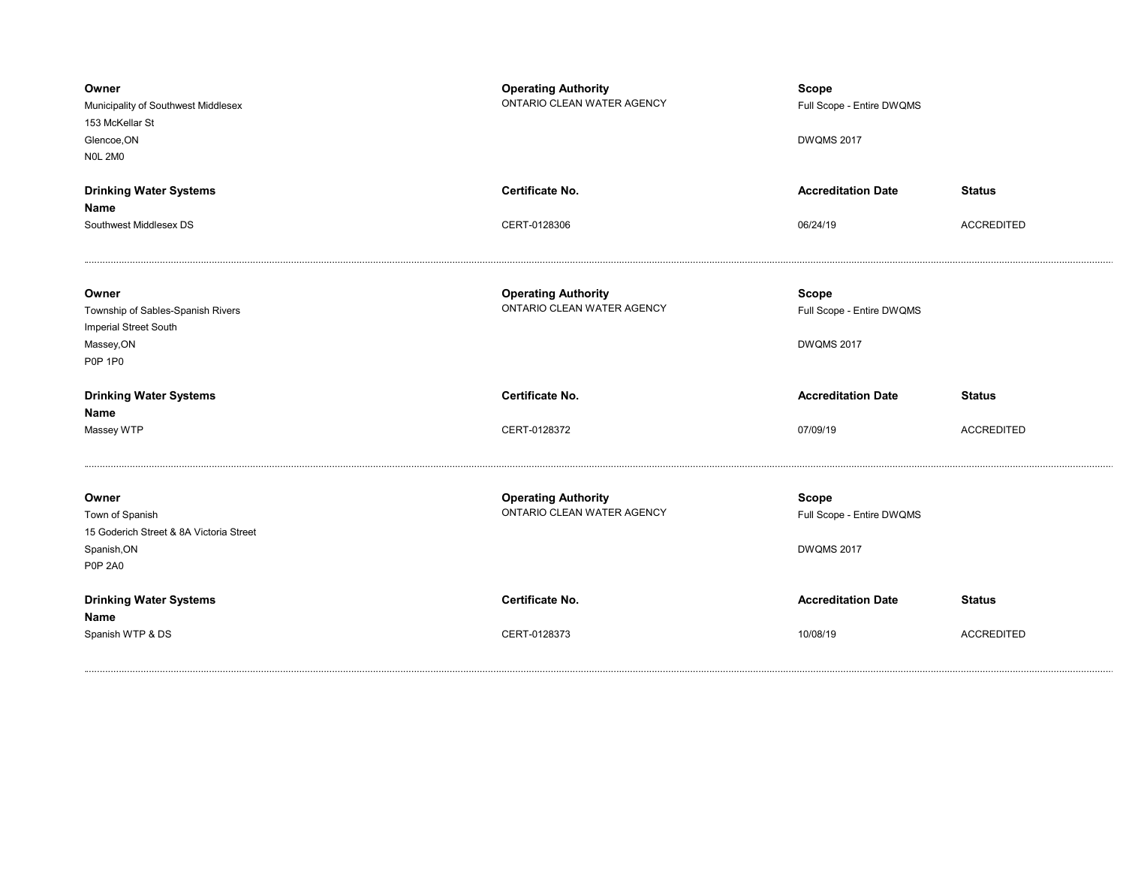| Owner<br>Municipality of Southwest Middlesex<br>153 McKellar St<br>Glencoe, ON<br><b>NOL 2MO</b>     | <b>Operating Authority</b><br>ONTARIO CLEAN WATER AGENCY | <b>Scope</b><br>Full Scope - Entire DWQMS<br><b>DWQMS 2017</b> |                   |
|------------------------------------------------------------------------------------------------------|----------------------------------------------------------|----------------------------------------------------------------|-------------------|
| <b>Drinking Water Systems</b>                                                                        | Certificate No.                                          | <b>Accreditation Date</b>                                      | <b>Status</b>     |
| Name                                                                                                 |                                                          |                                                                |                   |
| Southwest Middlesex DS                                                                               | CERT-0128306                                             | 06/24/19                                                       | <b>ACCREDITED</b> |
| Owner<br>Township of Sables-Spanish Rivers<br>Imperial Street South<br>Massey, ON<br><b>P0P 1P0</b>  | <b>Operating Authority</b><br>ONTARIO CLEAN WATER AGENCY | <b>Scope</b><br>Full Scope - Entire DWQMS<br><b>DWQMS 2017</b> |                   |
|                                                                                                      | Certificate No.                                          | <b>Accreditation Date</b>                                      |                   |
| <b>Drinking Water Systems</b><br>Name                                                                |                                                          |                                                                | <b>Status</b>     |
| Massey WTP                                                                                           | CERT-0128372                                             | 07/09/19                                                       | <b>ACCREDITED</b> |
| Owner<br>Town of Spanish<br>15 Goderich Street & 8A Victoria Street<br>Spanish, ON<br><b>P0P 2A0</b> | <b>Operating Authority</b><br>ONTARIO CLEAN WATER AGENCY | <b>Scope</b><br>Full Scope - Entire DWQMS<br><b>DWQMS 2017</b> |                   |
| <b>Drinking Water Systems</b><br>Name                                                                | Certificate No.                                          | <b>Accreditation Date</b>                                      | <b>Status</b>     |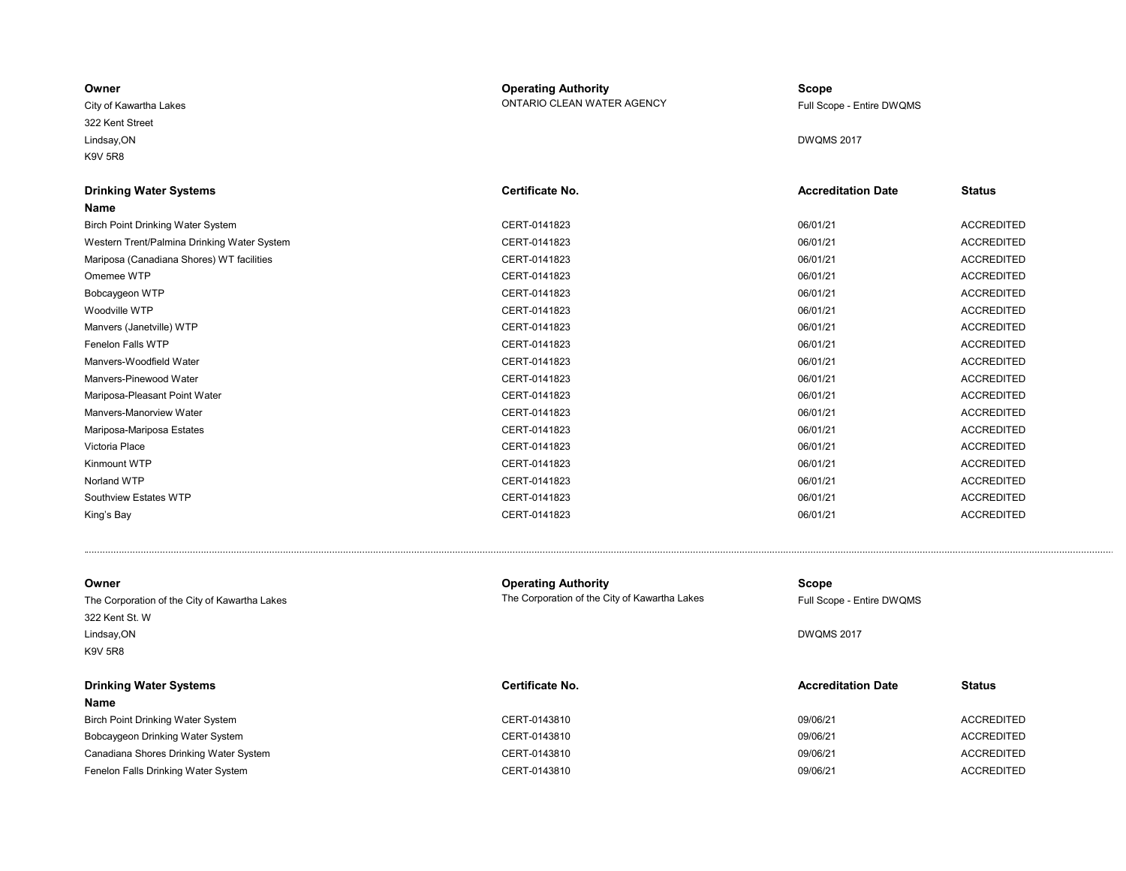| Owner                  | <b>Operating Authority</b> | <b>Scope</b>              |
|------------------------|----------------------------|---------------------------|
| City of Kawartha Lakes | ONTARIO CLEAN WATER AGENCY | Full Scope - Entire DWQMS |
| 322 Kent Street        |                            |                           |
| Lindsay, ON            |                            | <b>DWQMS 2017</b>         |
| K9V 5R8                |                            |                           |

| <b>Drinking Water Systems</b>               | Certificate No. | <b>Accreditation Date</b> | <b>Status</b>     |
|---------------------------------------------|-----------------|---------------------------|-------------------|
| Name                                        |                 |                           |                   |
| <b>Birch Point Drinking Water System</b>    | CERT-0141823    | 06/01/21                  | <b>ACCREDITED</b> |
| Western Trent/Palmina Drinking Water System | CERT-0141823    | 06/01/21                  | <b>ACCREDITED</b> |
| Mariposa (Canadiana Shores) WT facilities   | CERT-0141823    | 06/01/21                  | <b>ACCREDITED</b> |
| Omemee WTP                                  | CERT-0141823    | 06/01/21                  | <b>ACCREDITED</b> |
| Bobcaygeon WTP                              | CERT-0141823    | 06/01/21                  | <b>ACCREDITED</b> |
| Woodville WTP                               | CERT-0141823    | 06/01/21                  | <b>ACCREDITED</b> |
| Manvers (Janetville) WTP                    | CERT-0141823    | 06/01/21                  | <b>ACCREDITED</b> |
| Fenelon Falls WTP                           | CERT-0141823    | 06/01/21                  | <b>ACCREDITED</b> |
| Manvers-Woodfield Water                     | CERT-0141823    | 06/01/21                  | <b>ACCREDITED</b> |
| Manvers-Pinewood Water                      | CERT-0141823    | 06/01/21                  | <b>ACCREDITED</b> |
| Mariposa-Pleasant Point Water               | CERT-0141823    | 06/01/21                  | <b>ACCREDITED</b> |
| Manyers-Manorview Water                     | CERT-0141823    | 06/01/21                  | <b>ACCREDITED</b> |
| Mariposa-Mariposa Estates                   | CERT-0141823    | 06/01/21                  | <b>ACCREDITED</b> |
| Victoria Place                              | CERT-0141823    | 06/01/21                  | <b>ACCREDITED</b> |
| Kinmount WTP                                | CERT-0141823    | 06/01/21                  | <b>ACCREDITED</b> |
| Norland WTP                                 | CERT-0141823    | 06/01/21                  | <b>ACCREDITED</b> |
| Southview Estates WTP                       | CERT-0141823    | 06/01/21                  | <b>ACCREDITED</b> |
| King's Bay                                  | CERT-0141823    | 06/01/21                  | <b>ACCREDITED</b> |

| Owner<br>The Corporation of the City of Kawartha Lakes<br>322 Kent St. W<br>Lindsay, ON<br>K9V 5R8 | <b>Operating Authority</b><br>The Corporation of the City of Kawartha Lakes | Scope<br>Full Scope - Entire DWQMS<br><b>DWQMS 2017</b> |                   |
|----------------------------------------------------------------------------------------------------|-----------------------------------------------------------------------------|---------------------------------------------------------|-------------------|
| <b>Drinking Water Systems</b><br><b>Name</b>                                                       | Certificate No.                                                             | <b>Accreditation Date</b>                               | <b>Status</b>     |
| Birch Point Drinking Water System                                                                  | CERT-0143810                                                                | 09/06/21                                                | <b>ACCREDITED</b> |
| Bobcaygeon Drinking Water System                                                                   | CERT-0143810                                                                | 09/06/21                                                | <b>ACCREDITED</b> |
| Canadiana Shores Drinking Water System                                                             | CERT-0143810                                                                | 09/06/21                                                | <b>ACCREDITED</b> |
| Fenelon Falls Drinking Water System                                                                | CERT-0143810                                                                | 09/06/21                                                | <b>ACCREDITED</b> |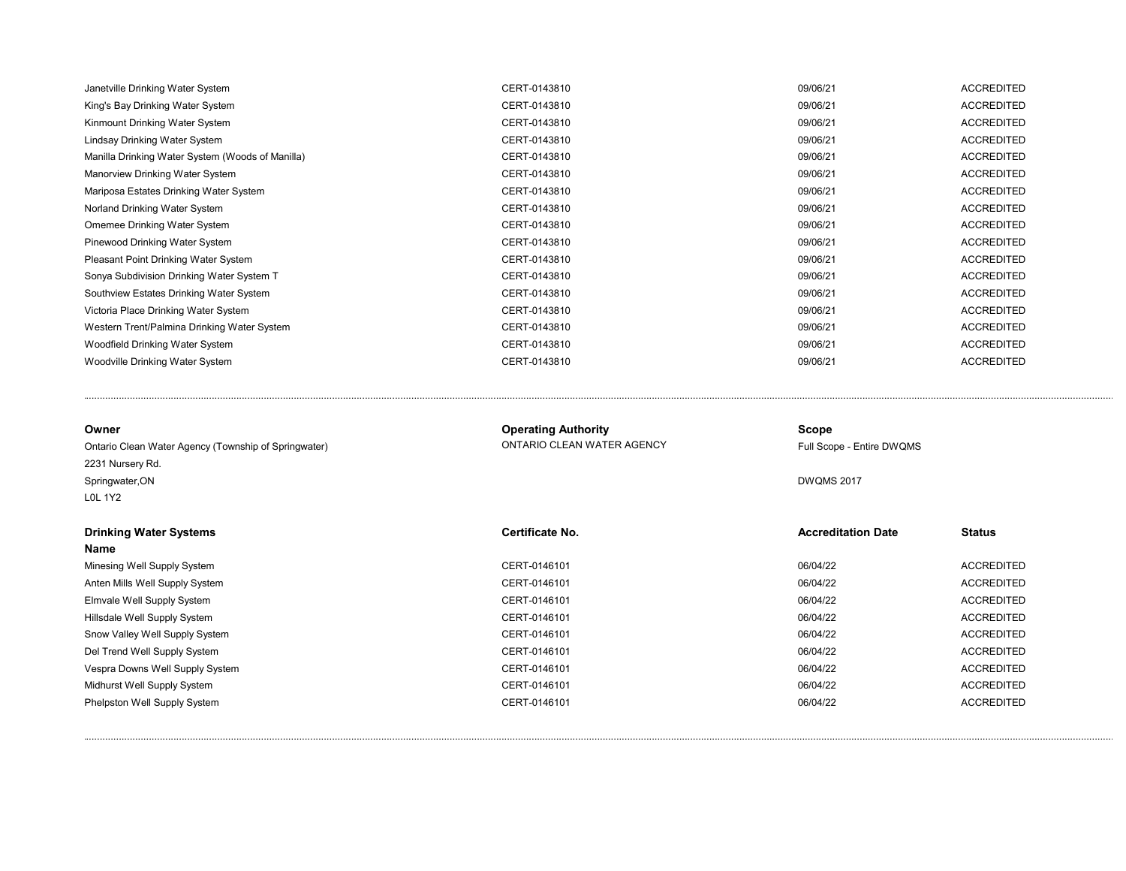| CERT-0143810<br>09/06/21<br>King's Bay Drinking Water System<br>09/06/21<br>CERT-0143810<br>Kinmount Drinking Water System | <b>ACCREDITED</b><br><b>ACCREDITED</b><br><b>ACCREDITED</b> |
|----------------------------------------------------------------------------------------------------------------------------|-------------------------------------------------------------|
|                                                                                                                            |                                                             |
|                                                                                                                            |                                                             |
| CERT-0143810<br>09/06/21<br>Lindsay Drinking Water System                                                                  |                                                             |
| CERT-0143810<br>09/06/21<br>Manilla Drinking Water System (Woods of Manilla)                                               | ACCREDITED                                                  |
| CERT-0143810<br>09/06/21<br>Manorview Drinking Water System                                                                | <b>ACCREDITED</b>                                           |
| CERT-0143810<br>09/06/21<br>Mariposa Estates Drinking Water System                                                         | <b>ACCREDITED</b>                                           |
| CERT-0143810<br>09/06/21<br>Norland Drinking Water System                                                                  | <b>ACCREDITED</b>                                           |
| CERT-0143810<br>09/06/21<br>Omemee Drinking Water System                                                                   | <b>ACCREDITED</b>                                           |
| CERT-0143810<br>09/06/21<br>Pinewood Drinking Water System                                                                 | <b>ACCREDITED</b>                                           |
| CERT-0143810<br>09/06/21<br><b>Pleasant Point Drinking Water System</b>                                                    | <b>ACCREDITED</b>                                           |
| 09/06/21<br>CERT-0143810<br>Sonya Subdivision Drinking Water System T                                                      | ACCREDITED                                                  |
| 09/06/21<br>Southview Estates Drinking Water System<br>CERT-0143810                                                        | <b>ACCREDITED</b>                                           |
| 09/06/21<br>Victoria Place Drinking Water System<br>CERT-0143810                                                           | <b>ACCREDITED</b>                                           |
| CERT-0143810<br>09/06/21<br>Western Trent/Palmina Drinking Water System                                                    | <b>ACCREDITED</b>                                           |
| CERT-0143810<br>09/06/21<br>Woodfield Drinking Water System                                                                | <b>ACCREDITED</b>                                           |
| Woodville Drinking Water System<br>CERT-0143810<br>09/06/21                                                                | ACCREDITED                                                  |

| Owner                                                | <b>Operating Authority</b> | Scope                     |                   |  |  |
|------------------------------------------------------|----------------------------|---------------------------|-------------------|--|--|
| Ontario Clean Water Agency (Township of Springwater) | ONTARIO CLEAN WATER AGENCY | Full Scope - Entire DWQMS |                   |  |  |
| 2231 Nursery Rd.                                     |                            |                           |                   |  |  |
| Springwater, ON                                      |                            | <b>DWQMS 2017</b>         |                   |  |  |
| <b>LOL 1Y2</b>                                       |                            |                           |                   |  |  |
| <b>Drinking Water Systems</b>                        | Certificate No.            | <b>Accreditation Date</b> | <b>Status</b>     |  |  |
| Name                                                 |                            |                           |                   |  |  |
| Minesing Well Supply System                          | CERT-0146101               | 06/04/22                  | <b>ACCREDITED</b> |  |  |
| Anten Mills Well Supply System                       | CERT-0146101               | 06/04/22                  | <b>ACCREDITED</b> |  |  |
| Elmvale Well Supply System                           | CERT-0146101               | 06/04/22                  | <b>ACCREDITED</b> |  |  |
| Hillsdale Well Supply System                         | CERT-0146101               | 06/04/22                  | <b>ACCREDITED</b> |  |  |
| Snow Valley Well Supply System                       | CERT-0146101               | 06/04/22                  | <b>ACCREDITED</b> |  |  |
| Del Trend Well Supply System                         | CERT-0146101               | 06/04/22                  | <b>ACCREDITED</b> |  |  |
| Vespra Downs Well Supply System                      | CERT-0146101               | 06/04/22                  | <b>ACCREDITED</b> |  |  |
| Midhurst Well Supply System                          | CERT-0146101               | 06/04/22                  | <b>ACCREDITED</b> |  |  |
| Phelpston Well Supply System                         | CERT-0146101               | 06/04/22                  | <b>ACCREDITED</b> |  |  |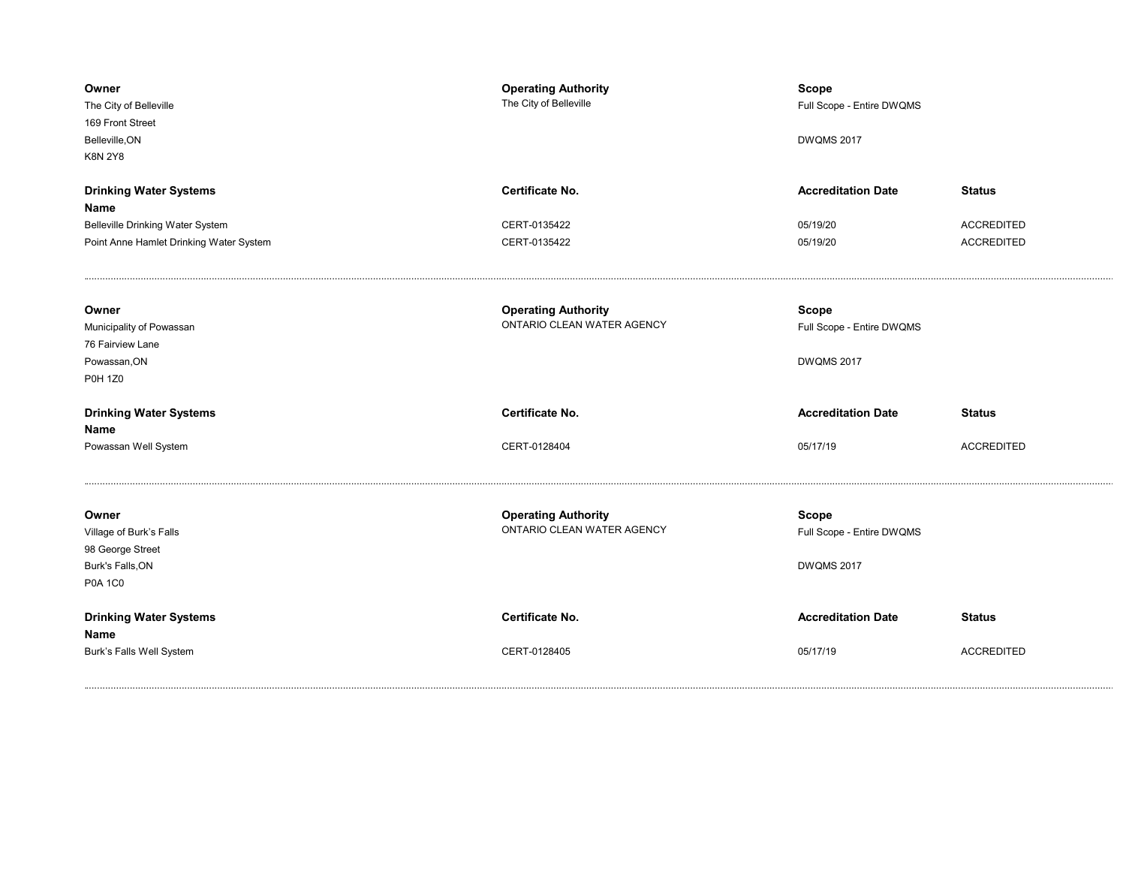| Owner<br>The City of Belleville<br>169 Front Street<br>Belleville, ON<br><b>K8N 2Y8</b>    | <b>Operating Authority</b><br>The City of Belleville     | <b>Scope</b><br>Full Scope - Entire DWQMS<br><b>DWQMS 2017</b> |                                        |
|--------------------------------------------------------------------------------------------|----------------------------------------------------------|----------------------------------------------------------------|----------------------------------------|
| <b>Drinking Water Systems</b><br>Name                                                      | <b>Certificate No.</b>                                   | <b>Accreditation Date</b>                                      | <b>Status</b>                          |
| Belleville Drinking Water System<br>Point Anne Hamlet Drinking Water System                | CERT-0135422<br>CERT-0135422                             | 05/19/20<br>05/19/20                                           | <b>ACCREDITED</b><br><b>ACCREDITED</b> |
| Owner<br>Municipality of Powassan<br>76 Fairview Lane<br>Powassan, ON<br><b>P0H 1Z0</b>    | <b>Operating Authority</b><br>ONTARIO CLEAN WATER AGENCY | <b>Scope</b><br>Full Scope - Entire DWQMS<br><b>DWQMS 2017</b> |                                        |
| <b>Drinking Water Systems</b><br>Name                                                      | Certificate No.                                          | <b>Accreditation Date</b>                                      | <b>Status</b>                          |
| Powassan Well System                                                                       | CERT-0128404                                             | 05/17/19                                                       | <b>ACCREDITED</b>                      |
| Owner<br>Village of Burk's Falls<br>98 George Street<br>Burk's Falls, ON<br><b>P0A 1C0</b> | <b>Operating Authority</b><br>ONTARIO CLEAN WATER AGENCY | <b>Scope</b><br>Full Scope - Entire DWQMS<br><b>DWQMS 2017</b> |                                        |
| <b>Drinking Water Systems</b><br>Name                                                      | <b>Certificate No.</b>                                   | <b>Accreditation Date</b>                                      | <b>Status</b>                          |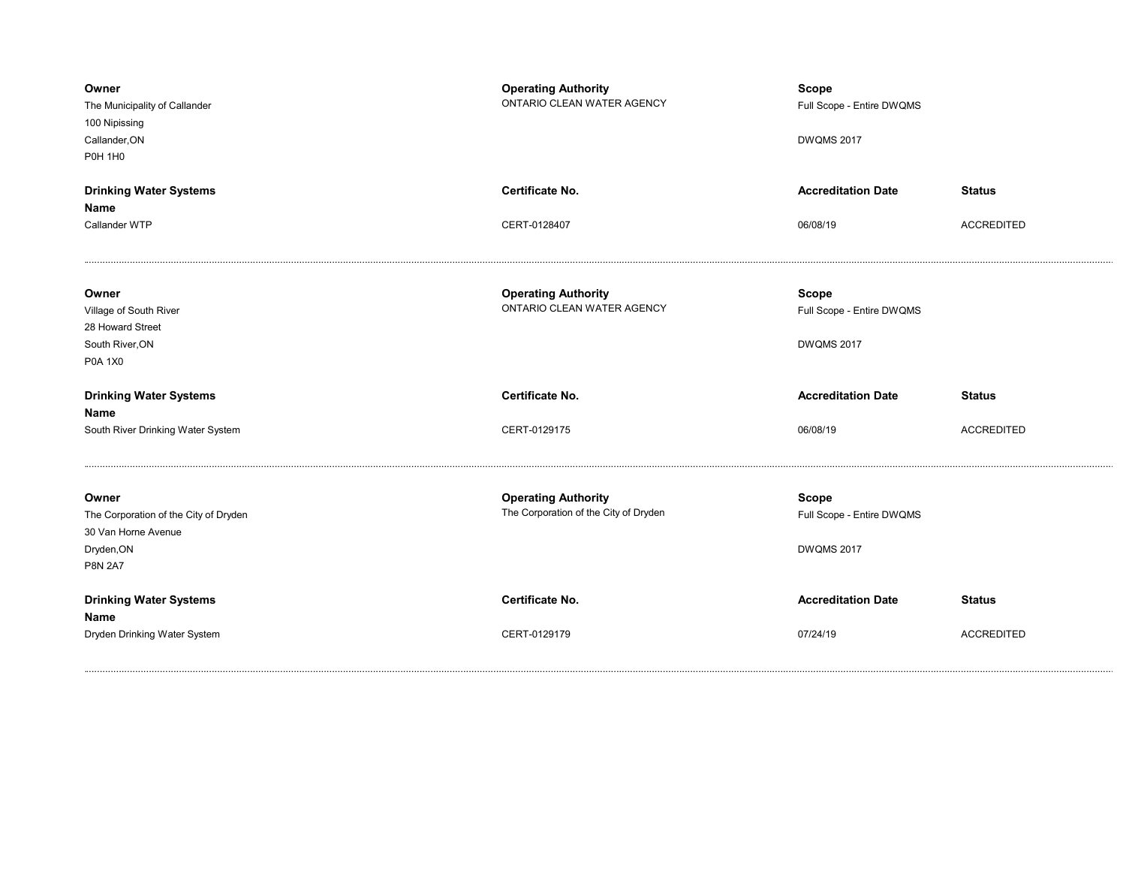| Owner<br>The Municipality of Callander<br>100 Nipissing<br>Callander, ON<br><b>P0H 1H0</b>   | <b>Operating Authority</b><br>ONTARIO CLEAN WATER AGENCY            | <b>Scope</b><br>Full Scope - Entire DWQMS<br><b>DWQMS 2017</b> |                   |
|----------------------------------------------------------------------------------------------|---------------------------------------------------------------------|----------------------------------------------------------------|-------------------|
| <b>Drinking Water Systems</b>                                                                | <b>Certificate No.</b>                                              | <b>Accreditation Date</b>                                      | <b>Status</b>     |
| Name                                                                                         |                                                                     |                                                                |                   |
| Callander WTP                                                                                | CERT-0128407                                                        | 06/08/19                                                       | <b>ACCREDITED</b> |
| Owner<br>Village of South River<br>28 Howard Street<br>South River, ON<br>P0A 1X0            | <b>Operating Authority</b><br>ONTARIO CLEAN WATER AGENCY            | <b>Scope</b><br>Full Scope - Entire DWQMS<br><b>DWQMS 2017</b> |                   |
| <b>Drinking Water Systems</b><br>Name                                                        | <b>Certificate No.</b>                                              | <b>Accreditation Date</b>                                      | <b>Status</b>     |
| South River Drinking Water System                                                            | CERT-0129175                                                        | 06/08/19                                                       | <b>ACCREDITED</b> |
| Owner                                                                                        |                                                                     |                                                                |                   |
| The Corporation of the City of Dryden<br>30 Van Horne Avenue<br>Dryden, ON<br><b>P8N 2A7</b> | <b>Operating Authority</b><br>The Corporation of the City of Dryden | <b>Scope</b><br>Full Scope - Entire DWQMS<br>DWQMS 2017        |                   |
| <b>Drinking Water Systems</b><br>Name                                                        | Certificate No.                                                     | <b>Accreditation Date</b>                                      | <b>Status</b>     |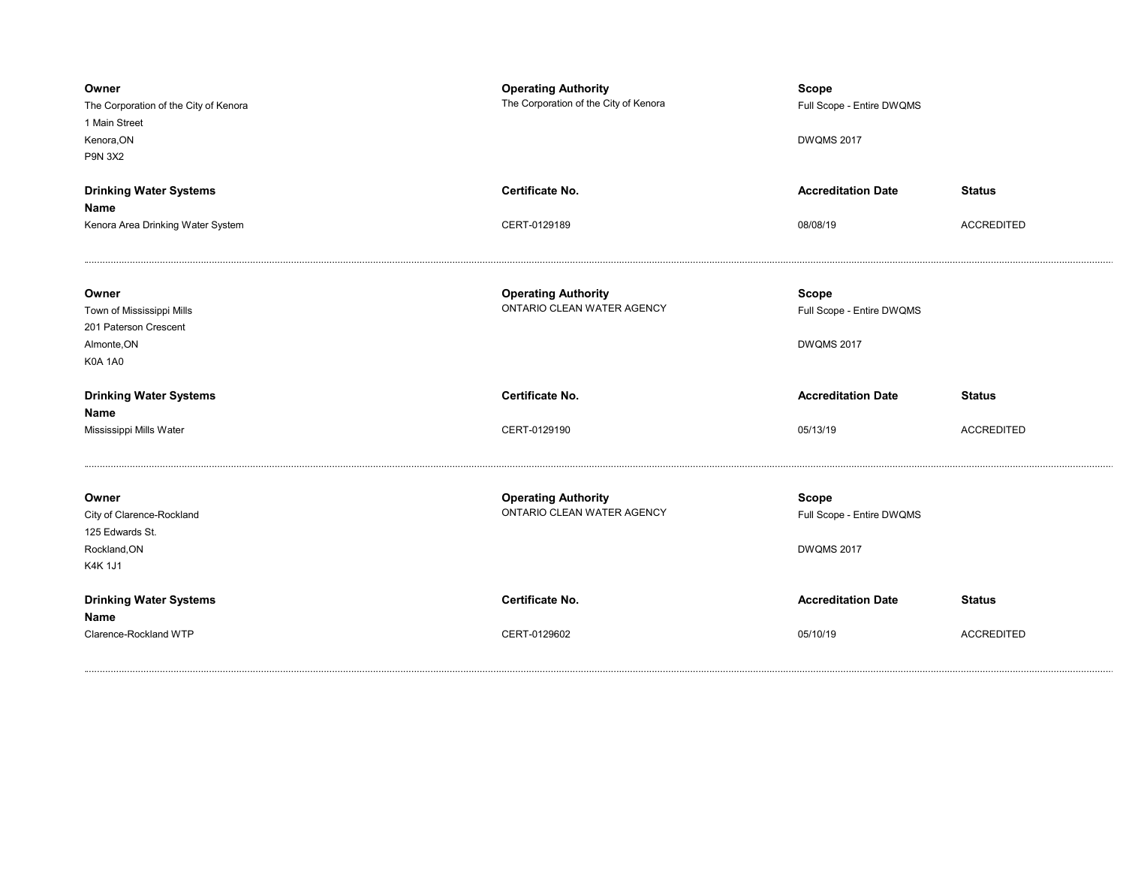| Owner<br>The Corporation of the City of Kenora<br>1 Main Street<br>Kenora, ON<br><b>P9N 3X2</b> | <b>Operating Authority</b><br>The Corporation of the City of Kenora | <b>Scope</b><br>Full Scope - Entire DWQMS<br><b>DWQMS 2017</b> |                   |
|-------------------------------------------------------------------------------------------------|---------------------------------------------------------------------|----------------------------------------------------------------|-------------------|
| <b>Drinking Water Systems</b>                                                                   | Certificate No.                                                     | <b>Accreditation Date</b>                                      | <b>Status</b>     |
| Name                                                                                            |                                                                     |                                                                |                   |
| Kenora Area Drinking Water System                                                               | CERT-0129189                                                        | 08/08/19                                                       | <b>ACCREDITED</b> |
| Owner<br>Town of Mississippi Mills<br>201 Paterson Crescent<br>Almonte, ON<br><b>K0A 1A0</b>    | <b>Operating Authority</b><br>ONTARIO CLEAN WATER AGENCY            | <b>Scope</b><br>Full Scope - Entire DWQMS<br><b>DWQMS 2017</b> |                   |
|                                                                                                 |                                                                     |                                                                |                   |
| <b>Drinking Water Systems</b>                                                                   | Certificate No.                                                     | <b>Accreditation Date</b>                                      | <b>Status</b>     |
| Name<br>Mississippi Mills Water                                                                 | CERT-0129190                                                        | 05/13/19                                                       | <b>ACCREDITED</b> |
| Owner<br>City of Clarence-Rockland<br>125 Edwards St.<br>Rockland, ON<br>K4K 1J1                | <b>Operating Authority</b><br>ONTARIO CLEAN WATER AGENCY            | <b>Scope</b><br>Full Scope - Entire DWQMS<br><b>DWQMS 2017</b> |                   |
| <b>Drinking Water Systems</b><br>Name                                                           | <b>Certificate No.</b>                                              | <b>Accreditation Date</b>                                      | <b>Status</b>     |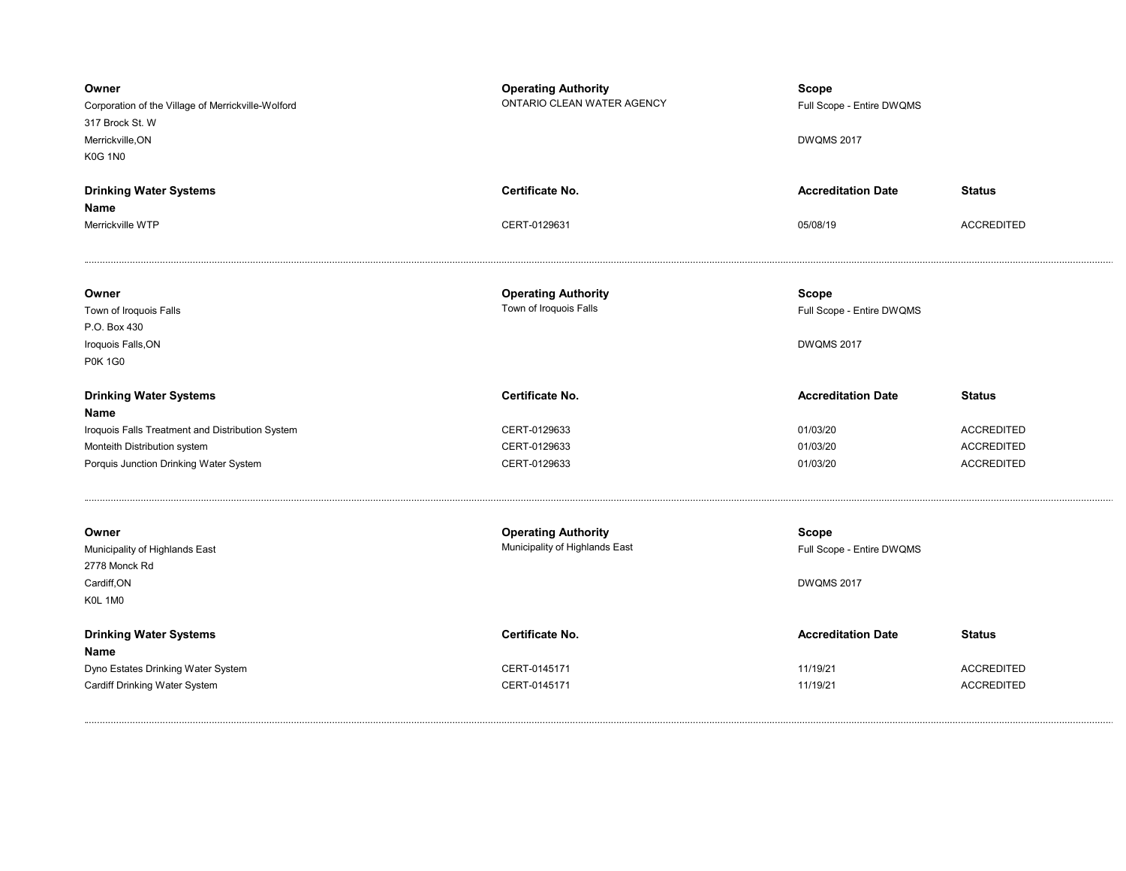| Owner<br>Corporation of the Village of Merrickville-Wolford<br>317 Brock St. W<br>Merrickville, ON<br><b>K0G 1N0</b> | <b>Operating Authority</b><br>ONTARIO CLEAN WATER AGENCY     | <b>Scope</b><br>Full Scope - Entire DWQMS<br><b>DWQMS 2017</b> |                   |
|----------------------------------------------------------------------------------------------------------------------|--------------------------------------------------------------|----------------------------------------------------------------|-------------------|
| <b>Drinking Water Systems</b><br>Name                                                                                | <b>Certificate No.</b>                                       | <b>Accreditation Date</b>                                      | <b>Status</b>     |
| Merrickville WTP                                                                                                     | CERT-0129631                                                 | 05/08/19                                                       | <b>ACCREDITED</b> |
| Owner<br>Town of Iroquois Falls<br>P.O. Box 430                                                                      | <b>Operating Authority</b><br>Town of Iroquois Falls         | <b>Scope</b><br>Full Scope - Entire DWQMS                      |                   |
| Iroquois Falls, ON<br><b>P0K 1G0</b>                                                                                 |                                                              | <b>DWQMS 2017</b>                                              |                   |
| <b>Drinking Water Systems</b><br>Name                                                                                | Certificate No.                                              | <b>Accreditation Date</b>                                      | <b>Status</b>     |
| Iroquois Falls Treatment and Distribution System                                                                     | CERT-0129633                                                 | 01/03/20                                                       | <b>ACCREDITED</b> |
| Monteith Distribution system                                                                                         | CERT-0129633                                                 | 01/03/20                                                       | <b>ACCREDITED</b> |
| Porquis Junction Drinking Water System                                                                               | CERT-0129633                                                 | 01/03/20                                                       | <b>ACCREDITED</b> |
| Owner<br>Municipality of Highlands East<br>2778 Monck Rd                                                             | <b>Operating Authority</b><br>Municipality of Highlands East | <b>Scope</b><br>Full Scope - Entire DWQMS                      |                   |
| Cardiff, ON<br>K0L 1M0                                                                                               |                                                              | <b>DWQMS 2017</b>                                              |                   |
| <b>Drinking Water Systems</b><br>Name                                                                                | <b>Certificate No.</b>                                       | <b>Accreditation Date</b>                                      | <b>Status</b>     |
| Dyno Estates Drinking Water System                                                                                   | CERT-0145171                                                 | 11/19/21                                                       | <b>ACCREDITED</b> |
| Cardiff Drinking Water System                                                                                        | CERT-0145171                                                 | 11/19/21                                                       | <b>ACCREDITED</b> |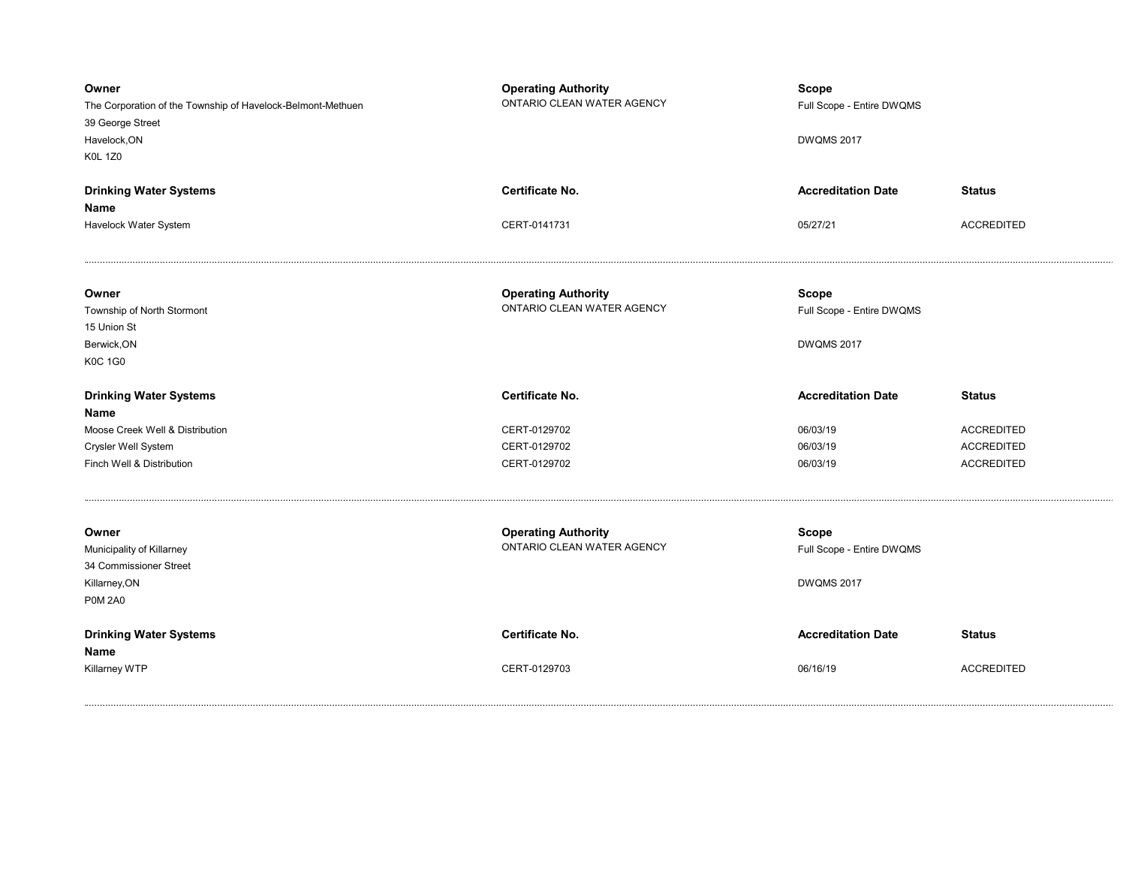| Owner<br>The Corporation of the Township of Havelock-Belmont-Methuen<br>39 George Street<br>Havelock, ON<br><b>K0L 1Z0</b> | <b>Operating Authority</b><br>ONTARIO CLEAN WATER AGENCY | <b>Scope</b><br>Full Scope - Entire DWQMS<br><b>DWQMS 2017</b> |                   |
|----------------------------------------------------------------------------------------------------------------------------|----------------------------------------------------------|----------------------------------------------------------------|-------------------|
| <b>Drinking Water Systems</b><br>Name                                                                                      | <b>Certificate No.</b>                                   | <b>Accreditation Date</b>                                      | <b>Status</b>     |
| Havelock Water System                                                                                                      | CERT-0141731                                             | 05/27/21                                                       | <b>ACCREDITED</b> |
| Owner<br>Township of North Stormont<br>15 Union St<br>Berwick, ON<br><b>K0C 1G0</b>                                        | <b>Operating Authority</b><br>ONTARIO CLEAN WATER AGENCY | <b>Scope</b><br>Full Scope - Entire DWQMS<br><b>DWQMS 2017</b> |                   |
| <b>Drinking Water Systems</b><br>Name                                                                                      | <b>Certificate No.</b>                                   | <b>Accreditation Date</b>                                      | <b>Status</b>     |
| Moose Creek Well & Distribution                                                                                            | CERT-0129702                                             | 06/03/19                                                       | <b>ACCREDITED</b> |
| Crysler Well System                                                                                                        | CERT-0129702                                             | 06/03/19                                                       | <b>ACCREDITED</b> |
| Finch Well & Distribution                                                                                                  | CERT-0129702                                             | 06/03/19                                                       | <b>ACCREDITED</b> |
|                                                                                                                            |                                                          |                                                                |                   |
| Owner<br>Municipality of Killarney<br>34 Commissioner Street<br>Killarney, ON<br><b>P0M 2A0</b>                            | <b>Operating Authority</b><br>ONTARIO CLEAN WATER AGENCY | Scope<br>Full Scope - Entire DWQMS<br><b>DWQMS 2017</b>        |                   |
| <b>Drinking Water Systems</b><br>Name                                                                                      | Certificate No.                                          | <b>Accreditation Date</b>                                      | <b>Status</b>     |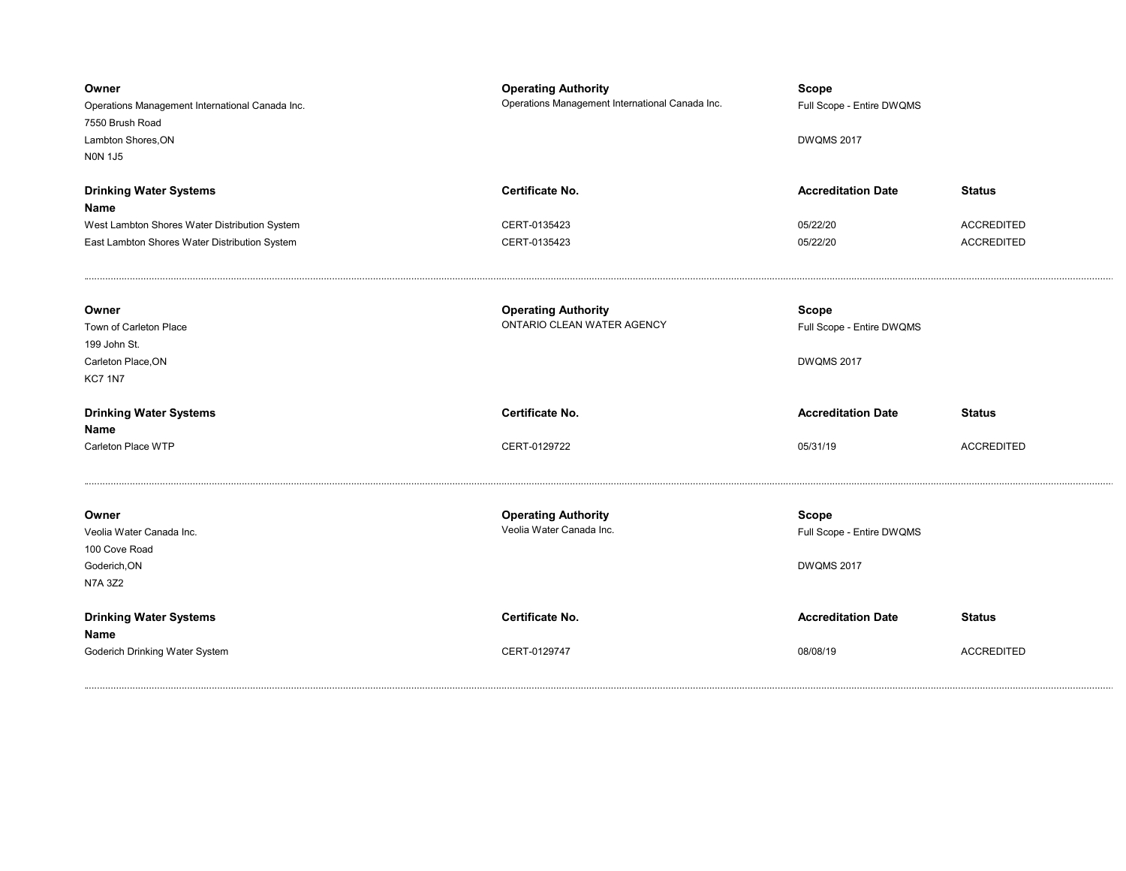| Owner<br>Operations Management International Canada Inc.<br>7550 Brush Road<br>Lambton Shores, ON<br><b>NON 1J5</b> | <b>Operating Authority</b><br>Operations Management International Canada Inc. | Scope<br>Full Scope - Entire DWQMS<br><b>DWQMS 2017</b>        |                   |
|---------------------------------------------------------------------------------------------------------------------|-------------------------------------------------------------------------------|----------------------------------------------------------------|-------------------|
| <b>Drinking Water Systems</b><br>Name                                                                               | <b>Certificate No.</b>                                                        | <b>Accreditation Date</b>                                      | <b>Status</b>     |
| West Lambton Shores Water Distribution System                                                                       | CERT-0135423                                                                  | 05/22/20                                                       | <b>ACCREDITED</b> |
| East Lambton Shores Water Distribution System                                                                       | CERT-0135423                                                                  | 05/22/20                                                       | <b>ACCREDITED</b> |
| Owner<br>Town of Carleton Place<br>199 John St.<br>Carleton Place, ON<br><b>KC7 1N7</b>                             | <b>Operating Authority</b><br>ONTARIO CLEAN WATER AGENCY                      | <b>Scope</b><br>Full Scope - Entire DWQMS<br><b>DWQMS 2017</b> |                   |
| <b>Drinking Water Systems</b><br>Name                                                                               | <b>Certificate No.</b>                                                        | <b>Accreditation Date</b>                                      | <b>Status</b>     |
| Carleton Place WTP                                                                                                  | CERT-0129722                                                                  | 05/31/19                                                       | <b>ACCREDITED</b> |
| Owner<br>Veolia Water Canada Inc.<br>100 Cove Road<br>Goderich, ON<br>N7A 3Z2                                       | <b>Operating Authority</b><br>Veolia Water Canada Inc.                        | <b>Scope</b><br>Full Scope - Entire DWQMS<br><b>DWQMS 2017</b> |                   |
| <b>Drinking Water Systems</b><br>Name                                                                               | <b>Certificate No.</b>                                                        | <b>Accreditation Date</b>                                      | <b>Status</b>     |
| Goderich Drinking Water System                                                                                      | CERT-0129747                                                                  | 08/08/19                                                       | <b>ACCREDITED</b> |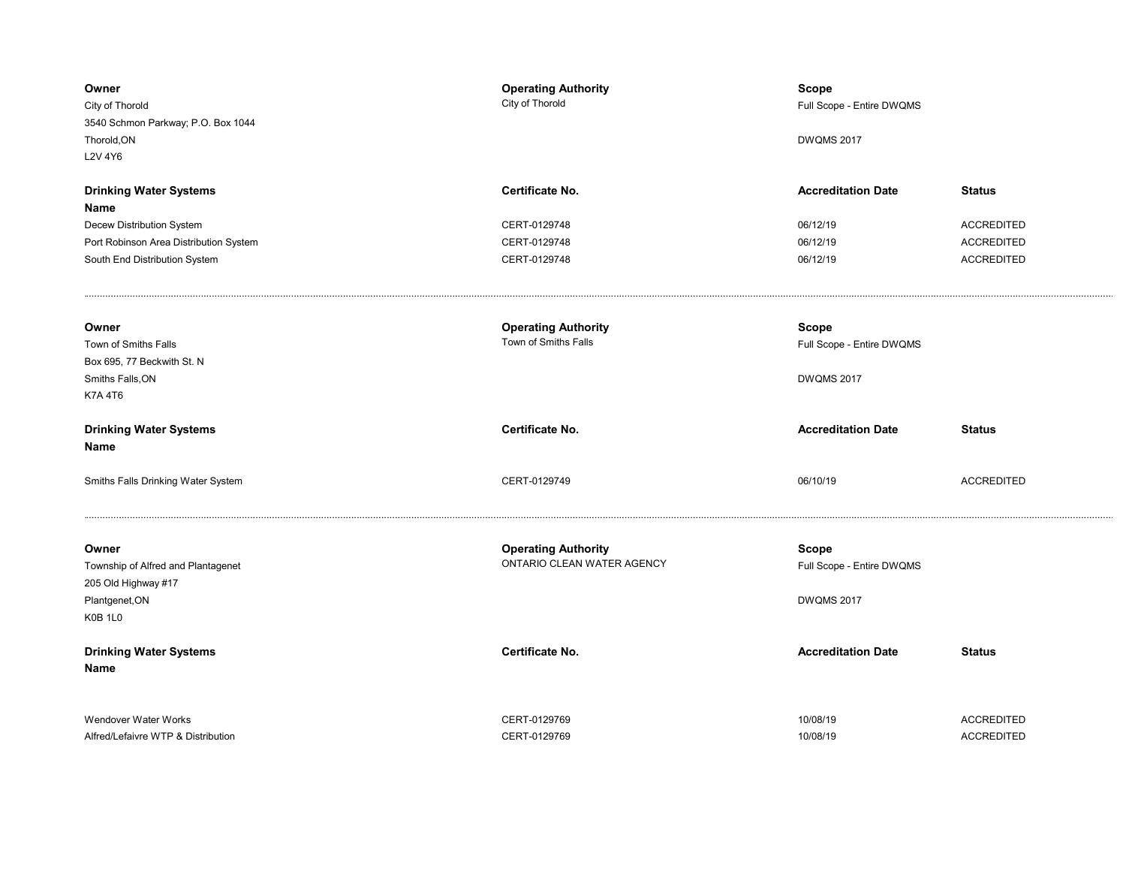| Owner<br>City of Thorold<br>3540 Schmon Parkway; P.O. Box 1044<br>Thorold, ON<br>L2V 4Y6                                                      | <b>Operating Authority</b><br>City of Thorold                   | <b>Scope</b><br>Full Scope - Entire DWQMS<br><b>DWQMS 2017</b> |                                                                              |
|-----------------------------------------------------------------------------------------------------------------------------------------------|-----------------------------------------------------------------|----------------------------------------------------------------|------------------------------------------------------------------------------|
| <b>Drinking Water Systems</b><br>Name<br>Decew Distribution System<br>Port Robinson Area Distribution System<br>South End Distribution System | Certificate No.<br>CERT-0129748<br>CERT-0129748<br>CERT-0129748 | <b>Accreditation Date</b><br>06/12/19<br>06/12/19<br>06/12/19  | <b>Status</b><br><b>ACCREDITED</b><br><b>ACCREDITED</b><br><b>ACCREDITED</b> |
| Owner<br>Town of Smiths Falls<br>Box 695, 77 Beckwith St. N<br>Smiths Falls, ON<br><b>K7A 4T6</b>                                             | <b>Operating Authority</b><br>Town of Smiths Falls              | <b>Scope</b><br>Full Scope - Entire DWQMS<br><b>DWQMS 2017</b> |                                                                              |
|                                                                                                                                               |                                                                 |                                                                |                                                                              |
| <b>Drinking Water Systems</b><br>Name                                                                                                         | Certificate No.                                                 | <b>Accreditation Date</b>                                      | <b>Status</b>                                                                |
| Smiths Falls Drinking Water System                                                                                                            | CERT-0129749                                                    | 06/10/19                                                       | <b>ACCREDITED</b>                                                            |
| Owner<br>Township of Alfred and Plantagenet<br>205 Old Highway #17<br>Plantgenet, ON<br>K0B 1L0                                               | <b>Operating Authority</b><br>ONTARIO CLEAN WATER AGENCY        | <b>Scope</b><br>Full Scope - Entire DWQMS<br><b>DWQMS 2017</b> |                                                                              |
| <b>Drinking Water Systems</b><br>Name                                                                                                         | <b>Certificate No.</b>                                          | <b>Accreditation Date</b>                                      | <b>Status</b>                                                                |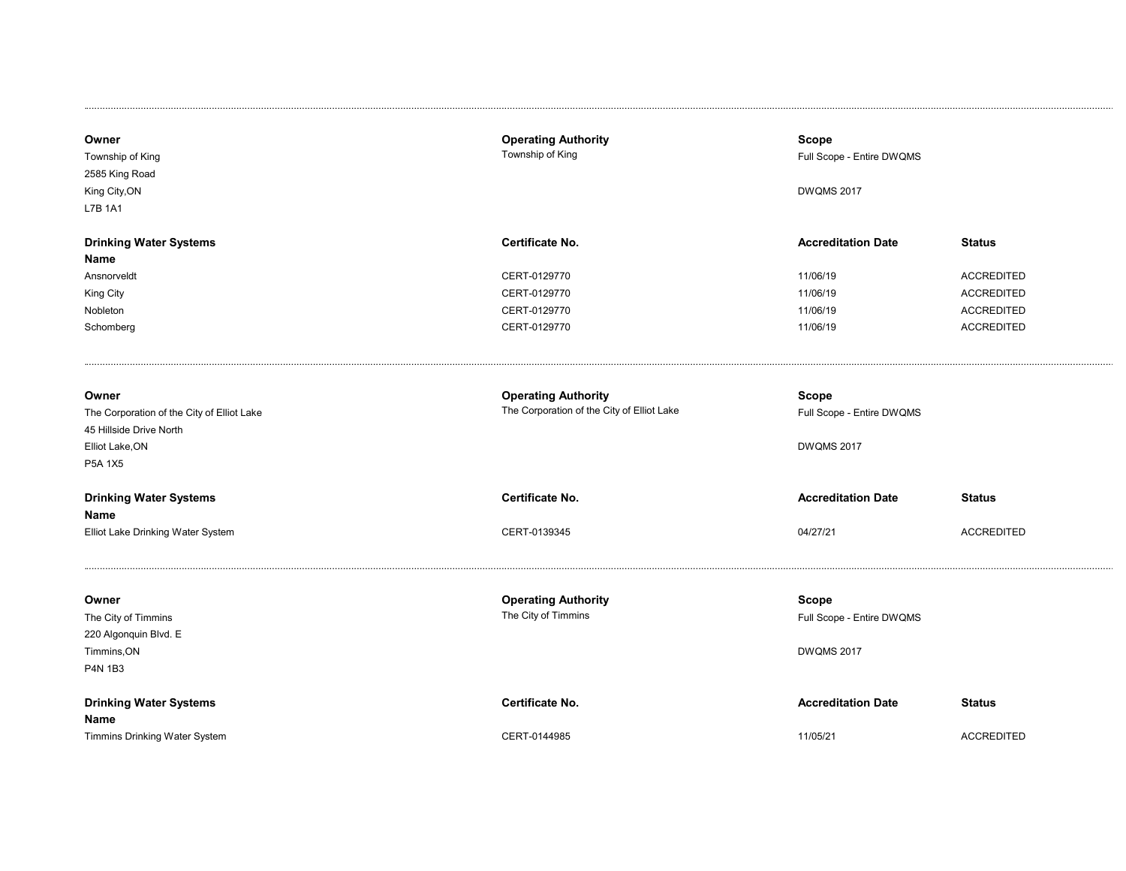| Owner<br>Township of King<br>2585 King Road<br>King City, ON<br>L7B 1A1                                      | <b>Operating Authority</b><br>Township of King                           | Scope<br>Full Scope - Entire DWQMS<br><b>DWQMS 2017</b>        |                   |
|--------------------------------------------------------------------------------------------------------------|--------------------------------------------------------------------------|----------------------------------------------------------------|-------------------|
| <b>Drinking Water Systems</b>                                                                                | <b>Certificate No.</b>                                                   | <b>Accreditation Date</b>                                      | <b>Status</b>     |
| Name                                                                                                         |                                                                          |                                                                |                   |
| Ansnorveldt                                                                                                  | CERT-0129770                                                             | 11/06/19                                                       | <b>ACCREDITED</b> |
| King City                                                                                                    | CERT-0129770                                                             | 11/06/19                                                       | <b>ACCREDITED</b> |
| Nobleton                                                                                                     | CERT-0129770                                                             | 11/06/19                                                       | <b>ACCREDITED</b> |
| Schomberg                                                                                                    | CERT-0129770                                                             | 11/06/19                                                       | <b>ACCREDITED</b> |
| Owner<br>The Corporation of the City of Elliot Lake<br>45 Hillside Drive North<br>Elliot Lake, ON<br>P5A 1X5 | <b>Operating Authority</b><br>The Corporation of the City of Elliot Lake | <b>Scope</b><br>Full Scope - Entire DWQMS<br><b>DWQMS 2017</b> |                   |
| <b>Drinking Water Systems</b>                                                                                | <b>Certificate No.</b>                                                   | <b>Accreditation Date</b>                                      | <b>Status</b>     |
| Name                                                                                                         |                                                                          |                                                                |                   |
| Elliot Lake Drinking Water System                                                                            | CERT-0139345                                                             | 04/27/21                                                       | <b>ACCREDITED</b> |
| Owner<br>The City of Timmins<br>220 Algonquin Blvd. E<br>Timmins, ON<br>P4N 1B3                              | <b>Operating Authority</b><br>The City of Timmins                        | <b>Scope</b><br>Full Scope - Entire DWQMS<br><b>DWQMS 2017</b> |                   |
| <b>Drinking Water Systems</b>                                                                                | Certificate No.                                                          | <b>Accreditation Date</b>                                      | <b>Status</b>     |
| Name                                                                                                         |                                                                          |                                                                |                   |
| Timmins Drinking Water System                                                                                | CERT-0144985                                                             | 11/05/21                                                       | <b>ACCREDITED</b> |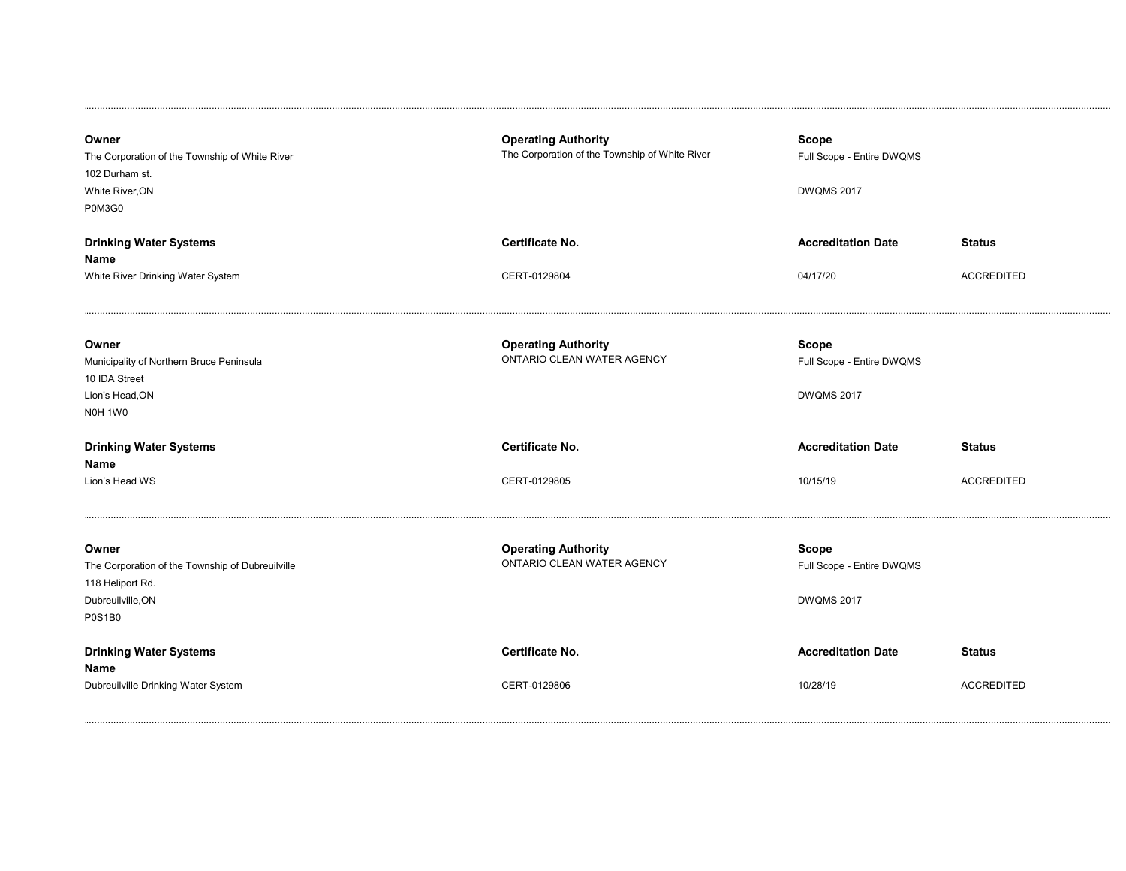| Owner<br>The Corporation of the Township of White River<br>102 Durham st.<br>White River, ON<br>P0M3G0              | <b>Operating Authority</b><br>The Corporation of the Township of White River | Scope<br>Full Scope - Entire DWQMS<br><b>DWQMS 2017</b>        |                   |
|---------------------------------------------------------------------------------------------------------------------|------------------------------------------------------------------------------|----------------------------------------------------------------|-------------------|
| <b>Drinking Water Systems</b>                                                                                       | <b>Certificate No.</b>                                                       | <b>Accreditation Date</b>                                      | <b>Status</b>     |
| Name                                                                                                                |                                                                              |                                                                |                   |
| White River Drinking Water System                                                                                   | CERT-0129804                                                                 | 04/17/20                                                       | <b>ACCREDITED</b> |
| Owner<br>Municipality of Northern Bruce Peninsula<br>10 IDA Street<br>Lion's Head, ON<br>NOH 1WO                    | <b>Operating Authority</b><br>ONTARIO CLEAN WATER AGENCY                     | <b>Scope</b><br>Full Scope - Entire DWQMS<br><b>DWQMS 2017</b> |                   |
| <b>Drinking Water Systems</b><br>Name                                                                               | Certificate No.                                                              | <b>Accreditation Date</b>                                      | <b>Status</b>     |
| Lion's Head WS                                                                                                      | CERT-0129805                                                                 | 10/15/19                                                       | <b>ACCREDITED</b> |
| Owner<br>The Corporation of the Township of Dubreuilville<br>118 Heliport Rd.<br>Dubreuilville, ON<br><b>P0S1B0</b> | <b>Operating Authority</b><br>ONTARIO CLEAN WATER AGENCY                     | <b>Scope</b><br>Full Scope - Entire DWQMS<br><b>DWQMS 2017</b> |                   |
| <b>Drinking Water Systems</b><br>Name                                                                               | <b>Certificate No.</b>                                                       | <b>Accreditation Date</b>                                      | <b>Status</b>     |
| Dubreuilville Drinking Water System                                                                                 | CERT-0129806                                                                 | 10/28/19                                                       | <b>ACCREDITED</b> |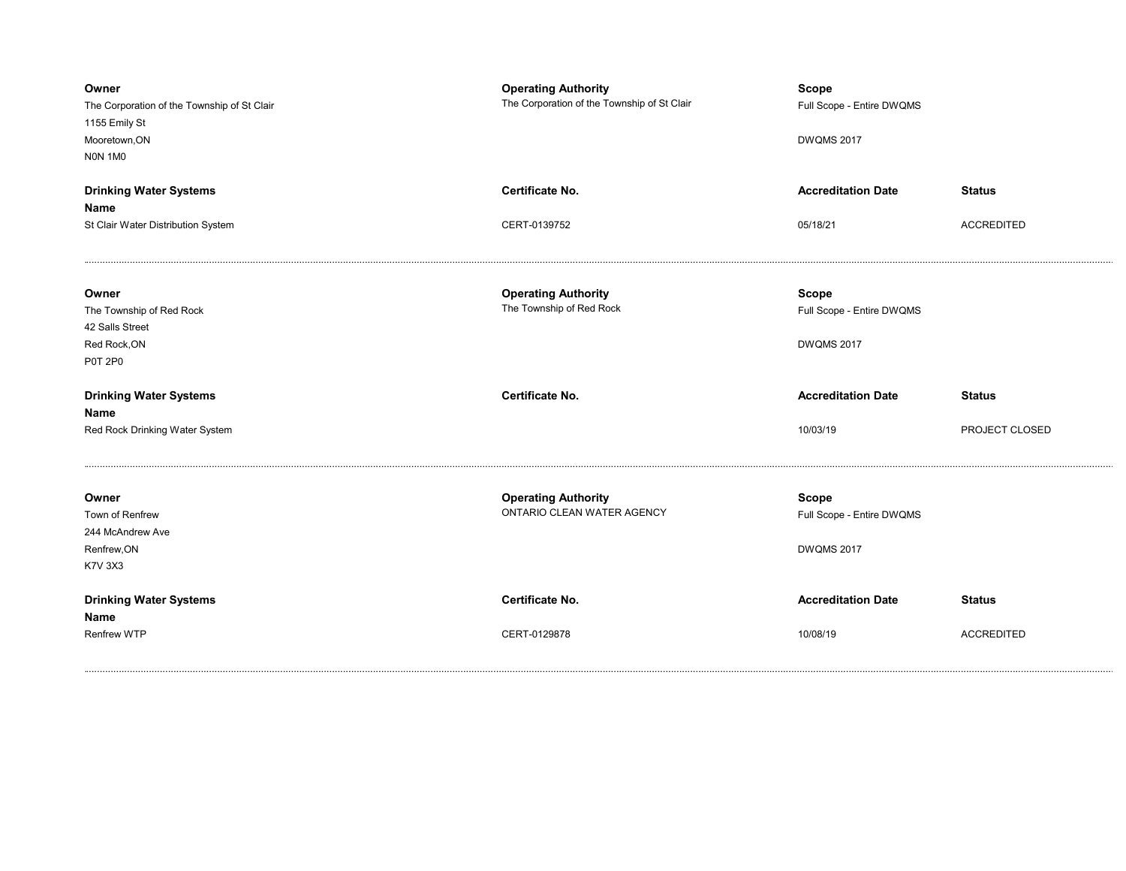| Owner<br>The Corporation of the Township of St Clair<br>1155 Emily St<br>Mooretown, ON<br><b>NON 1M0</b> | <b>Operating Authority</b><br>The Corporation of the Township of St Clair | <b>Scope</b><br>Full Scope - Entire DWQMS<br><b>DWQMS 2017</b> |                   |
|----------------------------------------------------------------------------------------------------------|---------------------------------------------------------------------------|----------------------------------------------------------------|-------------------|
| <b>Drinking Water Systems</b>                                                                            | Certificate No.                                                           | <b>Accreditation Date</b>                                      | <b>Status</b>     |
| Name                                                                                                     |                                                                           |                                                                |                   |
| St Clair Water Distribution System                                                                       | CERT-0139752                                                              | 05/18/21                                                       | <b>ACCREDITED</b> |
| Owner<br>The Township of Red Rock<br>42 Salls Street<br>Red Rock, ON<br><b>P0T 2P0</b>                   | <b>Operating Authority</b><br>The Township of Red Rock                    | <b>Scope</b><br>Full Scope - Entire DWQMS<br><b>DWQMS 2017</b> |                   |
| <b>Drinking Water Systems</b><br>Name                                                                    | Certificate No.                                                           | <b>Accreditation Date</b>                                      | <b>Status</b>     |
| Red Rock Drinking Water System                                                                           |                                                                           | 10/03/19                                                       | PROJECT CLOSED    |
| Owner<br>Town of Renfrew<br>244 McAndrew Ave<br>Renfrew, ON<br><b>K7V 3X3</b>                            | <b>Operating Authority</b><br>ONTARIO CLEAN WATER AGENCY                  | <b>Scope</b><br>Full Scope - Entire DWQMS<br><b>DWQMS 2017</b> |                   |
| <b>Drinking Water Systems</b><br>Name                                                                    | <b>Certificate No.</b>                                                    | <b>Accreditation Date</b>                                      | <b>Status</b>     |
| <b>Renfrew WTP</b>                                                                                       | CERT-0129878                                                              | 10/08/19                                                       | <b>ACCREDITED</b> |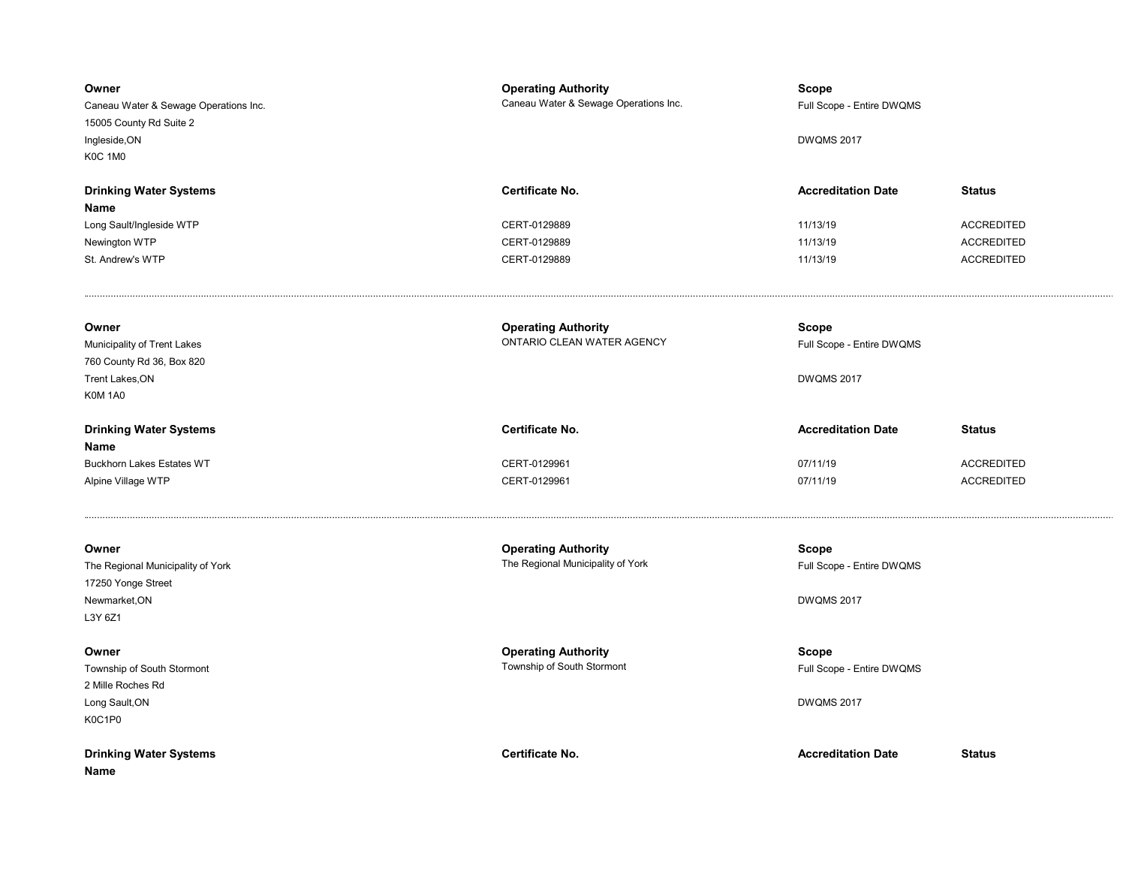| Owner<br>Caneau Water & Sewage Operations Inc.<br>15005 County Rd Suite 2<br>Ingleside, ON<br><b>K0C 1M0</b> | <b>Operating Authority</b><br>Caneau Water & Sewage Operations Inc. | <b>Scope</b><br>Full Scope - Entire DWQMS<br><b>DWQMS 2017</b> |                                        |
|--------------------------------------------------------------------------------------------------------------|---------------------------------------------------------------------|----------------------------------------------------------------|----------------------------------------|
| <b>Drinking Water Systems</b><br>Name<br>Long Sault/Ingleside WTP                                            | Certificate No.<br>CERT-0129889                                     | <b>Accreditation Date</b><br>11/13/19                          | <b>Status</b><br><b>ACCREDITED</b>     |
| Newington WTP<br>St. Andrew's WTP                                                                            | CERT-0129889<br>CERT-0129889                                        | 11/13/19<br>11/13/19                                           | <b>ACCREDITED</b><br><b>ACCREDITED</b> |
| Owner<br>Municipality of Trent Lakes<br>760 County Rd 36, Box 820<br>Trent Lakes, ON<br>K0M 1A0              | <b>Operating Authority</b><br>ONTARIO CLEAN WATER AGENCY            | Scope<br>Full Scope - Entire DWQMS<br><b>DWQMS 2017</b>        |                                        |
| <b>Drinking Water Systems</b>                                                                                | Certificate No.                                                     | <b>Accreditation Date</b>                                      | <b>Status</b>                          |
| Name<br><b>Buckhorn Lakes Estates WT</b><br>Alpine Village WTP                                               | CERT-0129961<br>CERT-0129961                                        | 07/11/19<br>07/11/19                                           | <b>ACCREDITED</b><br><b>ACCREDITED</b> |
| Owner<br>The Regional Municipality of York<br>17250 Yonge Street<br>Newmarket, ON<br>L3Y 6Z1                 | <b>Operating Authority</b><br>The Regional Municipality of York     | <b>Scope</b><br>Full Scope - Entire DWQMS<br><b>DWQMS 2017</b> |                                        |
| Owner<br>Township of South Stormont<br>2 Mille Roches Rd<br>Long Sault, ON<br>K0C1P0                         | <b>Operating Authority</b><br>Township of South Stormont            | <b>Scope</b><br>Full Scope - Entire DWQMS<br><b>DWQMS 2017</b> |                                        |
| <b>Drinking Water Systems</b><br>Name                                                                        | Certificate No.                                                     | <b>Accreditation Date</b>                                      | <b>Status</b>                          |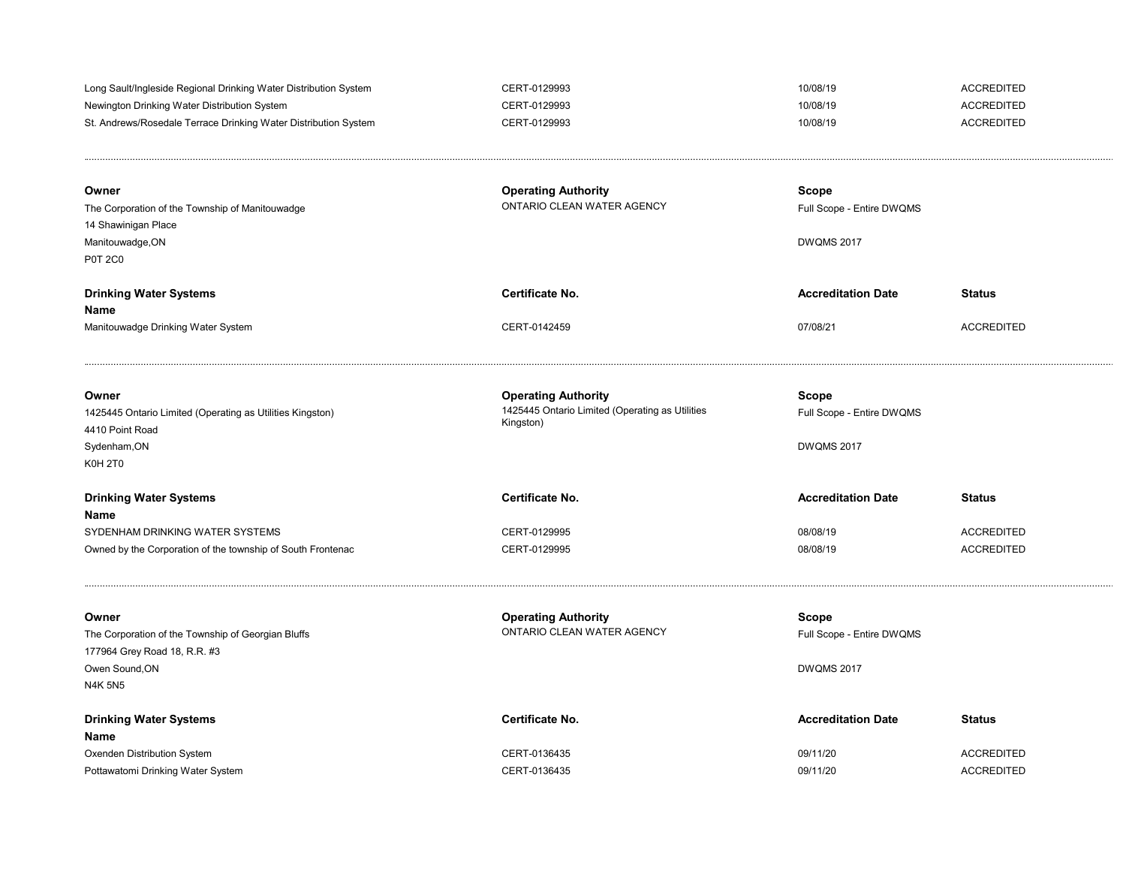| Long Sault/Ingleside Regional Drinking Water Distribution System<br>Newington Drinking Water Distribution System<br>St. Andrews/Rosedale Terrace Drinking Water Distribution System<br>Owner<br>The Corporation of the Township of Manitouwadge<br>14 Shawinigan Place<br>Manitouwadge, ON<br><b>P0T 2C0</b> | CERT-0129993<br>CERT-0129993<br>CERT-0129993<br><b>Operating Authority</b><br>ONTARIO CLEAN WATER AGENCY | 10/08/19<br>10/08/19<br>10/08/19<br>Scope<br>Full Scope - Entire DWQMS<br><b>DWQMS 2017</b> | <b>ACCREDITED</b><br><b>ACCREDITED</b><br><b>ACCREDITED</b> |
|--------------------------------------------------------------------------------------------------------------------------------------------------------------------------------------------------------------------------------------------------------------------------------------------------------------|----------------------------------------------------------------------------------------------------------|---------------------------------------------------------------------------------------------|-------------------------------------------------------------|
| <b>Drinking Water Systems</b><br>Name<br>Manitouwadge Drinking Water System                                                                                                                                                                                                                                  | Certificate No.<br>CERT-0142459                                                                          | <b>Accreditation Date</b><br>07/08/21                                                       | <b>Status</b><br><b>ACCREDITED</b>                          |
| Owner<br>1425445 Ontario Limited (Operating as Utilities Kingston)<br>4410 Point Road<br>Sydenham, ON<br>K0H <sub>2T0</sub>                                                                                                                                                                                  | <b>Operating Authority</b><br>1425445 Ontario Limited (Operating as Utilities<br>Kingston)               | Scope<br>Full Scope - Entire DWQMS<br><b>DWQMS 2017</b>                                     |                                                             |
| <b>Drinking Water Systems</b><br>Name<br>SYDENHAM DRINKING WATER SYSTEMS<br>Owned by the Corporation of the township of South Frontenac                                                                                                                                                                      | Certificate No.<br>CERT-0129995<br>CERT-0129995                                                          | <b>Accreditation Date</b><br>08/08/19<br>08/08/19                                           | <b>Status</b><br><b>ACCREDITED</b><br><b>ACCREDITED</b>     |
| Owner<br>The Corporation of the Township of Georgian Bluffs<br>177964 Grey Road 18, R.R. #3<br>Owen Sound, ON<br><b>N4K 5N5</b>                                                                                                                                                                              | <b>Operating Authority</b><br>ONTARIO CLEAN WATER AGENCY                                                 | Scope<br>Full Scope - Entire DWQMS<br><b>DWQMS 2017</b>                                     |                                                             |
| <b>Drinking Water Systems</b><br>Name<br>Oxenden Distribution System<br>Pottawatomi Drinking Water System                                                                                                                                                                                                    | Certificate No.<br>CERT-0136435<br>CERT-0136435                                                          | <b>Accreditation Date</b><br>09/11/20<br>09/11/20                                           | <b>Status</b><br><b>ACCREDITED</b><br><b>ACCREDITED</b>     |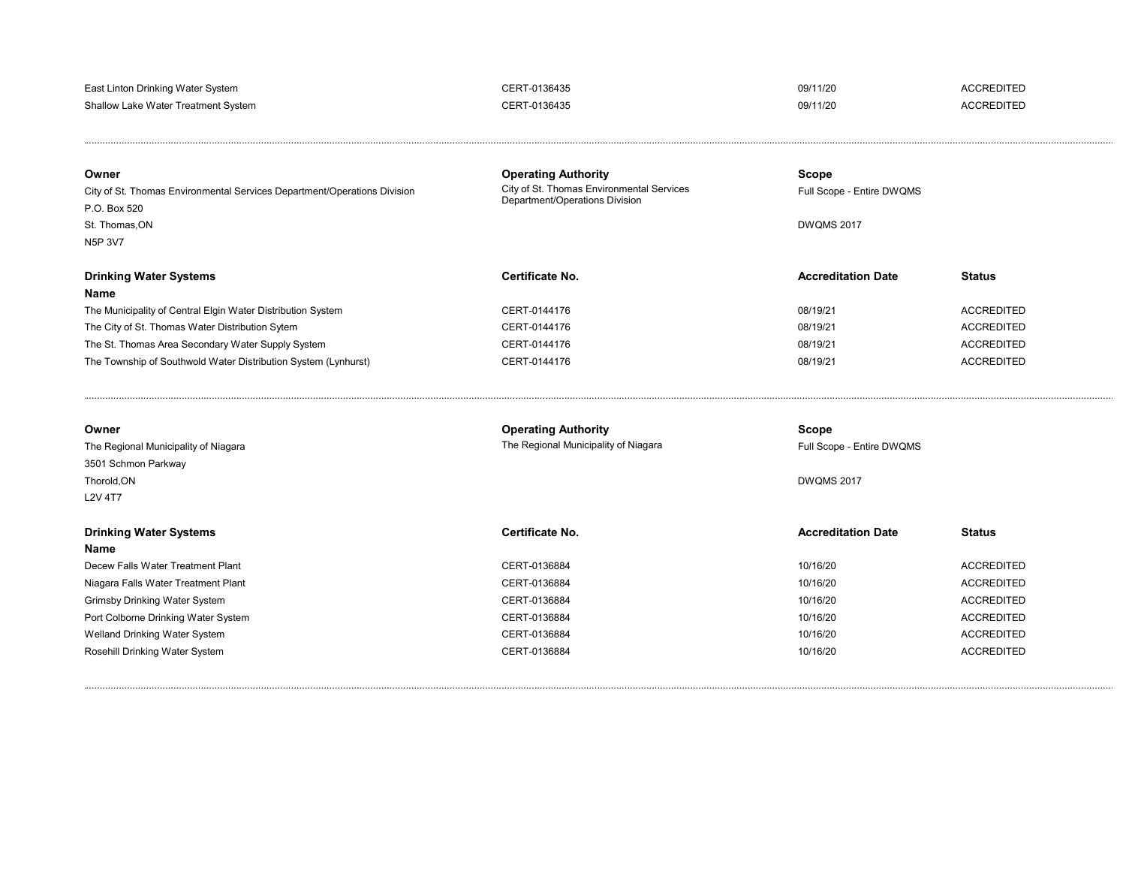| East Linton Drinking Water System   | CERT-0136435 | 09/11/20 | <b>ACCREDITED</b> |
|-------------------------------------|--------------|----------|-------------------|
| Shallow Lake Water Treatment System | CERT-0136435 | 09/11/20 | <b>ACCREDITED</b> |

| Owner<br>City of St. Thomas Environmental Services Department/Operations Division<br>P.O. Box 520<br>St. Thomas.ON<br>N5P 3V7 | <b>Operating Authority</b><br>City of St. Thomas Environmental Services<br>Department/Operations Division | Scope<br>Full Scope - Entire DWQMS<br><b>DWOMS 2017</b> |                   |
|-------------------------------------------------------------------------------------------------------------------------------|-----------------------------------------------------------------------------------------------------------|---------------------------------------------------------|-------------------|
| <b>Drinking Water Systems</b><br>Name                                                                                         | Certificate No.                                                                                           | <b>Accreditation Date</b>                               | <b>Status</b>     |
| The Municipality of Central Elgin Water Distribution System                                                                   | CERT-0144176                                                                                              | 08/19/21                                                | <b>ACCREDITED</b> |
| The City of St. Thomas Water Distribution Sytem                                                                               | CERT-0144176                                                                                              | 08/19/21                                                | <b>ACCREDITED</b> |
| The St. Thomas Area Secondary Water Supply System                                                                             | CERT-0144176                                                                                              | 08/19/21                                                | <b>ACCREDITED</b> |
| The Township of Southwold Water Distribution System (Lynhurst)                                                                | CERT-0144176                                                                                              | 08/19/21                                                | <b>ACCREDITED</b> |

| Owner<br>The Regional Municipality of Niagara<br>3501 Schmon Parkway<br>Thorold, ON<br><b>L2V 4T7</b> | <b>Operating Authority</b><br>The Regional Municipality of Niagara | Scope<br>Full Scope - Entire DWQMS<br><b>DWQMS 2017</b> |                   |
|-------------------------------------------------------------------------------------------------------|--------------------------------------------------------------------|---------------------------------------------------------|-------------------|
| <b>Drinking Water Systems</b><br>Name                                                                 | Certificate No.                                                    | <b>Accreditation Date</b>                               | <b>Status</b>     |
| Decew Falls Water Treatment Plant                                                                     | CERT-0136884                                                       | 10/16/20                                                | <b>ACCREDITED</b> |
| Niagara Falls Water Treatment Plant                                                                   | CERT-0136884                                                       | 10/16/20                                                | <b>ACCREDITED</b> |
| Grimsby Drinking Water System                                                                         | CERT-0136884                                                       | 10/16/20                                                | <b>ACCREDITED</b> |
| Port Colborne Drinking Water System                                                                   | CERT-0136884                                                       | 10/16/20                                                | <b>ACCREDITED</b> |
| Welland Drinking Water System                                                                         | CERT-0136884                                                       | 10/16/20                                                | <b>ACCREDITED</b> |
| Rosehill Drinking Water System                                                                        | CERT-0136884                                                       | 10/16/20                                                | <b>ACCREDITED</b> |

........................................................................................................................................................................................................................................................................................................................................................................................... .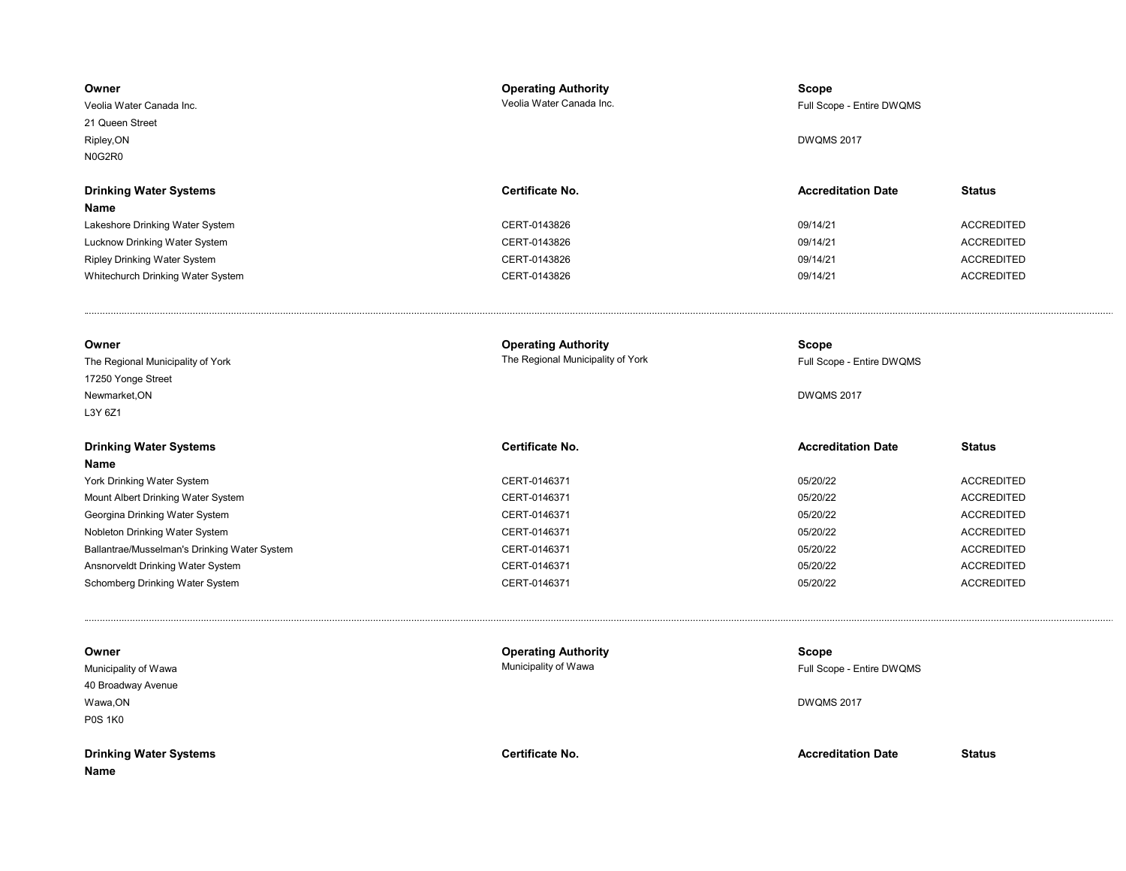| Owner<br>Veolia Water Canada Inc.            | <b>Operating Authority</b><br>Veolia Water Canada Inc. | Scope<br>Full Scope - Entire DWQMS |                   |
|----------------------------------------------|--------------------------------------------------------|------------------------------------|-------------------|
| 21 Queen Street                              |                                                        |                                    |                   |
| Ripley, ON                                   |                                                        | <b>DWQMS 2017</b>                  |                   |
| N0G2R0                                       |                                                        |                                    |                   |
|                                              |                                                        |                                    |                   |
| <b>Drinking Water Systems</b>                | Certificate No.                                        | <b>Accreditation Date</b>          | <b>Status</b>     |
| Name                                         |                                                        |                                    |                   |
| Lakeshore Drinking Water System              | CERT-0143826                                           | 09/14/21                           | <b>ACCREDITED</b> |
| Lucknow Drinking Water System                | CERT-0143826                                           | 09/14/21                           | <b>ACCREDITED</b> |
| <b>Ripley Drinking Water System</b>          | CERT-0143826                                           | 09/14/21                           | <b>ACCREDITED</b> |
| Whitechurch Drinking Water System            | CERT-0143826                                           | 09/14/21                           | <b>ACCREDITED</b> |
|                                              |                                                        |                                    |                   |
| Owner                                        | <b>Operating Authority</b>                             | Scope                              |                   |
| The Regional Municipality of York            | The Regional Municipality of York                      | Full Scope - Entire DWQMS          |                   |
| 17250 Yonge Street                           |                                                        |                                    |                   |
| Newmarket, ON                                |                                                        | <b>DWQMS 2017</b>                  |                   |
| L3Y 6Z1                                      |                                                        |                                    |                   |
| <b>Drinking Water Systems</b>                | Certificate No.                                        | <b>Accreditation Date</b>          | <b>Status</b>     |
| Name                                         |                                                        |                                    |                   |
| York Drinking Water System                   | CERT-0146371                                           | 05/20/22                           | <b>ACCREDITED</b> |
| Mount Albert Drinking Water System           | CERT-0146371                                           | 05/20/22                           | <b>ACCREDITED</b> |
| Georgina Drinking Water System               | CERT-0146371                                           | 05/20/22                           | <b>ACCREDITED</b> |
| Nobleton Drinking Water System               | CERT-0146371                                           | 05/20/22                           | <b>ACCREDITED</b> |
| Ballantrae/Musselman's Drinking Water System | CERT-0146371                                           | 05/20/22                           | <b>ACCREDITED</b> |
| Ansnorveldt Drinking Water System            | CERT-0146371                                           | 05/20/22                           | <b>ACCREDITED</b> |
| Schomberg Drinking Water System              | CERT-0146371                                           | 05/20/22                           | <b>ACCREDITED</b> |
|                                              |                                                        |                                    |                   |
| Owner                                        | <b>Operating Authority</b>                             | <b>Scope</b>                       |                   |
| Municipality of Wawa                         | Municipality of Wawa                                   | Full Scope - Entire DWQMS          |                   |
| 40 Broadway Avenue                           |                                                        |                                    |                   |
| Wawa, ON                                     |                                                        | <b>DWQMS 2017</b>                  |                   |
| <b>P0S 1K0</b>                               |                                                        |                                    |                   |
| <b>Drinking Water Systems</b>                | Certificate No.                                        | <b>Accreditation Date</b>          | <b>Status</b>     |
| Name                                         |                                                        |                                    |                   |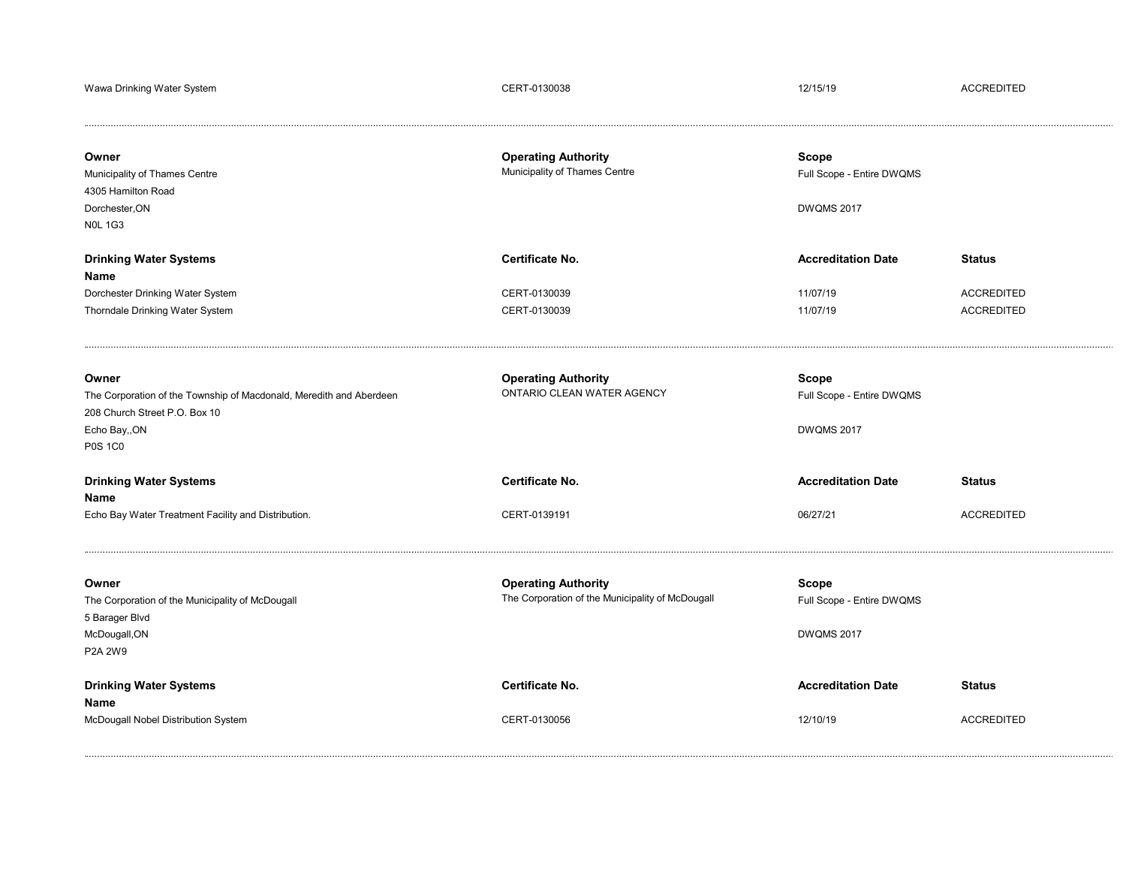| Wawa Drinking Water System                                                                                                                       | CERT-0130038                                                                   | 12/15/19                                                       | <b>ACCREDITED</b>                                       |
|--------------------------------------------------------------------------------------------------------------------------------------------------|--------------------------------------------------------------------------------|----------------------------------------------------------------|---------------------------------------------------------|
| Owner<br>Municipality of Thames Centre<br>4305 Hamilton Road<br>Dorchester, ON<br><b>N0L 1G3</b>                                                 | <b>Operating Authority</b><br>Municipality of Thames Centre                    | <b>Scope</b><br>Full Scope - Entire DWQMS<br><b>DWQMS 2017</b> |                                                         |
| <b>Drinking Water Systems</b><br>Name<br>Dorchester Drinking Water System<br>Thorndale Drinking Water System                                     | Certificate No.<br>CERT-0130039<br>CERT-0130039                                | <b>Accreditation Date</b><br>11/07/19<br>11/07/19              | <b>Status</b><br><b>ACCREDITED</b><br><b>ACCREDITED</b> |
| Owner<br>The Corporation of the Township of Macdonald, Meredith and Aberdeen<br>208 Church Street P.O. Box 10<br>Echo Bay,, ON<br><b>P0S 1C0</b> | <b>Operating Authority</b><br>ONTARIO CLEAN WATER AGENCY                       | Scope<br>Full Scope - Entire DWQMS<br><b>DWQMS 2017</b>        |                                                         |
| <b>Drinking Water Systems</b><br>Name<br>Echo Bay Water Treatment Facility and Distribution.                                                     | <b>Certificate No.</b><br>CERT-0139191                                         | <b>Accreditation Date</b><br>06/27/21                          | <b>Status</b><br><b>ACCREDITED</b>                      |
| Owner<br>The Corporation of the Municipality of McDougall<br>5 Barager Blvd<br>McDougall, ON<br>P2A 2W9                                          | <b>Operating Authority</b><br>The Corporation of the Municipality of McDougall | <b>Scope</b><br>Full Scope - Entire DWQMS<br><b>DWQMS 2017</b> |                                                         |
| <b>Drinking Water Systems</b><br>Name<br>McDougall Nobel Distribution System                                                                     | Certificate No.<br>CERT-0130056                                                | <b>Accreditation Date</b><br>12/10/19                          | <b>Status</b><br><b>ACCREDITED</b>                      |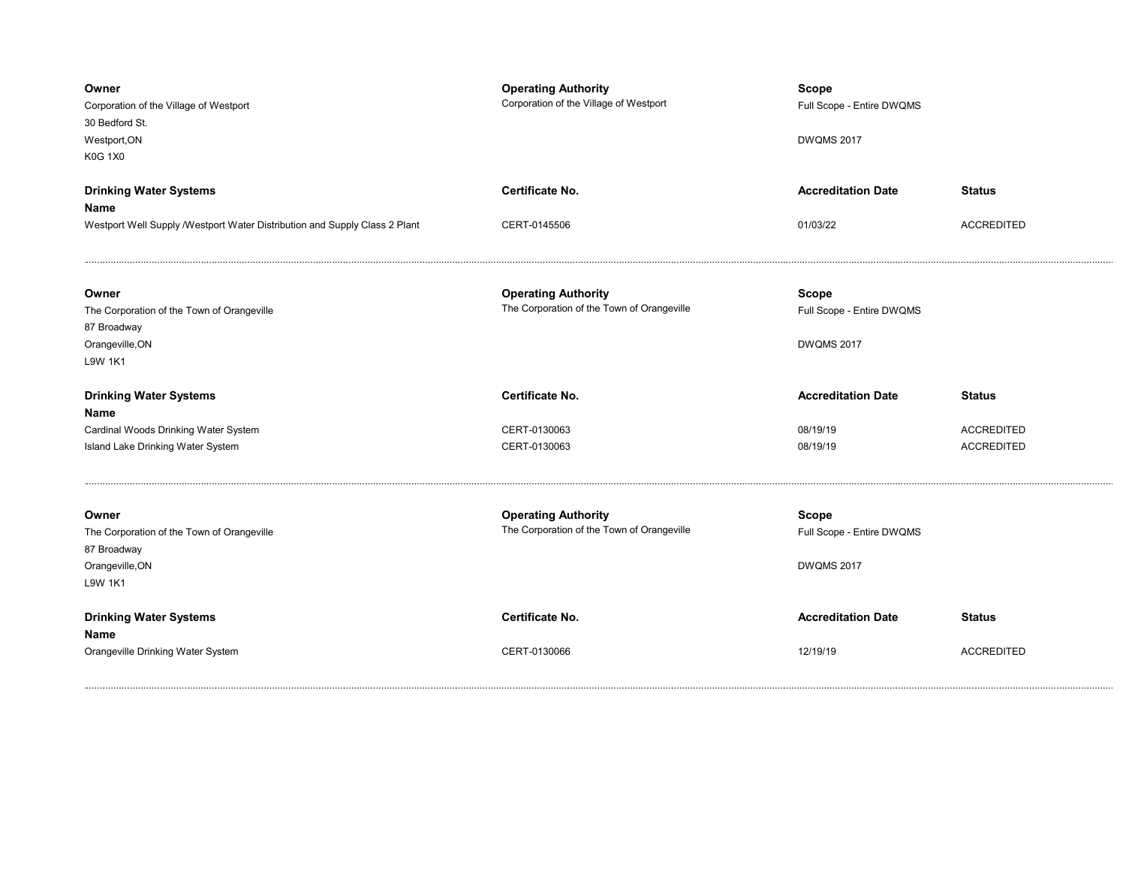| Owner<br>Corporation of the Village of Westport<br>30 Bedford St.<br>Westport, ON<br><b>K0G 1X0</b>     | <b>Operating Authority</b><br>Corporation of the Village of Westport     | <b>Scope</b><br>Full Scope - Entire DWQMS<br><b>DWQMS 2017</b> |                                        |
|---------------------------------------------------------------------------------------------------------|--------------------------------------------------------------------------|----------------------------------------------------------------|----------------------------------------|
| <b>Drinking Water Systems</b><br>Name                                                                   | <b>Certificate No.</b>                                                   | <b>Accreditation Date</b>                                      | <b>Status</b>                          |
| Westport Well Supply / Westport Water Distribution and Supply Class 2 Plant                             | CERT-0145506                                                             | 01/03/22                                                       | <b>ACCREDITED</b>                      |
| Owner<br>The Corporation of the Town of Orangeville<br>87 Broadway<br>Orangeville, ON<br>L9W 1K1        | <b>Operating Authority</b><br>The Corporation of the Town of Orangeville | Scope<br>Full Scope - Entire DWQMS<br><b>DWQMS 2017</b>        |                                        |
|                                                                                                         |                                                                          |                                                                |                                        |
| <b>Drinking Water Systems</b>                                                                           | <b>Certificate No.</b>                                                   | <b>Accreditation Date</b>                                      | <b>Status</b>                          |
| Name                                                                                                    |                                                                          |                                                                |                                        |
| Cardinal Woods Drinking Water System<br>Island Lake Drinking Water System                               | CERT-0130063<br>CERT-0130063                                             | 08/19/19<br>08/19/19                                           | <b>ACCREDITED</b><br><b>ACCREDITED</b> |
| Owner<br>The Corporation of the Town of Orangeville<br>87 Broadway<br>Orangeville, ON<br><b>L9W 1K1</b> | <b>Operating Authority</b><br>The Corporation of the Town of Orangeville | Scope<br>Full Scope - Entire DWQMS<br><b>DWQMS 2017</b>        |                                        |
| <b>Drinking Water Systems</b><br>Name                                                                   | <b>Certificate No.</b>                                                   | <b>Accreditation Date</b>                                      | <b>Status</b>                          |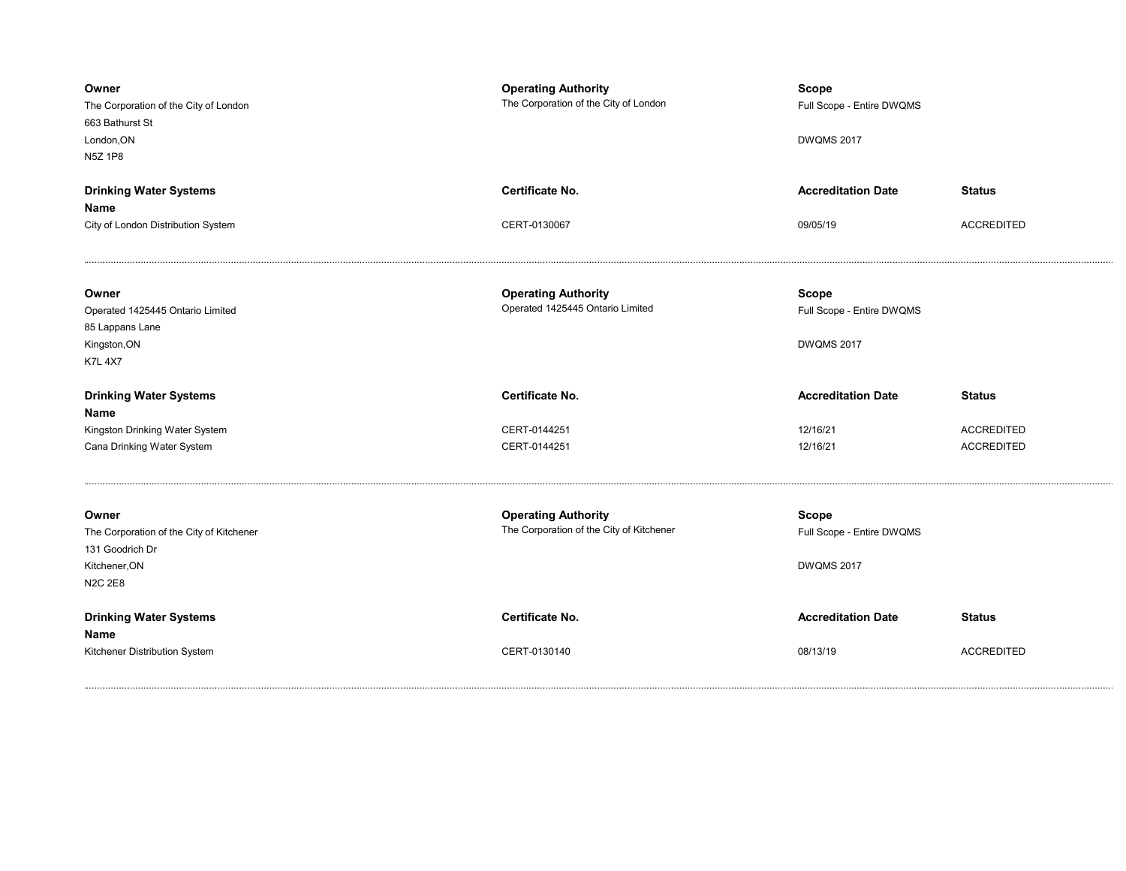| Owner<br>The Corporation of the City of London<br>663 Bathurst St<br>London, ON<br>N5Z 1P8              | <b>Operating Authority</b><br>The Corporation of the City of London    | <b>Scope</b><br>Full Scope - Entire DWQMS<br><b>DWQMS 2017</b> |                   |
|---------------------------------------------------------------------------------------------------------|------------------------------------------------------------------------|----------------------------------------------------------------|-------------------|
| <b>Drinking Water Systems</b><br>Name                                                                   | <b>Certificate No.</b>                                                 | <b>Accreditation Date</b>                                      | <b>Status</b>     |
| City of London Distribution System                                                                      | CERT-0130067                                                           | 09/05/19                                                       | <b>ACCREDITED</b> |
| Owner<br>Operated 1425445 Ontario Limited<br>85 Lappans Lane<br>Kingston, ON<br><b>K7L 4X7</b>          | <b>Operating Authority</b><br>Operated 1425445 Ontario Limited         | <b>Scope</b><br>Full Scope - Entire DWQMS<br><b>DWQMS 2017</b> |                   |
| <b>Drinking Water Systems</b>                                                                           | <b>Certificate No.</b>                                                 | <b>Accreditation Date</b>                                      | <b>Status</b>     |
| Name<br>Kingston Drinking Water System                                                                  | CERT-0144251                                                           | 12/16/21                                                       | <b>ACCREDITED</b> |
| Cana Drinking Water System                                                                              | CERT-0144251                                                           | 12/16/21                                                       | <b>ACCREDITED</b> |
|                                                                                                         |                                                                        |                                                                |                   |
| Owner<br>The Corporation of the City of Kitchener<br>131 Goodrich Dr<br>Kitchener, ON<br><b>N2C 2E8</b> | <b>Operating Authority</b><br>The Corporation of the City of Kitchener | Scope<br>Full Scope - Entire DWQMS<br><b>DWQMS 2017</b>        |                   |
| <b>Drinking Water Systems</b><br>Name                                                                   | <b>Certificate No.</b>                                                 | <b>Accreditation Date</b>                                      | <b>Status</b>     |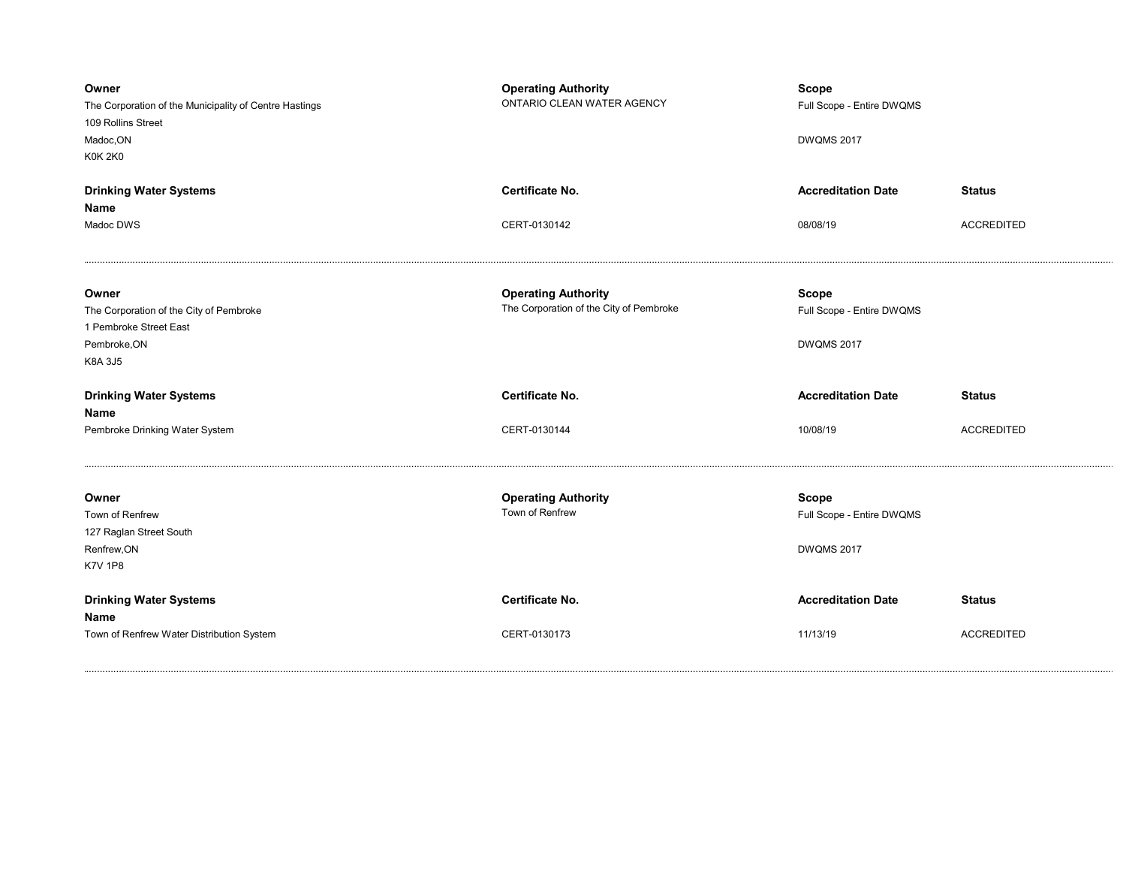| Owner<br>The Corporation of the Municipality of Centre Hastings<br>109 Rollins Street<br>Madoc, ON<br><b>K0K 2K0</b> | <b>Operating Authority</b><br>ONTARIO CLEAN WATER AGENCY | <b>Scope</b><br>Full Scope - Entire DWQMS<br><b>DWQMS 2017</b> |                   |
|----------------------------------------------------------------------------------------------------------------------|----------------------------------------------------------|----------------------------------------------------------------|-------------------|
| <b>Drinking Water Systems</b>                                                                                        | Certificate No.                                          | <b>Accreditation Date</b>                                      | <b>Status</b>     |
| Name                                                                                                                 |                                                          |                                                                |                   |
| Madoc DWS                                                                                                            | CERT-0130142                                             | 08/08/19                                                       | <b>ACCREDITED</b> |
| Owner                                                                                                                | <b>Operating Authority</b>                               | <b>Scope</b>                                                   |                   |
| The Corporation of the City of Pembroke                                                                              | The Corporation of the City of Pembroke                  | Full Scope - Entire DWQMS                                      |                   |
| 1 Pembroke Street East<br>Pembroke, ON                                                                               |                                                          | <b>DWQMS 2017</b>                                              |                   |
| K8A 3J5                                                                                                              |                                                          |                                                                |                   |
|                                                                                                                      |                                                          |                                                                |                   |
| <b>Drinking Water Systems</b>                                                                                        | Certificate No.                                          | <b>Accreditation Date</b>                                      | <b>Status</b>     |
| Name                                                                                                                 |                                                          |                                                                |                   |
| Pembroke Drinking Water System                                                                                       | CERT-0130144                                             | 10/08/19                                                       | <b>ACCREDITED</b> |
| Owner                                                                                                                | <b>Operating Authority</b>                               | <b>Scope</b>                                                   |                   |
| Town of Renfrew                                                                                                      | Town of Renfrew                                          | Full Scope - Entire DWQMS                                      |                   |
| 127 Raglan Street South                                                                                              |                                                          |                                                                |                   |
| Renfrew, ON                                                                                                          |                                                          | <b>DWQMS 2017</b>                                              |                   |
| <b>K7V 1P8</b>                                                                                                       |                                                          |                                                                |                   |
| <b>Drinking Water Systems</b><br>Name                                                                                | <b>Certificate No.</b>                                   | <b>Accreditation Date</b>                                      | <b>Status</b>     |
| Town of Renfrew Water Distribution System                                                                            | CERT-0130173                                             | 11/13/19                                                       | <b>ACCREDITED</b> |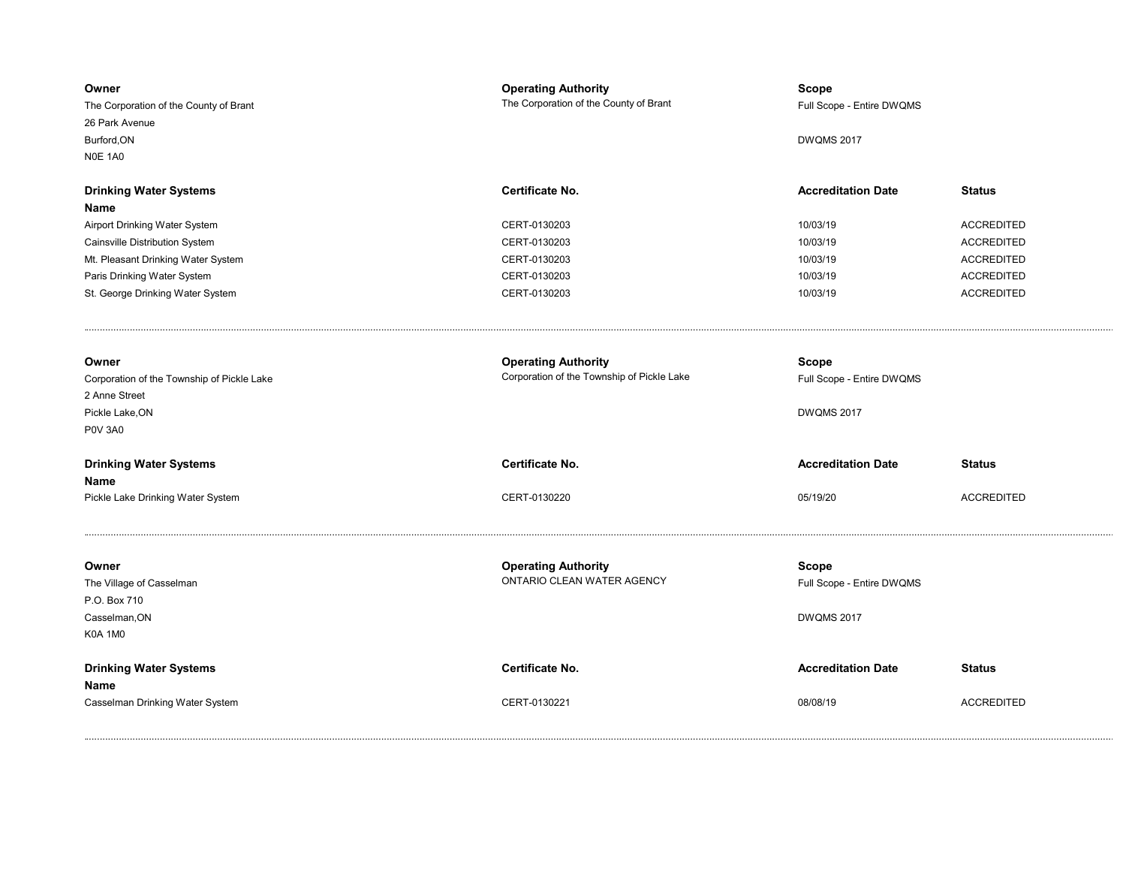| Owner<br>The Corporation of the County of Brant<br>26 Park Avenue<br>Burford, ON<br><b>N0E 1A0</b> | <b>Operating Authority</b><br>The Corporation of the County of Brant     | <b>Scope</b><br>Full Scope - Entire DWQMS<br><b>DWQMS 2017</b> |                   |
|----------------------------------------------------------------------------------------------------|--------------------------------------------------------------------------|----------------------------------------------------------------|-------------------|
| <b>Drinking Water Systems</b>                                                                      | Certificate No.                                                          | <b>Accreditation Date</b>                                      | <b>Status</b>     |
| Name<br>Airport Drinking Water System                                                              | CERT-0130203                                                             | 10/03/19                                                       | <b>ACCREDITED</b> |
| Cainsville Distribution System                                                                     | CERT-0130203                                                             | 10/03/19                                                       | <b>ACCREDITED</b> |
| Mt. Pleasant Drinking Water System                                                                 | CERT-0130203                                                             | 10/03/19                                                       | <b>ACCREDITED</b> |
| Paris Drinking Water System                                                                        | CERT-0130203                                                             | 10/03/19                                                       | <b>ACCREDITED</b> |
| St. George Drinking Water System                                                                   | CERT-0130203                                                             | 10/03/19                                                       | <b>ACCREDITED</b> |
|                                                                                                    |                                                                          |                                                                |                   |
| Owner<br>Corporation of the Township of Pickle Lake                                                | <b>Operating Authority</b><br>Corporation of the Township of Pickle Lake | <b>Scope</b><br>Full Scope - Entire DWQMS                      |                   |
| 2 Anne Street                                                                                      |                                                                          |                                                                |                   |
| Pickle Lake, ON                                                                                    |                                                                          | <b>DWQMS 2017</b>                                              |                   |
| <b>P0V 3A0</b>                                                                                     |                                                                          |                                                                |                   |
| <b>Drinking Water Systems</b><br>Name                                                              | Certificate No.                                                          | <b>Accreditation Date</b>                                      | <b>Status</b>     |
| Pickle Lake Drinking Water System                                                                  | CERT-0130220                                                             | 05/19/20                                                       | <b>ACCREDITED</b> |
| Owner                                                                                              | <b>Operating Authority</b>                                               | Scope                                                          |                   |
| The Village of Casselman                                                                           | ONTARIO CLEAN WATER AGENCY                                               | Full Scope - Entire DWQMS                                      |                   |
| P.O. Box 710                                                                                       |                                                                          |                                                                |                   |
| Casselman, ON                                                                                      |                                                                          | <b>DWQMS 2017</b>                                              |                   |
| <b>K0A 1M0</b>                                                                                     |                                                                          |                                                                |                   |
| <b>Drinking Water Systems</b>                                                                      | Certificate No.                                                          | <b>Accreditation Date</b>                                      | <b>Status</b>     |
| Name                                                                                               |                                                                          |                                                                |                   |
| Casselman Drinking Water System                                                                    | CERT-0130221                                                             | 08/08/19                                                       | <b>ACCREDITED</b> |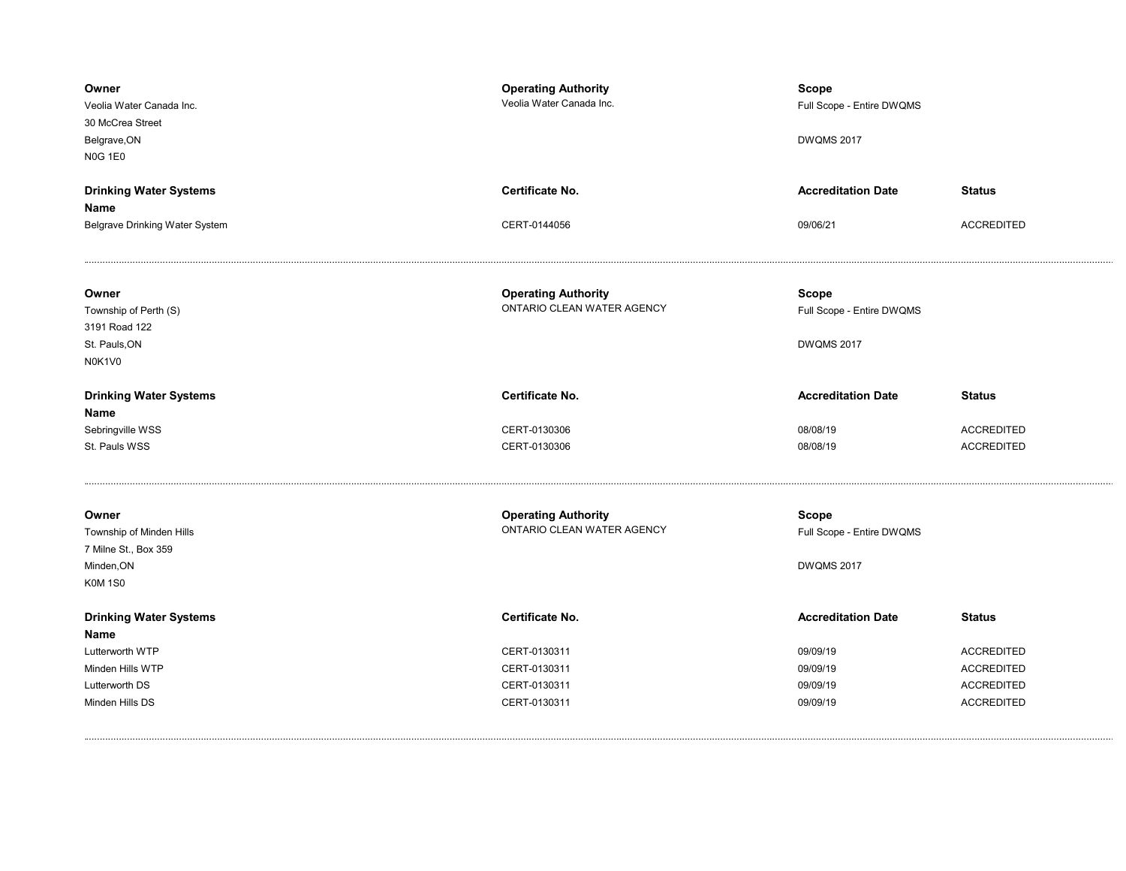| Owner<br>Veolia Water Canada Inc.<br>30 McCrea Street<br>Belgrave, ON<br><b>N0G 1E0</b>   | <b>Operating Authority</b><br>Veolia Water Canada Inc.   | <b>Scope</b><br>Full Scope - Entire DWQMS<br><b>DWQMS 2017</b> |                   |
|-------------------------------------------------------------------------------------------|----------------------------------------------------------|----------------------------------------------------------------|-------------------|
| <b>Drinking Water Systems</b>                                                             | Certificate No.                                          | <b>Accreditation Date</b>                                      | <b>Status</b>     |
| Name                                                                                      |                                                          |                                                                |                   |
| Belgrave Drinking Water System                                                            | CERT-0144056                                             | 09/06/21                                                       | <b>ACCREDITED</b> |
| Owner<br>Township of Perth (S)<br>3191 Road 122<br>St. Pauls, ON<br>N0K1V0                | <b>Operating Authority</b><br>ONTARIO CLEAN WATER AGENCY | <b>Scope</b><br>Full Scope - Entire DWQMS<br><b>DWQMS 2017</b> |                   |
| <b>Drinking Water Systems</b><br>Name                                                     | <b>Certificate No.</b>                                   | <b>Accreditation Date</b>                                      | <b>Status</b>     |
| Sebringville WSS                                                                          | CERT-0130306                                             | 08/08/19                                                       | <b>ACCREDITED</b> |
| St. Pauls WSS                                                                             | CERT-0130306                                             | 08/08/19                                                       | <b>ACCREDITED</b> |
| Owner<br>Township of Minden Hills<br>7 Milne St., Box 359<br>Minden, ON<br><b>K0M 1S0</b> | <b>Operating Authority</b><br>ONTARIO CLEAN WATER AGENCY | <b>Scope</b><br>Full Scope - Entire DWQMS<br><b>DWQMS 2017</b> |                   |
| <b>Drinking Water Systems</b><br>Name                                                     | Certificate No.                                          | <b>Accreditation Date</b>                                      | <b>Status</b>     |
| Lutterworth WTP                                                                           | CERT-0130311                                             | 09/09/19                                                       | <b>ACCREDITED</b> |
| Minden Hills WTP                                                                          | CERT-0130311                                             | 09/09/19                                                       | <b>ACCREDITED</b> |
| Lutterworth DS                                                                            | CERT-0130311                                             | 09/09/19                                                       | <b>ACCREDITED</b> |
| Minden Hills DS                                                                           | CERT-0130311                                             | 09/09/19                                                       | <b>ACCREDITED</b> |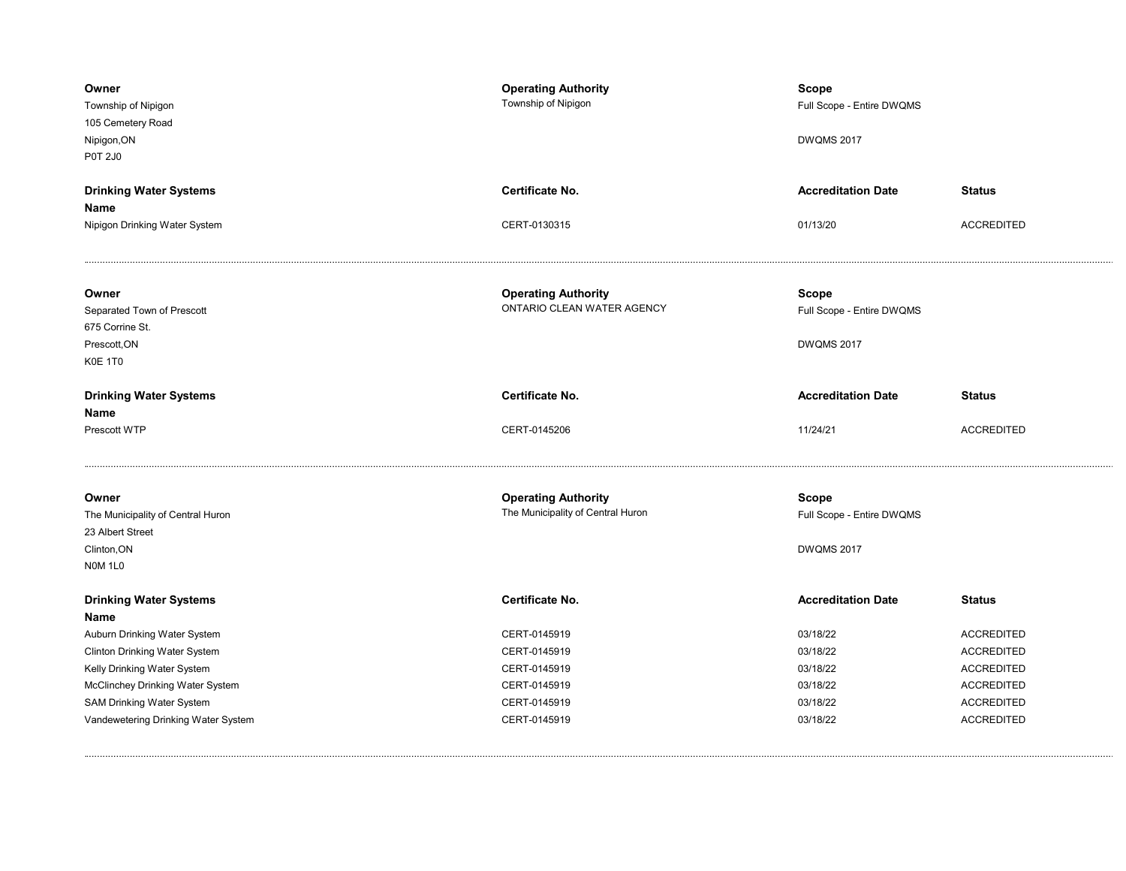| Owner<br>Township of Nipigon<br>105 Cemetery Road<br>Nipigon, ON<br>P0T 2J0 | <b>Operating Authority</b><br>Township of Nipigon | <b>Scope</b><br>Full Scope - Entire DWQMS<br><b>DWQMS 2017</b> |                                        |
|-----------------------------------------------------------------------------|---------------------------------------------------|----------------------------------------------------------------|----------------------------------------|
| <b>Drinking Water Systems</b>                                               | <b>Certificate No.</b>                            | <b>Accreditation Date</b>                                      | <b>Status</b>                          |
| Name                                                                        |                                                   |                                                                | <b>ACCREDITED</b>                      |
| Nipigon Drinking Water System                                               | CERT-0130315                                      | 01/13/20                                                       |                                        |
| Owner                                                                       | <b>Operating Authority</b>                        | <b>Scope</b>                                                   |                                        |
| Separated Town of Prescott                                                  | ONTARIO CLEAN WATER AGENCY                        | Full Scope - Entire DWQMS                                      |                                        |
| 675 Corrine St.                                                             |                                                   |                                                                |                                        |
| Prescott, ON                                                                |                                                   | <b>DWQMS 2017</b>                                              |                                        |
| K0E 1T0                                                                     |                                                   |                                                                |                                        |
| <b>Drinking Water Systems</b>                                               | <b>Certificate No.</b>                            | <b>Accreditation Date</b>                                      | <b>Status</b>                          |
| Name                                                                        |                                                   |                                                                |                                        |
| Prescott WTP                                                                | CERT-0145206                                      | 11/24/21                                                       | <b>ACCREDITED</b>                      |
| Owner                                                                       | <b>Operating Authority</b>                        | <b>Scope</b>                                                   |                                        |
| The Municipality of Central Huron                                           | The Municipality of Central Huron                 | Full Scope - Entire DWQMS                                      |                                        |
| 23 Albert Street                                                            |                                                   |                                                                |                                        |
| Clinton, ON<br>NOM 1L0                                                      |                                                   | <b>DWQMS 2017</b>                                              |                                        |
| <b>Drinking Water Systems</b>                                               | Certificate No.                                   | <b>Accreditation Date</b>                                      | <b>Status</b>                          |
| Name                                                                        |                                                   |                                                                |                                        |
| Auburn Drinking Water System                                                | CERT-0145919                                      | 03/18/22                                                       | <b>ACCREDITED</b>                      |
| Clinton Drinking Water System<br>Kelly Drinking Water System                | CERT-0145919<br>CERT-0145919                      | 03/18/22<br>03/18/22                                           | <b>ACCREDITED</b><br><b>ACCREDITED</b> |
| McClinchey Drinking Water System                                            | CERT-0145919                                      | 03/18/22                                                       | <b>ACCREDITED</b>                      |
| SAM Drinking Water System                                                   | CERT-0145919                                      | 03/18/22                                                       | <b>ACCREDITED</b>                      |
| Vandewetering Drinking Water System                                         | CERT-0145919                                      | 03/18/22                                                       | <b>ACCREDITED</b>                      |
|                                                                             |                                                   |                                                                |                                        |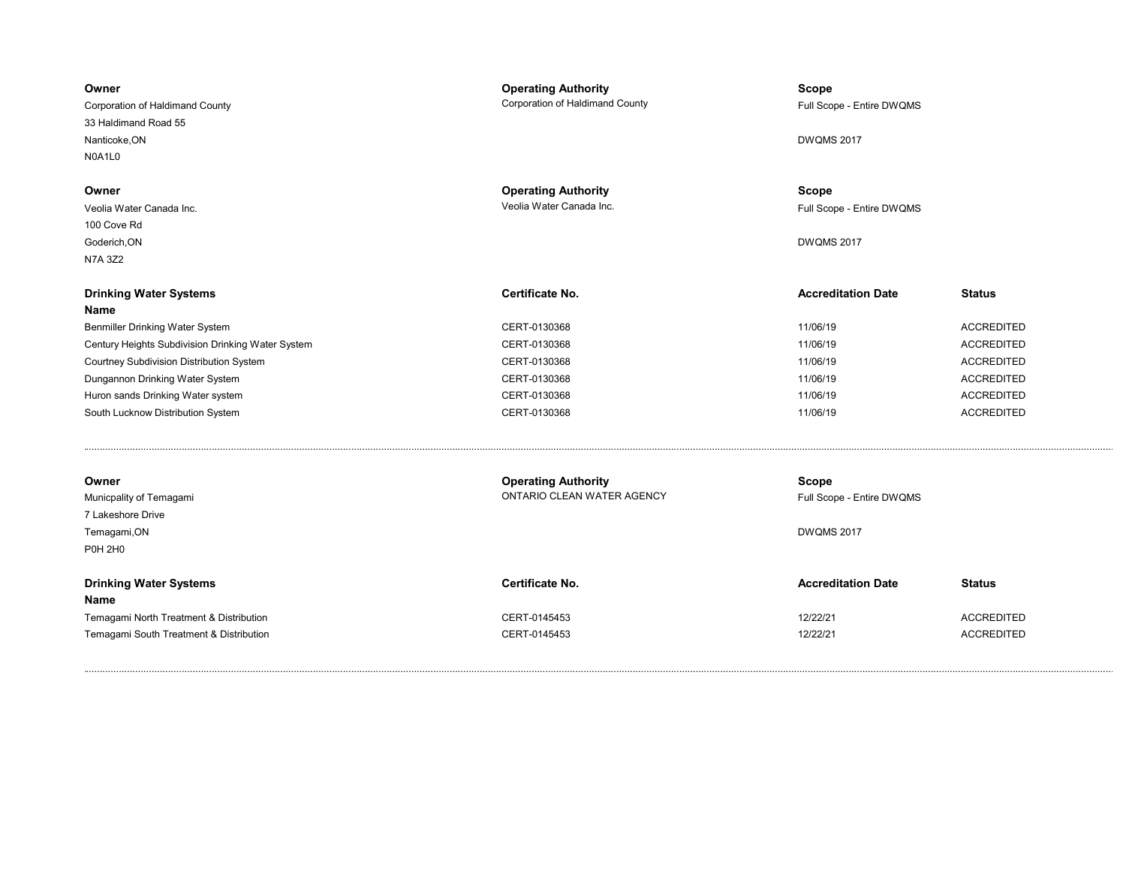| Owner<br>Corporation of Haldimand County<br>33 Haldimand Road 55<br>Nanticoke, ON<br>N0A1L0 | <b>Operating Authority</b><br>Corporation of Haldimand County | <b>Scope</b><br>Full Scope - Entire DWQMS<br><b>DWQMS 2017</b> |                   |
|---------------------------------------------------------------------------------------------|---------------------------------------------------------------|----------------------------------------------------------------|-------------------|
| Owner<br>Veolia Water Canada Inc.<br>100 Cove Rd<br>Goderich, ON<br><b>N7A 3Z2</b>          | <b>Operating Authority</b><br>Veolia Water Canada Inc.        | Scope<br>Full Scope - Entire DWQMS<br><b>DWQMS 2017</b>        |                   |
| <b>Drinking Water Systems</b>                                                               | <b>Certificate No.</b>                                        | <b>Accreditation Date</b>                                      | <b>Status</b>     |
| Name                                                                                        |                                                               |                                                                |                   |
| Benmiller Drinking Water System                                                             | CERT-0130368                                                  | 11/06/19                                                       | <b>ACCREDITED</b> |
| Century Heights Subdivision Drinking Water System                                           | CERT-0130368                                                  | 11/06/19                                                       | <b>ACCREDITED</b> |
| Courtney Subdivision Distribution System                                                    | CERT-0130368                                                  | 11/06/19                                                       | <b>ACCREDITED</b> |
| Dungannon Drinking Water System                                                             | CERT-0130368                                                  | 11/06/19                                                       | <b>ACCREDITED</b> |
| Huron sands Drinking Water system                                                           | CERT-0130368                                                  | 11/06/19                                                       | <b>ACCREDITED</b> |
| South Lucknow Distribution System                                                           | CERT-0130368                                                  | 11/06/19                                                       | <b>ACCREDITED</b> |
| Owner<br>Municpality of Temagami<br>7 Lakeshore Drive<br>Temagami, ON<br><b>P0H 2H0</b>     | <b>Operating Authority</b><br>ONTARIO CLEAN WATER AGENCY      | <b>Scope</b><br>Full Scope - Entire DWQMS<br><b>DWQMS 2017</b> |                   |
|                                                                                             |                                                               |                                                                |                   |
| <b>Drinking Water Systems</b><br><b>Name</b>                                                | <b>Certificate No.</b>                                        | <b>Accreditation Date</b>                                      | <b>Status</b>     |
| Temagami North Treatment & Distribution                                                     | CERT-0145453                                                  | 12/22/21                                                       | <b>ACCREDITED</b> |
| Temagami South Treatment & Distribution                                                     | CERT-0145453                                                  | 12/22/21                                                       | <b>ACCREDITED</b> |
|                                                                                             |                                                               |                                                                |                   |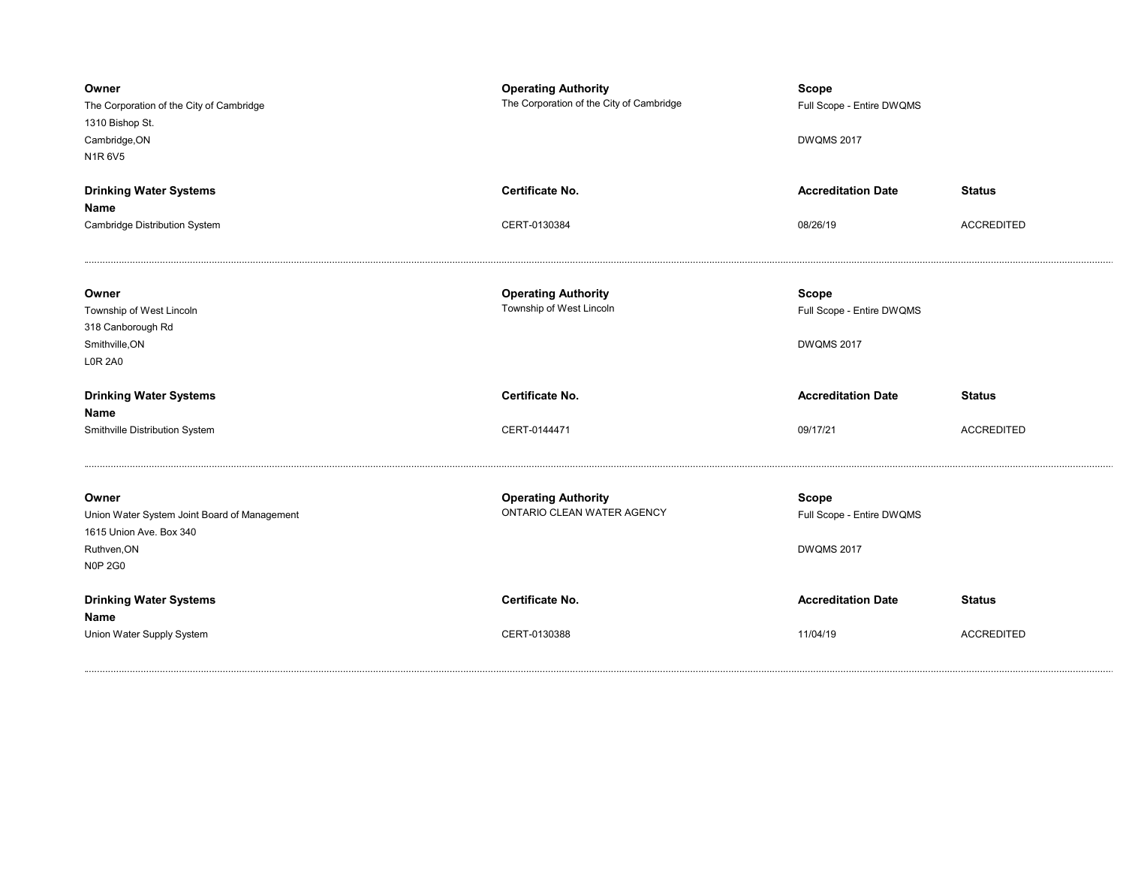| Owner<br>The Corporation of the City of Cambridge<br>1310 Bishop St.<br>Cambridge, ON<br>N1R6V5                   | <b>Operating Authority</b><br>The Corporation of the City of Cambridge | <b>Scope</b><br>Full Scope - Entire DWQMS<br><b>DWQMS 2017</b> |                   |
|-------------------------------------------------------------------------------------------------------------------|------------------------------------------------------------------------|----------------------------------------------------------------|-------------------|
| <b>Drinking Water Systems</b>                                                                                     | Certificate No.                                                        | <b>Accreditation Date</b>                                      | <b>Status</b>     |
| Name<br>Cambridge Distribution System                                                                             | CERT-0130384                                                           | 08/26/19                                                       | <b>ACCREDITED</b> |
|                                                                                                                   |                                                                        |                                                                |                   |
| Owner<br>Township of West Lincoln<br>318 Canborough Rd<br>Smithville, ON<br><b>LOR 2A0</b>                        | <b>Operating Authority</b><br>Township of West Lincoln                 | <b>Scope</b><br>Full Scope - Entire DWQMS<br><b>DWQMS 2017</b> |                   |
| <b>Drinking Water Systems</b><br>Name                                                                             | <b>Certificate No.</b>                                                 | <b>Accreditation Date</b>                                      | <b>Status</b>     |
| Smithville Distribution System                                                                                    | CERT-0144471                                                           | 09/17/21                                                       | <b>ACCREDITED</b> |
|                                                                                                                   |                                                                        |                                                                |                   |
| Owner<br>Union Water System Joint Board of Management<br>1615 Union Ave. Box 340<br>Ruthven, ON<br><b>N0P 2G0</b> | <b>Operating Authority</b><br>ONTARIO CLEAN WATER AGENCY               | <b>Scope</b><br>Full Scope - Entire DWQMS<br><b>DWQMS 2017</b> |                   |
| <b>Drinking Water Systems</b><br>Name                                                                             | <b>Certificate No.</b>                                                 | <b>Accreditation Date</b>                                      | <b>Status</b>     |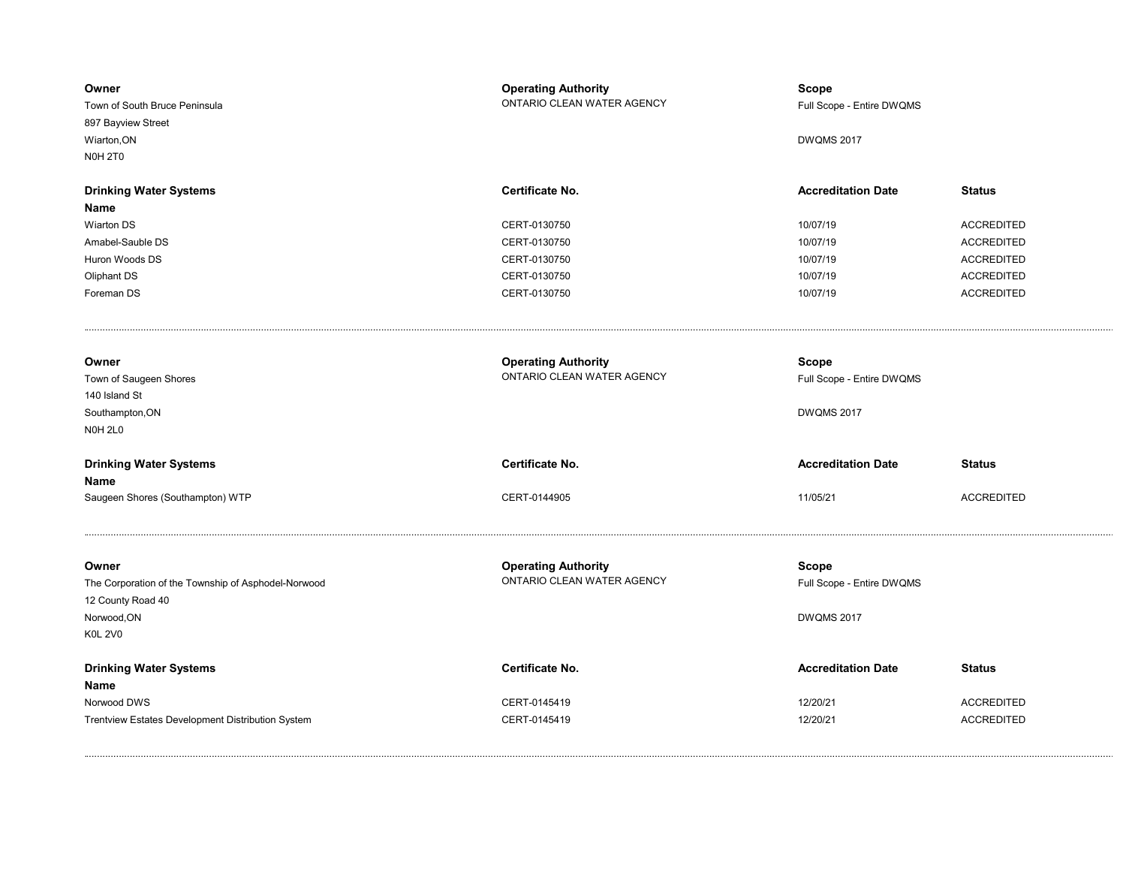| Owner<br>Town of South Bruce Peninsula<br>897 Bayview Street<br>Wiarton, ON<br><b>N0H 2T0</b>                      | <b>Operating Authority</b><br>ONTARIO CLEAN WATER AGENCY | <b>Scope</b><br>Full Scope - Entire DWQMS<br><b>DWQMS 2017</b> |                   |
|--------------------------------------------------------------------------------------------------------------------|----------------------------------------------------------|----------------------------------------------------------------|-------------------|
| <b>Drinking Water Systems</b>                                                                                      | Certificate No.                                          | <b>Accreditation Date</b>                                      | <b>Status</b>     |
| Name<br><b>Wiarton DS</b>                                                                                          | CERT-0130750                                             | 10/07/19                                                       | <b>ACCREDITED</b> |
| Amabel-Sauble DS                                                                                                   | CERT-0130750                                             | 10/07/19                                                       | <b>ACCREDITED</b> |
| Huron Woods DS                                                                                                     | CERT-0130750                                             | 10/07/19                                                       | <b>ACCREDITED</b> |
| Oliphant DS                                                                                                        | CERT-0130750                                             | 10/07/19                                                       | <b>ACCREDITED</b> |
| Foreman DS                                                                                                         | CERT-0130750                                             | 10/07/19                                                       | <b>ACCREDITED</b> |
|                                                                                                                    |                                                          |                                                                |                   |
| Owner<br>Town of Saugeen Shores<br>140 Island St                                                                   | <b>Operating Authority</b><br>ONTARIO CLEAN WATER AGENCY | <b>Scope</b><br>Full Scope - Entire DWQMS                      |                   |
| Southampton, ON<br>NOH <sub>2L0</sub>                                                                              |                                                          | <b>DWQMS 2017</b>                                              |                   |
| <b>Drinking Water Systems</b><br>Name                                                                              | Certificate No.                                          | <b>Accreditation Date</b>                                      | <b>Status</b>     |
| Saugeen Shores (Southampton) WTP                                                                                   | CERT-0144905                                             | 11/05/21                                                       | <b>ACCREDITED</b> |
| Owner<br>The Corporation of the Township of Asphodel-Norwood<br>12 County Road 40<br>Norwood, ON<br><b>K0L 2V0</b> | <b>Operating Authority</b><br>ONTARIO CLEAN WATER AGENCY | <b>Scope</b><br>Full Scope - Entire DWQMS<br><b>DWQMS 2017</b> |                   |
| <b>Drinking Water Systems</b><br>Name                                                                              | Certificate No.                                          | <b>Accreditation Date</b>                                      | <b>Status</b>     |
| Norwood DWS                                                                                                        | CERT-0145419                                             | 12/20/21                                                       | <b>ACCREDITED</b> |
| Trentview Estates Development Distribution System                                                                  | CERT-0145419                                             | 12/20/21                                                       | <b>ACCREDITED</b> |
|                                                                                                                    |                                                          |                                                                |                   |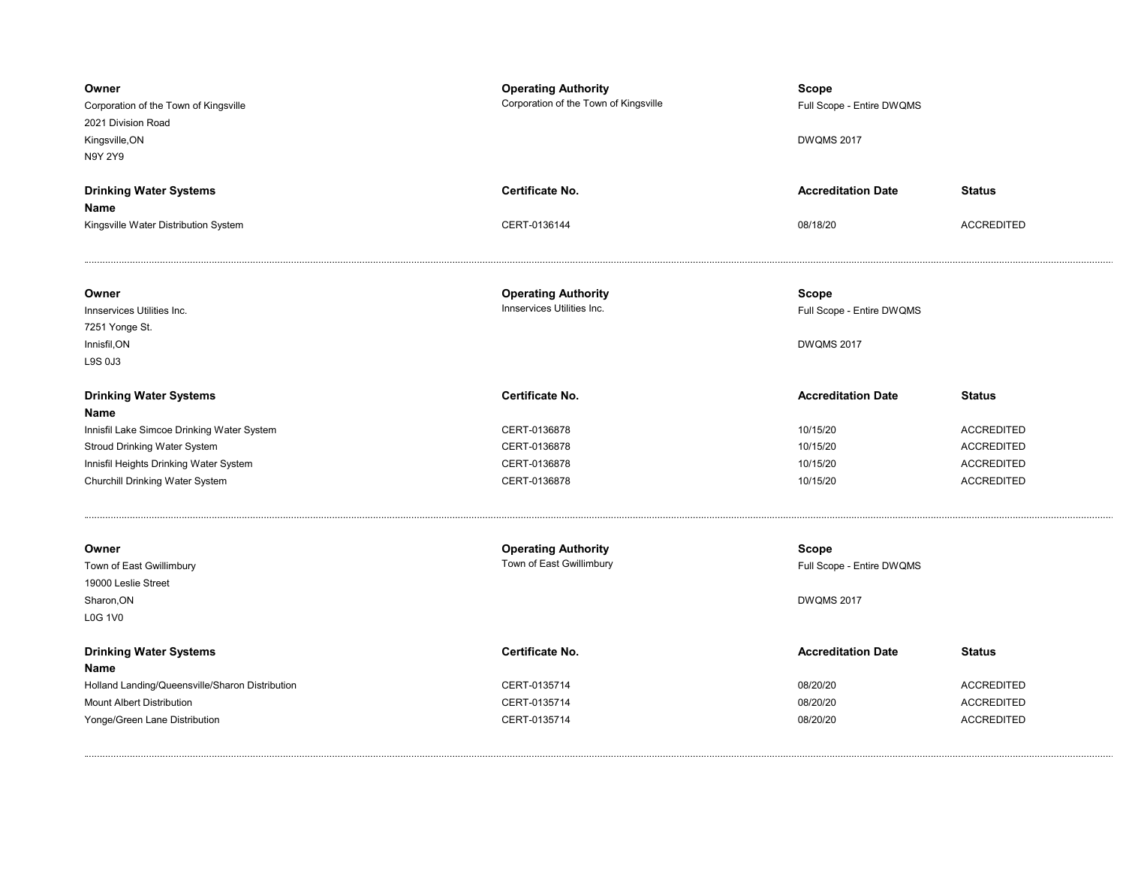| Owner<br>Corporation of the Town of Kingsville<br>2021 Division Road<br>Kingsville, ON<br>N9Y 2Y9 | <b>Operating Authority</b><br>Corporation of the Town of Kingsville | <b>Scope</b><br>Full Scope - Entire DWQMS<br><b>DWQMS 2017</b> |                   |
|---------------------------------------------------------------------------------------------------|---------------------------------------------------------------------|----------------------------------------------------------------|-------------------|
| <b>Drinking Water Systems</b>                                                                     | <b>Certificate No.</b>                                              | <b>Accreditation Date</b>                                      | <b>Status</b>     |
| Name<br>Kingsville Water Distribution System                                                      | CERT-0136144                                                        | 08/18/20                                                       | <b>ACCREDITED</b> |
| Owner<br>Innservices Utilities Inc.                                                               | <b>Operating Authority</b><br>Innservices Utilities Inc.            | Scope<br>Full Scope - Entire DWQMS                             |                   |
| 7251 Yonge St.<br>Innisfil, ON<br>L9S 0J3                                                         |                                                                     | <b>DWQMS 2017</b>                                              |                   |
| <b>Drinking Water Systems</b><br>Name                                                             | <b>Certificate No.</b>                                              | <b>Accreditation Date</b>                                      | <b>Status</b>     |
| Innisfil Lake Simcoe Drinking Water System                                                        | CERT-0136878                                                        | 10/15/20                                                       | <b>ACCREDITED</b> |
| Stroud Drinking Water System                                                                      | CERT-0136878                                                        | 10/15/20                                                       | <b>ACCREDITED</b> |
| Innisfil Heights Drinking Water System                                                            | CERT-0136878                                                        | 10/15/20                                                       | <b>ACCREDITED</b> |
| Churchill Drinking Water System                                                                   | CERT-0136878                                                        | 10/15/20                                                       | <b>ACCREDITED</b> |
| Owner                                                                                             | <b>Operating Authority</b>                                          | <b>Scope</b>                                                   |                   |
| Town of East Gwillimbury                                                                          | Town of East Gwillimbury                                            | Full Scope - Entire DWQMS                                      |                   |
| 19000 Leslie Street                                                                               |                                                                     |                                                                |                   |
| Sharon, ON<br><b>L0G 1V0</b>                                                                      |                                                                     | <b>DWQMS 2017</b>                                              |                   |
| <b>Drinking Water Systems</b><br>Name                                                             | Certificate No.                                                     | <b>Accreditation Date</b>                                      | <b>Status</b>     |
| Holland Landing/Queensville/Sharon Distribution                                                   | CERT-0135714                                                        | 08/20/20                                                       | <b>ACCREDITED</b> |
| <b>Mount Albert Distribution</b>                                                                  | CERT-0135714                                                        | 08/20/20                                                       | <b>ACCREDITED</b> |
| Yonge/Green Lane Distribution                                                                     | CERT-0135714                                                        | 08/20/20                                                       | <b>ACCREDITED</b> |
|                                                                                                   |                                                                     |                                                                |                   |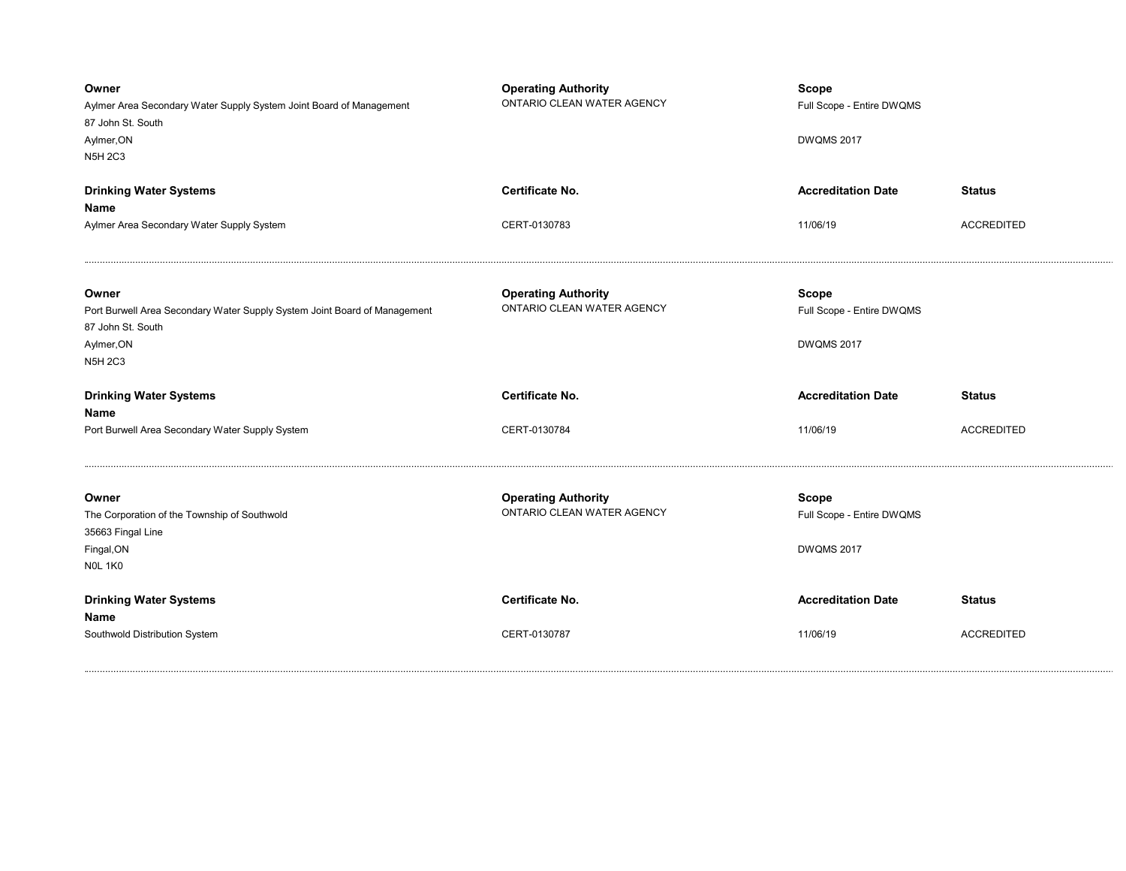| Owner<br>Aylmer Area Secondary Water Supply System Joint Board of Management<br>87 John St. South<br>Aylmer, ON<br><b>N5H 2C3</b>                                                | <b>Operating Authority</b><br>ONTARIO CLEAN WATER AGENCY                           | <b>Scope</b><br>Full Scope - Entire DWQMS<br><b>DWQMS 2017</b>                              |                   |
|----------------------------------------------------------------------------------------------------------------------------------------------------------------------------------|------------------------------------------------------------------------------------|---------------------------------------------------------------------------------------------|-------------------|
| <b>Drinking Water Systems</b>                                                                                                                                                    | Certificate No.                                                                    | <b>Accreditation Date</b>                                                                   | <b>Status</b>     |
| Name<br>Aylmer Area Secondary Water Supply System                                                                                                                                | CERT-0130783                                                                       | 11/06/19                                                                                    | <b>ACCREDITED</b> |
| Owner<br>Port Burwell Area Secondary Water Supply System Joint Board of Management<br>87 John St. South<br>Aylmer, ON<br><b>N5H 2C3</b><br><b>Drinking Water Systems</b><br>Name | <b>Operating Authority</b><br>ONTARIO CLEAN WATER AGENCY<br><b>Certificate No.</b> | <b>Scope</b><br>Full Scope - Entire DWQMS<br><b>DWQMS 2017</b><br><b>Accreditation Date</b> | <b>Status</b>     |
| Port Burwell Area Secondary Water Supply System                                                                                                                                  | CERT-0130784                                                                       | 11/06/19                                                                                    | <b>ACCREDITED</b> |
| Owner<br>The Corporation of the Township of Southwold<br>35663 Fingal Line<br>Fingal, ON<br><b>NOL 1K0</b>                                                                       | <b>Operating Authority</b><br>ONTARIO CLEAN WATER AGENCY                           | <b>Scope</b><br>Full Scope - Entire DWQMS<br><b>DWQMS 2017</b>                              |                   |
|                                                                                                                                                                                  |                                                                                    |                                                                                             |                   |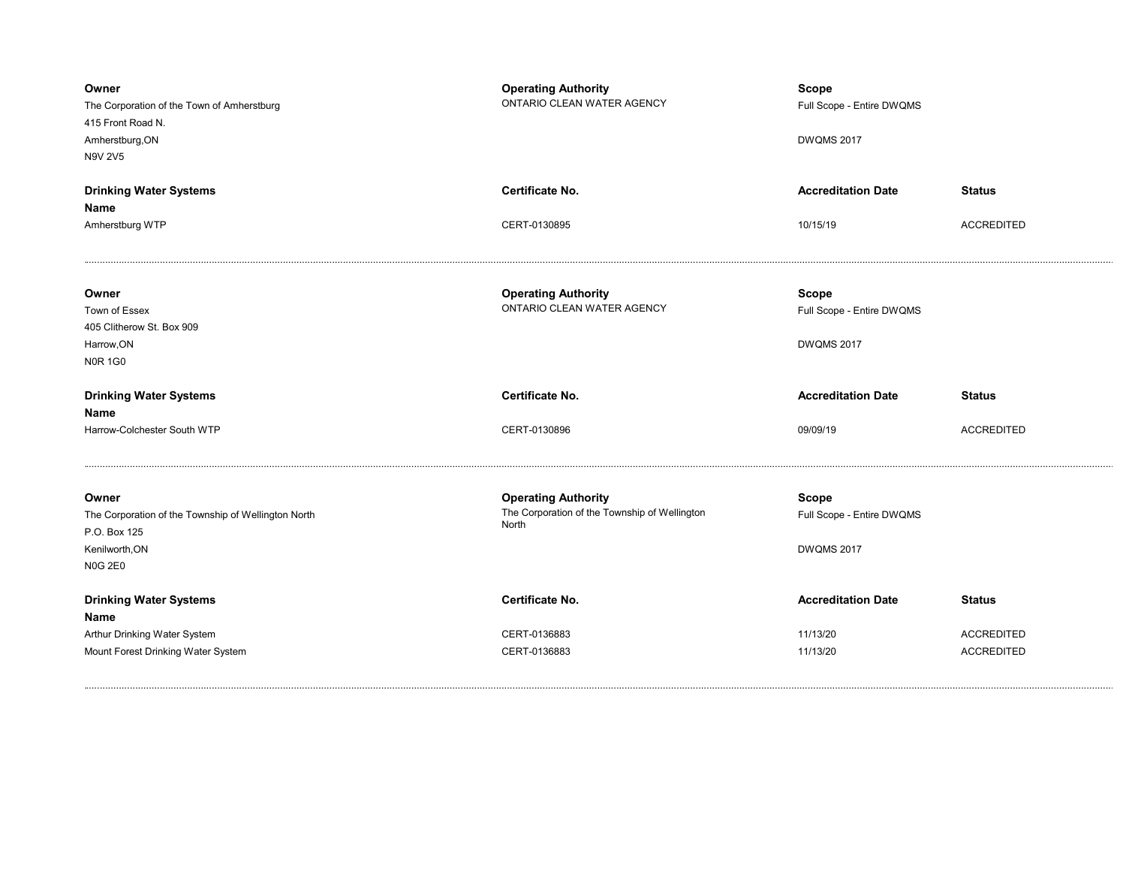| Owner<br>The Corporation of the Town of Amherstburg<br>415 Front Road N.<br>Amherstburg, ON<br>N9V 2V5           | <b>Operating Authority</b><br>ONTARIO CLEAN WATER AGENCY                             | <b>Scope</b><br>Full Scope - Entire DWQMS<br><b>DWQMS 2017</b> |                   |
|------------------------------------------------------------------------------------------------------------------|--------------------------------------------------------------------------------------|----------------------------------------------------------------|-------------------|
| <b>Drinking Water Systems</b>                                                                                    | Certificate No.                                                                      | <b>Accreditation Date</b>                                      | <b>Status</b>     |
| Name<br>Amherstburg WTP                                                                                          | CERT-0130895                                                                         | 10/15/19                                                       | <b>ACCREDITED</b> |
| Owner<br>Town of Essex<br>405 Clitherow St. Box 909<br>Harrow, ON<br><b>N0R 1G0</b>                              | <b>Operating Authority</b><br>ONTARIO CLEAN WATER AGENCY                             | <b>Scope</b><br>Full Scope - Entire DWQMS<br><b>DWQMS 2017</b> |                   |
|                                                                                                                  |                                                                                      |                                                                |                   |
| <b>Drinking Water Systems</b>                                                                                    | <b>Certificate No.</b>                                                               | <b>Accreditation Date</b>                                      | <b>Status</b>     |
| Name<br>Harrow-Colchester South WTP                                                                              | CERT-0130896                                                                         | 09/09/19                                                       | <b>ACCREDITED</b> |
| Owner<br>The Corporation of the Township of Wellington North<br>P.O. Box 125<br>Kenilworth, ON<br><b>N0G 2E0</b> | <b>Operating Authority</b><br>The Corporation of the Township of Wellington<br>North | <b>Scope</b><br>Full Scope - Entire DWQMS<br><b>DWQMS 2017</b> |                   |
| <b>Drinking Water Systems</b>                                                                                    | Certificate No.                                                                      | <b>Accreditation Date</b>                                      | <b>Status</b>     |
| Name<br>Arthur Drinking Water System                                                                             | CERT-0136883                                                                         | 11/13/20                                                       | <b>ACCREDITED</b> |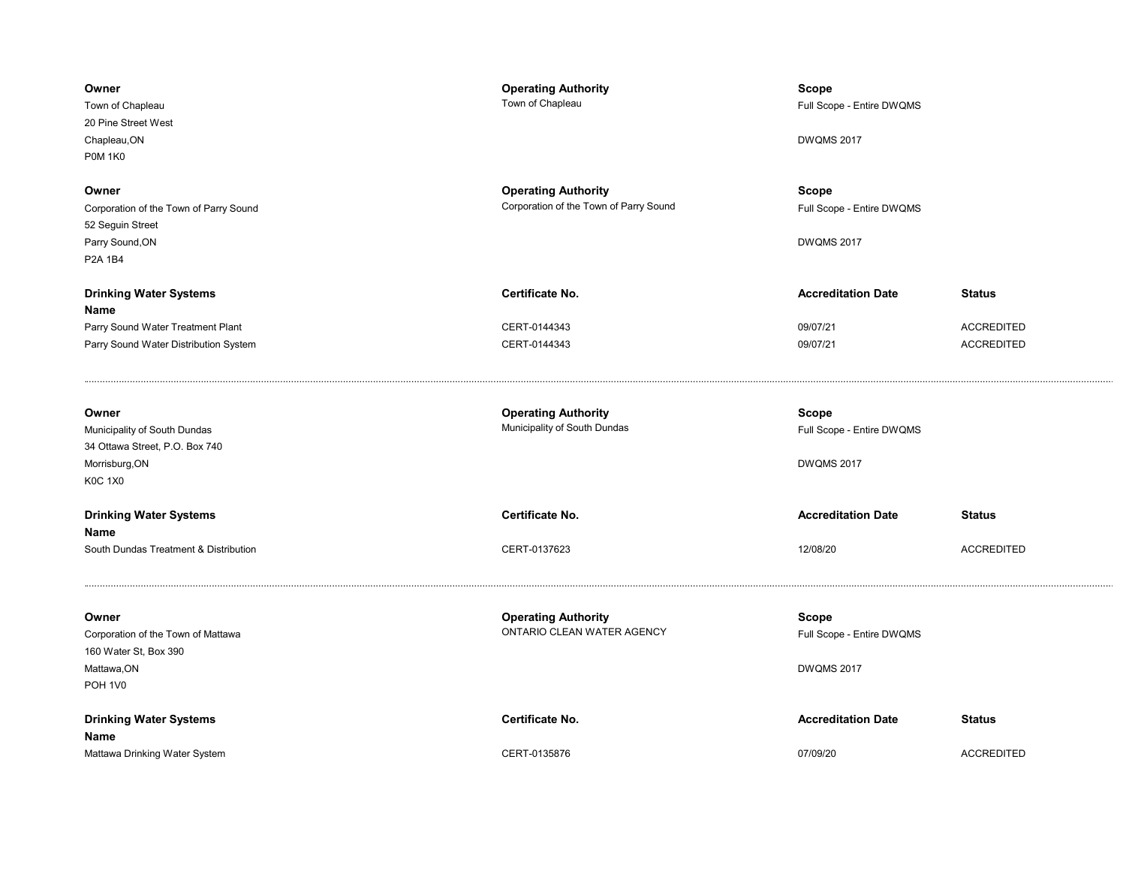| Owner<br>Town of Chapleau<br>20 Pine Street West<br>Chapleau, ON<br><b>P0M 1K0</b>                          | <b>Operating Authority</b><br>Town of Chapleau                       | Scope<br>Full Scope - Entire DWQMS<br><b>DWQMS 2017</b> |                                        |
|-------------------------------------------------------------------------------------------------------------|----------------------------------------------------------------------|---------------------------------------------------------|----------------------------------------|
| Owner<br>Corporation of the Town of Parry Sound<br>52 Seguin Street<br>Parry Sound, ON<br>P2A 1B4           | <b>Operating Authority</b><br>Corporation of the Town of Parry Sound | Scope<br>Full Scope - Entire DWQMS<br><b>DWQMS 2017</b> |                                        |
| <b>Drinking Water Systems</b><br>Name                                                                       | Certificate No.                                                      | <b>Accreditation Date</b>                               | <b>Status</b>                          |
| Parry Sound Water Treatment Plant<br>Parry Sound Water Distribution System                                  | CERT-0144343<br>CERT-0144343                                         | 09/07/21<br>09/07/21                                    | <b>ACCREDITED</b><br><b>ACCREDITED</b> |
| Owner<br>Municipality of South Dundas<br>34 Ottawa Street, P.O. Box 740<br>Morrisburg, ON<br><b>K0C 1X0</b> | <b>Operating Authority</b><br>Municipality of South Dundas           | Scope<br>Full Scope - Entire DWQMS<br><b>DWQMS 2017</b> |                                        |
| <b>Drinking Water Systems</b><br>Name                                                                       | <b>Certificate No.</b>                                               | <b>Accreditation Date</b>                               | <b>Status</b>                          |
| South Dundas Treatment & Distribution                                                                       | CERT-0137623                                                         | 12/08/20                                                | <b>ACCREDITED</b>                      |
| Owner<br>Corporation of the Town of Mattawa<br>160 Water St, Box 390<br>Mattawa, ON<br>POH <sub>1V0</sub>   | <b>Operating Authority</b><br>ONTARIO CLEAN WATER AGENCY             | Scope<br>Full Scope - Entire DWQMS<br><b>DWQMS 2017</b> |                                        |
| <b>Drinking Water Systems</b><br>Name                                                                       | Certificate No.                                                      | <b>Accreditation Date</b>                               | <b>Status</b>                          |
| Mattawa Drinking Water System                                                                               | CERT-0135876                                                         | 07/09/20                                                | <b>ACCREDITED</b>                      |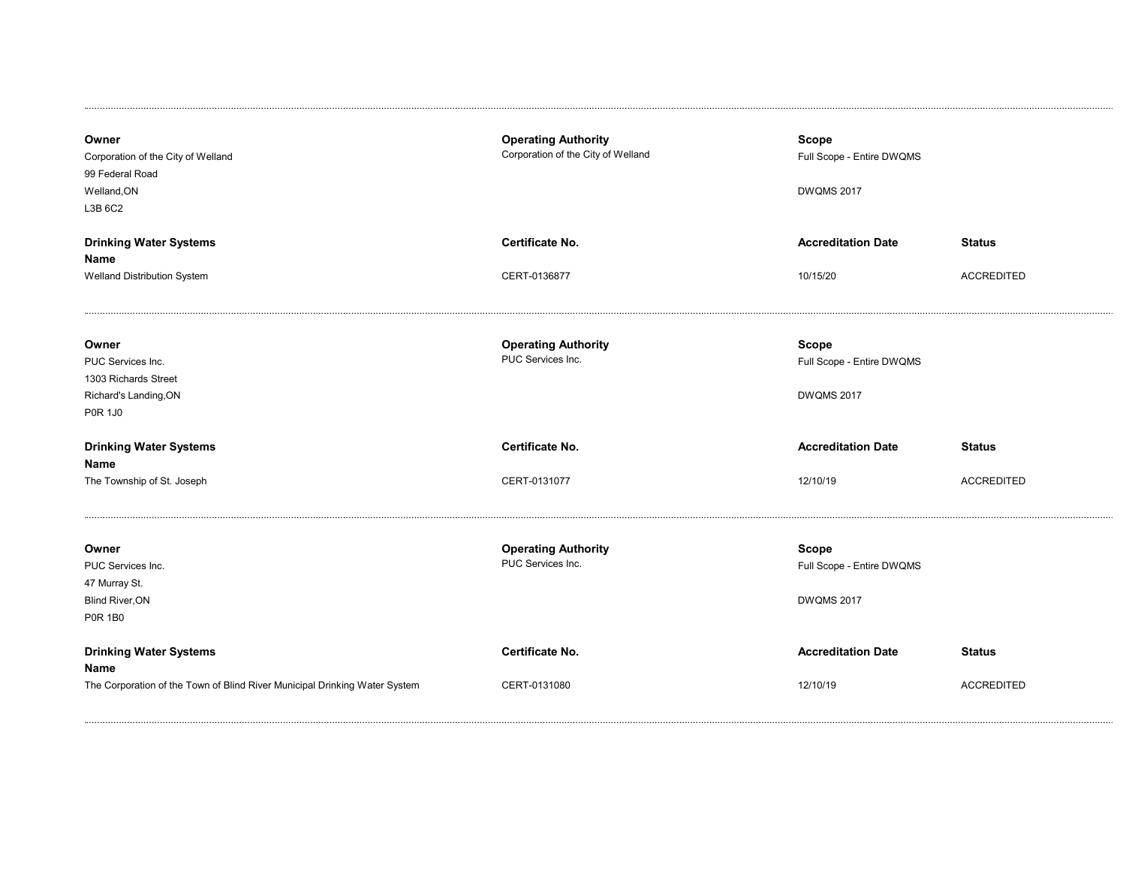| Owner<br>Corporation of the City of Welland<br>99 Federal Road<br>Welland, ON<br>L3B 6C2      | <b>Operating Authority</b><br>Corporation of the City of Welland | Scope<br>Full Scope - Entire DWQMS<br><b>DWQMS 2017</b>        |                   |
|-----------------------------------------------------------------------------------------------|------------------------------------------------------------------|----------------------------------------------------------------|-------------------|
| <b>Drinking Water Systems</b>                                                                 | <b>Certificate No.</b>                                           | <b>Accreditation Date</b>                                      | <b>Status</b>     |
| <b>Name</b><br>Welland Distribution System                                                    | CERT-0136877                                                     | 10/15/20                                                       | <b>ACCREDITED</b> |
| Owner<br>PUC Services Inc.<br>1303 Richards Street<br>Richard's Landing, ON<br><b>P0R 1J0</b> | <b>Operating Authority</b><br>PUC Services Inc.                  | <b>Scope</b><br>Full Scope - Entire DWQMS<br><b>DWQMS 2017</b> |                   |
| <b>Drinking Water Systems</b><br>Name                                                         | <b>Certificate No.</b>                                           | <b>Accreditation Date</b>                                      | <b>Status</b>     |
| The Township of St. Joseph                                                                    | CERT-0131077                                                     | 12/10/19                                                       | <b>ACCREDITED</b> |
| Owner<br>PUC Services Inc.<br>47 Murray St.<br><b>Blind River, ON</b><br><b>P0R 1B0</b>       | <b>Operating Authority</b><br>PUC Services Inc.                  | <b>Scope</b><br>Full Scope - Entire DWQMS<br><b>DWQMS 2017</b> |                   |
| <b>Drinking Water Systems</b><br>Name                                                         | Certificate No.                                                  | <b>Accreditation Date</b>                                      | <b>Status</b>     |
| The Corporation of the Town of Blind River Municipal Drinking Water System                    | CERT-0131080                                                     | 12/10/19                                                       | <b>ACCREDITED</b> |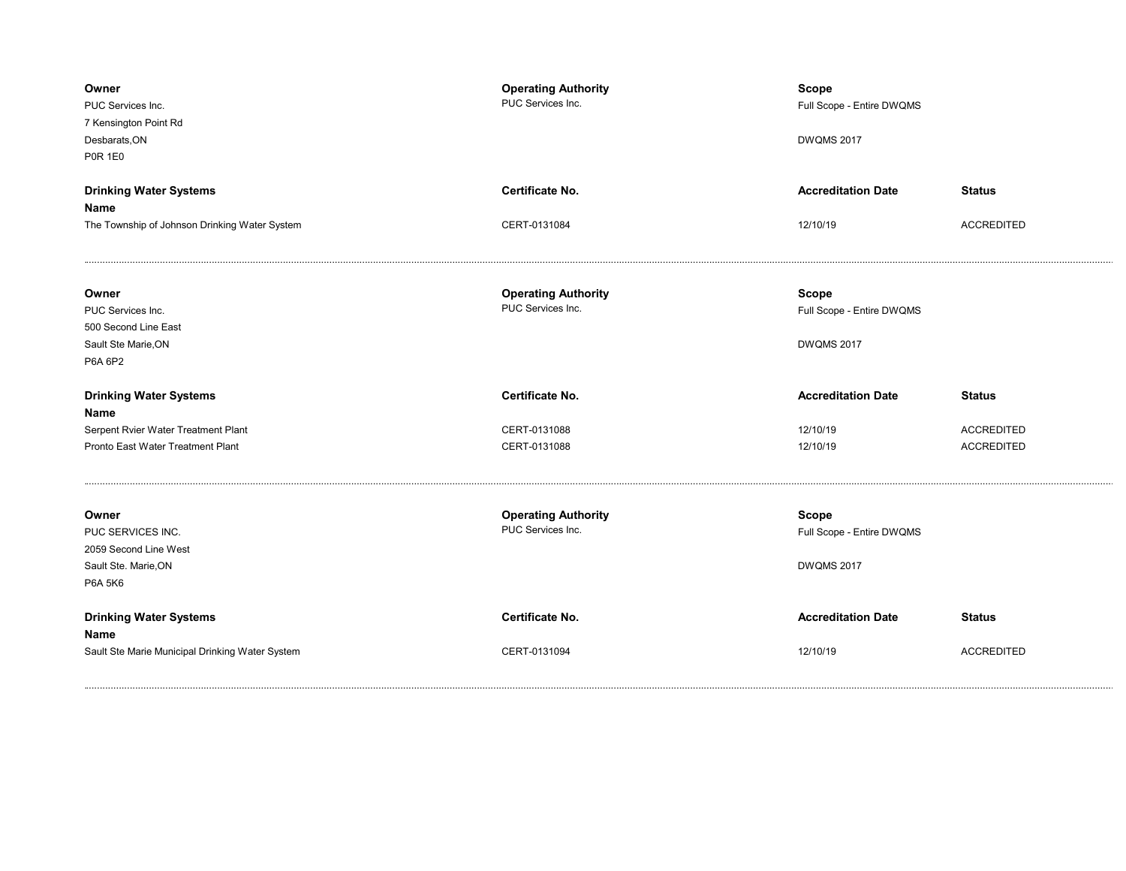| Owner<br>PUC Services Inc.<br>7 Kensington Point Rd<br>Desbarats, ON<br><b>P0R 1E0</b> | <b>Operating Authority</b><br>PUC Services Inc. | <b>Scope</b><br>Full Scope - Entire DWQMS<br><b>DWQMS 2017</b> |                                        |
|----------------------------------------------------------------------------------------|-------------------------------------------------|----------------------------------------------------------------|----------------------------------------|
| <b>Drinking Water Systems</b>                                                          | <b>Certificate No.</b>                          | <b>Accreditation Date</b>                                      | <b>Status</b>                          |
| Name<br>The Township of Johnson Drinking Water System                                  | CERT-0131084                                    | 12/10/19                                                       | <b>ACCREDITED</b>                      |
| Owner<br>PUC Services Inc.<br>500 Second Line East<br>Sault Ste Marie, ON<br>P6A 6P2   | <b>Operating Authority</b><br>PUC Services Inc. | Scope<br>Full Scope - Entire DWQMS<br><b>DWQMS 2017</b>        |                                        |
|                                                                                        |                                                 |                                                                |                                        |
| <b>Drinking Water Systems</b>                                                          | <b>Certificate No.</b>                          | <b>Accreditation Date</b>                                      | <b>Status</b>                          |
| Name                                                                                   |                                                 |                                                                |                                        |
| Serpent Rvier Water Treatment Plant<br>Pronto East Water Treatment Plant               | CERT-0131088<br>CERT-0131088                    | 12/10/19<br>12/10/19                                           | <b>ACCREDITED</b><br><b>ACCREDITED</b> |
|                                                                                        |                                                 |                                                                |                                        |
| Owner                                                                                  | <b>Operating Authority</b>                      | Scope                                                          |                                        |
| PUC SERVICES INC.                                                                      | PUC Services Inc.                               | Full Scope - Entire DWQMS                                      |                                        |
| 2059 Second Line West                                                                  |                                                 |                                                                |                                        |
| Sault Ste. Marie, ON<br>P6A 5K6                                                        |                                                 | <b>DWQMS 2017</b>                                              |                                        |
| <b>Drinking Water Systems</b><br>Name                                                  | <b>Certificate No.</b>                          | <b>Accreditation Date</b>                                      | <b>Status</b>                          |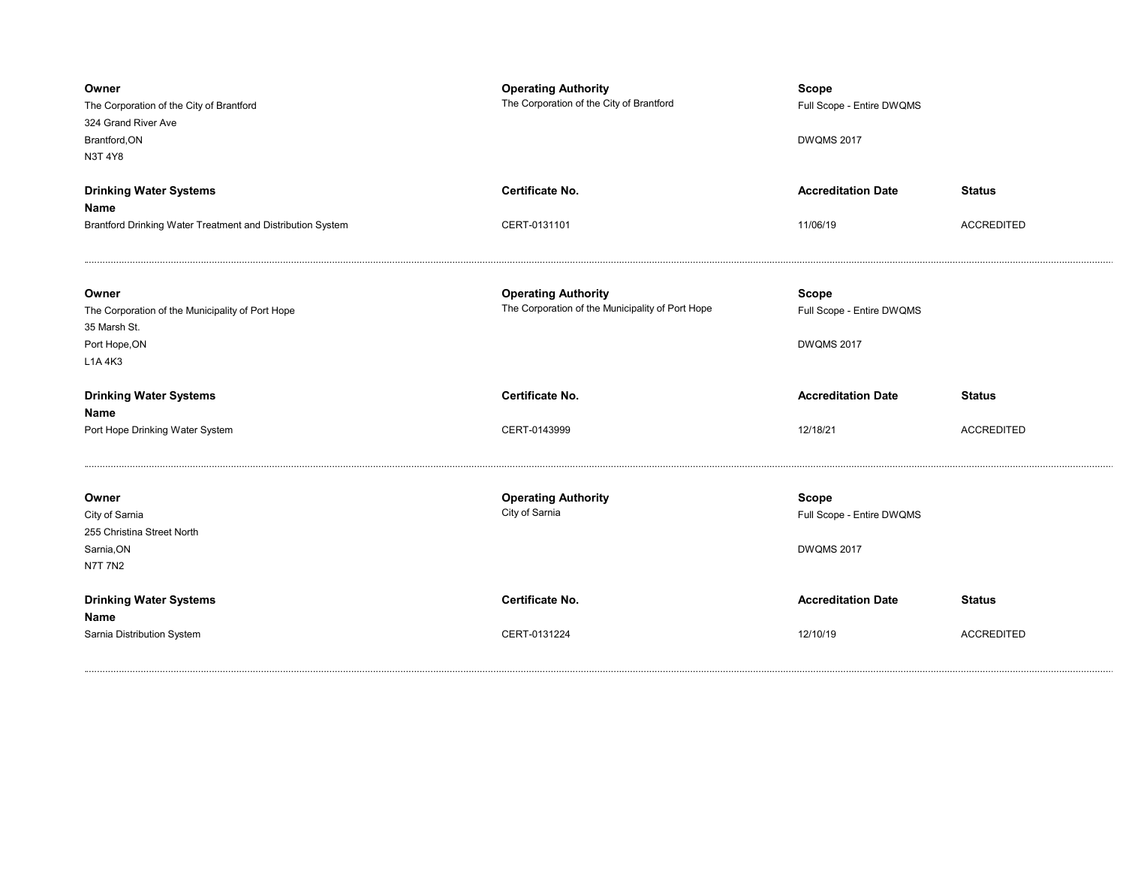| Owner<br>The Corporation of the City of Brantford<br>324 Grand River Ave<br>Brantford, ON<br>N3T 4Y8 | <b>Operating Authority</b><br>The Corporation of the City of Brantford         | <b>Scope</b><br>Full Scope - Entire DWQMS<br><b>DWQMS 2017</b> |                   |
|------------------------------------------------------------------------------------------------------|--------------------------------------------------------------------------------|----------------------------------------------------------------|-------------------|
| <b>Drinking Water Systems</b>                                                                        | <b>Certificate No.</b>                                                         | <b>Accreditation Date</b>                                      | <b>Status</b>     |
| Name                                                                                                 |                                                                                |                                                                |                   |
| Brantford Drinking Water Treatment and Distribution System                                           | CERT-0131101                                                                   | 11/06/19                                                       | <b>ACCREDITED</b> |
| Owner                                                                                                | <b>Operating Authority</b><br>The Corporation of the Municipality of Port Hope | <b>Scope</b><br>Full Scope - Entire DWQMS                      |                   |
| The Corporation of the Municipality of Port Hope<br>35 Marsh St.                                     |                                                                                |                                                                |                   |
| Port Hope, ON                                                                                        |                                                                                | <b>DWQMS 2017</b>                                              |                   |
| L1A 4K3                                                                                              |                                                                                |                                                                |                   |
|                                                                                                      |                                                                                |                                                                |                   |
| <b>Drinking Water Systems</b><br>Name                                                                | Certificate No.                                                                | <b>Accreditation Date</b>                                      | <b>Status</b>     |
| Port Hope Drinking Water System                                                                      | CERT-0143999                                                                   | 12/18/21                                                       | <b>ACCREDITED</b> |
| Owner                                                                                                | <b>Operating Authority</b>                                                     | <b>Scope</b>                                                   |                   |
| City of Sarnia                                                                                       | City of Sarnia                                                                 | Full Scope - Entire DWQMS                                      |                   |
| 255 Christina Street North                                                                           |                                                                                |                                                                |                   |
| Sarnia, ON                                                                                           |                                                                                | <b>DWQMS 2017</b>                                              |                   |
| <b>N7T 7N2</b>                                                                                       |                                                                                |                                                                |                   |
| <b>Drinking Water Systems</b><br>Name                                                                | <b>Certificate No.</b>                                                         | <b>Accreditation Date</b>                                      | <b>Status</b>     |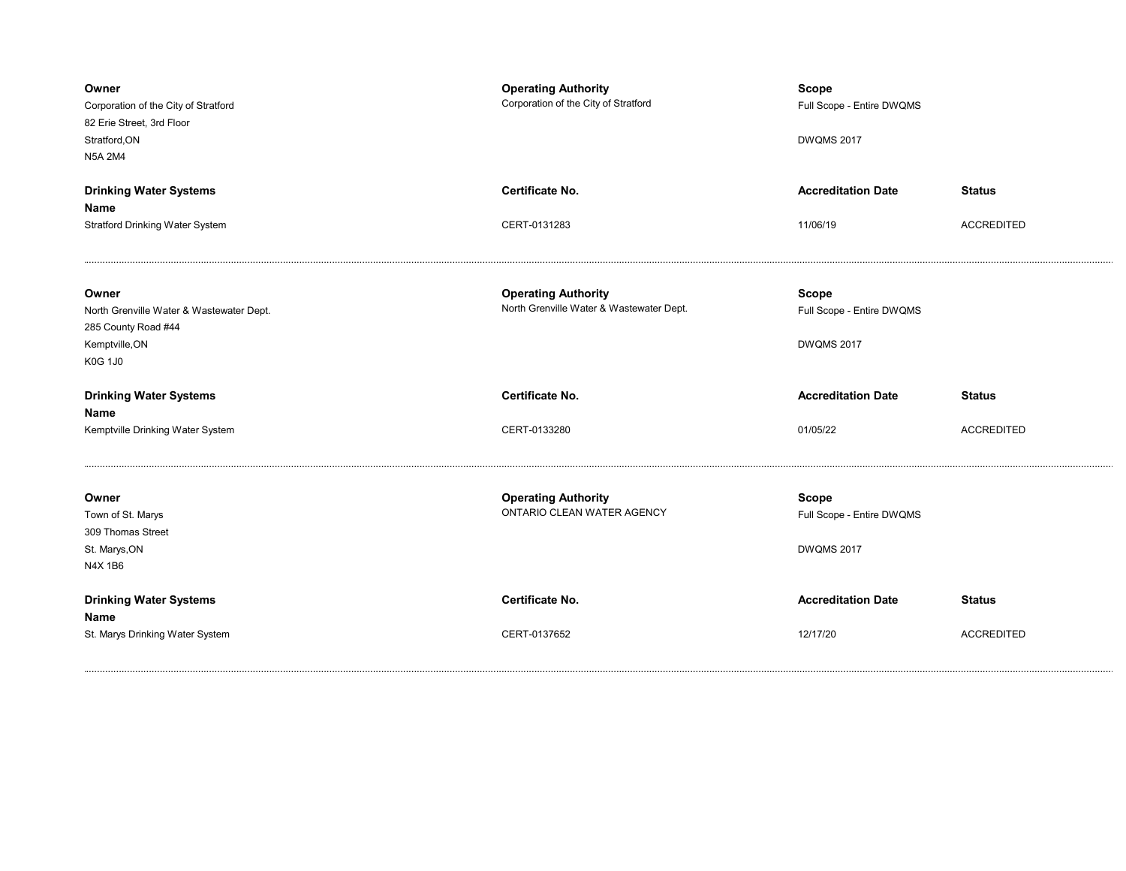| Owner<br>Corporation of the City of Stratford<br>82 Erie Street, 3rd Floor<br>Stratford, ON<br><b>N5A 2M4</b> | <b>Operating Authority</b><br>Corporation of the City of Stratford     | <b>Scope</b><br>Full Scope - Entire DWQMS<br><b>DWQMS 2017</b> |                   |
|---------------------------------------------------------------------------------------------------------------|------------------------------------------------------------------------|----------------------------------------------------------------|-------------------|
| <b>Drinking Water Systems</b>                                                                                 | Certificate No.                                                        | <b>Accreditation Date</b>                                      | <b>Status</b>     |
| Name<br><b>Stratford Drinking Water System</b>                                                                | CERT-0131283                                                           | 11/06/19                                                       | <b>ACCREDITED</b> |
|                                                                                                               |                                                                        |                                                                |                   |
| Owner<br>North Grenville Water & Wastewater Dept.<br>285 County Road #44<br>Kemptville, ON<br><b>K0G 1J0</b>  | <b>Operating Authority</b><br>North Grenville Water & Wastewater Dept. | <b>Scope</b><br>Full Scope - Entire DWQMS<br><b>DWQMS 2017</b> |                   |
|                                                                                                               |                                                                        |                                                                |                   |
| <b>Drinking Water Systems</b><br>Name                                                                         | Certificate No.                                                        | <b>Accreditation Date</b>                                      | <b>Status</b>     |
| Kemptville Drinking Water System                                                                              | CERT-0133280                                                           | 01/05/22                                                       | <b>ACCREDITED</b> |
| Owner<br>Town of St. Marys<br>309 Thomas Street<br>St. Marys, ON<br>N4X 1B6                                   | <b>Operating Authority</b><br>ONTARIO CLEAN WATER AGENCY               | <b>Scope</b><br>Full Scope - Entire DWQMS<br><b>DWQMS 2017</b> |                   |
| <b>Drinking Water Systems</b><br>Name                                                                         | <b>Certificate No.</b>                                                 | <b>Accreditation Date</b>                                      | <b>Status</b>     |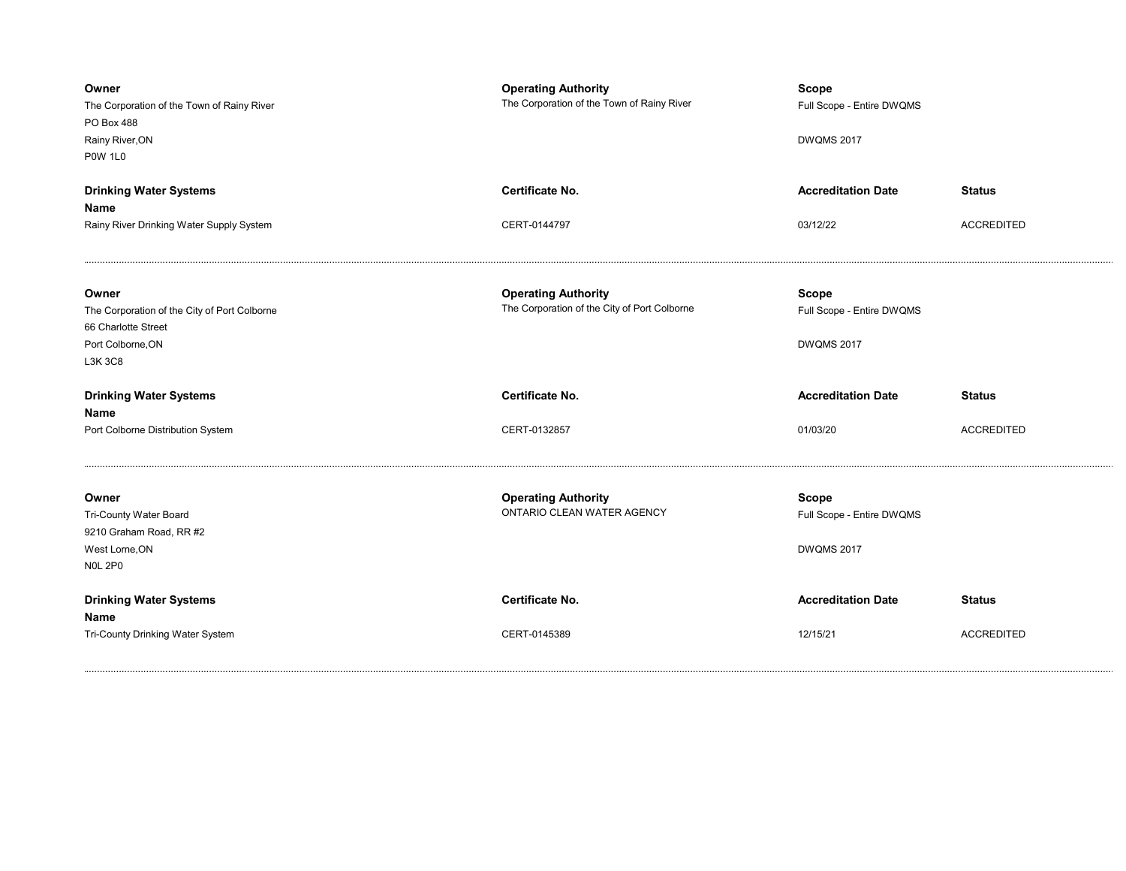| Owner<br>The Corporation of the Town of Rainy River<br>PO Box 488<br>Rainy River, ON<br><b>P0W 1L0</b> | <b>Operating Authority</b><br>The Corporation of the Town of Rainy River | <b>Scope</b><br>Full Scope - Entire DWQMS<br><b>DWQMS 2017</b> |                   |
|--------------------------------------------------------------------------------------------------------|--------------------------------------------------------------------------|----------------------------------------------------------------|-------------------|
| <b>Drinking Water Systems</b>                                                                          | <b>Certificate No.</b>                                                   | <b>Accreditation Date</b>                                      | <b>Status</b>     |
| Name                                                                                                   |                                                                          |                                                                |                   |
| Rainy River Drinking Water Supply System                                                               | CERT-0144797                                                             | 03/12/22                                                       | <b>ACCREDITED</b> |
| Owner                                                                                                  | <b>Operating Authority</b>                                               | <b>Scope</b>                                                   |                   |
| The Corporation of the City of Port Colborne                                                           | The Corporation of the City of Port Colborne                             | Full Scope - Entire DWQMS                                      |                   |
| 66 Charlotte Street<br>Port Colborne, ON                                                               |                                                                          | <b>DWQMS 2017</b>                                              |                   |
| L3K 3C8                                                                                                |                                                                          |                                                                |                   |
|                                                                                                        |                                                                          |                                                                |                   |
| <b>Drinking Water Systems</b>                                                                          | Certificate No.                                                          | <b>Accreditation Date</b>                                      | <b>Status</b>     |
| Name                                                                                                   |                                                                          |                                                                |                   |
| Port Colborne Distribution System                                                                      | CERT-0132857                                                             | 01/03/20                                                       | <b>ACCREDITED</b> |
|                                                                                                        |                                                                          |                                                                |                   |
| Owner                                                                                                  | <b>Operating Authority</b><br>ONTARIO CLEAN WATER AGENCY                 | Scope                                                          |                   |
| <b>Tri-County Water Board</b><br>9210 Graham Road, RR #2                                               |                                                                          | Full Scope - Entire DWQMS                                      |                   |
| West Lorne, ON                                                                                         |                                                                          | <b>DWQMS 2017</b>                                              |                   |
| <b>NOL 2P0</b>                                                                                         |                                                                          |                                                                |                   |
| <b>Drinking Water Systems</b><br>Name                                                                  | <b>Certificate No.</b>                                                   | <b>Accreditation Date</b>                                      | <b>Status</b>     |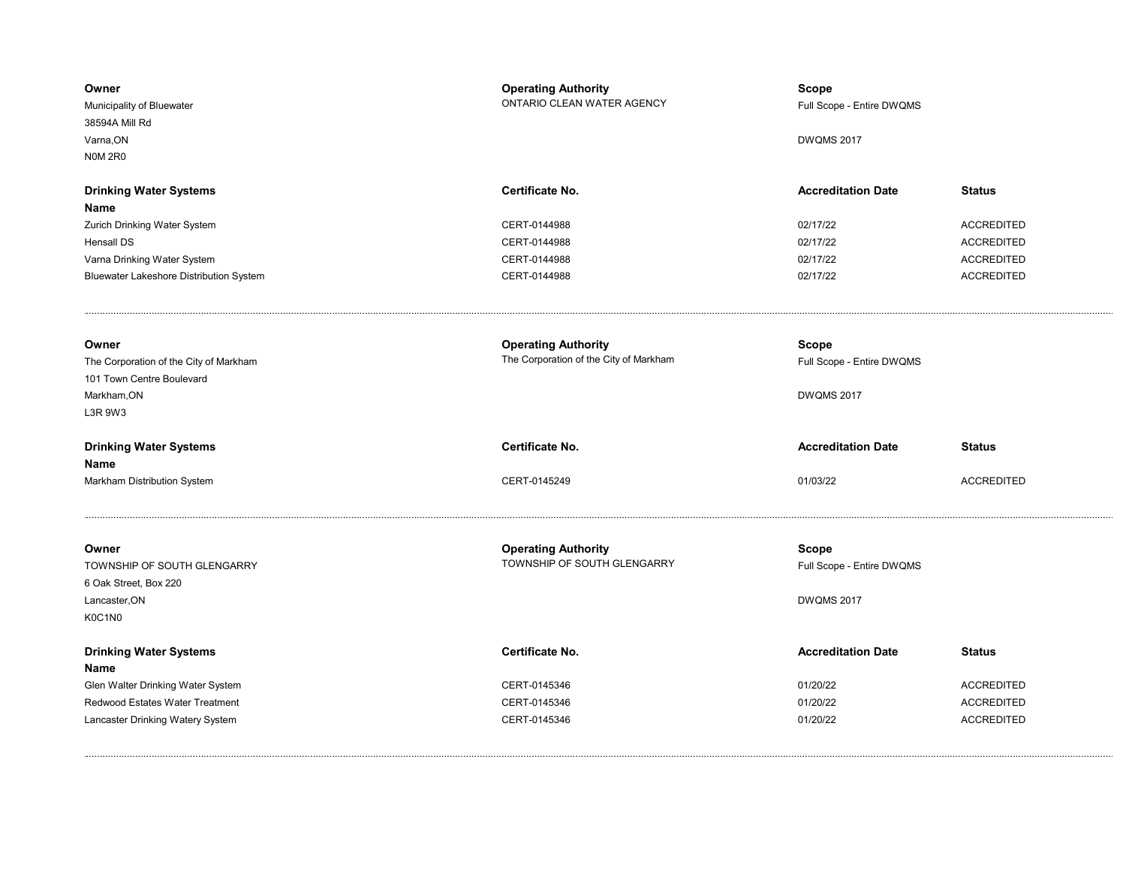| Owner<br>Municipality of Bluewater<br>38594A Mill Rd<br>Varna, ON<br><b>N0M 2R0</b> | <b>Operating Authority</b><br>ONTARIO CLEAN WATER AGENCY | <b>Scope</b><br>Full Scope - Entire DWQMS<br><b>DWQMS 2017</b> |                   |
|-------------------------------------------------------------------------------------|----------------------------------------------------------|----------------------------------------------------------------|-------------------|
| <b>Drinking Water Systems</b>                                                       | Certificate No.                                          | <b>Accreditation Date</b>                                      | <b>Status</b>     |
| Name                                                                                |                                                          |                                                                |                   |
| Zurich Drinking Water System                                                        | CERT-0144988                                             | 02/17/22                                                       | <b>ACCREDITED</b> |
| <b>Hensall DS</b>                                                                   | CERT-0144988                                             | 02/17/22                                                       | <b>ACCREDITED</b> |
| Varna Drinking Water System                                                         | CERT-0144988                                             | 02/17/22                                                       | <b>ACCREDITED</b> |
| Bluewater Lakeshore Distribution System                                             | CERT-0144988                                             | 02/17/22                                                       | <b>ACCREDITED</b> |
| Owner                                                                               | <b>Operating Authority</b>                               | <b>Scope</b>                                                   |                   |
| The Corporation of the City of Markham                                              | The Corporation of the City of Markham                   | Full Scope - Entire DWQMS                                      |                   |
| 101 Town Centre Boulevard<br>Markham, ON                                            |                                                          | <b>DWQMS 2017</b>                                              |                   |
| L3R 9W3                                                                             |                                                          |                                                                |                   |
|                                                                                     |                                                          |                                                                |                   |
| <b>Drinking Water Systems</b>                                                       | Certificate No.                                          | <b>Accreditation Date</b>                                      | <b>Status</b>     |
| Name                                                                                |                                                          |                                                                |                   |
| Markham Distribution System                                                         | CERT-0145249                                             | 01/03/22                                                       | <b>ACCREDITED</b> |
| Owner                                                                               | <b>Operating Authority</b>                               | Scope                                                          |                   |
| TOWNSHIP OF SOUTH GLENGARRY                                                         | TOWNSHIP OF SOUTH GLENGARRY                              | Full Scope - Entire DWQMS                                      |                   |
| 6 Oak Street, Box 220                                                               |                                                          |                                                                |                   |
| Lancaster, ON                                                                       |                                                          | <b>DWQMS 2017</b>                                              |                   |
| K0C1N0                                                                              |                                                          |                                                                |                   |
| <b>Drinking Water Systems</b>                                                       | Certificate No.                                          | <b>Accreditation Date</b>                                      | <b>Status</b>     |
| Name                                                                                |                                                          |                                                                |                   |
| Glen Walter Drinking Water System                                                   | CERT-0145346                                             | 01/20/22                                                       | <b>ACCREDITED</b> |
| Redwood Estates Water Treatment                                                     | CERT-0145346                                             | 01/20/22                                                       | <b>ACCREDITED</b> |
| Lancaster Drinking Watery System                                                    | CERT-0145346                                             | 01/20/22                                                       | <b>ACCREDITED</b> |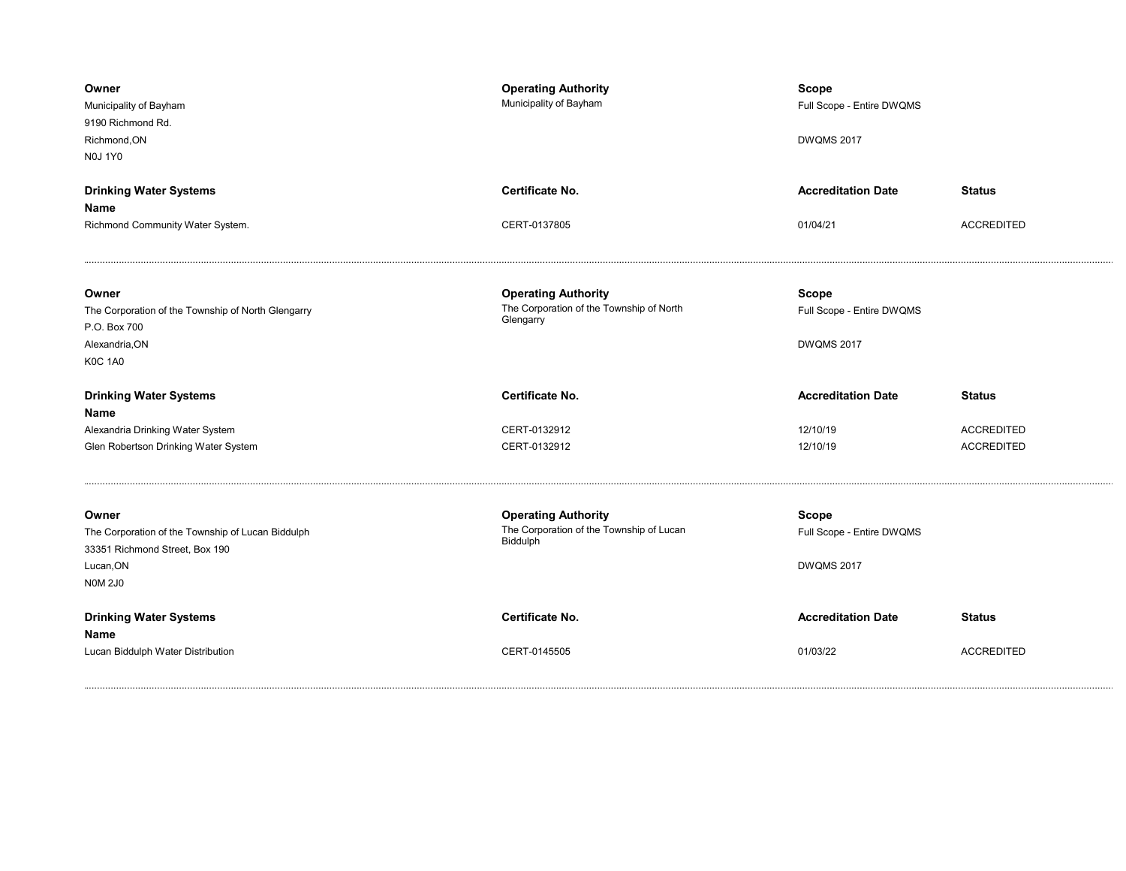| Owner<br>Municipality of Bayham<br>9190 Richmond Rd.<br>Richmond, ON<br><b>N0J 1Y0</b>                                      | <b>Operating Authority</b><br>Municipality of Bayham                                | <b>Scope</b><br>Full Scope - Entire DWQMS<br><b>DWQMS 2017</b> |                                        |
|-----------------------------------------------------------------------------------------------------------------------------|-------------------------------------------------------------------------------------|----------------------------------------------------------------|----------------------------------------|
| <b>Drinking Water Systems</b>                                                                                               | <b>Certificate No.</b>                                                              | <b>Accreditation Date</b>                                      | <b>Status</b>                          |
| Name<br>Richmond Community Water System.                                                                                    | CERT-0137805                                                                        | 01/04/21                                                       | <b>ACCREDITED</b>                      |
| Owner<br>The Corporation of the Township of North Glengarry<br>P.O. Box 700<br>Alexandria, ON<br><b>K0C 1A0</b>             | <b>Operating Authority</b><br>The Corporation of the Township of North<br>Glengarry | <b>Scope</b><br>Full Scope - Entire DWQMS<br><b>DWQMS 2017</b> |                                        |
|                                                                                                                             | <b>Certificate No.</b>                                                              | <b>Accreditation Date</b>                                      | <b>Status</b>                          |
| <b>Drinking Water Systems</b>                                                                                               |                                                                                     |                                                                |                                        |
| <b>Name</b>                                                                                                                 |                                                                                     |                                                                |                                        |
| Alexandria Drinking Water System<br>Glen Robertson Drinking Water System                                                    | CERT-0132912<br>CERT-0132912                                                        | 12/10/19<br>12/10/19                                           | <b>ACCREDITED</b><br><b>ACCREDITED</b> |
| Owner<br>The Corporation of the Township of Lucan Biddulph<br>33351 Richmond Street, Box 190<br>Lucan, ON<br><b>NOM 2J0</b> | <b>Operating Authority</b><br>The Corporation of the Township of Lucan<br>Biddulph  | <b>Scope</b><br>Full Scope - Entire DWQMS<br><b>DWQMS 2017</b> |                                        |
| <b>Drinking Water Systems</b><br><b>Name</b>                                                                                | <b>Certificate No.</b>                                                              | <b>Accreditation Date</b>                                      | <b>Status</b>                          |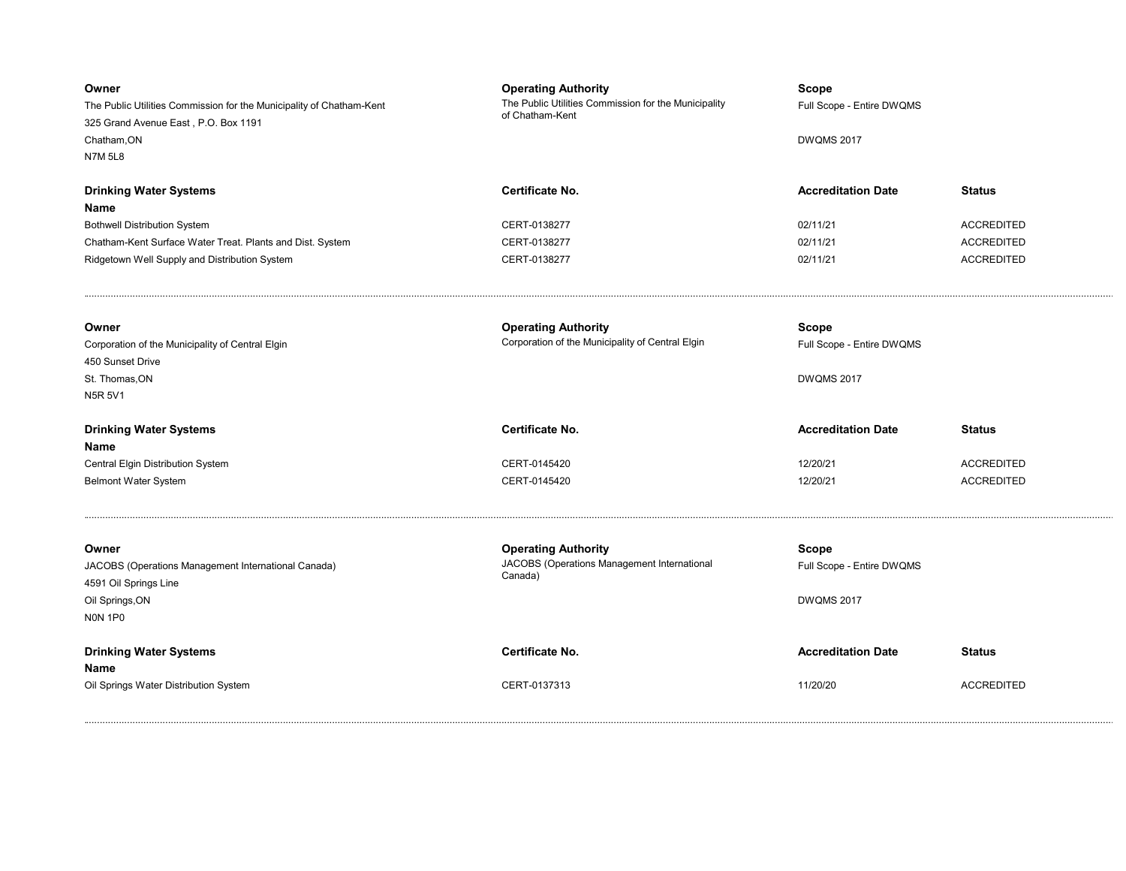| Owner<br>The Public Utilities Commission for the Municipality of Chatham-Kent<br>325 Grand Avenue East, P.O. Box 1191<br>Chatham, ON<br><b>N7M 5L8</b> | <b>Operating Authority</b><br>The Public Utilities Commission for the Municipality<br>of Chatham-Kent | <b>Scope</b><br>Full Scope - Entire DWQMS<br><b>DWQMS 2017</b> |                   |
|--------------------------------------------------------------------------------------------------------------------------------------------------------|-------------------------------------------------------------------------------------------------------|----------------------------------------------------------------|-------------------|
| <b>Drinking Water Systems</b><br>Name                                                                                                                  | Certificate No.                                                                                       | <b>Accreditation Date</b>                                      | <b>Status</b>     |
| <b>Bothwell Distribution System</b>                                                                                                                    | CERT-0138277                                                                                          | 02/11/21                                                       | <b>ACCREDITED</b> |
| Chatham-Kent Surface Water Treat. Plants and Dist. System                                                                                              | CERT-0138277                                                                                          | 02/11/21                                                       | <b>ACCREDITED</b> |
| Ridgetown Well Supply and Distribution System                                                                                                          | CERT-0138277                                                                                          | 02/11/21                                                       | <b>ACCREDITED</b> |
|                                                                                                                                                        |                                                                                                       |                                                                |                   |
| Owner                                                                                                                                                  | <b>Operating Authority</b>                                                                            | Scope                                                          |                   |
| Corporation of the Municipality of Central Elgin                                                                                                       | Corporation of the Municipality of Central Elgin                                                      | Full Scope - Entire DWQMS                                      |                   |
| 450 Sunset Drive<br>St. Thomas, ON                                                                                                                     |                                                                                                       | <b>DWQMS 2017</b>                                              |                   |
| <b>N5R 5V1</b>                                                                                                                                         |                                                                                                       |                                                                |                   |
|                                                                                                                                                        |                                                                                                       |                                                                |                   |
| <b>Drinking Water Systems</b><br>Name                                                                                                                  | Certificate No.                                                                                       | <b>Accreditation Date</b>                                      | <b>Status</b>     |
| Central Elgin Distribution System                                                                                                                      | CERT-0145420                                                                                          | 12/20/21                                                       | <b>ACCREDITED</b> |
| <b>Belmont Water System</b>                                                                                                                            | CERT-0145420                                                                                          | 12/20/21                                                       | <b>ACCREDITED</b> |
|                                                                                                                                                        |                                                                                                       |                                                                |                   |
| Owner<br>JACOBS (Operations Management International Canada)<br>4591 Oil Springs Line<br>Oil Springs, ON<br><b>NON 1P0</b>                             | <b>Operating Authority</b><br>JACOBS (Operations Management International<br>Canada)                  | <b>Scope</b><br>Full Scope - Entire DWQMS<br><b>DWQMS 2017</b> |                   |
| <b>Drinking Water Systems</b>                                                                                                                          | Certificate No.                                                                                       | <b>Accreditation Date</b>                                      | <b>Status</b>     |
| Name<br>Oil Springs Water Distribution System                                                                                                          | CERT-0137313                                                                                          | 11/20/20                                                       | <b>ACCREDITED</b> |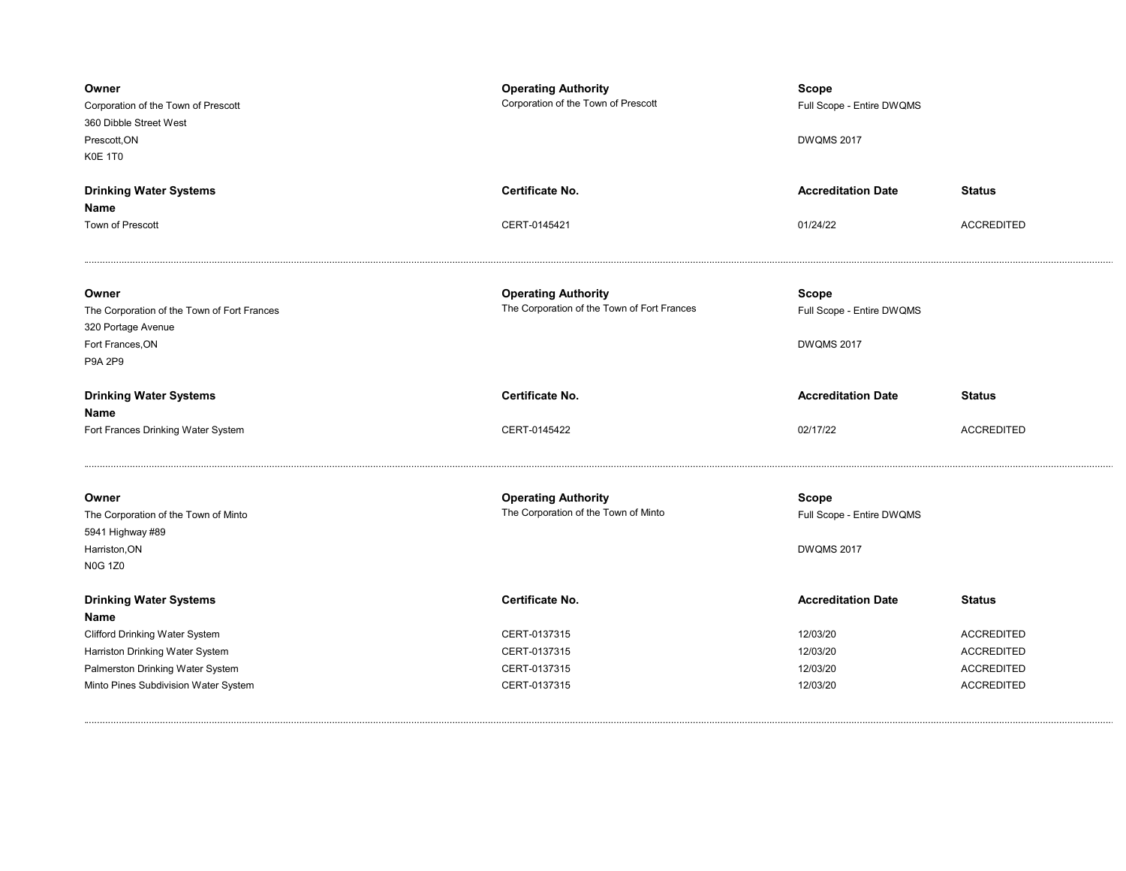| Owner<br>Corporation of the Town of Prescott<br>360 Dibble Street West<br>Prescott.ON<br>K0E 1T0 | <b>Operating Authority</b><br>Corporation of the Town of Prescott  | <b>Scope</b><br>Full Scope - Entire DWQMS<br><b>DWQMS 2017</b> |                   |
|--------------------------------------------------------------------------------------------------|--------------------------------------------------------------------|----------------------------------------------------------------|-------------------|
| <b>Drinking Water Systems</b>                                                                    | Certificate No.                                                    | <b>Accreditation Date</b>                                      | <b>Status</b>     |
| Name                                                                                             |                                                                    |                                                                |                   |
| Town of Prescott                                                                                 | CERT-0145421                                                       | 01/24/22                                                       | <b>ACCREDITED</b> |
| Owner                                                                                            | <b>Operating Authority</b>                                         | <b>Scope</b>                                                   |                   |
| The Corporation of the Town of Fort Frances                                                      | The Corporation of the Town of Fort Frances                        | Full Scope - Entire DWQMS                                      |                   |
| 320 Portage Avenue                                                                               |                                                                    |                                                                |                   |
| Fort Frances, ON                                                                                 |                                                                    | <b>DWQMS 2017</b>                                              |                   |
| P9A 2P9                                                                                          |                                                                    |                                                                |                   |
| <b>Drinking Water Systems</b>                                                                    | Certificate No.                                                    | <b>Accreditation Date</b>                                      | <b>Status</b>     |
| <b>Name</b>                                                                                      |                                                                    |                                                                |                   |
|                                                                                                  |                                                                    |                                                                |                   |
| Fort Frances Drinking Water System                                                               | CERT-0145422                                                       | 02/17/22                                                       | <b>ACCREDITED</b> |
| Owner                                                                                            |                                                                    |                                                                |                   |
| The Corporation of the Town of Minto                                                             | <b>Operating Authority</b><br>The Corporation of the Town of Minto | Scope<br>Full Scope - Entire DWQMS                             |                   |
| 5941 Highway #89                                                                                 |                                                                    |                                                                |                   |
| Harriston, ON                                                                                    |                                                                    | <b>DWQMS 2017</b>                                              |                   |
| <b>N0G 1Z0</b>                                                                                   |                                                                    |                                                                |                   |
| <b>Drinking Water Systems</b>                                                                    | Certificate No.                                                    | <b>Accreditation Date</b>                                      | <b>Status</b>     |
| Name                                                                                             |                                                                    |                                                                |                   |
| <b>Clifford Drinking Water System</b>                                                            | CERT-0137315                                                       | 12/03/20                                                       | <b>ACCREDITED</b> |
| Harriston Drinking Water System                                                                  | CERT-0137315                                                       | 12/03/20                                                       | <b>ACCREDITED</b> |
| Palmerston Drinking Water System                                                                 | CERT-0137315                                                       | 12/03/20                                                       | <b>ACCREDITED</b> |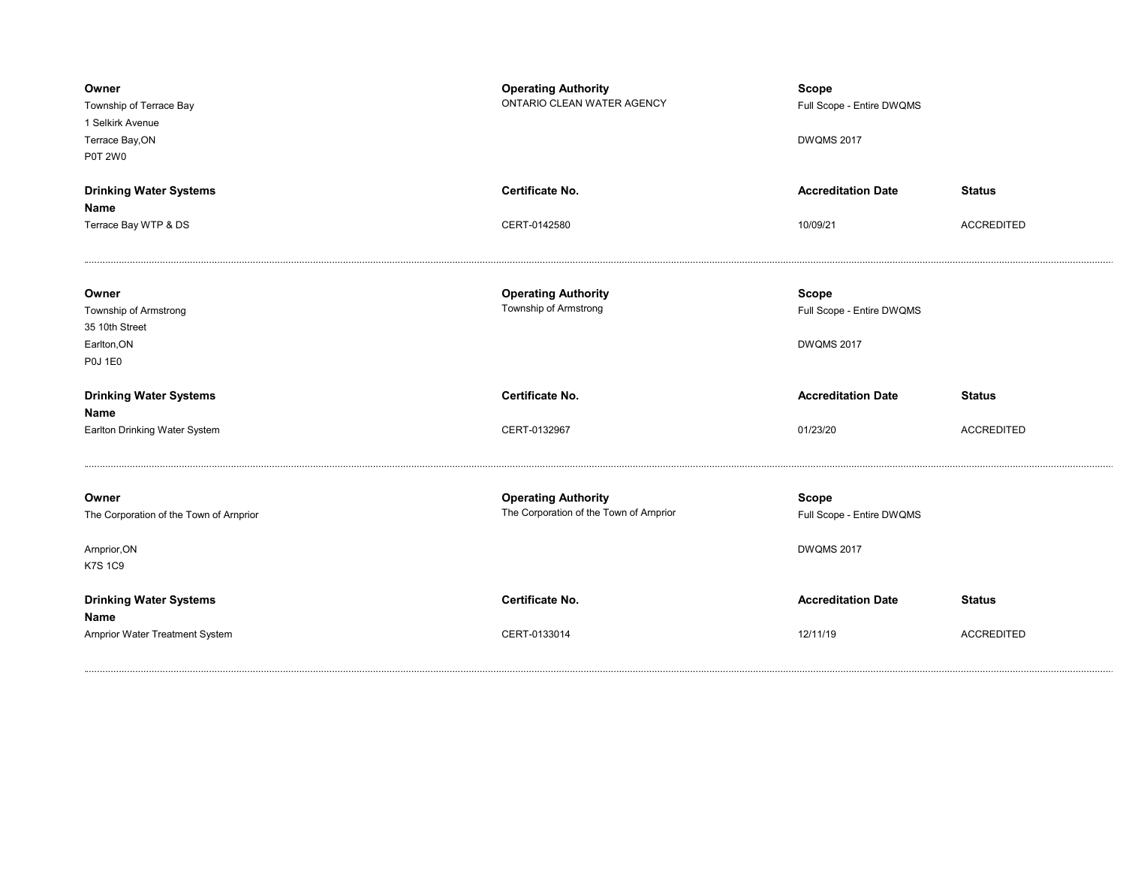| Owner<br>Township of Terrace Bay<br>1 Selkirk Avenue<br>Terrace Bay, ON<br><b>P0T 2W0</b> | <b>Operating Authority</b><br>ONTARIO CLEAN WATER AGENCY              | <b>Scope</b><br>Full Scope - Entire DWQMS<br><b>DWQMS 2017</b> |                   |
|-------------------------------------------------------------------------------------------|-----------------------------------------------------------------------|----------------------------------------------------------------|-------------------|
| <b>Drinking Water Systems</b>                                                             | <b>Certificate No.</b>                                                | <b>Accreditation Date</b>                                      | <b>Status</b>     |
| Name                                                                                      |                                                                       |                                                                |                   |
| Terrace Bay WTP & DS                                                                      | CERT-0142580                                                          | 10/09/21                                                       | <b>ACCREDITED</b> |
| Owner<br>Township of Armstrong                                                            | <b>Operating Authority</b><br>Township of Armstrong                   | <b>Scope</b>                                                   |                   |
| 35 10th Street                                                                            |                                                                       | Full Scope - Entire DWQMS                                      |                   |
| Earlton, ON                                                                               |                                                                       | <b>DWQMS 2017</b>                                              |                   |
| <b>P0J 1E0</b>                                                                            |                                                                       |                                                                |                   |
| <b>Drinking Water Systems</b><br>Name                                                     | Certificate No.                                                       | <b>Accreditation Date</b>                                      | <b>Status</b>     |
| Earlton Drinking Water System                                                             | CERT-0132967                                                          | 01/23/20                                                       | <b>ACCREDITED</b> |
|                                                                                           |                                                                       |                                                                |                   |
| Owner<br>The Corporation of the Town of Arnprior                                          | <b>Operating Authority</b><br>The Corporation of the Town of Arnprior | <b>Scope</b><br>Full Scope - Entire DWQMS                      |                   |
| Arnprior, ON<br><b>K7S 1C9</b>                                                            |                                                                       | <b>DWQMS 2017</b>                                              |                   |
| <b>Drinking Water Systems</b><br>Name                                                     | <b>Certificate No.</b>                                                | <b>Accreditation Date</b>                                      | <b>Status</b>     |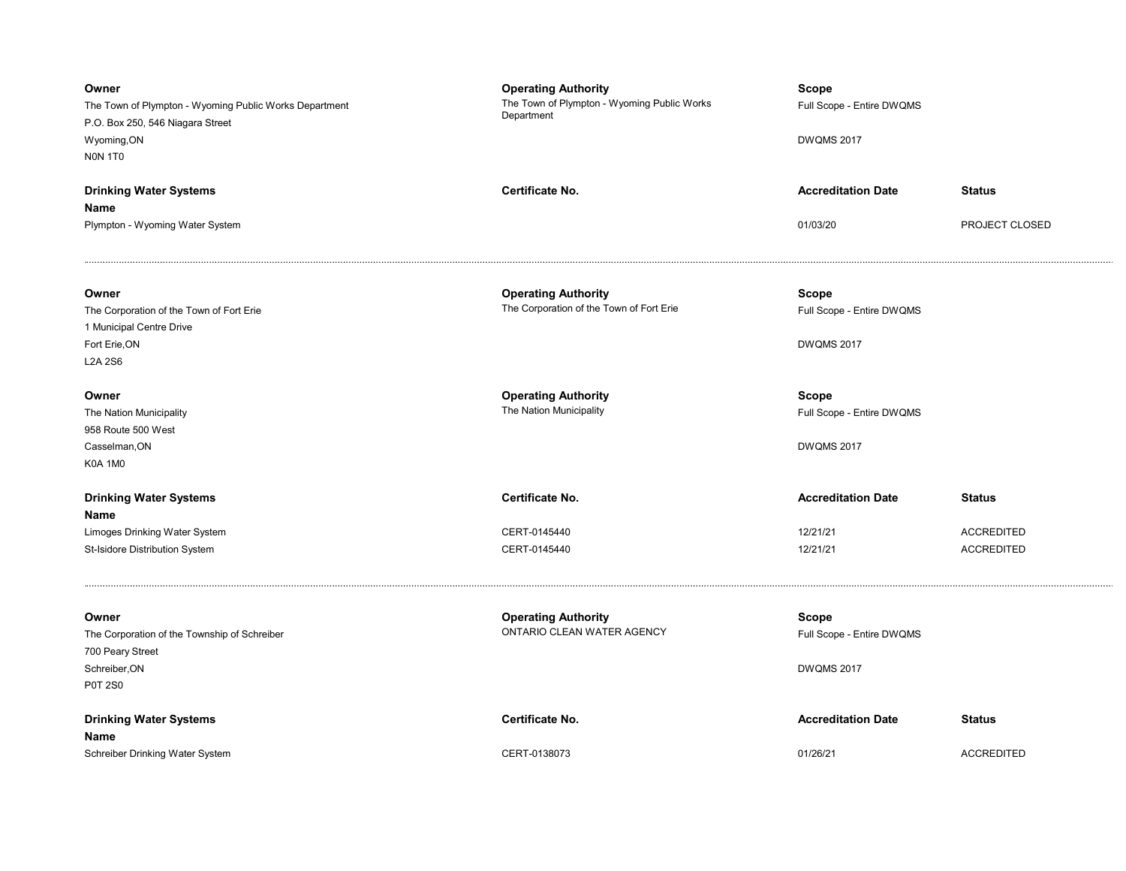| Owner<br>The Town of Plympton - Wyoming Public Works Department<br>P.O. Box 250, 546 Niagara Street<br>Wyoming, ON<br>NON 1TO | <b>Operating Authority</b><br>The Town of Plympton - Wyoming Public Works<br>Department | <b>Scope</b><br>Full Scope - Entire DWQMS<br><b>DWQMS 2017</b> |                   |
|-------------------------------------------------------------------------------------------------------------------------------|-----------------------------------------------------------------------------------------|----------------------------------------------------------------|-------------------|
| <b>Drinking Water Systems</b>                                                                                                 | Certificate No.                                                                         | <b>Accreditation Date</b>                                      | <b>Status</b>     |
| Name<br>Plympton - Wyoming Water System                                                                                       |                                                                                         | 01/03/20                                                       | PROJECT CLOSED    |
| Owner<br>The Corporation of the Town of Fort Erie                                                                             | <b>Operating Authority</b><br>The Corporation of the Town of Fort Erie                  | Scope<br>Full Scope - Entire DWQMS                             |                   |
| 1 Municipal Centre Drive                                                                                                      |                                                                                         |                                                                |                   |
| Fort Erie, ON<br><b>L2A 2S6</b>                                                                                               |                                                                                         | <b>DWQMS 2017</b>                                              |                   |
| Owner                                                                                                                         | <b>Operating Authority</b>                                                              | Scope                                                          |                   |
| The Nation Municipality                                                                                                       | The Nation Municipality                                                                 | Full Scope - Entire DWQMS                                      |                   |
| 958 Route 500 West                                                                                                            |                                                                                         | <b>DWQMS 2017</b>                                              |                   |
| Casselman, ON<br><b>K0A 1M0</b>                                                                                               |                                                                                         |                                                                |                   |
| <b>Drinking Water Systems</b><br>Name                                                                                         | Certificate No.                                                                         | <b>Accreditation Date</b>                                      | <b>Status</b>     |
| Limoges Drinking Water System                                                                                                 | CERT-0145440                                                                            | 12/21/21                                                       | <b>ACCREDITED</b> |
| St-Isidore Distribution System                                                                                                | CERT-0145440                                                                            | 12/21/21                                                       | <b>ACCREDITED</b> |
| Owner<br>The Corporation of the Township of Schreiber<br>700 Peary Street                                                     | <b>Operating Authority</b><br>ONTARIO CLEAN WATER AGENCY                                | Scope<br>Full Scope - Entire DWQMS                             |                   |
| Schreiber, ON<br><b>P0T 2S0</b>                                                                                               |                                                                                         | <b>DWQMS 2017</b>                                              |                   |
| <b>Drinking Water Systems</b><br>Name                                                                                         | Certificate No.                                                                         | <b>Accreditation Date</b>                                      | <b>Status</b>     |
| Schreiber Drinking Water System                                                                                               | CERT-0138073                                                                            | 01/26/21                                                       | <b>ACCREDITED</b> |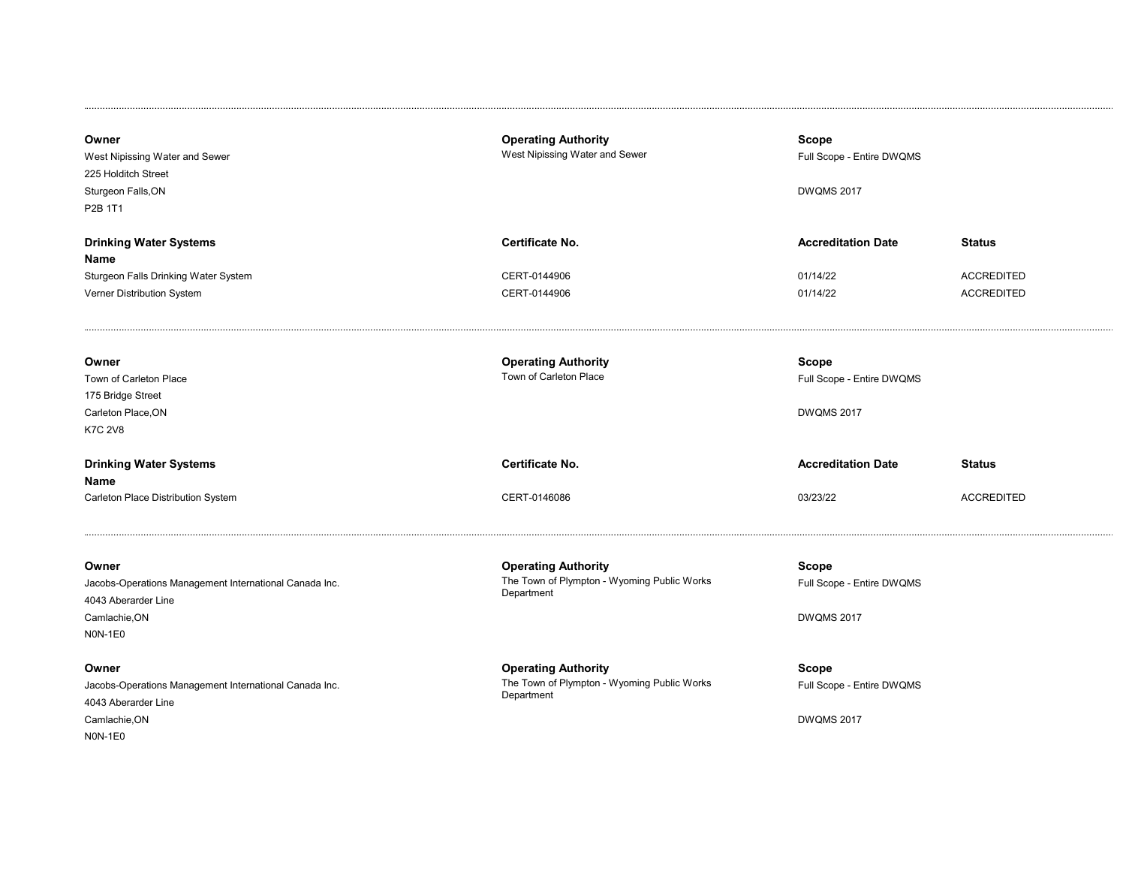| Owner<br>West Nipissing Water and Sewer<br>225 Holditch Street<br>Sturgeon Falls, ON<br>P2B 1T1                                                                             | <b>Operating Authority</b><br>West Nipissing Water and Sewer                                   | Scope<br>Full Scope - Entire DWQMS<br><b>DWQMS 2017</b>                                                 |                                                         |
|-----------------------------------------------------------------------------------------------------------------------------------------------------------------------------|------------------------------------------------------------------------------------------------|---------------------------------------------------------------------------------------------------------|---------------------------------------------------------|
| <b>Drinking Water Systems</b><br>Name<br>Sturgeon Falls Drinking Water System<br>Verner Distribution System                                                                 | Certificate No.<br>CERT-0144906<br>CERT-0144906                                                | <b>Accreditation Date</b><br>01/14/22<br>01/14/22                                                       | <b>Status</b><br><b>ACCREDITED</b><br><b>ACCREDITED</b> |
| Owner<br>Town of Carleton Place<br>175 Bridge Street<br>Carleton Place, ON<br><b>K7C 2V8</b><br><b>Drinking Water Systems</b><br>Name<br>Carleton Place Distribution System | <b>Operating Authority</b><br>Town of Carleton Place<br><b>Certificate No.</b><br>CERT-0146086 | <b>Scope</b><br>Full Scope - Entire DWQMS<br><b>DWQMS 2017</b><br><b>Accreditation Date</b><br>03/23/22 | <b>Status</b><br><b>ACCREDITED</b>                      |
| Owner<br>Jacobs-Operations Management International Canada Inc.<br>4043 Aberarder Line<br>Camlachie, ON<br><b>NON-1E0</b>                                                   | <b>Operating Authority</b><br>The Town of Plympton - Wyoming Public Works<br>Department        | <b>Scope</b><br>Full Scope - Entire DWQMS<br><b>DWQMS 2017</b>                                          |                                                         |
| Owner<br>Jacobs-Operations Management International Canada Inc.<br>4043 Aberarder Line<br>Camlachie, ON<br>NON-1E0                                                          | <b>Operating Authority</b><br>The Town of Plympton - Wyoming Public Works<br>Department        | <b>Scope</b><br>Full Scope - Entire DWQMS<br><b>DWQMS 2017</b>                                          |                                                         |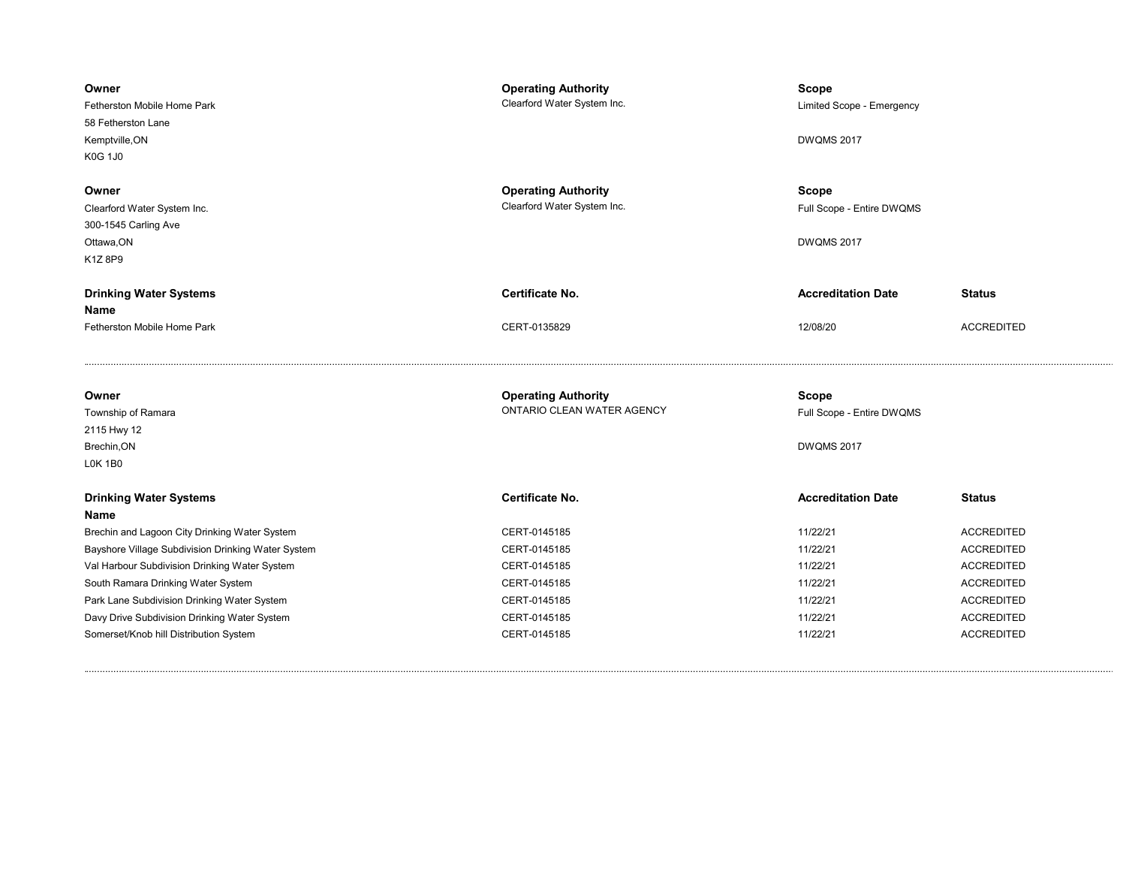| Owner<br>Fetherston Mobile Home Park<br>58 Fetherston Lane<br>Kemptville, ON<br><b>K0G 1J0</b> | <b>Operating Authority</b><br>Clearford Water System Inc. | Scope<br>Limited Scope - Emergency<br><b>DWQMS 2017</b> |                   |
|------------------------------------------------------------------------------------------------|-----------------------------------------------------------|---------------------------------------------------------|-------------------|
| Owner<br>Clearford Water System Inc.<br>300-1545 Carling Ave<br>Ottawa, ON<br>K1Z 8P9          | <b>Operating Authority</b><br>Clearford Water System Inc. | Scope<br>Full Scope - Entire DWQMS<br><b>DWQMS 2017</b> |                   |
| <b>Drinking Water Systems</b>                                                                  | <b>Certificate No.</b>                                    | <b>Accreditation Date</b>                               | <b>Status</b>     |
| Name                                                                                           |                                                           |                                                         |                   |
| Fetherston Mobile Home Park                                                                    | CERT-0135829                                              | 12/08/20                                                | <b>ACCREDITED</b> |
|                                                                                                |                                                           |                                                         |                   |
| Owner                                                                                          | <b>Operating Authority</b>                                | <b>Scope</b>                                            |                   |
| Township of Ramara                                                                             | ONTARIO CLEAN WATER AGENCY                                | Full Scope - Entire DWQMS                               |                   |
| 2115 Hwy 12                                                                                    |                                                           |                                                         |                   |
| Brechin, ON                                                                                    |                                                           | <b>DWQMS 2017</b>                                       |                   |
| <b>LOK 1B0</b>                                                                                 |                                                           |                                                         |                   |
| <b>Drinking Water Systems</b><br>Name                                                          | <b>Certificate No.</b>                                    | <b>Accreditation Date</b>                               | <b>Status</b>     |
| Brechin and Lagoon City Drinking Water System                                                  | CERT-0145185                                              | 11/22/21                                                | <b>ACCREDITED</b> |
| Bayshore Village Subdivision Drinking Water System                                             | CERT-0145185                                              | 11/22/21                                                | <b>ACCREDITED</b> |
| Val Harbour Subdivision Drinking Water System                                                  | CERT-0145185                                              | 11/22/21                                                | <b>ACCREDITED</b> |
| South Ramara Drinking Water System                                                             | CERT-0145185                                              | 11/22/21                                                | <b>ACCREDITED</b> |
| Park Lane Subdivision Drinking Water System                                                    | CERT-0145185                                              | 11/22/21                                                | <b>ACCREDITED</b> |
| Davy Drive Subdivision Drinking Water System                                                   | CERT-0145185                                              | 11/22/21                                                | <b>ACCREDITED</b> |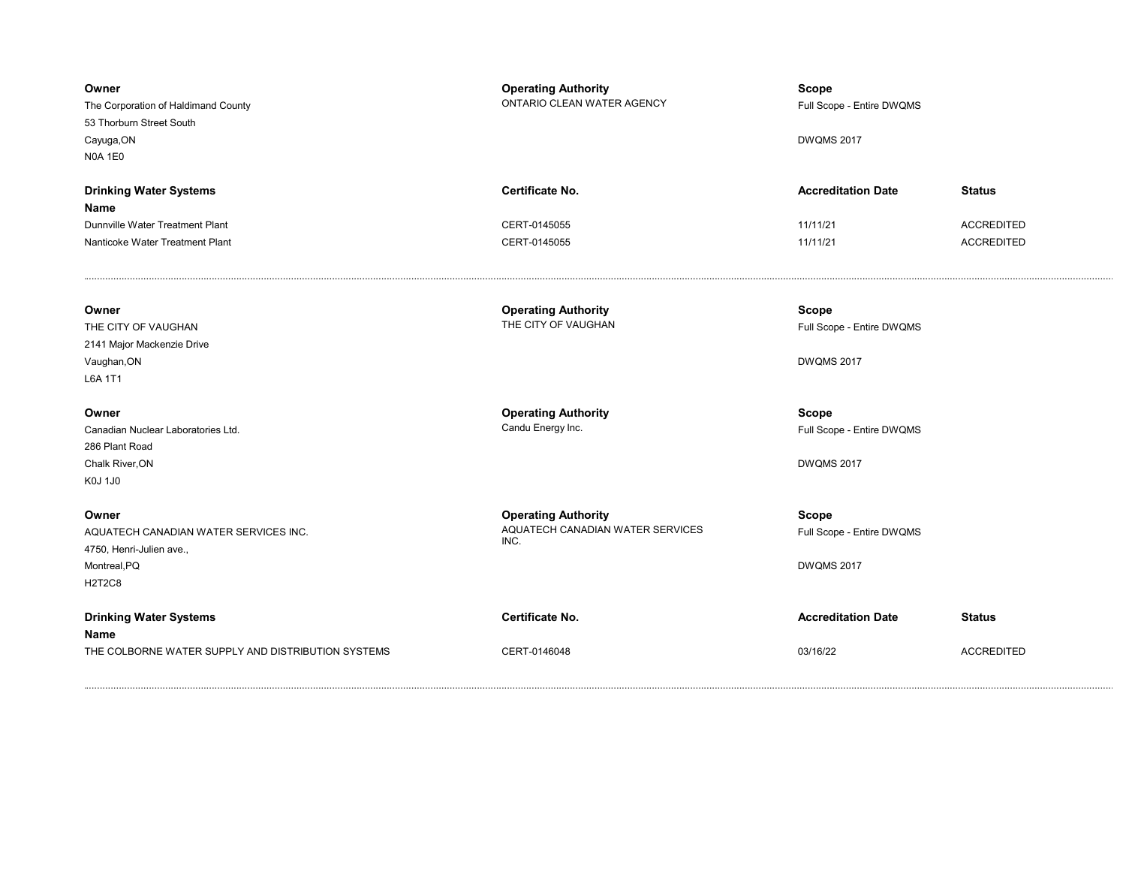| Owner<br>The Corporation of Haldimand County<br>53 Thorburn Street South<br>Cayuga, ON<br><b>N0A 1E0</b>    | <b>Operating Authority</b><br>ONTARIO CLEAN WATER AGENCY               | <b>Scope</b><br>Full Scope - Entire DWQMS<br><b>DWQMS 2017</b> |                                    |
|-------------------------------------------------------------------------------------------------------------|------------------------------------------------------------------------|----------------------------------------------------------------|------------------------------------|
| <b>Drinking Water Systems</b><br>Name<br>Dunnville Water Treatment Plant                                    | <b>Certificate No.</b><br>CERT-0145055                                 | <b>Accreditation Date</b><br>11/11/21                          | <b>Status</b><br><b>ACCREDITED</b> |
| Nanticoke Water Treatment Plant                                                                             | CERT-0145055                                                           | 11/11/21                                                       | <b>ACCREDITED</b>                  |
| Owner<br>THE CITY OF VAUGHAN<br>2141 Major Mackenzie Drive<br>Vaughan, ON<br>L6A 1T1                        | <b>Operating Authority</b><br>THE CITY OF VAUGHAN                      | <b>Scope</b><br>Full Scope - Entire DWQMS<br><b>DWQMS 2017</b> |                                    |
| Owner<br>Canadian Nuclear Laboratories Ltd.<br>286 Plant Road<br>Chalk River, ON<br>K0J 1J0                 | <b>Operating Authority</b><br>Candu Energy Inc.                        | <b>Scope</b><br>Full Scope - Entire DWQMS<br><b>DWQMS 2017</b> |                                    |
| Owner<br>AQUATECH CANADIAN WATER SERVICES INC.<br>4750, Henri-Julien ave.,<br>Montreal, PQ<br><b>H2T2C8</b> | <b>Operating Authority</b><br>AQUATECH CANADIAN WATER SERVICES<br>INC. | Scope<br>Full Scope - Entire DWQMS<br><b>DWQMS 2017</b>        |                                    |
| <b>Drinking Water Systems</b><br>Name<br>THE COLBORNE WATER SUPPLY AND DISTRIBUTION SYSTEMS                 | Certificate No.<br>CERT-0146048                                        | <b>Accreditation Date</b><br>03/16/22                          | <b>Status</b><br><b>ACCREDITED</b> |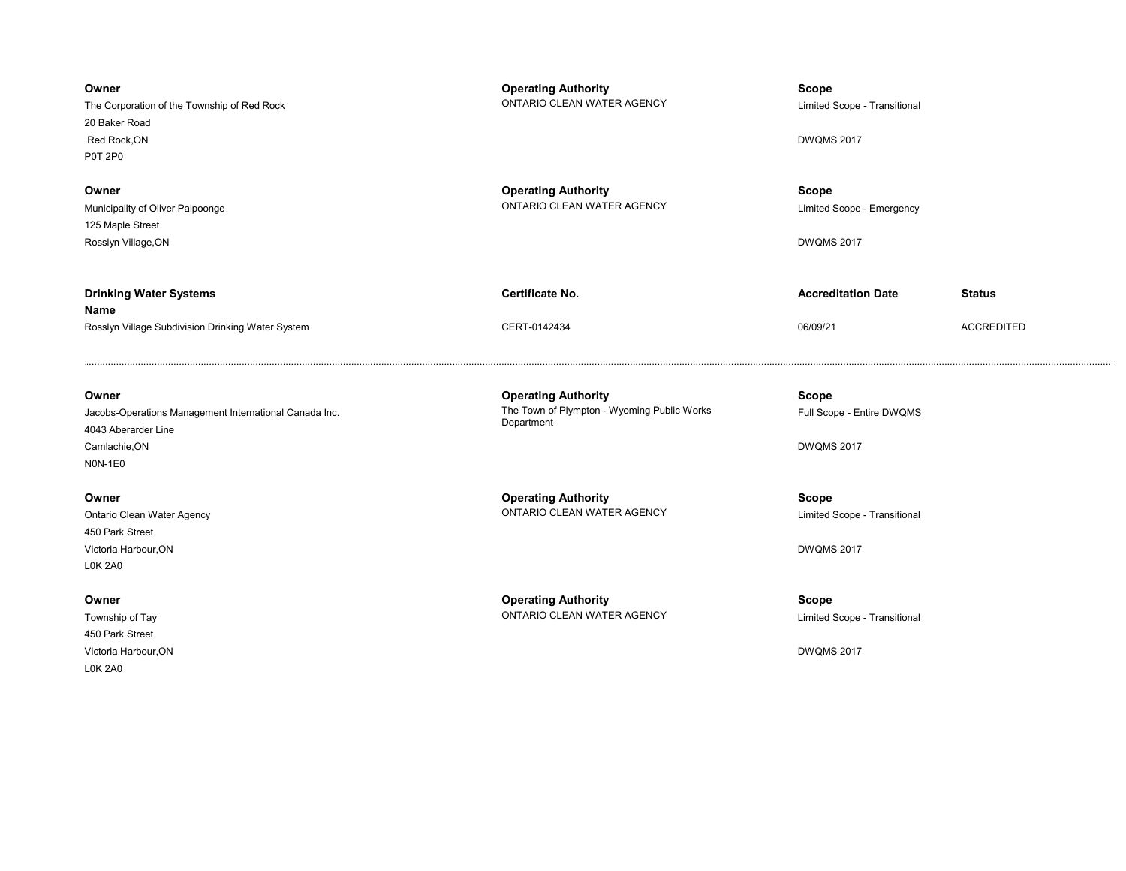| Owner<br>The Corporation of the Township of Red Rock<br>20 Baker Road<br>Red Rock, ON<br><b>P0T 2P0</b>            | <b>Operating Authority</b><br>ONTARIO CLEAN WATER AGENCY                                | Scope<br>Limited Scope - Transitional<br><b>DWQMS 2017</b>     |                   |
|--------------------------------------------------------------------------------------------------------------------|-----------------------------------------------------------------------------------------|----------------------------------------------------------------|-------------------|
| Owner<br>Municipality of Oliver Paipoonge<br>125 Maple Street<br>Rosslyn Village, ON                               | <b>Operating Authority</b><br>ONTARIO CLEAN WATER AGENCY                                | <b>Scope</b><br>Limited Scope - Emergency<br><b>DWQMS 2017</b> |                   |
| <b>Drinking Water Systems</b>                                                                                      | <b>Certificate No.</b>                                                                  | <b>Accreditation Date</b>                                      | <b>Status</b>     |
| Name<br>Rosslyn Village Subdivision Drinking Water System                                                          | CERT-0142434                                                                            | 06/09/21                                                       | <b>ACCREDITED</b> |
| Owner<br>Jacobs-Operations Management International Canada Inc.<br>4043 Aberarder Line<br>Camlachie, ON<br>NON-1E0 | <b>Operating Authority</b><br>The Town of Plympton - Wyoming Public Works<br>Department | <b>Scope</b><br>Full Scope - Entire DWQMS<br><b>DWQMS 2017</b> |                   |
| Owner<br>Ontario Clean Water Agency<br>450 Park Street                                                             | <b>Operating Authority</b><br>ONTARIO CLEAN WATER AGENCY                                | <b>Scope</b><br>Limited Scope - Transitional                   |                   |
| Victoria Harbour, ON<br><b>L0K 2A0</b>                                                                             |                                                                                         | <b>DWQMS 2017</b>                                              |                   |